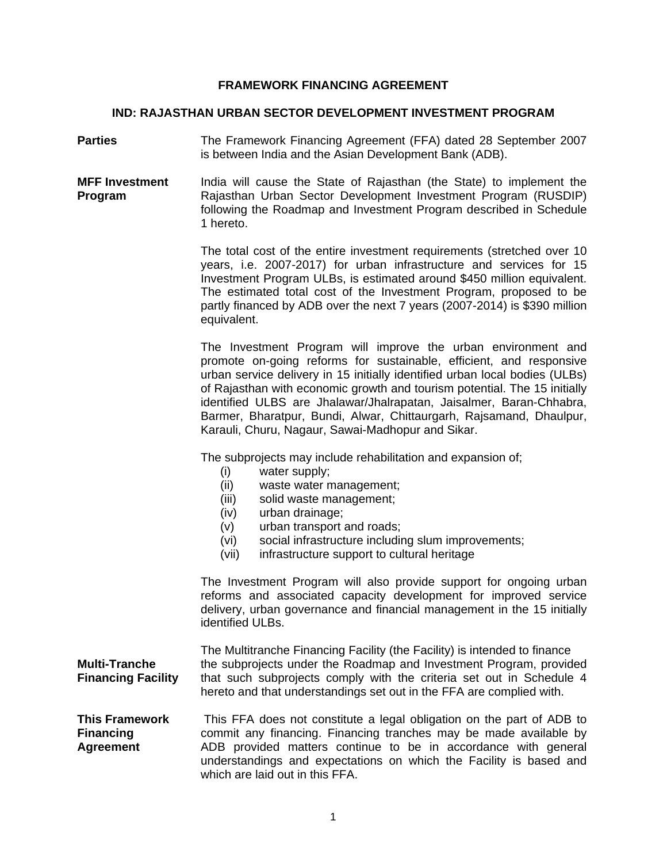#### **FRAMEWORK FINANCING AGREEMENT**

#### **IND: RAJASTHAN URBAN SECTOR DEVELOPMENT INVESTMENT PROGRAM**

**Parties**  The Framework Financing Agreement (FFA) dated 28 September 2007 is between India and the Asian Development Bank (ADB).

**MFF Investment Program**  India will cause the State of Rajasthan (the State) to implement the Rajasthan Urban Sector Development Investment Program (RUSDIP) following the Roadmap and Investment Program described in Schedule 1 hereto.

> The total cost of the entire investment requirements (stretched over 10 years, i.e. 2007-2017) for urban infrastructure and services for 15 Investment Program ULBs, is estimated around \$450 million equivalent. The estimated total cost of the Investment Program, proposed to be partly financed by ADB over the next 7 years (2007-2014) is \$390 million equivalent.

> The Investment Program will improve the urban environment and promote on-going reforms for sustainable, efficient, and responsive urban service delivery in 15 initially identified urban local bodies (ULBs) of Rajasthan with economic growth and tourism potential. The 15 initially identified ULBS are Jhalawar/Jhalrapatan, Jaisalmer, Baran-Chhabra, Barmer, Bharatpur, Bundi, Alwar, Chittaurgarh, Rajsamand, Dhaulpur, Karauli, Churu, Nagaur, Sawai-Madhopur and Sikar.

The subprojects may include rehabilitation and expansion of;

- (i) water supply;
- (ii) waste water management;
- (iii) solid waste management;
- (iv) urban drainage;
- (v) urban transport and roads;
- (vi) social infrastructure including slum improvements;
- (vii) infrastructure support to cultural heritage

The Investment Program will also provide support for ongoing urban reforms and associated capacity development for improved service delivery, urban governance and financial management in the 15 initially identified ULBs.

|                           | The Multitranche Financing Facility (the Facility) is intended to finance |
|---------------------------|---------------------------------------------------------------------------|
| <b>Multi-Tranche</b>      | the subprojects under the Roadmap and Investment Program, provided        |
| <b>Financing Facility</b> | that such subprojects comply with the criteria set out in Schedule 4      |
|                           | hereto and that understandings set out in the FFA are complied with.      |

**This Framework Financing Agreement**  This FFA does not constitute a legal obligation on the part of ADB to commit any financing. Financing tranches may be made available by ADB provided matters continue to be in accordance with general understandings and expectations on which the Facility is based and which are laid out in this FFA.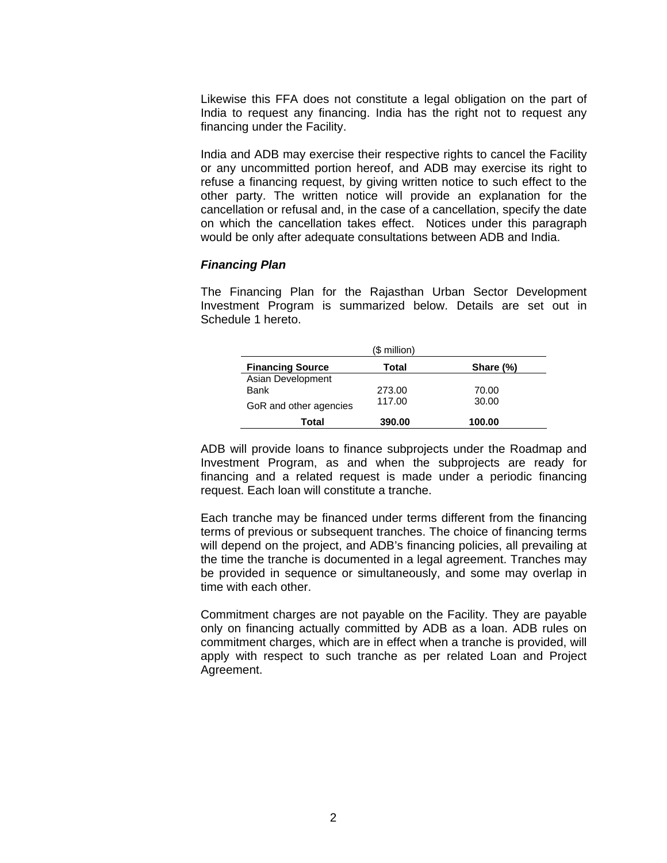Likewise this FFA does not constitute a legal obligation on the part of India to request any financing. India has the right not to request any financing under the Facility.

India and ADB may exercise their respective rights to cancel the Facility or any uncommitted portion hereof, and ADB may exercise its right to refuse a financing request, by giving written notice to such effect to the other party. The written notice will provide an explanation for the cancellation or refusal and, in the case of a cancellation, specify the date on which the cancellation takes effect. Notices under this paragraph would be only after adequate consultations between ADB and India.

#### *Financing Plan*

The Financing Plan for the Rajasthan Urban Sector Development Investment Program is summarized below. Details are set out in Schedule 1 hereto.

|                         | (\$ million) |           |
|-------------------------|--------------|-----------|
| <b>Financing Source</b> | Total        | Share (%) |
| Asian Development       |              |           |
| Bank                    | 273.00       | 70.00     |
| GoR and other agencies  | 117.00       | 30.00     |
| Total                   | 390.00       | 100.00    |

ADB will provide loans to finance subprojects under the Roadmap and Investment Program, as and when the subprojects are ready for financing and a related request is made under a periodic financing request. Each loan will constitute a tranche.

Each tranche may be financed under terms different from the financing terms of previous or subsequent tranches. The choice of financing terms will depend on the project, and ADB's financing policies, all prevailing at the time the tranche is documented in a legal agreement. Tranches may be provided in sequence or simultaneously, and some may overlap in time with each other.

Commitment charges are not payable on the Facility. They are payable only on financing actually committed by ADB as a loan. ADB rules on commitment charges, which are in effect when a tranche is provided, will apply with respect to such tranche as per related Loan and Project Agreement.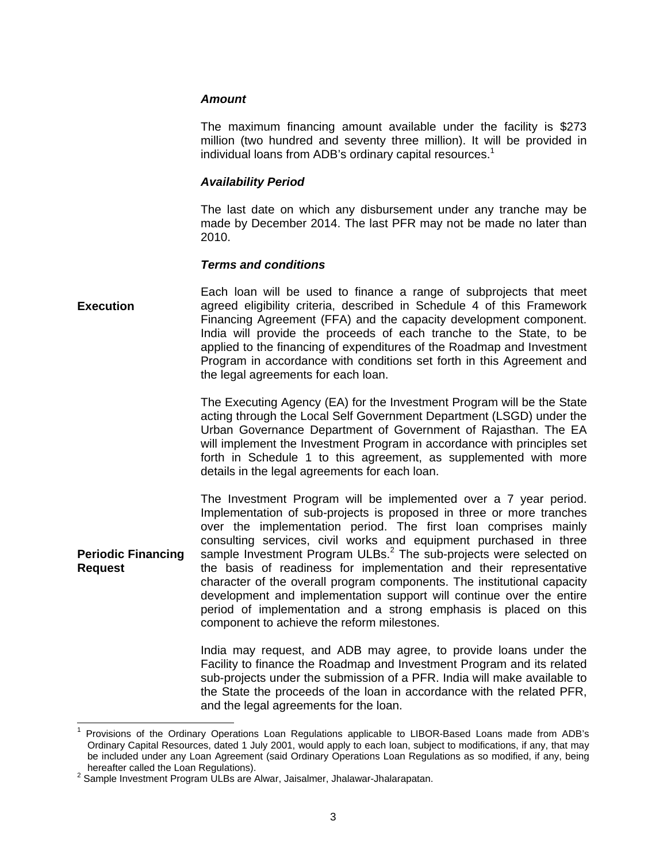#### *Amount*

The maximum financing amount available under the facility is \$273 million (two hundred and seventy three million). It will be provided in individual loans from ADB's ordinary capital resources.<sup>1</sup>

#### *Availability Period*

The last date on which any disbursement under any tranche may be made by December 2014. The last PFR may not be made no later than 2010.

#### *Terms and conditions*

#### **Execution**  Each loan will be used to finance a range of subprojects that meet agreed eligibility criteria, described in Schedule 4 of this Framework Financing Agreement (FFA) and the capacity development component. India will provide the proceeds of each tranche to the State, to be applied to the financing of expenditures of the Roadmap and Investment Program in accordance with conditions set forth in this Agreement and the legal agreements for each loan.

The Executing Agency (EA) for the Investment Program will be the State acting through the Local Self Government Department (LSGD) under the Urban Governance Department of Government of Rajasthan. The EA will implement the Investment Program in accordance with principles set forth in Schedule 1 to this agreement, as supplemented with more details in the legal agreements for each loan.

**Periodic Financing Request**  The Investment Program will be implemented over a 7 year period. Implementation of sub-projects is proposed in three or more tranches over the implementation period. The first loan comprises mainly consulting services, civil works and equipment purchased in three sample Investment Program ULBs.<sup>2</sup> The sub-projects were selected on the basis of readiness for implementation and their representative character of the overall program components. The institutional capacity development and implementation support will continue over the entire period of implementation and a strong emphasis is placed on this component to achieve the reform milestones.

> India may request, and ADB may agree, to provide loans under the Facility to finance the Roadmap and Investment Program and its related sub-projects under the submission of a PFR. India will make available to the State the proceeds of the loan in accordance with the related PFR, and the legal agreements for the loan.

 $\overline{a}$ 

<sup>1</sup> Provisions of the Ordinary Operations Loan Regulations applicable to LIBOR-Based Loans made from ADB's Ordinary Capital Resources, dated 1 July 2001, would apply to each loan, subject to modifications, if any, that may be included under any Loan Agreement (said Ordinary Operations Loan Regulations as so modified, if any, being hereafter called the Loan Regulations). 2 Sample Investment Program ULBs are Alwar, Jaisalmer, Jhalawar-Jhalarapatan.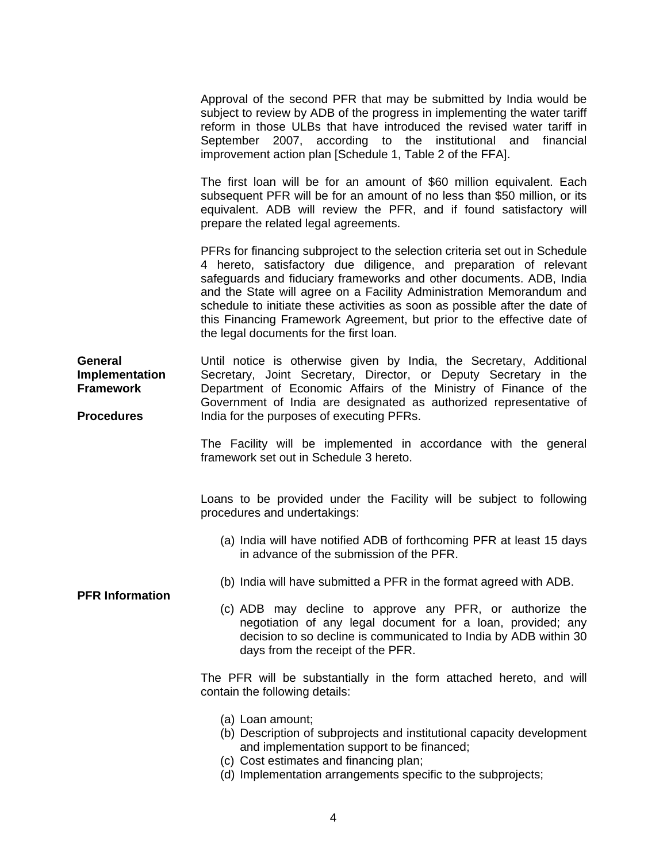Approval of the second PFR that may be submitted by India would be subject to review by ADB of the progress in implementing the water tariff reform in those ULBs that have introduced the revised water tariff in September 2007, according to the institutional and financial improvement action plan [Schedule 1, Table 2 of the FFA].

The first loan will be for an amount of \$60 million equivalent. Each subsequent PFR will be for an amount of no less than \$50 million, or its equivalent. ADB will review the PFR, and if found satisfactory will prepare the related legal agreements.

PFRs for financing subproject to the selection criteria set out in Schedule 4 hereto, satisfactory due diligence, and preparation of relevant safeguards and fiduciary frameworks and other documents. ADB, India and the State will agree on a Facility Administration Memorandum and schedule to initiate these activities as soon as possible after the date of this Financing Framework Agreement, but prior to the effective date of the legal documents for the first loan.

**General Implementation Framework Procedures**  Until notice is otherwise given by India, the Secretary, Additional Secretary, Joint Secretary, Director, or Deputy Secretary in the Department of Economic Affairs of the Ministry of Finance of the Government of India are designated as authorized representative of India for the purposes of executing PFRs.

> The Facility will be implemented in accordance with the general framework set out in Schedule 3 hereto.

> Loans to be provided under the Facility will be subject to following procedures and undertakings:

- (a) India will have notified ADB of forthcoming PFR at least 15 days in advance of the submission of the PFR.
- (b) India will have submitted a PFR in the format agreed with ADB.
- (c) ADB may decline to approve any PFR, or authorize the negotiation of any legal document for a loan, provided; any decision to so decline is communicated to India by ADB within 30 days from the receipt of the PFR.

The PFR will be substantially in the form attached hereto, and will contain the following details:

- (a) Loan amount;
- (b) Description of subprojects and institutional capacity development and implementation support to be financed;
- (c) Cost estimates and financing plan;
- (d) Implementation arrangements specific to the subprojects;

# **PFR Information**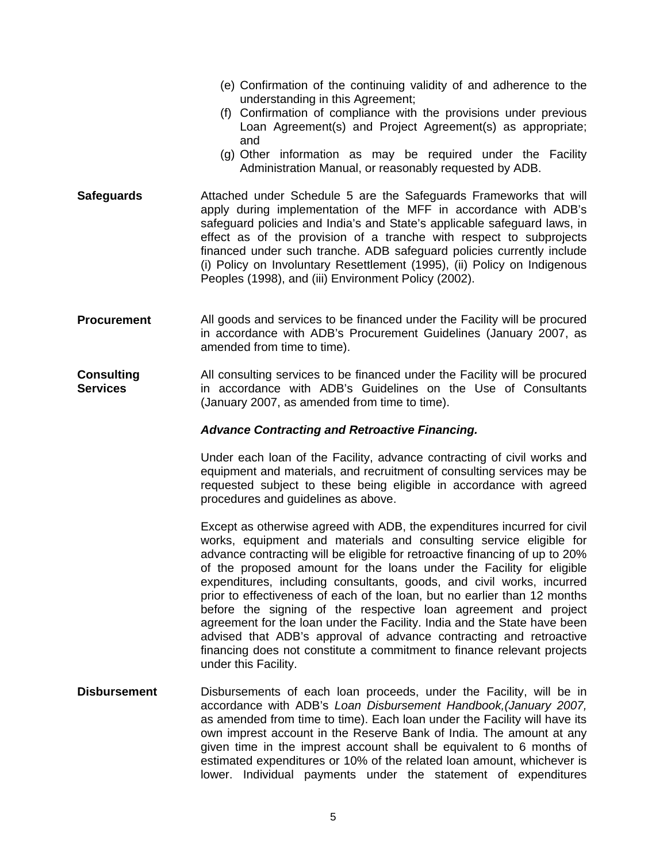- (e) Confirmation of the continuing validity of and adherence to the understanding in this Agreement;
- (f) Confirmation of compliance with the provisions under previous Loan Agreement(s) and Project Agreement(s) as appropriate; and
- (g) Other information as may be required under the Facility Administration Manual, or reasonably requested by ADB.
- **Safeguards**  Attached under Schedule 5 are the Safeguards Frameworks that will apply during implementation of the MFF in accordance with ADB's safeguard policies and India's and State's applicable safeguard laws, in effect as of the provision of a tranche with respect to subprojects financed under such tranche. ADB safeguard policies currently include (i) Policy on Involuntary Resettlement (1995), (ii) Policy on Indigenous Peoples (1998), and (iii) Environment Policy (2002).
- **Procurement**  All goods and services to be financed under the Facility will be procured in accordance with ADB's Procurement Guidelines (January 2007, as amended from time to time).
- **Consulting Services**  All consulting services to be financed under the Facility will be procured in accordance with ADB's Guidelines on the Use of Consultants (January 2007, as amended from time to time).

#### *Advance Contracting and Retroactive Financing.*

Under each loan of the Facility, advance contracting of civil works and equipment and materials, and recruitment of consulting services may be requested subject to these being eligible in accordance with agreed procedures and guidelines as above.

Except as otherwise agreed with ADB, the expenditures incurred for civil works, equipment and materials and consulting service eligible for advance contracting will be eligible for retroactive financing of up to 20% of the proposed amount for the loans under the Facility for eligible expenditures, including consultants, goods, and civil works, incurred prior to effectiveness of each of the loan, but no earlier than 12 months before the signing of the respective loan agreement and project agreement for the loan under the Facility. India and the State have been advised that ADB's approval of advance contracting and retroactive financing does not constitute a commitment to finance relevant projects under this Facility.

**Disbursement**  Disbursements of each loan proceeds, under the Facility, will be in accordance with ADB's *Loan Disbursement Handbook,(January 2007,*  as amended from time to time). Each loan under the Facility will have its own imprest account in the Reserve Bank of India. The amount at any given time in the imprest account shall be equivalent to 6 months of estimated expenditures or 10% of the related loan amount, whichever is lower. Individual payments under the statement of expenditures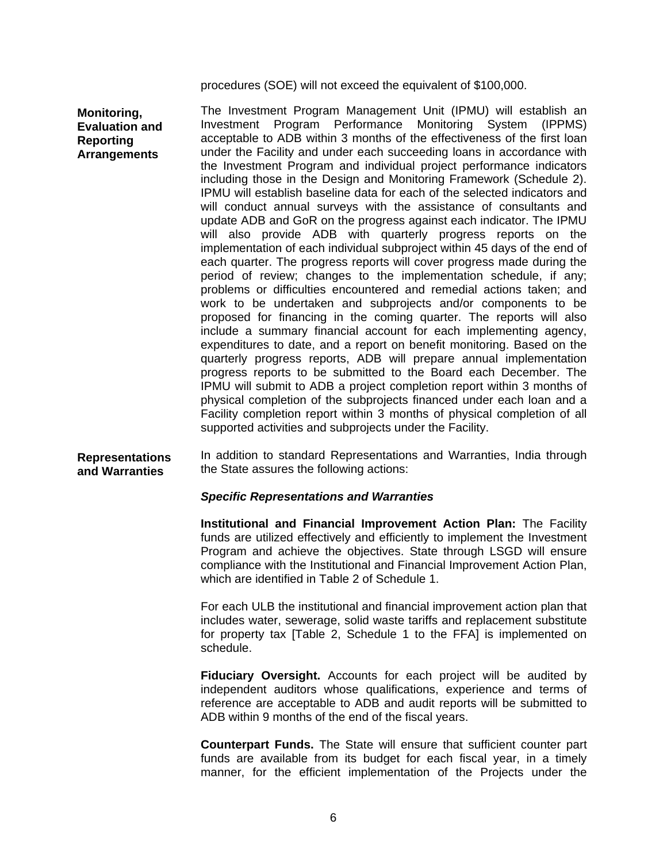procedures (SOE) will not exceed the equivalent of \$100,000.

**Monitoring, Evaluation and Reporting Arrangements** 

The Investment Program Management Unit (IPMU) will establish an Investment Program Performance Monitoring System (IPPMS) acceptable to ADB within 3 months of the effectiveness of the first loan under the Facility and under each succeeding loans in accordance with the Investment Program and individual project performance indicators including those in the Design and Monitoring Framework (Schedule 2). IPMU will establish baseline data for each of the selected indicators and will conduct annual surveys with the assistance of consultants and update ADB and GoR on the progress against each indicator. The IPMU will also provide ADB with quarterly progress reports on the implementation of each individual subproject within 45 days of the end of each quarter. The progress reports will cover progress made during the period of review; changes to the implementation schedule, if any; problems or difficulties encountered and remedial actions taken; and work to be undertaken and subprojects and/or components to be proposed for financing in the coming quarter. The reports will also include a summary financial account for each implementing agency, expenditures to date, and a report on benefit monitoring. Based on the quarterly progress reports, ADB will prepare annual implementation progress reports to be submitted to the Board each December. The IPMU will submit to ADB a project completion report within 3 months of physical completion of the subprojects financed under each loan and a Facility completion report within 3 months of physical completion of all supported activities and subprojects under the Facility.

#### **Representations and Warranties**  In addition to standard Representations and Warranties, India through the State assures the following actions:

#### *Specific Representations and Warranties*

**Institutional and Financial Improvement Action Plan:** The Facility funds are utilized effectively and efficiently to implement the Investment Program and achieve the objectives. State through LSGD will ensure compliance with the Institutional and Financial Improvement Action Plan, which are identified in Table 2 of Schedule 1.

For each ULB the institutional and financial improvement action plan that includes water, sewerage, solid waste tariffs and replacement substitute for property tax [Table 2, Schedule 1 to the FFA] is implemented on schedule.

**Fiduciary Oversight.** Accounts for each project will be audited by independent auditors whose qualifications, experience and terms of reference are acceptable to ADB and audit reports will be submitted to ADB within 9 months of the end of the fiscal years.

**Counterpart Funds.** The State will ensure that sufficient counter part funds are available from its budget for each fiscal year, in a timely manner, for the efficient implementation of the Projects under the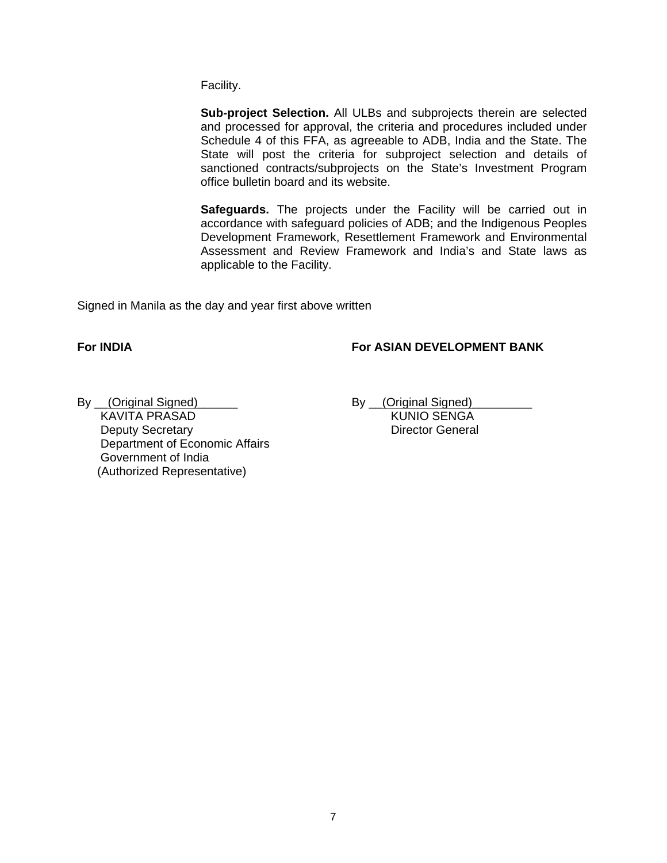Facility.

**Sub-project Selection.** All ULBs and subprojects therein are selected and processed for approval, the criteria and procedures included under Schedule 4 of this FFA, as agreeable to ADB, India and the State. The State will post the criteria for subproject selection and details of sanctioned contracts/subprojects on the State's Investment Program office bulletin board and its website.

**Safeguards.** The projects under the Facility will be carried out in accordance with safeguard policies of ADB; and the Indigenous Peoples Development Framework, Resettlement Framework and Environmental Assessment and Review Framework and India's and State laws as applicable to the Facility.

Signed in Manila as the day and year first above written

# **For INDIA For ASIAN DEVELOPMENT BANK**

By <u>(Original Signed)</u><br>KAVITA PRASAD By <u>(Original Signed)</u><br>KUNIO SENGA KAVITA PRASAD **Deputy Secretary Director General**  Department of Economic Affairs Government of India (Authorized Representative)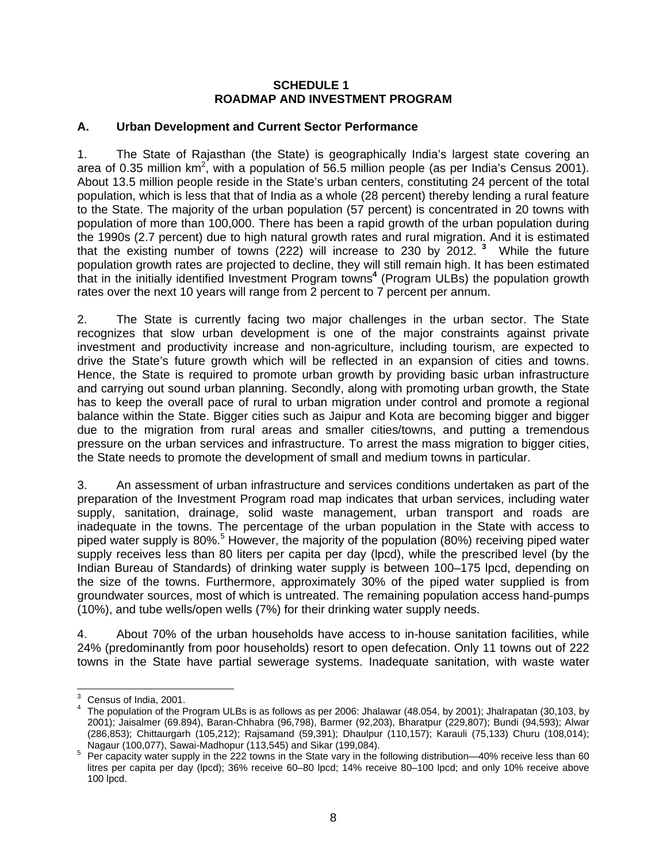#### **SCHEDULE 1 ROADMAP AND INVESTMENT PROGRAM**

# **A. Urban Development and Current Sector Performance**

1. The State of Rajasthan (the State) is geographically India's largest state covering an area of 0.35 million km<sup>2</sup>, with a population of 56.5 million people (as per India's Census 2001). About 13.5 million people reside in the State's urban centers, constituting 24 percent of the total population, which is less that that of India as a whole (28 percent) thereby lending a rural feature to the State. The majority of the urban population (57 percent) is concentrated in 20 towns with population of more than 100,000. There has been a rapid growth of the urban population during the 1990s (2.7 percent) due to high natural growth rates and rural migration. And it is estimated that the existing number of towns (222) will increase to 230 by 2012.**<sup>3</sup>** While the future population growth rates are projected to decline, they will still remain high. It has been estimated that in the initially identified Investment Program towns**<sup>4</sup>** (Program ULBs) the population growth rates over the next 10 years will range from 2 percent to 7 percent per annum.

2. The State is currently facing two major challenges in the urban sector. The State recognizes that slow urban development is one of the major constraints against private investment and productivity increase and non-agriculture, including tourism, are expected to drive the State's future growth which will be reflected in an expansion of cities and towns. Hence, the State is required to promote urban growth by providing basic urban infrastructure and carrying out sound urban planning. Secondly, along with promoting urban growth, the State has to keep the overall pace of rural to urban migration under control and promote a regional balance within the State. Bigger cities such as Jaipur and Kota are becoming bigger and bigger due to the migration from rural areas and smaller cities/towns, and putting a tremendous pressure on the urban services and infrastructure. To arrest the mass migration to bigger cities, the State needs to promote the development of small and medium towns in particular.

3. An assessment of urban infrastructure and services conditions undertaken as part of the preparation of the Investment Program road map indicates that urban services, including water supply, sanitation, drainage, solid waste management, urban transport and roads are inadequate in the towns. The percentage of the urban population in the State with access to piped water supply is 80%.<sup>5</sup> However, the majority of the population (80%) receiving piped water supply receives less than 80 liters per capita per day (lpcd), while the prescribed level (by the Indian Bureau of Standards) of drinking water supply is between 100–175 lpcd, depending on the size of the towns. Furthermore, approximately 30% of the piped water supplied is from groundwater sources, most of which is untreated. The remaining population access hand-pumps (10%), and tube wells/open wells (7%) for their drinking water supply needs.

4. About 70% of the urban households have access to in-house sanitation facilities, while 24% (predominantly from poor households) resort to open defecation. Only 11 towns out of 222 towns in the State have partial sewerage systems. Inadequate sanitation, with waste water

<sup>&</sup>lt;u>Example 2001</u><br><sup>3</sup> Census of India, 2001.

<sup>&</sup>lt;sup>4</sup> The population of the Program ULBs is as follows as per 2006: Jhalawar (48.054, by 2001); Jhalrapatan (30,103, by 2001); Jaisalmer (69.894), Baran-Chhabra (96,798), Barmer (92,203), Bharatpur (229,807); Bundi (94,593); Alwar (286,853); Chittaurgarh (105,212); Rajsamand (59,391); Dhaulpur (110,157); Karauli (75,133) Churu (108,014);

Nagaur (100,077), Sawai-Madhopur (113,545) and Sikar (199,084).<br><sup>5</sup> Per capacity water supply in the 222 towns in the State vary in the following distribution—40% receive less than 60 litres per capita per day (lpcd); 36% receive 60–80 lpcd; 14% receive 80–100 lpcd; and only 10% receive above 100 lpcd.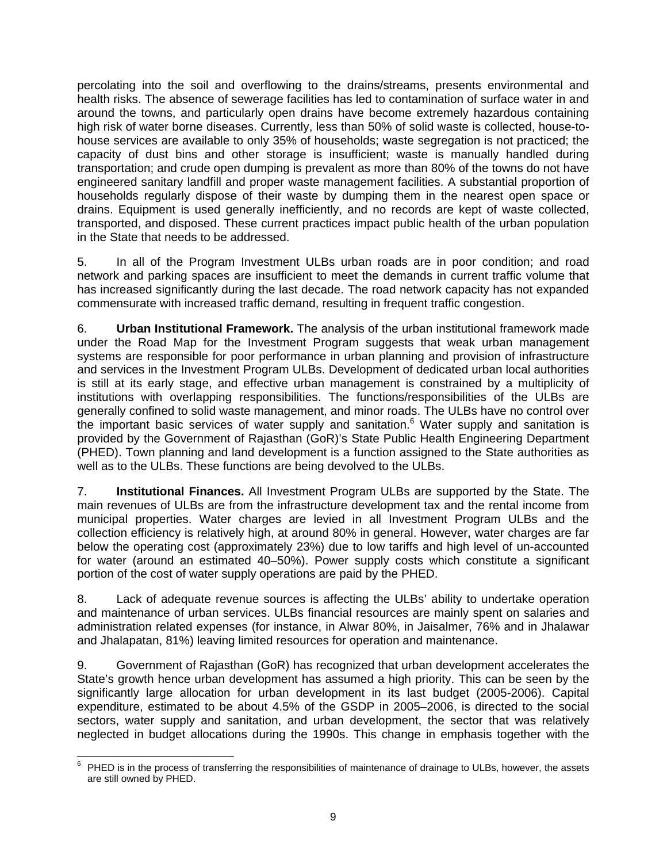percolating into the soil and overflowing to the drains/streams, presents environmental and health risks. The absence of sewerage facilities has led to contamination of surface water in and around the towns, and particularly open drains have become extremely hazardous containing high risk of water borne diseases. Currently, less than 50% of solid waste is collected, house-tohouse services are available to only 35% of households; waste segregation is not practiced; the capacity of dust bins and other storage is insufficient; waste is manually handled during transportation; and crude open dumping is prevalent as more than 80% of the towns do not have engineered sanitary landfill and proper waste management facilities. A substantial proportion of households regularly dispose of their waste by dumping them in the nearest open space or drains. Equipment is used generally inefficiently, and no records are kept of waste collected, transported, and disposed. These current practices impact public health of the urban population in the State that needs to be addressed.

5. In all of the Program Investment ULBs urban roads are in poor condition; and road network and parking spaces are insufficient to meet the demands in current traffic volume that has increased significantly during the last decade. The road network capacity has not expanded commensurate with increased traffic demand, resulting in frequent traffic congestion.

6. **Urban Institutional Framework.** The analysis of the urban institutional framework made under the Road Map for the Investment Program suggests that weak urban management systems are responsible for poor performance in urban planning and provision of infrastructure and services in the Investment Program ULBs. Development of dedicated urban local authorities is still at its early stage, and effective urban management is constrained by a multiplicity of institutions with overlapping responsibilities. The functions/responsibilities of the ULBs are generally confined to solid waste management, and minor roads. The ULBs have no control over the important basic services of water supply and sanitation.<sup>6</sup> Water supply and sanitation is provided by the Government of Rajasthan (GoR)'s State Public Health Engineering Department (PHED). Town planning and land development is a function assigned to the State authorities as well as to the ULBs. These functions are being devolved to the ULBs.

7. **Institutional Finances.** All Investment Program ULBs are supported by the State. The main revenues of ULBs are from the infrastructure development tax and the rental income from municipal properties. Water charges are levied in all Investment Program ULBs and the collection efficiency is relatively high, at around 80% in general. However, water charges are far below the operating cost (approximately 23%) due to low tariffs and high level of un-accounted for water (around an estimated 40–50%). Power supply costs which constitute a significant portion of the cost of water supply operations are paid by the PHED.

8. Lack of adequate revenue sources is affecting the ULBs' ability to undertake operation and maintenance of urban services. ULBs financial resources are mainly spent on salaries and administration related expenses (for instance, in Alwar 80%, in Jaisalmer, 76% and in Jhalawar and Jhalapatan, 81%) leaving limited resources for operation and maintenance.

9. Government of Rajasthan (GoR) has recognized that urban development accelerates the State's growth hence urban development has assumed a high priority. This can be seen by the significantly large allocation for urban development in its last budget (2005-2006). Capital expenditure, estimated to be about 4.5% of the GSDP in 2005–2006, is directed to the social sectors, water supply and sanitation, and urban development, the sector that was relatively neglected in budget allocations during the 1990s. This change in emphasis together with the

<sup>&</sup>lt;u>Fill concept</u><br><sup>6</sup> PHED is in the process of transferring the responsibilities of maintenance of drainage to ULBs, however, the assets are still owned by PHED.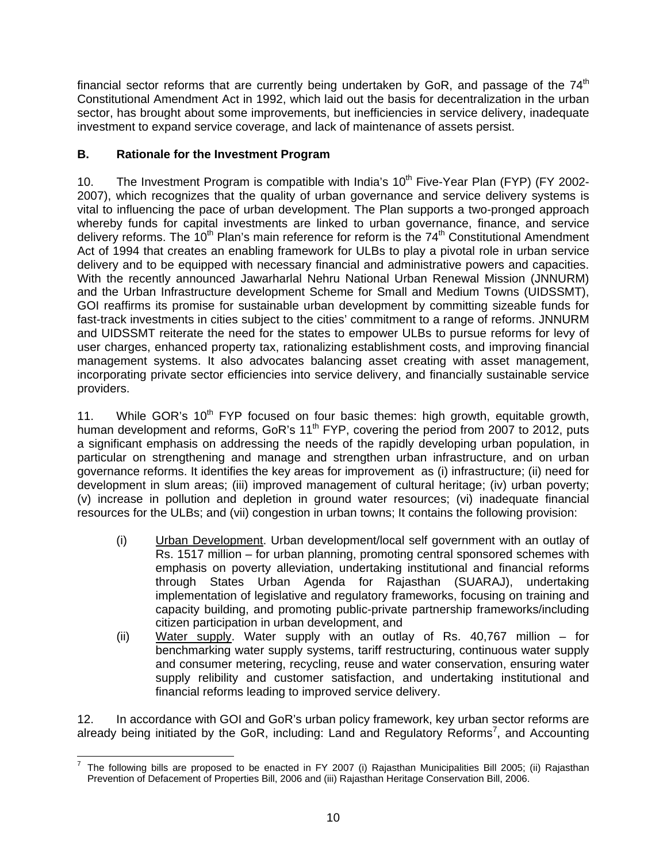financial sector reforms that are currently being undertaken by GoR, and passage of the  $74<sup>th</sup>$ Constitutional Amendment Act in 1992, which laid out the basis for decentralization in the urban sector, has brought about some improvements, but inefficiencies in service delivery, inadequate investment to expand service coverage, and lack of maintenance of assets persist.

# **B. Rationale for the Investment Program**

10. The Investment Program is compatible with India's  $10<sup>th</sup>$  Five-Year Plan (FYP) (FY 2002-2007), which recognizes that the quality of urban governance and service delivery systems is vital to influencing the pace of urban development. The Plan supports a two-pronged approach whereby funds for capital investments are linked to urban governance, finance, and service delivery reforms. The 10<sup>th</sup> Plan's main reference for reform is the  $74<sup>th</sup>$  Constitutional Amendment Act of 1994 that creates an enabling framework for ULBs to play a pivotal role in urban service delivery and to be equipped with necessary financial and administrative powers and capacities. With the recently announced Jawarharlal Nehru National Urban Renewal Mission (JNNURM) and the Urban Infrastructure development Scheme for Small and Medium Towns (UIDSSMT), GOI reaffirms its promise for sustainable urban development by committing sizeable funds for fast-track investments in cities subject to the cities' commitment to a range of reforms. JNNURM and UIDSSMT reiterate the need for the states to empower ULBs to pursue reforms for levy of user charges, enhanced property tax, rationalizing establishment costs, and improving financial management systems. It also advocates balancing asset creating with asset management, incorporating private sector efficiencies into service delivery, and financially sustainable service providers.

11. While GOR's  $10<sup>th</sup>$  FYP focused on four basic themes: high growth, equitable growth, human development and reforms, GoR's 11<sup>th</sup> FYP, covering the period from 2007 to 2012, puts a significant emphasis on addressing the needs of the rapidly developing urban population, in particular on strengthening and manage and strengthen urban infrastructure, and on urban governance reforms. It identifies the key areas for improvement as (i) infrastructure; (ii) need for development in slum areas; (iii) improved management of cultural heritage; (iv) urban poverty; (v) increase in pollution and depletion in ground water resources; (vi) inadequate financial resources for the ULBs; and (vii) congestion in urban towns; It contains the following provision:

- (i) Urban Development. Urban development/local self government with an outlay of Rs. 1517 million – for urban planning, promoting central sponsored schemes with emphasis on poverty alleviation, undertaking institutional and financial reforms through States Urban Agenda for Rajasthan (SUARAJ), undertaking implementation of legislative and regulatory frameworks, focusing on training and capacity building, and promoting public-private partnership frameworks/including citizen participation in urban development, and
- (ii) Water supply. Water supply with an outlay of Rs. 40,767 million for benchmarking water supply systems, tariff restructuring, continuous water supply and consumer metering, recycling, reuse and water conservation, ensuring water supply relibility and customer satisfaction, and undertaking institutional and financial reforms leading to improved service delivery.

12. In accordance with GOI and GoR's urban policy framework, key urban sector reforms are already being initiated by the GoR, including: Land and Regulatory Reforms<sup>7</sup>, and Accounting

 7 The following bills are proposed to be enacted in FY 2007 (i) Rajasthan Municipalities Bill 2005; (ii) Rajasthan Prevention of Defacement of Properties Bill, 2006 and (iii) Rajasthan Heritage Conservation Bill, 2006.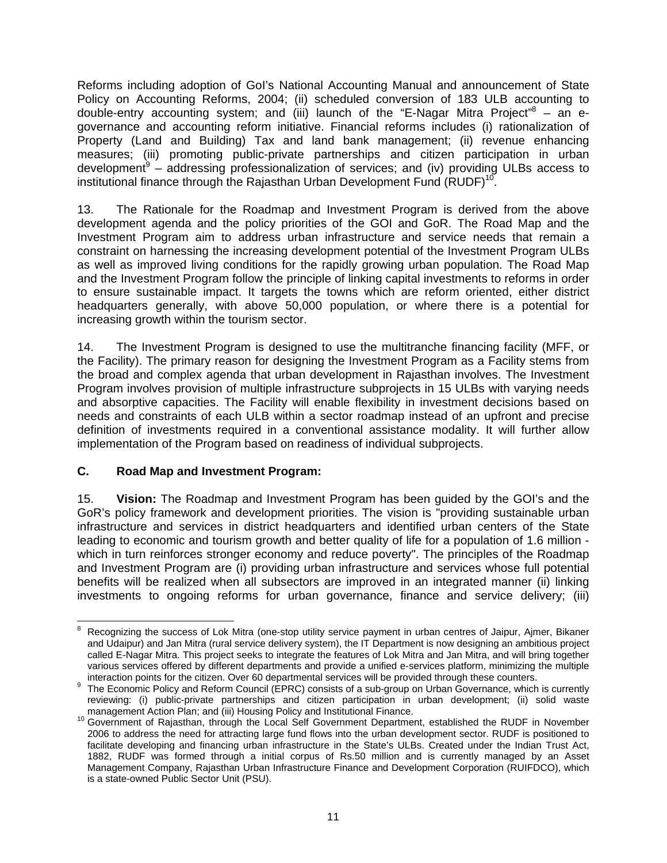Reforms including adoption of GoI's National Accounting Manual and announcement of State Policy on Accounting Reforms, 2004; (ii) scheduled conversion of 183 ULB accounting to double-entry accounting system; and (iii) launch of the "E-Nagar Mitra Project"<sup>8</sup> - an egovernance and accounting reform initiative. Financial reforms includes (i) rationalization of Property (Land and Building) Tax and land bank management; (ii) revenue enhancing measures; (iii) promoting public-private partnerships and citizen participation in urban development<sup>9</sup> – addressing professionalization of services; and (iv) providing ULBs access to institutional finance through the Rajasthan Urban Development Fund  $(RUDF)^{10}$ .

13. The Rationale for the Roadmap and Investment Program is derived from the above development agenda and the policy priorities of the GOI and GoR. The Road Map and the Investment Program aim to address urban infrastructure and service needs that remain a constraint on harnessing the increasing development potential of the Investment Program ULBs as well as improved living conditions for the rapidly growing urban population. The Road Map and the Investment Program follow the principle of linking capital investments to reforms in order to ensure sustainable impact. It targets the towns which are reform oriented, either district headquarters generally, with above 50,000 population, or where there is a potential for increasing growth within the tourism sector.

14. The Investment Program is designed to use the multitranche financing facility (MFF, or the Facility). The primary reason for designing the Investment Program as a Facility stems from the broad and complex agenda that urban development in Rajasthan involves. The Investment Program involves provision of multiple infrastructure subprojects in 15 ULBs with varying needs and absorptive capacities. The Facility will enable flexibility in investment decisions based on needs and constraints of each ULB within a sector roadmap instead of an upfront and precise definition of investments required in a conventional assistance modality. It will further allow implementation of the Program based on readiness of individual subprojects.

# **C. Road Map and Investment Program:**

15. **Vision:** The Roadmap and Investment Program has been guided by the GOI's and the GoR's policy framework and development priorities. The vision is "providing sustainable urban infrastructure and services in district headquarters and identified urban centers of the State leading to economic and tourism growth and better quality of life for a population of 1.6 million which in turn reinforces stronger economy and reduce poverty". The principles of the Roadmap and Investment Program are (i) providing urban infrastructure and services whose full potential benefits will be realized when all subsectors are improved in an integrated manner (ii) linking investments to ongoing reforms for urban governance, finance and service delivery; (iii)

<sup>-&</sup>lt;br>8 Recognizing the success of Lok Mitra (one-stop utility service payment in urban centres of Jaipur, Ajmer, Bikaner and Udaipur) and Jan Mitra (rural service delivery system), the IT Department is now designing an ambitious project called E-Nagar Mitra. This project seeks to integrate the features of Lok Mitra and Jan Mitra, and will bring together various services offered by different departments and provide a unified e-services platform, minimizing the multiple interaction points for the citizen. Over 60 departmental services will be provided through these counters

interaction points for the citizen. Over 60 departmental services will be provided through these counters.<br><sup>9</sup> The Economic Policy and Reform Council (EPRC) consists of a sub-group on Urban Governance, which is currently reviewing: (i) public-private partnerships and citizen participation in urban development; (ii) solid waste

management Action Plan; and (iii) Housing Policy and Institutional Finance.<br><sup>10</sup> Government of Rajasthan, through the Local Self Government Department, established the RUDF in November 2006 to address the need for attracting large fund flows into the urban development sector. RUDF is positioned to facilitate developing and financing urban infrastructure in the State's ULBs. Created under the Indian Trust Act, 1882, RUDF was formed through a initial corpus of Rs.50 million and is currently managed by an Asset Management Company, Rajasthan Urban Infrastructure Finance and Development Corporation (RUIFDCO), which is a state-owned Public Sector Unit (PSU).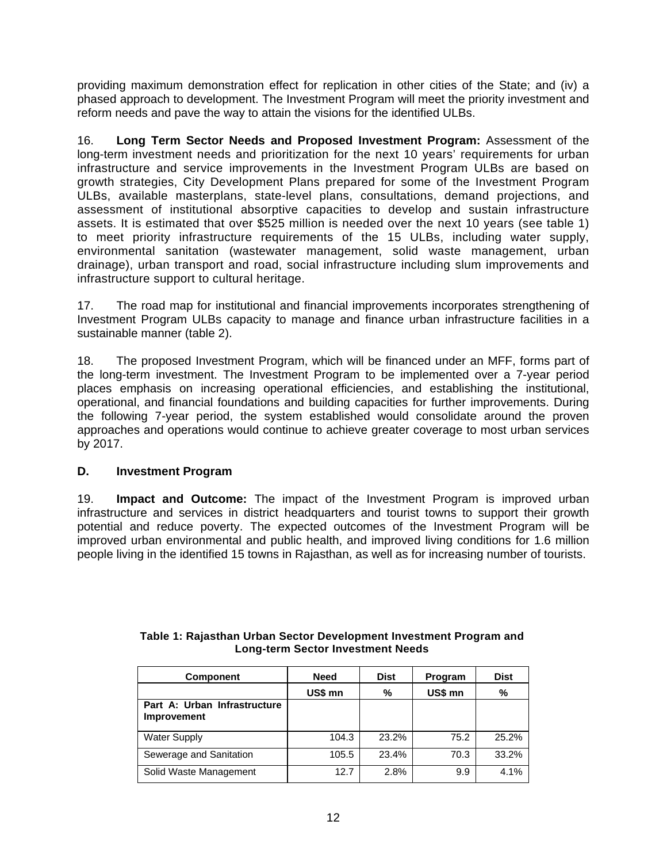providing maximum demonstration effect for replication in other cities of the State; and (iv) a phased approach to development. The Investment Program will meet the priority investment and reform needs and pave the way to attain the visions for the identified ULBs.

16. **Long Term Sector Needs and Proposed Investment Program:** Assessment of the long-term investment needs and prioritization for the next 10 years' requirements for urban infrastructure and service improvements in the Investment Program ULBs are based on growth strategies, City Development Plans prepared for some of the Investment Program ULBs, available masterplans, state-level plans, consultations, demand projections, and assessment of institutional absorptive capacities to develop and sustain infrastructure assets. It is estimated that over \$525 million is needed over the next 10 years (see table 1) to meet priority infrastructure requirements of the 15 ULBs, including water supply, environmental sanitation (wastewater management, solid waste management, urban drainage), urban transport and road, social infrastructure including slum improvements and infrastructure support to cultural heritage.

17. The road map for institutional and financial improvements incorporates strengthening of Investment Program ULBs capacity to manage and finance urban infrastructure facilities in a sustainable manner (table 2).

18. The proposed Investment Program, which will be financed under an MFF, forms part of the long-term investment. The Investment Program to be implemented over a 7-year period places emphasis on increasing operational efficiencies, and establishing the institutional, operational, and financial foundations and building capacities for further improvements. During the following 7-year period, the system established would consolidate around the proven approaches and operations would continue to achieve greater coverage to most urban services by 2017.

# **D. Investment Program**

19. **Impact and Outcome:** The impact of the Investment Program is improved urban infrastructure and services in district headquarters and tourist towns to support their growth potential and reduce poverty. The expected outcomes of the Investment Program will be improved urban environmental and public health, and improved living conditions for 1.6 million people living in the identified 15 towns in Rajasthan, as well as for increasing number of tourists.

| <b>Component</b>                            | <b>Need</b> | <b>Dist</b> | Program | <b>Dist</b> |
|---------------------------------------------|-------------|-------------|---------|-------------|
|                                             | US\$ mn     | %           | US\$ mn | %           |
| Part A: Urban Infrastructure<br>Improvement |             |             |         |             |
| <b>Water Supply</b>                         | 104.3       | 23.2%       | 75.2    | 25.2%       |
| Sewerage and Sanitation                     | 105.5       | 23.4%       | 70.3    | 33.2%       |
| Solid Waste Management                      | 12.7        | 2.8%        | 9.9     | 4.1%        |

#### **Table 1: Rajasthan Urban Sector Development Investment Program and Long-term Sector Investment Needs**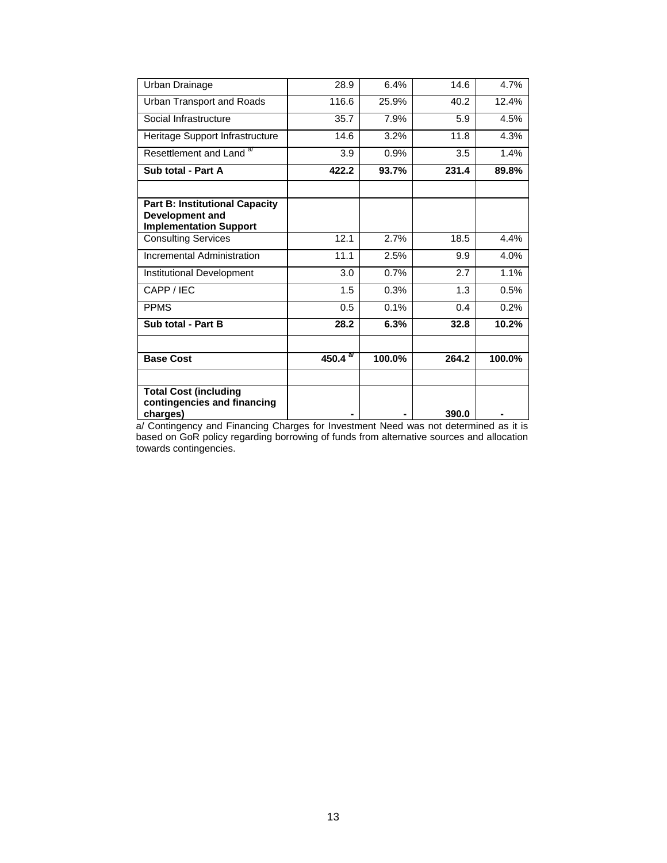| Urban Drainage                                                                                   | 28.9        | 6.4%   | 14.6  | 4.7%   |
|--------------------------------------------------------------------------------------------------|-------------|--------|-------|--------|
| Urban Transport and Roads                                                                        | 116.6       | 25.9%  | 40.2  | 12.4%  |
| Social Infrastructure                                                                            | 35.7        | 7.9%   | 5.9   | 4.5%   |
| Heritage Support Infrastructure                                                                  | 14.6        | 3.2%   | 11.8  | 4.3%   |
| Resettlement and Land <sup>a/</sup>                                                              | 3.9         | 0.9%   | 3.5   | 1.4%   |
| Sub total - Part A                                                                               | 422.2       | 93.7%  | 231.4 | 89.8%  |
|                                                                                                  |             |        |       |        |
| <b>Part B: Institutional Capacity</b><br><b>Development and</b><br><b>Implementation Support</b> |             |        |       |        |
| <b>Consulting Services</b>                                                                       | 12.1        | 2.7%   | 18.5  | 4.4%   |
| <b>Incremental Administration</b>                                                                | 11.1        | 2.5%   | 9.9   | 4.0%   |
| Institutional Development                                                                        | 3.0         | 0.7%   | 2.7   | 1.1%   |
| CAPP / IEC                                                                                       | 1.5         | 0.3%   | 1.3   | 0.5%   |
| <b>PPMS</b>                                                                                      | 0.5         | 0.1%   | 0.4   | 0.2%   |
| Sub total - Part B                                                                               | 28.2        | 6.3%   | 32.8  | 10.2%  |
|                                                                                                  |             |        |       |        |
| <b>Base Cost</b>                                                                                 | $450.4^{a}$ | 100.0% | 264.2 | 100.0% |
|                                                                                                  |             |        |       |        |
| <b>Total Cost (including</b><br>contingencies and financing<br>charges)                          |             |        | 390.0 |        |

a/ Contingency and Financing Charges for Investment Need was not determined as it is based on GoR policy regarding borrowing of funds from alternative sources and allocation towards contingencies.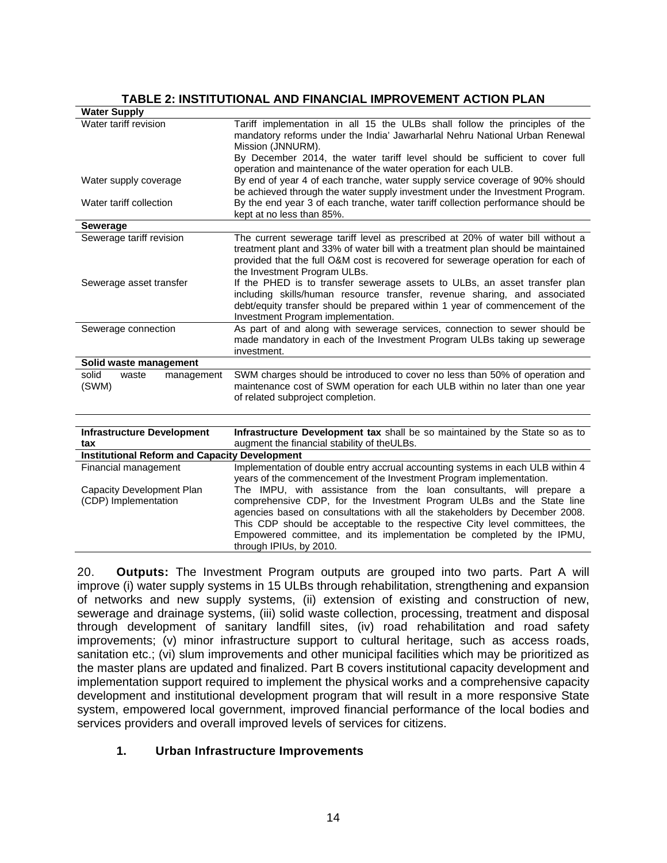# **TABLE 2: INSTITUTIONAL AND FINANCIAL IMPROVEMENT ACTION PLAN**

| <b>Water Supply</b>                                  |                                                                                                                                                                                                                                                                                                                                                                                                               |
|------------------------------------------------------|---------------------------------------------------------------------------------------------------------------------------------------------------------------------------------------------------------------------------------------------------------------------------------------------------------------------------------------------------------------------------------------------------------------|
| Water tariff revision                                | Tariff implementation in all 15 the ULBs shall follow the principles of the<br>mandatory reforms under the India' Jawarharlal Nehru National Urban Renewal<br>Mission (JNNURM).                                                                                                                                                                                                                               |
|                                                      | By December 2014, the water tariff level should be sufficient to cover full<br>operation and maintenance of the water operation for each ULB.                                                                                                                                                                                                                                                                 |
| Water supply coverage                                | By end of year 4 of each tranche, water supply service coverage of 90% should<br>be achieved through the water supply investment under the Investment Program.                                                                                                                                                                                                                                                |
| Water tariff collection                              | By the end year 3 of each tranche, water tariff collection performance should be<br>kept at no less than 85%.                                                                                                                                                                                                                                                                                                 |
| <b>Sewerage</b>                                      |                                                                                                                                                                                                                                                                                                                                                                                                               |
| Sewerage tariff revision                             | The current sewerage tariff level as prescribed at 20% of water bill without a<br>treatment plant and 33% of water bill with a treatment plan should be maintained<br>provided that the full O&M cost is recovered for sewerage operation for each of<br>the Investment Program ULBs.                                                                                                                         |
| Sewerage asset transfer                              | If the PHED is to transfer sewerage assets to ULBs, an asset transfer plan<br>including skills/human resource transfer, revenue sharing, and associated<br>debt/equity transfer should be prepared within 1 year of commencement of the<br>Investment Program implementation.                                                                                                                                 |
| Sewerage connection                                  | As part of and along with sewerage services, connection to sewer should be<br>made mandatory in each of the Investment Program ULBs taking up sewerage<br>investment.                                                                                                                                                                                                                                         |
| Solid waste management                               |                                                                                                                                                                                                                                                                                                                                                                                                               |
| solid<br>waste<br>management<br>(SWM)                | SWM charges should be introduced to cover no less than 50% of operation and<br>maintenance cost of SWM operation for each ULB within no later than one year<br>of related subproject completion.                                                                                                                                                                                                              |
|                                                      |                                                                                                                                                                                                                                                                                                                                                                                                               |
| <b>Infrastructure Development</b><br>tax             | Infrastructure Development tax shall be so maintained by the State so as to<br>augment the financial stability of theULBs.                                                                                                                                                                                                                                                                                    |
| <b>Institutional Reform and Capacity Development</b> |                                                                                                                                                                                                                                                                                                                                                                                                               |
| Financial management                                 | Implementation of double entry accrual accounting systems in each ULB within 4<br>years of the commencement of the Investment Program implementation.                                                                                                                                                                                                                                                         |
| Capacity Development Plan<br>(CDP) Implementation    | The IMPU, with assistance from the loan consultants, will prepare a<br>comprehensive CDP, for the Investment Program ULBs and the State line<br>agencies based on consultations with all the stakeholders by December 2008.<br>This CDP should be acceptable to the respective City level committees, the<br>Empowered committee, and its implementation be completed by the IPMU,<br>through IPIUs, by 2010. |

20. **Outputs:** The Investment Program outputs are grouped into two parts. Part A will improve (i) water supply systems in 15 ULBs through rehabilitation, strengthening and expansion of networks and new supply systems, (ii) extension of existing and construction of new, sewerage and drainage systems, (iii) solid waste collection, processing, treatment and disposal through development of sanitary landfill sites, (iv) road rehabilitation and road safety improvements; (v) minor infrastructure support to cultural heritage, such as access roads, sanitation etc.; (vi) slum improvements and other municipal facilities which may be prioritized as the master plans are updated and finalized. Part B covers institutional capacity development and implementation support required to implement the physical works and a comprehensive capacity development and institutional development program that will result in a more responsive State system, empowered local government, improved financial performance of the local bodies and services providers and overall improved levels of services for citizens.

# **1. Urban Infrastructure Improvements**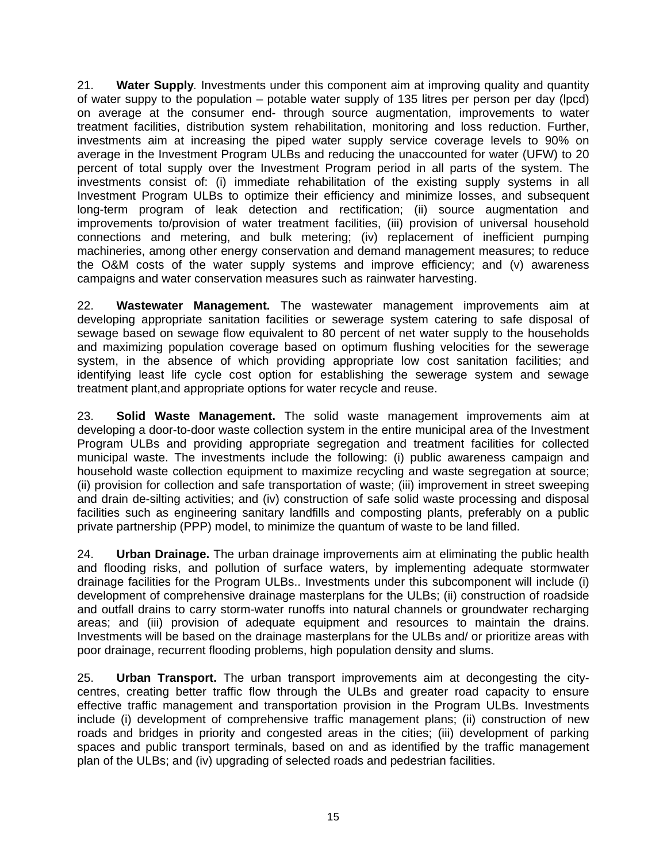21. **Water Supply***.* Investments under this component aim at improving quality and quantity of water suppy to the population – potable water supply of 135 litres per person per day (lpcd) on average at the consumer end- through source augmentation, improvements to water treatment facilities, distribution system rehabilitation, monitoring and loss reduction. Further, investments aim at increasing the piped water supply service coverage levels to 90% on average in the Investment Program ULBs and reducing the unaccounted for water (UFW) to 20 percent of total supply over the Investment Program period in all parts of the system. The investments consist of: (i) immediate rehabilitation of the existing supply systems in all Investment Program ULBs to optimize their efficiency and minimize losses, and subsequent long-term program of leak detection and rectification; (ii) source augmentation and improvements to/provision of water treatment facilities, (iii) provision of universal household connections and metering, and bulk metering; (iv) replacement of inefficient pumping machineries, among other energy conservation and demand management measures; to reduce the O&M costs of the water supply systems and improve efficiency; and (v) awareness campaigns and water conservation measures such as rainwater harvesting.

22. **Wastewater Management.** The wastewater management improvements aim at developing appropriate sanitation facilities or sewerage system catering to safe disposal of sewage based on sewage flow equivalent to 80 percent of net water supply to the households and maximizing population coverage based on optimum flushing velocities for the sewerage system, in the absence of which providing appropriate low cost sanitation facilities; and identifying least life cycle cost option for establishing the sewerage system and sewage treatment plant,and appropriate options for water recycle and reuse.

23. **Solid Waste Management.** The solid waste management improvements aim at developing a door-to-door waste collection system in the entire municipal area of the Investment Program ULBs and providing appropriate segregation and treatment facilities for collected municipal waste. The investments include the following: (i) public awareness campaign and household waste collection equipment to maximize recycling and waste segregation at source; (ii) provision for collection and safe transportation of waste; (iii) improvement in street sweeping and drain de-silting activities; and (iv) construction of safe solid waste processing and disposal facilities such as engineering sanitary landfills and composting plants, preferably on a public private partnership (PPP) model, to minimize the quantum of waste to be land filled.

24. **Urban Drainage.** The urban drainage improvements aim at eliminating the public health and flooding risks, and pollution of surface waters, by implementing adequate stormwater drainage facilities for the Program ULBs.. Investments under this subcomponent will include (i) development of comprehensive drainage masterplans for the ULBs; (ii) construction of roadside and outfall drains to carry storm-water runoffs into natural channels or groundwater recharging areas; and (iii) provision of adequate equipment and resources to maintain the drains. Investments will be based on the drainage masterplans for the ULBs and/ or prioritize areas with poor drainage, recurrent flooding problems, high population density and slums.

25. **Urban Transport.** The urban transport improvements aim at decongesting the citycentres, creating better traffic flow through the ULBs and greater road capacity to ensure effective traffic management and transportation provision in the Program ULBs. Investments include (i) development of comprehensive traffic management plans; (ii) construction of new roads and bridges in priority and congested areas in the cities; (iii) development of parking spaces and public transport terminals, based on and as identified by the traffic management plan of the ULBs; and (iv) upgrading of selected roads and pedestrian facilities.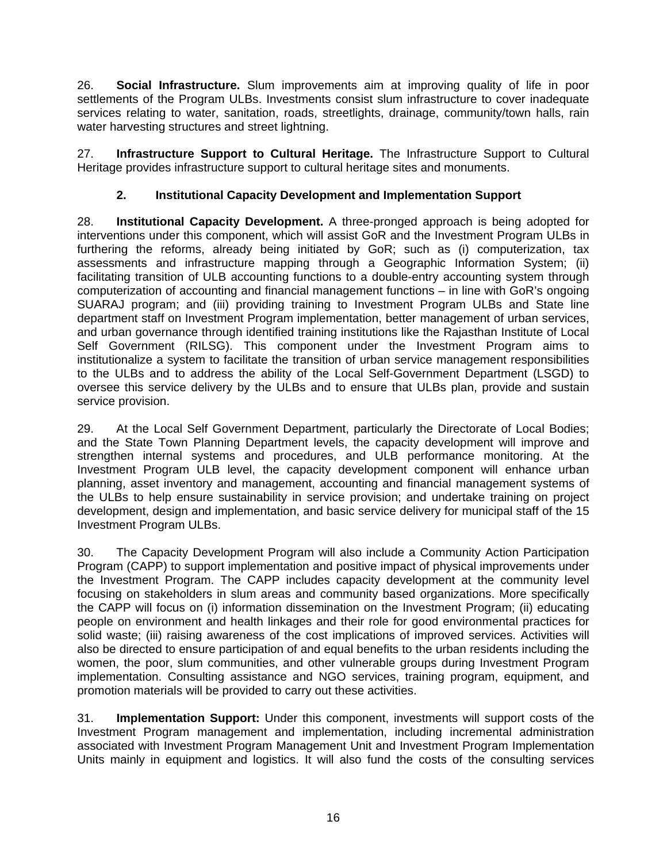26. **Social Infrastructure.** Slum improvements aim at improving quality of life in poor settlements of the Program ULBs. Investments consist slum infrastructure to cover inadequate services relating to water, sanitation, roads, streetlights, drainage, community/town halls, rain water harvesting structures and street lightning.

27. **Infrastructure Support to Cultural Heritage.** The Infrastructure Support to Cultural Heritage provides infrastructure support to cultural heritage sites and monuments.

# **2. Institutional Capacity Development and Implementation Support**

28. **Institutional Capacity Development.** A three-pronged approach is being adopted for interventions under this component, which will assist GoR and the Investment Program ULBs in furthering the reforms, already being initiated by GoR; such as (i) computerization, tax assessments and infrastructure mapping through a Geographic Information System; (ii) facilitating transition of ULB accounting functions to a double-entry accounting system through computerization of accounting and financial management functions – in line with GoR's ongoing SUARAJ program; and (iii) providing training to Investment Program ULBs and State line department staff on Investment Program implementation, better management of urban services, and urban governance through identified training institutions like the Rajasthan Institute of Local Self Government (RILSG). This component under the Investment Program aims to institutionalize a system to facilitate the transition of urban service management responsibilities to the ULBs and to address the ability of the Local Self-Government Department (LSGD) to oversee this service delivery by the ULBs and to ensure that ULBs plan, provide and sustain service provision.

29. At the Local Self Government Department, particularly the Directorate of Local Bodies; and the State Town Planning Department levels, the capacity development will improve and strengthen internal systems and procedures, and ULB performance monitoring. At the Investment Program ULB level, the capacity development component will enhance urban planning, asset inventory and management, accounting and financial management systems of the ULBs to help ensure sustainability in service provision; and undertake training on project development, design and implementation, and basic service delivery for municipal staff of the 15 Investment Program ULBs.

30. The Capacity Development Program will also include a Community Action Participation Program (CAPP) to support implementation and positive impact of physical improvements under the Investment Program. The CAPP includes capacity development at the community level focusing on stakeholders in slum areas and community based organizations. More specifically the CAPP will focus on (i) information dissemination on the Investment Program; (ii) educating people on environment and health linkages and their role for good environmental practices for solid waste; (iii) raising awareness of the cost implications of improved services. Activities will also be directed to ensure participation of and equal benefits to the urban residents including the women, the poor, slum communities, and other vulnerable groups during Investment Program implementation. Consulting assistance and NGO services, training program, equipment, and promotion materials will be provided to carry out these activities.

31. **Implementation Support:** Under this component, investments will support costs of the Investment Program management and implementation, including incremental administration associated with Investment Program Management Unit and Investment Program Implementation Units mainly in equipment and logistics. It will also fund the costs of the consulting services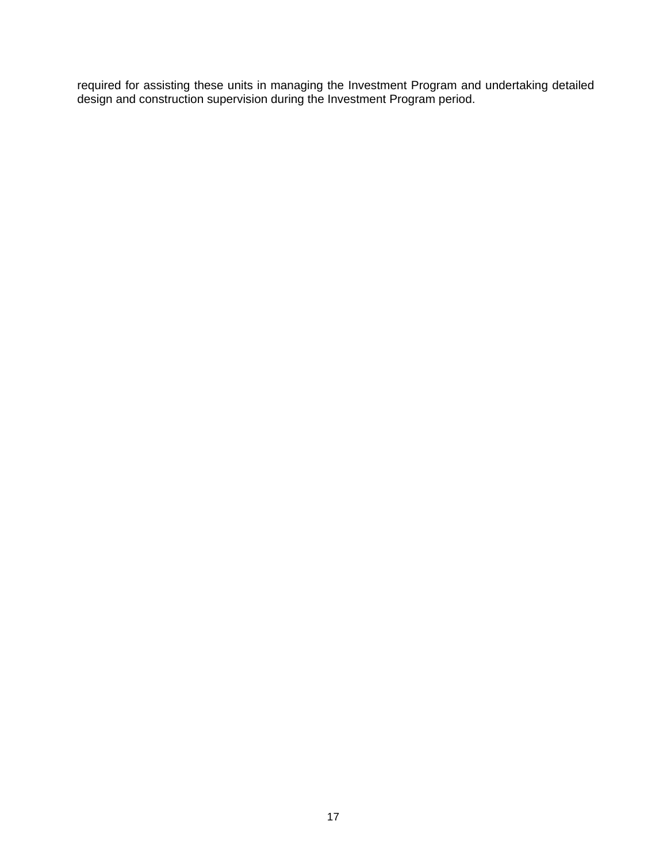required for assisting these units in managing the Investment Program and undertaking detailed design and construction supervision during the Investment Program period.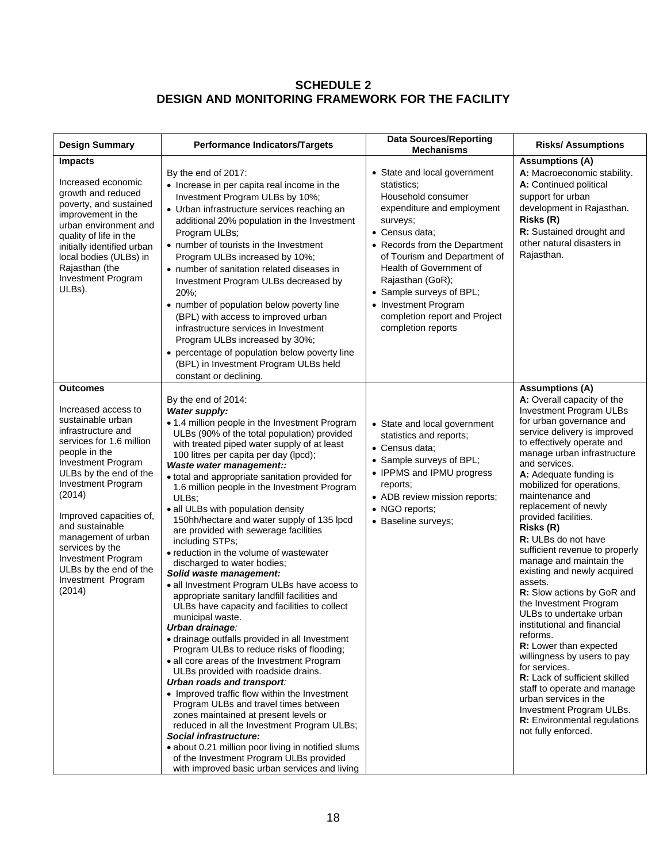# **SCHEDULE 2 DESIGN AND MONITORING FRAMEWORK FOR THE FACILITY**

| <b>Design Summary</b>                                                                                                                                                                                                                                                                                                                                                                         | <b>Performance Indicators/Targets</b>                                                                                                                                                                                                                                                                                                                                                                                                                                                                                                                                                                                                                                                                                                                                                                                                                                                                                                                                                                                                                                                                                                                                                                                                                                                                                                                                                             | <b>Data Sources/Reporting</b><br><b>Mechanisms</b>                                                                                                                                                                                                                                                                                                       | <b>Risks/Assumptions</b>                                                                                                                                                                                                                                                                                                                                                                                                                                                                                                                                                                                                                                                                                                                                                                                                                                                                                |
|-----------------------------------------------------------------------------------------------------------------------------------------------------------------------------------------------------------------------------------------------------------------------------------------------------------------------------------------------------------------------------------------------|---------------------------------------------------------------------------------------------------------------------------------------------------------------------------------------------------------------------------------------------------------------------------------------------------------------------------------------------------------------------------------------------------------------------------------------------------------------------------------------------------------------------------------------------------------------------------------------------------------------------------------------------------------------------------------------------------------------------------------------------------------------------------------------------------------------------------------------------------------------------------------------------------------------------------------------------------------------------------------------------------------------------------------------------------------------------------------------------------------------------------------------------------------------------------------------------------------------------------------------------------------------------------------------------------------------------------------------------------------------------------------------------------|----------------------------------------------------------------------------------------------------------------------------------------------------------------------------------------------------------------------------------------------------------------------------------------------------------------------------------------------------------|---------------------------------------------------------------------------------------------------------------------------------------------------------------------------------------------------------------------------------------------------------------------------------------------------------------------------------------------------------------------------------------------------------------------------------------------------------------------------------------------------------------------------------------------------------------------------------------------------------------------------------------------------------------------------------------------------------------------------------------------------------------------------------------------------------------------------------------------------------------------------------------------------------|
| <b>Impacts</b><br>Increased economic<br>growth and reduced<br>poverty, and sustained<br>improvement in the<br>urban environment and<br>quality of life in the<br>initially identified urban<br>local bodies (ULBs) in<br>Rajasthan (the<br>Investment Program<br>ULBs).                                                                                                                       | By the end of 2017:<br>• Increase in per capita real income in the<br>Investment Program ULBs by 10%;<br>• Urban infrastructure services reaching an<br>additional 20% population in the Investment<br>Program ULBs;<br>• number of tourists in the Investment<br>Program ULBs increased by 10%;<br>• number of sanitation related diseases in<br>Investment Program ULBs decreased by<br>$20\%$ ;<br>• number of population below poverty line<br>(BPL) with access to improved urban<br>infrastructure services in Investment<br>Program ULBs increased by 30%;<br>• percentage of population below poverty line<br>(BPL) in Investment Program ULBs held<br>constant or declining.                                                                                                                                                                                                                                                                                                                                                                                                                                                                                                                                                                                                                                                                                                             | • State and local government<br>statistics:<br>Household consumer<br>expenditure and employment<br>surveys;<br>• Census data;<br>• Records from the Department<br>of Tourism and Department of<br>Health of Government of<br>Rajasthan (GoR);<br>• Sample surveys of BPL;<br>• Investment Program<br>completion report and Project<br>completion reports | <b>Assumptions (A)</b><br>A: Macroeconomic stability.<br>A: Continued political<br>support for urban<br>development in Rajasthan.<br>Risks (R)<br>R: Sustained drought and<br>other natural disasters in<br>Rajasthan.                                                                                                                                                                                                                                                                                                                                                                                                                                                                                                                                                                                                                                                                                  |
| Outcomes<br>Increased access to<br>sustainable urban<br>infrastructure and<br>services for 1.6 million<br>people in the<br><b>Investment Program</b><br>ULBs by the end of the<br>Investment Program<br>(2014)<br>Improved capacities of,<br>and sustainable<br>management of urban<br>services by the<br><b>Investment Program</b><br>ULBs by the end of the<br>Investment Program<br>(2014) | By the end of 2014:<br>Water supply:<br>• 1.4 million people in the Investment Program<br>ULBs (90% of the total population) provided<br>with treated piped water supply of at least<br>100 litres per capita per day (lpcd);<br>Waste water management::<br>· total and appropriate sanitation provided for<br>1.6 million people in the Investment Program<br>ULBs:<br>• all ULBs with population density<br>150hh/hectare and water supply of 135 lpcd<br>are provided with sewerage facilities<br>including STPs;<br>• reduction in the volume of wastewater<br>discharged to water bodies;<br>Solid waste management:<br>• all Investment Program ULBs have access to<br>appropriate sanitary landfill facilities and<br>ULBs have capacity and facilities to collect<br>municipal waste.<br>Urban drainage:<br>• drainage outfalls provided in all Investment<br>Program ULBs to reduce risks of flooding;<br>• all core areas of the Investment Program<br>ULBs provided with roadside drains.<br>Urban roads and transport:<br>• Improved traffic flow within the Investment<br>Program ULBs and travel times between<br>zones maintained at present levels or<br>reduced in all the Investment Program ULBs;<br>Social infrastructure:<br>· about 0.21 million poor living in notified slums<br>of the Investment Program ULBs provided<br>with improved basic urban services and living | • State and local government<br>statistics and reports;<br>• Census data:<br>• Sample surveys of BPL;<br>• IPPMS and IPMU progress<br>reports;<br>• ADB review mission reports;<br>• NGO reports;<br>· Baseline surveys;                                                                                                                                 | <b>Assumptions (A)</b><br>A: Overall capacity of the<br><b>Investment Program ULBs</b><br>for urban governance and<br>service delivery is improved<br>to effectively operate and<br>manage urban infrastructure<br>and services.<br>A: Adequate funding is<br>mobilized for operations,<br>maintenance and<br>replacement of newly<br>provided facilities.<br>Risks (R)<br>R: ULBs do not have<br>sufficient revenue to properly<br>manage and maintain the<br>existing and newly acquired<br>assets.<br>R: Slow actions by GoR and<br>the Investment Program<br>ULBs to undertake urban<br>institutional and financial<br>reforms.<br><b>R:</b> Lower than expected<br>willingness by users to pay<br>for services.<br><b>R:</b> Lack of sufficient skilled<br>staff to operate and manage<br>urban services in the<br>Investment Program ULBs.<br>R: Environmental regulations<br>not fully enforced. |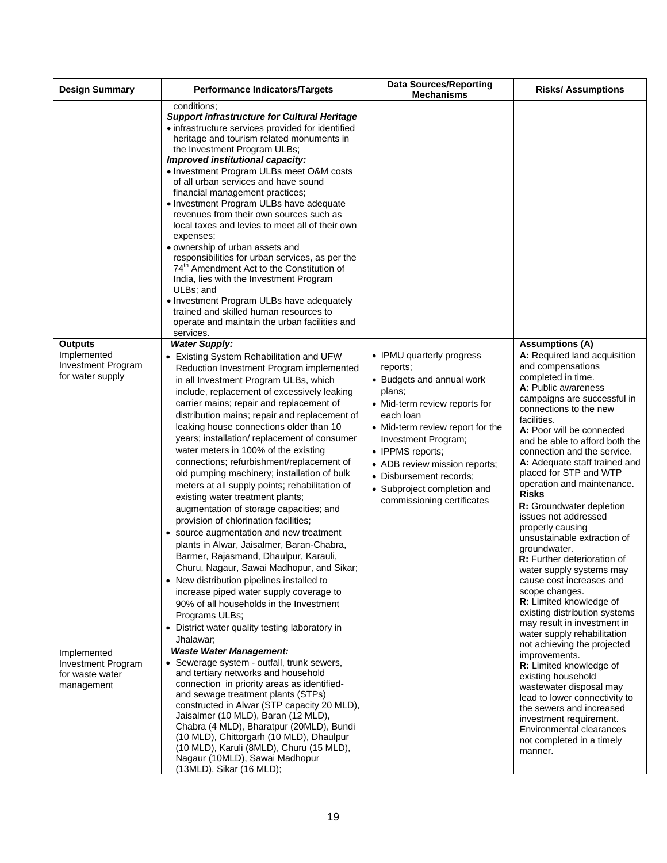| <b>Design Summary</b>                                                                                                                                | <b>Performance Indicators/Targets</b>                                                                                                                                                                                                                                                                                                                                                                                                                                                                                                                                                                                                                                                                                                                                                                                                                                                                                                                                                                                                                                                                                                                                                                                                                                                                                                                                                                                                                                                                                                                                                                                      | <b>Data Sources/Reporting</b><br><b>Mechanisms</b>                                                                                                                                                                                                                                                                                 | <b>Risks/ Assumptions</b>                                                                                                                                                                                                                                                                                                                                                                                                                                                                                                                                                                                                                                                                                                                                                                                                                                                                                                                                                                                                                                               |
|------------------------------------------------------------------------------------------------------------------------------------------------------|----------------------------------------------------------------------------------------------------------------------------------------------------------------------------------------------------------------------------------------------------------------------------------------------------------------------------------------------------------------------------------------------------------------------------------------------------------------------------------------------------------------------------------------------------------------------------------------------------------------------------------------------------------------------------------------------------------------------------------------------------------------------------------------------------------------------------------------------------------------------------------------------------------------------------------------------------------------------------------------------------------------------------------------------------------------------------------------------------------------------------------------------------------------------------------------------------------------------------------------------------------------------------------------------------------------------------------------------------------------------------------------------------------------------------------------------------------------------------------------------------------------------------------------------------------------------------------------------------------------------------|------------------------------------------------------------------------------------------------------------------------------------------------------------------------------------------------------------------------------------------------------------------------------------------------------------------------------------|-------------------------------------------------------------------------------------------------------------------------------------------------------------------------------------------------------------------------------------------------------------------------------------------------------------------------------------------------------------------------------------------------------------------------------------------------------------------------------------------------------------------------------------------------------------------------------------------------------------------------------------------------------------------------------------------------------------------------------------------------------------------------------------------------------------------------------------------------------------------------------------------------------------------------------------------------------------------------------------------------------------------------------------------------------------------------|
|                                                                                                                                                      | conditions:<br><b>Support infrastructure for Cultural Heritage</b><br>• infrastructure services provided for identified<br>heritage and tourism related monuments in<br>the Investment Program ULBs;<br>Improved institutional capacity:<br>• Investment Program ULBs meet O&M costs<br>of all urban services and have sound<br>financial management practices;<br>• Investment Program ULBs have adequate<br>revenues from their own sources such as<br>local taxes and levies to meet all of their own<br>expenses;<br>• ownership of urban assets and<br>responsibilities for urban services, as per the<br>74 <sup>th</sup> Amendment Act to the Constitution of<br>India, lies with the Investment Program<br>ULBs; and<br>• Investment Program ULBs have adequately<br>trained and skilled human resources to<br>operate and maintain the urban facilities and<br>services.                                                                                                                                                                                                                                                                                                                                                                                                                                                                                                                                                                                                                                                                                                                                          |                                                                                                                                                                                                                                                                                                                                    |                                                                                                                                                                                                                                                                                                                                                                                                                                                                                                                                                                                                                                                                                                                                                                                                                                                                                                                                                                                                                                                                         |
| <b>Outputs</b><br>Implemented<br>Investment Program<br>for water supply<br>Implemented<br><b>Investment Program</b><br>for waste water<br>management | <b>Water Supply:</b><br>• Existing System Rehabilitation and UFW<br>Reduction Investment Program implemented<br>in all Investment Program ULBs, which<br>include, replacement of excessively leaking<br>carrier mains; repair and replacement of<br>distribution mains; repair and replacement of<br>leaking house connections older than 10<br>years; installation/replacement of consumer<br>water meters in 100% of the existing<br>connections; refurbishment/replacement of<br>old pumping machinery; installation of bulk<br>meters at all supply points; rehabilitation of<br>existing water treatment plants;<br>augmentation of storage capacities; and<br>provision of chlorination facilities;<br>• source augmentation and new treatment<br>plants in Alwar, Jaisalmer, Baran-Chabra,<br>Barmer, Rajasmand, Dhaulpur, Karauli,<br>Churu, Nagaur, Sawai Madhopur, and Sikar;<br>• New distribution pipelines installed to<br>increase piped water supply coverage to<br>90% of all households in the Investment<br>Programs ULBs;<br>District water quality testing laboratory in<br>$\bullet$<br>Jhalawar;<br><b>Waste Water Management:</b><br>• Sewerage system - outfall, trunk sewers,<br>and tertiary networks and household<br>connection in priority areas as identified-<br>and sewage treatment plants (STPs)<br>constructed in Alwar (STP capacity 20 MLD),<br>Jaisalmer (10 MLD), Baran (12 MLD),<br>Chabra (4 MLD), Bharatpur (20MLD), Bundi<br>(10 MLD), Chittorgarh (10 MLD), Dhaulpur<br>(10 MLD), Karuli (8MLD), Churu (15 MLD),<br>Nagaur (10MLD), Sawai Madhopur<br>(13MLD), Sikar (16 MLD); | • IPMU quarterly progress<br>reports;<br>• Budgets and annual work<br>plans;<br>• Mid-term review reports for<br>each Ioan<br>• Mid-term review report for the<br>Investment Program;<br>• IPPMS reports;<br>• ADB review mission reports;<br>• Disbursement records;<br>• Subproject completion and<br>commissioning certificates | <b>Assumptions (A)</b><br>A: Required land acquisition<br>and compensations<br>completed in time.<br>A: Public awareness<br>campaigns are successful in<br>connections to the new<br>facilities.<br>A: Poor will be connected<br>and be able to afford both the<br>connection and the service.<br>A: Adequate staff trained and<br>placed for STP and WTP<br>operation and maintenance.<br><b>Risks</b><br>R: Groundwater depletion<br>issues not addressed<br>properly causing<br>unsustainable extraction of<br>groundwater.<br><b>R:</b> Further deterioration of<br>water supply systems may<br>cause cost increases and<br>scope changes.<br>R: Limited knowledge of<br>existing distribution systems<br>may result in investment in<br>water supply rehabilitation<br>not achieving the projected<br>improvements.<br><b>R:</b> Limited knowledge of<br>existing household<br>wastewater disposal may<br>lead to lower connectivity to<br>the sewers and increased<br>investment requirement.<br>Environmental clearances<br>not completed in a timely<br>manner. |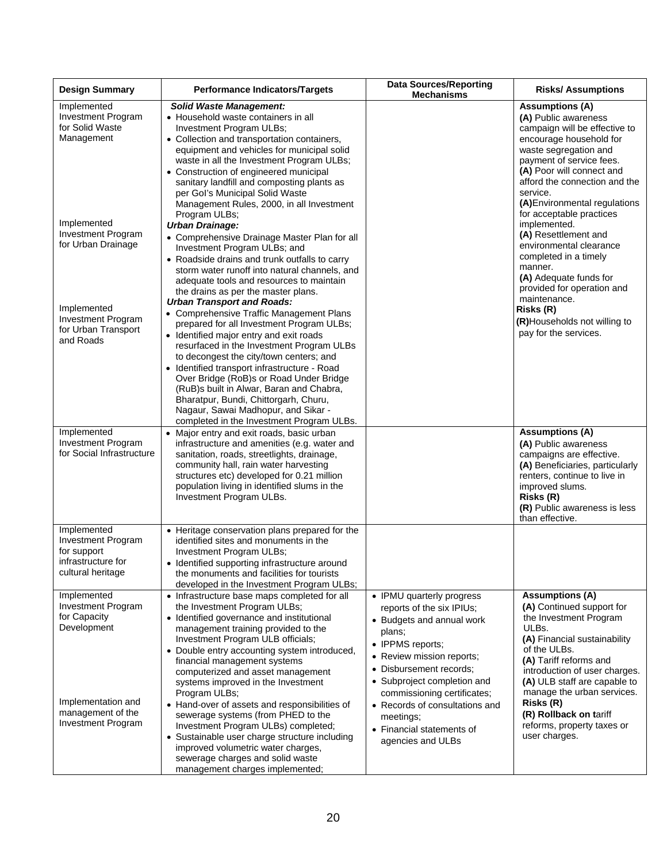| <b>Design Summary</b>                                                                                                                           | <b>Performance Indicators/Targets</b>                                                                                                                                                                                                                                                                                                                                                                                                                                                                                                                                                                                                      | <b>Data Sources/Reporting</b><br><b>Mechanisms</b>                                                                                                                                                                                                                                                                                       | <b>Risks/ Assumptions</b>                                                                                                                                                                                                                                                                                                                             |
|-------------------------------------------------------------------------------------------------------------------------------------------------|--------------------------------------------------------------------------------------------------------------------------------------------------------------------------------------------------------------------------------------------------------------------------------------------------------------------------------------------------------------------------------------------------------------------------------------------------------------------------------------------------------------------------------------------------------------------------------------------------------------------------------------------|------------------------------------------------------------------------------------------------------------------------------------------------------------------------------------------------------------------------------------------------------------------------------------------------------------------------------------------|-------------------------------------------------------------------------------------------------------------------------------------------------------------------------------------------------------------------------------------------------------------------------------------------------------------------------------------------------------|
| Implemented<br><b>Investment Program</b><br>for Solid Waste<br>Management                                                                       | <b>Solid Waste Management:</b><br>• Household waste containers in all<br>Investment Program ULBs;<br>• Collection and transportation containers,<br>equipment and vehicles for municipal solid<br>waste in all the Investment Program ULBs;<br>• Construction of engineered municipal<br>sanitary landfill and composting plants as<br>per Gol's Municipal Solid Waste<br>Management Rules, 2000, in all Investment<br>Program ULBs;                                                                                                                                                                                                       |                                                                                                                                                                                                                                                                                                                                          | <b>Assumptions (A)</b><br>(A) Public awareness<br>campaign will be effective to<br>encourage household for<br>waste segregation and<br>payment of service fees.<br>(A) Poor will connect and<br>afford the connection and the<br>service.<br>(A) Environmental regulations<br>for acceptable practices                                                |
| Implemented<br>Investment Program<br>for Urban Drainage                                                                                         | <b>Urban Drainage:</b><br>• Comprehensive Drainage Master Plan for all<br>Investment Program ULBs; and<br>• Roadside drains and trunk outfalls to carry<br>storm water runoff into natural channels, and<br>adequate tools and resources to maintain<br>the drains as per the master plans.                                                                                                                                                                                                                                                                                                                                                |                                                                                                                                                                                                                                                                                                                                          | implemented.<br>(A) Resettlement and<br>environmental clearance<br>completed in a timely<br>manner.<br>(A) Adequate funds for<br>provided for operation and                                                                                                                                                                                           |
| Implemented<br><b>Investment Program</b><br>for Urban Transport<br>and Roads                                                                    | <b>Urban Transport and Roads:</b><br>• Comprehensive Traffic Management Plans<br>prepared for all Investment Program ULBs;<br>• Identified major entry and exit roads<br>resurfaced in the Investment Program ULBs<br>to decongest the city/town centers; and<br>• Identified transport infrastructure - Road<br>Over Bridge (RoB)s or Road Under Bridge<br>(RuB)s built in Alwar, Baran and Chabra,<br>Bharatpur, Bundi, Chittorgarh, Churu,<br>Nagaur, Sawai Madhopur, and Sikar -<br>completed in the Investment Program ULBs.                                                                                                          |                                                                                                                                                                                                                                                                                                                                          | maintenance.<br>Risks (R)<br>(R)Households not willing to<br>pay for the services.                                                                                                                                                                                                                                                                    |
| Implemented<br><b>Investment Program</b><br>for Social Infrastructure                                                                           | • Major entry and exit roads, basic urban<br>infrastructure and amenities (e.g. water and<br>sanitation, roads, streetlights, drainage,<br>community hall, rain water harvesting<br>structures etc) developed for 0.21 million<br>population living in identified slums in the<br>Investment Program ULBs.                                                                                                                                                                                                                                                                                                                                 |                                                                                                                                                                                                                                                                                                                                          | <b>Assumptions (A)</b><br>(A) Public awareness<br>campaigns are effective.<br>(A) Beneficiaries, particularly<br>renters, continue to live in<br>improved slums.<br>Risks (R)<br>(R) Public awareness is less<br>than effective.                                                                                                                      |
| Implemented<br><b>Investment Program</b><br>for support<br>infrastructure for<br>cultural heritage                                              | • Heritage conservation plans prepared for the<br>identified sites and monuments in the<br>Investment Program ULBs;<br>• Identified supporting infrastructure around<br>the monuments and facilities for tourists<br>developed in the Investment Program ULBs;                                                                                                                                                                                                                                                                                                                                                                             |                                                                                                                                                                                                                                                                                                                                          |                                                                                                                                                                                                                                                                                                                                                       |
| Implemented<br><b>Investment Program</b><br>for Capacity<br>Development<br>Implementation and<br>management of the<br><b>Investment Program</b> | • Infrastructure base maps completed for all<br>the Investment Program ULBs;<br>• Identified governance and institutional<br>management training provided to the<br>Investment Program ULB officials;<br>• Double entry accounting system introduced,<br>financial management systems<br>computerized and asset management<br>systems improved in the Investment<br>Program ULBs;<br>• Hand-over of assets and responsibilities of<br>sewerage systems (from PHED to the<br>Investment Program ULBs) completed;<br>• Sustainable user charge structure including<br>improved volumetric water charges,<br>sewerage charges and solid waste | • IPMU quarterly progress<br>reports of the six IPIUs;<br>• Budgets and annual work<br>plans;<br>• IPPMS reports;<br>• Review mission reports;<br>• Disbursement records;<br>• Subproject completion and<br>commissioning certificates;<br>• Records of consultations and<br>meetings;<br>• Financial statements of<br>agencies and ULBs | <b>Assumptions (A)</b><br>(A) Continued support for<br>the Investment Program<br>ULBs.<br>(A) Financial sustainability<br>of the ULBs.<br>(A) Tariff reforms and<br>introduction of user charges.<br>(A) ULB staff are capable to<br>manage the urban services.<br>Risks (R)<br>(R) Rollback on tariff<br>reforms, property taxes or<br>user charges. |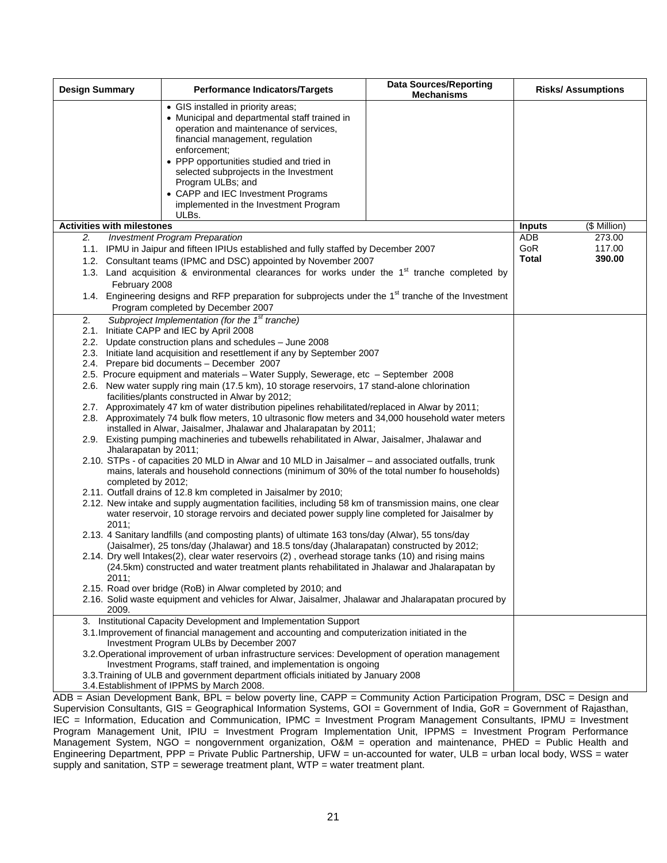| <b>Design Summary</b><br><b>Performance Indicators/Targets</b><br><b>Mechanisms</b>                                                                                                                                                                                                                                                                                                  | <b>Risks/Assumptions</b>         |  |
|--------------------------------------------------------------------------------------------------------------------------------------------------------------------------------------------------------------------------------------------------------------------------------------------------------------------------------------------------------------------------------------|----------------------------------|--|
| • GIS installed in priority areas;<br>• Municipal and departmental staff trained in<br>operation and maintenance of services,<br>financial management, regulation<br>enforcement:<br>• PPP opportunities studied and tried in<br>selected subprojects in the Investment<br>Program ULBs; and<br>• CAPP and IEC Investment Programs<br>implemented in the Investment Program<br>ULBs. |                                  |  |
| <b>Activities with milestones</b>                                                                                                                                                                                                                                                                                                                                                    | (\$ Million)<br><b>Inputs</b>    |  |
| <b>Investment Program Preparation</b><br>2.                                                                                                                                                                                                                                                                                                                                          | 273.00<br>ADB                    |  |
| 1.1. IPMU in Jaipur and fifteen IPIUs established and fully staffed by December 2007<br>1.2. Consultant teams (IPMC and DSC) appointed by November 2007<br>1.3. Land acquisition & environmental clearances for works under the 1 <sup>st</sup> tranche completed by<br>February 2008                                                                                                | GoR<br>117.00<br>Total<br>390.00 |  |
| 1.4. Engineering designs and RFP preparation for subprojects under the 1 <sup>st</sup> tranche of the Investment<br>Program completed by December 2007                                                                                                                                                                                                                               |                                  |  |
| Subproject Implementation (for the 1 <sup>st</sup> tranche)<br>2.<br>2.1. Initiate CAPP and IEC by April 2008                                                                                                                                                                                                                                                                        |                                  |  |
| 2.2. Update construction plans and schedules - June 2008                                                                                                                                                                                                                                                                                                                             |                                  |  |
| 2.3. Initiate land acquisition and resettlement if any by September 2007                                                                                                                                                                                                                                                                                                             |                                  |  |
| 2.4. Prepare bid documents - December 2007                                                                                                                                                                                                                                                                                                                                           |                                  |  |
| 2.5. Procure equipment and materials - Water Supply, Sewerage, etc - September 2008                                                                                                                                                                                                                                                                                                  |                                  |  |
| 2.6. New water supply ring main (17.5 km), 10 storage reservoirs, 17 stand-alone chlorination                                                                                                                                                                                                                                                                                        |                                  |  |
| facilities/plants constructed in Alwar by 2012;                                                                                                                                                                                                                                                                                                                                      |                                  |  |
| 2.7. Approximately 47 km of water distribution pipelines rehabilitated/replaced in Alwar by 2011;<br>2.8. Approximately 74 bulk flow meters, 10 ultrasonic flow meters and 34,000 household water meters<br>installed in Alwar, Jaisalmer, Jhalawar and Jhalarapatan by 2011;<br>2.9. Existing pumping machineries and tubewells rehabilitated in Alwar, Jaisalmer, Jhalawar and     |                                  |  |
| Jhalarapatan by 2011;                                                                                                                                                                                                                                                                                                                                                                |                                  |  |
| 2.10. STPs - of capacities 20 MLD in Alwar and 10 MLD in Jaisalmer – and associated outfalls, trunk<br>mains, laterals and household connections (minimum of 30% of the total number fo households)<br>completed by 2012;                                                                                                                                                            |                                  |  |
| 2.11. Outfall drains of 12.8 km completed in Jaisalmer by 2010;<br>2.12. New intake and supply augmentation facilities, including 58 km of transmission mains, one clear<br>water reservoir, 10 storage rervoirs and deciated power supply line completed for Jaisalmer by<br>2011:                                                                                                  |                                  |  |
| 2.13. 4 Sanitary landfills (and composting plants) of ultimate 163 tons/day (Alwar), 55 tons/day<br>(Jaisalmer), 25 tons/day (Jhalawar) and 18.5 tons/day (Jhalarapatan) constructed by 2012;                                                                                                                                                                                        |                                  |  |
| 2.14. Dry well Intakes(2), clear water reservoirs (2), overhead storage tanks (10) and rising mains<br>(24.5km) constructed and water treatment plants rehabilitated in Jhalawar and Jhalarapatan by<br>2011:                                                                                                                                                                        |                                  |  |
| 2.15. Road over bridge (RoB) in Alwar completed by 2010; and<br>2.16. Solid waste equipment and vehicles for Alwar, Jaisalmer, Jhalawar and Jhalarapatan procured by<br>2009.                                                                                                                                                                                                        |                                  |  |
| 3. Institutional Capacity Development and Implementation Support                                                                                                                                                                                                                                                                                                                     |                                  |  |
| 3.1. Improvement of financial management and accounting and computerization initiated in the<br>Investment Program ULBs by December 2007                                                                                                                                                                                                                                             |                                  |  |
| 3.2. Operational improvement of urban infrastructure services: Development of operation management                                                                                                                                                                                                                                                                                   |                                  |  |
| Investment Programs, staff trained, and implementation is ongoing                                                                                                                                                                                                                                                                                                                    |                                  |  |
| 3.3. Training of ULB and government department officials initiated by January 2008<br>3.4. Establishment of IPPMS by March 2008.                                                                                                                                                                                                                                                     |                                  |  |

ADB = Asian Development Bank, BPL = below poverty line, CAPP = Community Action Participation Program, DSC = Design and Supervision Consultants, GIS = Geographical Information Systems, GOI = Government of India, GoR = Government of Rajasthan, IEC = Information, Education and Communication, IPMC = Investment Program Management Consultants, IPMU = Investment Program Management Unit, IPIU = Investment Program Implementation Unit, IPPMS = Investment Program Performance Management System, NGO = nongovernment organization, O&M = operation and maintenance, PHED = Public Health and Engineering Department, PPP = Private Public Partnership, UFW = un-accounted for water, ULB = urban local body, WSS = water supply and sanitation, STP = sewerage treatment plant, WTP = water treatment plant.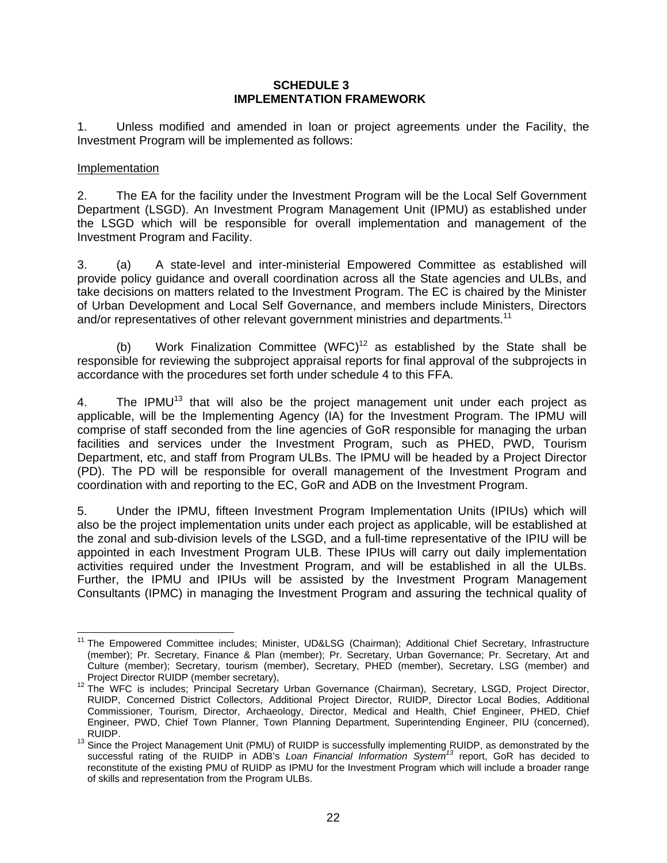#### **SCHEDULE 3 IMPLEMENTATION FRAMEWORK**

1. Unless modified and amended in loan or project agreements under the Facility, the Investment Program will be implemented as follows:

#### Implementation

2. The EA for the facility under the Investment Program will be the Local Self Government Department (LSGD). An Investment Program Management Unit (IPMU) as established under the LSGD which will be responsible for overall implementation and management of the Investment Program and Facility.

3. (a) A state-level and inter-ministerial Empowered Committee as established will provide policy guidance and overall coordination across all the State agencies and ULBs, and take decisions on matters related to the Investment Program. The EC is chaired by the Minister of Urban Development and Local Self Governance, and members include Ministers, Directors and/or representatives of other relevant government ministries and departments.<sup>11</sup>

(b) Work Finalization Committee  $(WFC)^{12}$  as established by the State shall be responsible for reviewing the subproject appraisal reports for final approval of the subprojects in accordance with the procedures set forth under schedule 4 to this FFA.

4. The IPMU $<sup>13</sup>$  that will also be the project management unit under each project as</sup> applicable, will be the Implementing Agency (IA) for the Investment Program. The IPMU will comprise of staff seconded from the line agencies of GoR responsible for managing the urban facilities and services under the Investment Program, such as PHED, PWD, Tourism Department, etc, and staff from Program ULBs. The IPMU will be headed by a Project Director (PD). The PD will be responsible for overall management of the Investment Program and coordination with and reporting to the EC, GoR and ADB on the Investment Program.

5. Under the IPMU, fifteen Investment Program Implementation Units (IPIUs) which will also be the project implementation units under each project as applicable, will be established at the zonal and sub-division levels of the LSGD, and a full-time representative of the IPIU will be appointed in each Investment Program ULB. These IPIUs will carry out daily implementation activities required under the Investment Program, and will be established in all the ULBs. Further, the IPMU and IPIUs will be assisted by the Investment Program Management Consultants (IPMC) in managing the Investment Program and assuring the technical quality of

 $\overline{a}$ 11 The Empowered Committee includes; Minister, UD&LSG (Chairman); Additional Chief Secretary, Infrastructure (member); Pr. Secretary, Finance & Plan (member); Pr. Secretary, Urban Governance; Pr. Secretary, Art and Culture (member); Secretary, tourism (member), Secretary, PHED (member), Secretary, LSG (member) and<br>Project Director RUIDP (member secretary),

Project Director RUIDP (member secretary), 12 The WFC is includes; Principal Secretary Urban Governance (Chairman), Secretary, LSGD, Project Director, RUIDP, Concerned District Collectors, Additional Project Director, RUIDP, Director Local Bodies, Additional Commissioner, Tourism, Director, Archaeology, Director, Medical and Health, Chief Engineer, PHED, Chief Engineer, PWD, Chief Town Planner, Town Planning Department, Superintending Engineer, PIU (concerned),

<sup>&</sup>lt;sup>13</sup> Since the Project Management Unit (PMU) of RUIDP is successfully implementing RUIDP, as demonstrated by the successful rating of the RUIDP in ADB's *Loan Financial Information System<sup>13</sup>* report, GoR has decided to reconstitute of the existing PMU of RUIDP as IPMU for the Investment Program which will include a broader range of skills and representation from the Program ULBs.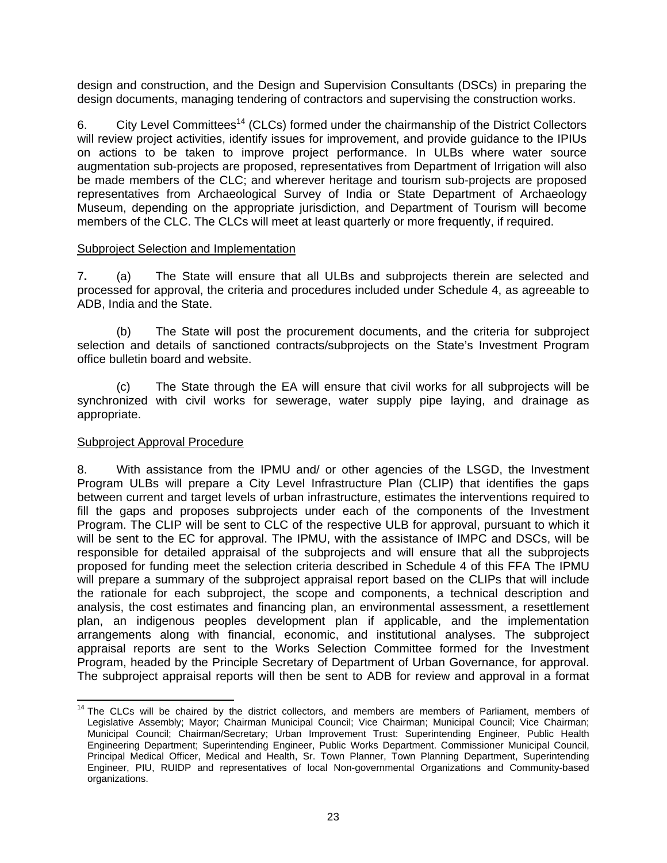design and construction, and the Design and Supervision Consultants (DSCs) in preparing the design documents, managing tendering of contractors and supervising the construction works.

6. City Level Committees<sup>14</sup> (CLCs) formed under the chairmanship of the District Collectors will review project activities, identify issues for improvement, and provide guidance to the IPIUs on actions to be taken to improve project performance. In ULBs where water source augmentation sub-projects are proposed, representatives from Department of Irrigation will also be made members of the CLC; and wherever heritage and tourism sub-projects are proposed representatives from Archaeological Survey of India or State Department of Archaeology Museum, depending on the appropriate jurisdiction, and Department of Tourism will become members of the CLC. The CLCs will meet at least quarterly or more frequently, if required.

#### Subproject Selection and Implementation

7**.** (a) The State will ensure that all ULBs and subprojects therein are selected and processed for approval, the criteria and procedures included under Schedule 4, as agreeable to ADB, India and the State.

(b) The State will post the procurement documents, and the criteria for subproject selection and details of sanctioned contracts/subprojects on the State's Investment Program office bulletin board and website.

 (c) The State through the EA will ensure that civil works for all subprojects will be synchronized with civil works for sewerage, water supply pipe laying, and drainage as appropriate.

# Subproject Approval Procedure

8. With assistance from the IPMU and/ or other agencies of the LSGD, the Investment Program ULBs will prepare a City Level Infrastructure Plan (CLIP) that identifies the gaps between current and target levels of urban infrastructure, estimates the interventions required to fill the gaps and proposes subprojects under each of the components of the Investment Program. The CLIP will be sent to CLC of the respective ULB for approval, pursuant to which it will be sent to the EC for approval. The IPMU, with the assistance of IMPC and DSCs, will be responsible for detailed appraisal of the subprojects and will ensure that all the subprojects proposed for funding meet the selection criteria described in Schedule 4 of this FFA The IPMU will prepare a summary of the subproject appraisal report based on the CLIPs that will include the rationale for each subproject, the scope and components, a technical description and analysis, the cost estimates and financing plan, an environmental assessment, a resettlement plan, an indigenous peoples development plan if applicable, and the implementation arrangements along with financial, economic, and institutional analyses. The subproject appraisal reports are sent to the Works Selection Committee formed for the Investment Program, headed by the Principle Secretary of Department of Urban Governance, for approval. The subproject appraisal reports will then be sent to ADB for review and approval in a format

<sup>&</sup>lt;sup>14</sup> The CLCs will be chaired by the district collectors, and members are members of Parliament, members of Legislative Assembly; Mayor; Chairman Municipal Council; Vice Chairman; Municipal Council; Vice Chairman; Municipal Council; Chairman/Secretary; Urban Improvement Trust: Superintending Engineer, Public Health Engineering Department; Superintending Engineer, Public Works Department. Commissioner Municipal Council, Principal Medical Officer, Medical and Health, Sr. Town Planner, Town Planning Department, Superintending Engineer, PIU, RUIDP and representatives of local Non-governmental Organizations and Community-based organizations.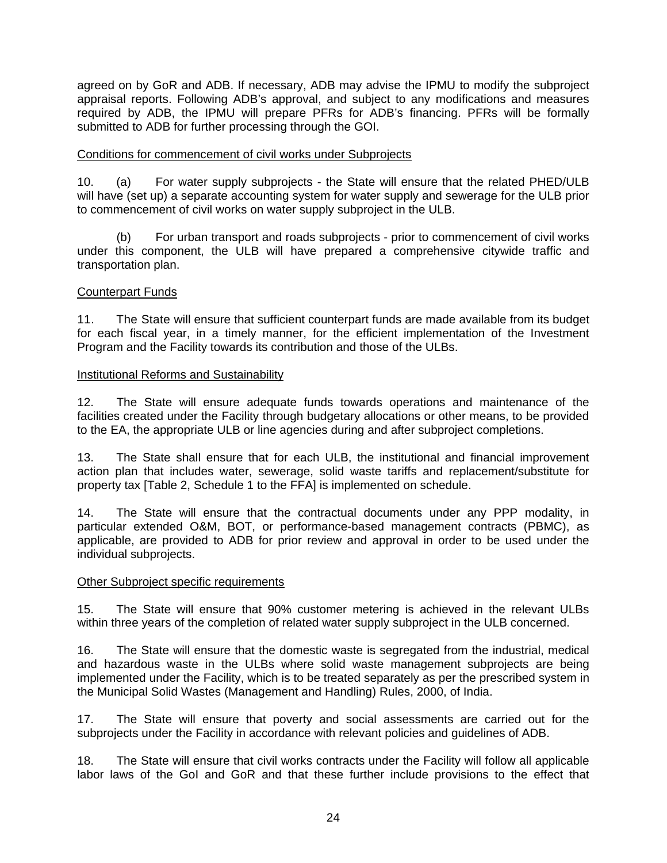agreed on by GoR and ADB. If necessary, ADB may advise the IPMU to modify the subproject appraisal reports. Following ADB's approval, and subject to any modifications and measures required by ADB, the IPMU will prepare PFRs for ADB's financing. PFRs will be formally submitted to ADB for further processing through the GOI.

#### Conditions for commencement of civil works under Subprojects

10. (a) For water supply subprojects - the State will ensure that the related PHED/ULB will have (set up) a separate accounting system for water supply and sewerage for the ULB prior to commencement of civil works on water supply subproject in the ULB.

 (b) For urban transport and roads subprojects - prior to commencement of civil works under this component, the ULB will have prepared a comprehensive citywide traffic and transportation plan.

#### Counterpart Funds

11. The State will ensure that sufficient counterpart funds are made available from its budget for each fiscal year, in a timely manner, for the efficient implementation of the Investment Program and the Facility towards its contribution and those of the ULBs.

#### Institutional Reforms and Sustainability

12. The State will ensure adequate funds towards operations and maintenance of the facilities created under the Facility through budgetary allocations or other means, to be provided to the EA, the appropriate ULB or line agencies during and after subproject completions.

13. The State shall ensure that for each ULB, the institutional and financial improvement action plan that includes water, sewerage, solid waste tariffs and replacement/substitute for property tax [Table 2, Schedule 1 to the FFA] is implemented on schedule.

14. The State will ensure that the contractual documents under any PPP modality, in particular extended O&M, BOT, or performance-based management contracts (PBMC), as applicable, are provided to ADB for prior review and approval in order to be used under the individual subprojects.

#### Other Subproject specific requirements

15. The State will ensure that 90% customer metering is achieved in the relevant ULBs within three years of the completion of related water supply subproject in the ULB concerned.

16. The State will ensure that the domestic waste is segregated from the industrial, medical and hazardous waste in the ULBs where solid waste management subprojects are being implemented under the Facility, which is to be treated separately as per the prescribed system in the Municipal Solid Wastes (Management and Handling) Rules, 2000, of India.

17. The State will ensure that poverty and social assessments are carried out for the subprojects under the Facility in accordance with relevant policies and guidelines of ADB.

18. The State will ensure that civil works contracts under the Facility will follow all applicable labor laws of the GoI and GoR and that these further include provisions to the effect that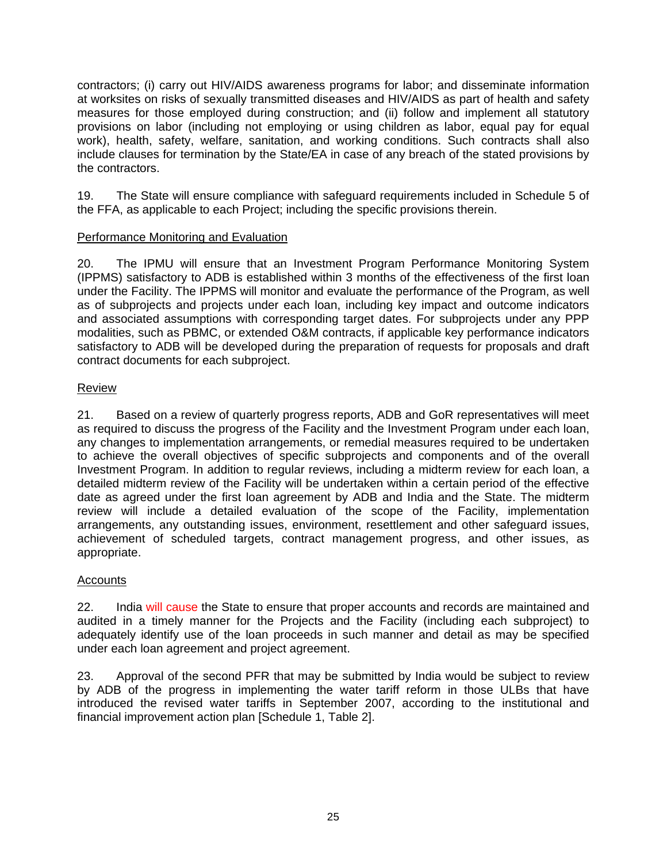contractors; (i) carry out HIV/AIDS awareness programs for labor; and disseminate information at worksites on risks of sexually transmitted diseases and HIV/AIDS as part of health and safety measures for those employed during construction; and (ii) follow and implement all statutory provisions on labor (including not employing or using children as labor, equal pay for equal work), health, safety, welfare, sanitation, and working conditions. Such contracts shall also include clauses for termination by the State/EA in case of any breach of the stated provisions by the contractors.

19. The State will ensure compliance with safeguard requirements included in Schedule 5 of the FFA, as applicable to each Project; including the specific provisions therein.

# Performance Monitoring and Evaluation

20. The IPMU will ensure that an Investment Program Performance Monitoring System (IPPMS) satisfactory to ADB is established within 3 months of the effectiveness of the first loan under the Facility. The IPPMS will monitor and evaluate the performance of the Program, as well as of subprojects and projects under each loan, including key impact and outcome indicators and associated assumptions with corresponding target dates. For subprojects under any PPP modalities, such as PBMC, or extended O&M contracts, if applicable key performance indicators satisfactory to ADB will be developed during the preparation of requests for proposals and draft contract documents for each subproject.

# Review

21. Based on a review of quarterly progress reports, ADB and GoR representatives will meet as required to discuss the progress of the Facility and the Investment Program under each loan, any changes to implementation arrangements, or remedial measures required to be undertaken to achieve the overall objectives of specific subprojects and components and of the overall Investment Program. In addition to regular reviews, including a midterm review for each loan, a detailed midterm review of the Facility will be undertaken within a certain period of the effective date as agreed under the first loan agreement by ADB and India and the State. The midterm review will include a detailed evaluation of the scope of the Facility, implementation arrangements, any outstanding issues, environment, resettlement and other safeguard issues, achievement of scheduled targets, contract management progress, and other issues, as appropriate.

# Accounts

22. India will cause the State to ensure that proper accounts and records are maintained and audited in a timely manner for the Projects and the Facility (including each subproject) to adequately identify use of the loan proceeds in such manner and detail as may be specified under each loan agreement and project agreement.

23. Approval of the second PFR that may be submitted by India would be subject to review by ADB of the progress in implementing the water tariff reform in those ULBs that have introduced the revised water tariffs in September 2007, according to the institutional and financial improvement action plan [Schedule 1, Table 2].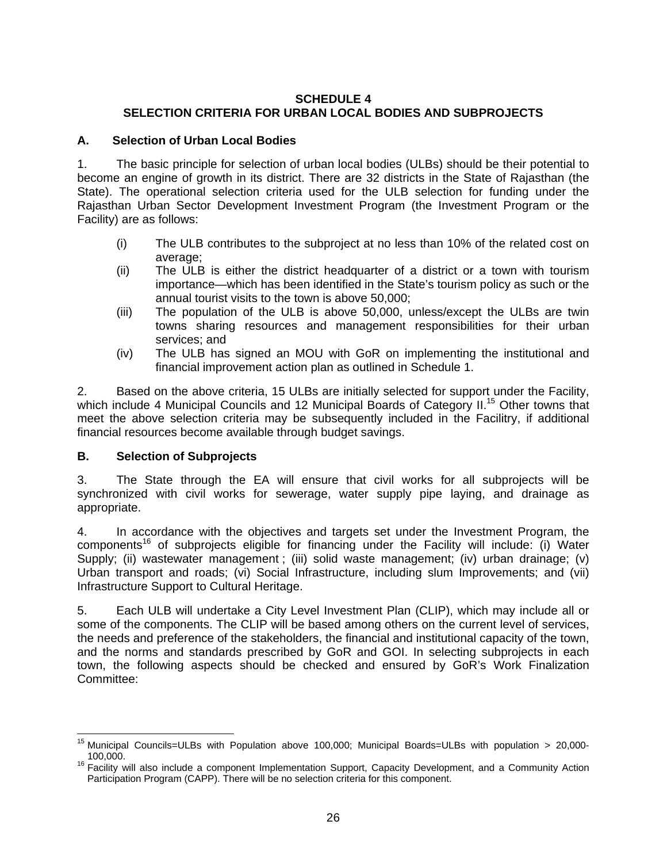# **SCHEDULE 4 SELECTION CRITERIA FOR URBAN LOCAL BODIES AND SUBPROJECTS**

# **A. Selection of Urban Local Bodies**

1. The basic principle for selection of urban local bodies (ULBs) should be their potential to become an engine of growth in its district. There are 32 districts in the State of Rajasthan (the State). The operational selection criteria used for the ULB selection for funding under the Rajasthan Urban Sector Development Investment Program (the Investment Program or the Facility) are as follows:

- (i) The ULB contributes to the subproject at no less than 10% of the related cost on average;
- (ii) The ULB is either the district headquarter of a district or a town with tourism importance—which has been identified in the State's tourism policy as such or the annual tourist visits to the town is above 50,000;
- (iii) The population of the ULB is above 50,000, unless/except the ULBs are twin towns sharing resources and management responsibilities for their urban services; and
- (iv) The ULB has signed an MOU with GoR on implementing the institutional and financial improvement action plan as outlined in Schedule 1.

2. Based on the above criteria, 15 ULBs are initially selected for support under the Facility, which include 4 Municipal Councils and 12 Municipal Boards of Category II.<sup>15</sup> Other towns that meet the above selection criteria may be subsequently included in the Facilitry, if additional financial resources become available through budget savings.

# **B. Selection of Subprojects**

3. The State through the EA will ensure that civil works for all subprojects will be synchronized with civil works for sewerage, water supply pipe laying, and drainage as appropriate.

4. In accordance with the objectives and targets set under the Investment Program, the  $components<sup>16</sup>$  of subprojects eligible for financing under the Facility will include: (i) Water Supply; (ii) wastewater management ; (iii) solid waste management; (iv) urban drainage; (v) Urban transport and roads; (vi) Social Infrastructure, including slum Improvements; and (vii) Infrastructure Support to Cultural Heritage.

5. Each ULB will undertake a City Level Investment Plan (CLIP), which may include all or some of the components. The CLIP will be based among others on the current level of services, the needs and preference of the stakeholders, the financial and institutional capacity of the town, and the norms and standards prescribed by GoR and GOI. In selecting subprojects in each town, the following aspects should be checked and ensured by GoR's Work Finalization Committee:

 <sup>15</sup> Municipal Councils=ULBs with Population above 100,000; Municipal Boards=ULBs with population > 20,000-

<sup>100,000.&</sup>lt;br><sup>16</sup> Facility will also include a component Implementation Support, Capacity Development, and a Community Action Participation Program (CAPP). There will be no selection criteria for this component.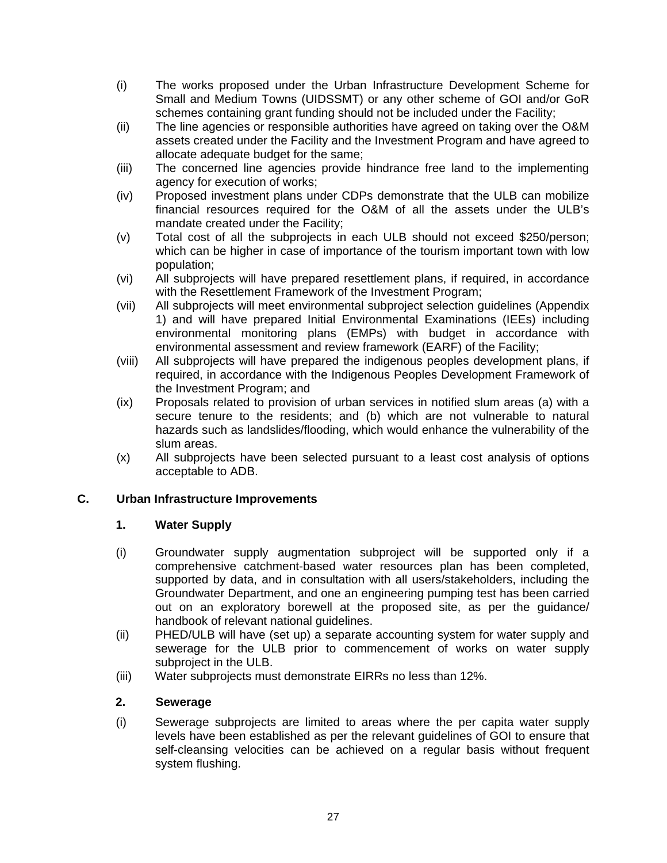- (i) The works proposed under the Urban Infrastructure Development Scheme for Small and Medium Towns (UIDSSMT) or any other scheme of GOI and/or GoR schemes containing grant funding should not be included under the Facility;
- (ii) The line agencies or responsible authorities have agreed on taking over the O&M assets created under the Facility and the Investment Program and have agreed to allocate adequate budget for the same;
- (iii) The concerned line agencies provide hindrance free land to the implementing agency for execution of works;
- (iv) Proposed investment plans under CDPs demonstrate that the ULB can mobilize financial resources required for the O&M of all the assets under the ULB's mandate created under the Facility;
- (v) Total cost of all the subprojects in each ULB should not exceed \$250/person; which can be higher in case of importance of the tourism important town with low population;
- (vi) All subprojects will have prepared resettlement plans, if required, in accordance with the Resettlement Framework of the Investment Program;
- (vii) All subprojects will meet environmental subproject selection guidelines (Appendix 1) and will have prepared Initial Environmental Examinations (IEEs) including environmental monitoring plans (EMPs) with budget in accordance with environmental assessment and review framework (EARF) of the Facility;
- (viii) All subprojects will have prepared the indigenous peoples development plans, if required, in accordance with the Indigenous Peoples Development Framework of the Investment Program; and
- (ix) Proposals related to provision of urban services in notified slum areas (a) with a secure tenure to the residents; and (b) which are not vulnerable to natural hazards such as landslides/flooding, which would enhance the vulnerability of the slum areas.
- (x) All subprojects have been selected pursuant to a least cost analysis of options acceptable to ADB.

# **C. Urban Infrastructure Improvements**

# **1. Water Supply**

- (i) Groundwater supply augmentation subproject will be supported only if a comprehensive catchment-based water resources plan has been completed, supported by data, and in consultation with all users/stakeholders, including the Groundwater Department, and one an engineering pumping test has been carried out on an exploratory borewell at the proposed site, as per the guidance/ handbook of relevant national guidelines.
- (ii) PHED/ULB will have (set up) a separate accounting system for water supply and sewerage for the ULB prior to commencement of works on water supply subproject in the ULB.
- (iii) Water subprojects must demonstrate EIRRs no less than 12%.

# **2. Sewerage**

(i) Sewerage subprojects are limited to areas where the per capita water supply levels have been established as per the relevant guidelines of GOI to ensure that self-cleansing velocities can be achieved on a regular basis without frequent system flushing.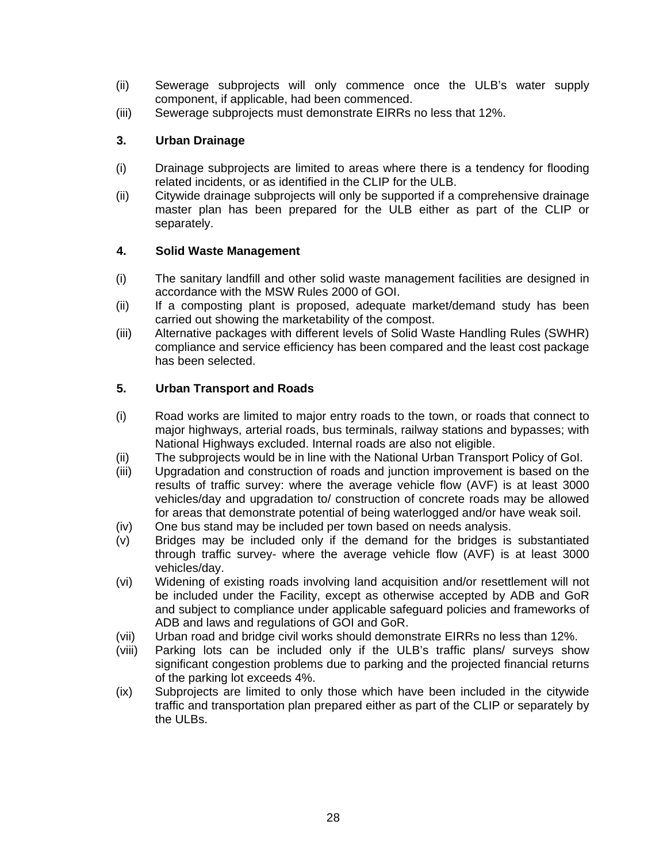- (ii) Sewerage subprojects will only commence once the ULB's water supply component, if applicable, had been commenced.
- (iii) Sewerage subprojects must demonstrate EIRRs no less that 12%.

# **3. Urban Drainage**

- (i) Drainage subprojects are limited to areas where there is a tendency for flooding related incidents, or as identified in the CLIP for the ULB.
- (ii) Citywide drainage subprojects will only be supported if a comprehensive drainage master plan has been prepared for the ULB either as part of the CLIP or separately.

# **4. Solid Waste Management**

- (i) The sanitary landfill and other solid waste management facilities are designed in accordance with the MSW Rules 2000 of GOI.
- (ii) If a composting plant is proposed, adequate market/demand study has been carried out showing the marketability of the compost.
- (iii) Alternative packages with different levels of Solid Waste Handling Rules (SWHR) compliance and service efficiency has been compared and the least cost package has been selected.

# **5. Urban Transport and Roads**

- (i) Road works are limited to major entry roads to the town, or roads that connect to major highways, arterial roads, bus terminals, railway stations and bypasses; with National Highways excluded. Internal roads are also not eligible.
- (ii) The subprojects would be in line with the National Urban Transport Policy of GoI.
- (iii) Upgradation and construction of roads and junction improvement is based on the results of traffic survey: where the average vehicle flow (AVF) is at least 3000 vehicles/day and upgradation to/ construction of concrete roads may be allowed for areas that demonstrate potential of being waterlogged and/or have weak soil.
- (iv) One bus stand may be included per town based on needs analysis.
- (v) Bridges may be included only if the demand for the bridges is substantiated through traffic survey- where the average vehicle flow (AVF) is at least 3000 vehicles/day.
- (vi) Widening of existing roads involving land acquisition and/or resettlement will not be included under the Facility, except as otherwise accepted by ADB and GoR and subject to compliance under applicable safeguard policies and frameworks of ADB and laws and regulations of GOI and GoR.
- (vii) Urban road and bridge civil works should demonstrate EIRRs no less than 12%.
- (viii) Parking lots can be included only if the ULB's traffic plans/ surveys show significant congestion problems due to parking and the projected financial returns of the parking lot exceeds 4%.
- (ix) Subprojects are limited to only those which have been included in the citywide traffic and transportation plan prepared either as part of the CLIP or separately by the ULBs.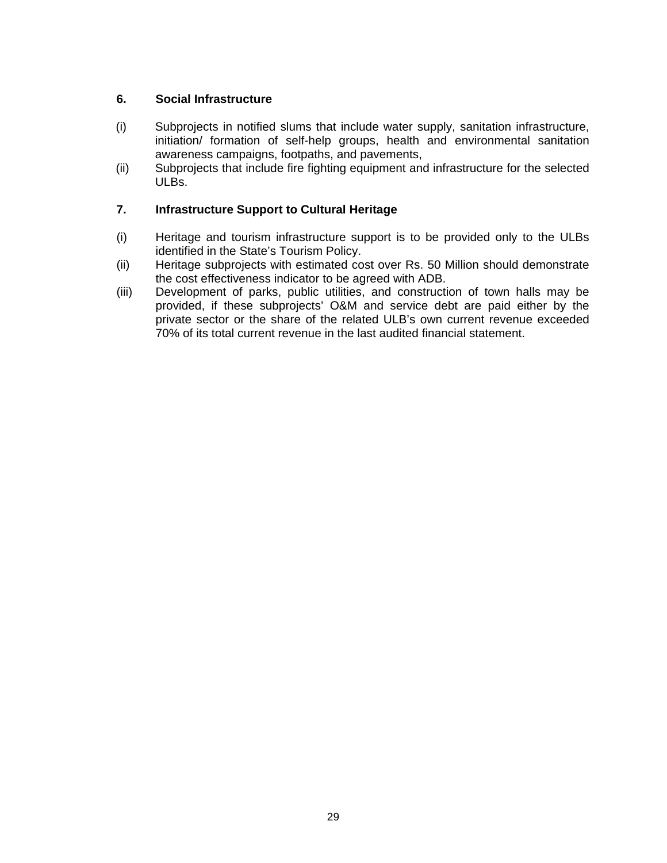# **6. Social Infrastructure**

- (i) Subprojects in notified slums that include water supply, sanitation infrastructure, initiation/ formation of self-help groups, health and environmental sanitation awareness campaigns, footpaths, and pavements,
- (ii) Subprojects that include fire fighting equipment and infrastructure for the selected ULBs.

# **7. Infrastructure Support to Cultural Heritage**

- (i) Heritage and tourism infrastructure support is to be provided only to the ULBs identified in the State's Tourism Policy.
- (ii) Heritage subprojects with estimated cost over Rs. 50 Million should demonstrate the cost effectiveness indicator to be agreed with ADB.
- (iii) Development of parks, public utilities, and construction of town halls may be provided, if these subprojects' O&M and service debt are paid either by the private sector or the share of the related ULB's own current revenue exceeded 70% of its total current revenue in the last audited financial statement.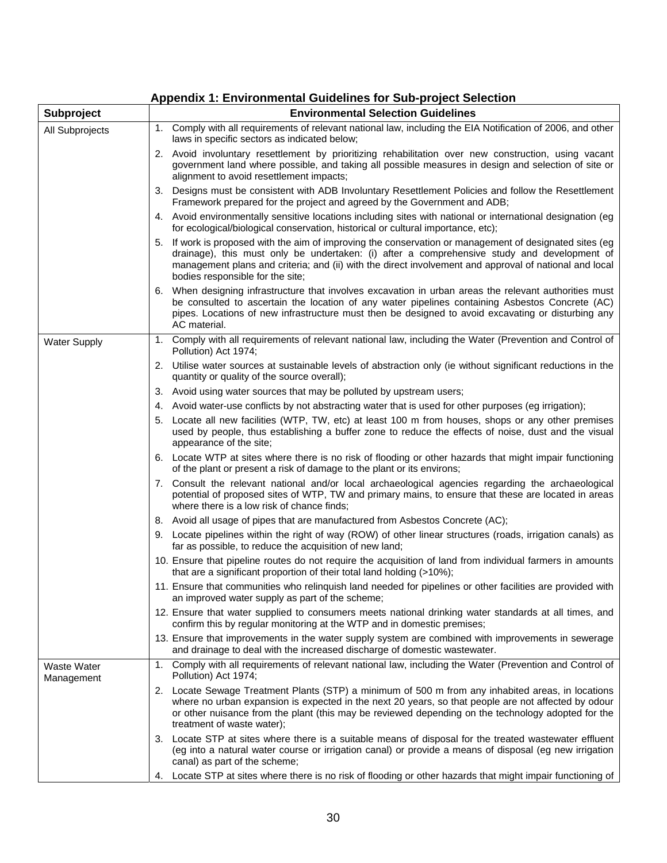# **Appendix 1: Environmental Guidelines for Sub-project Selection**

| Subproject                | <b>Environmental Selection Guidelines</b>                                                                                                                                                                                                                                                                                                            |
|---------------------------|------------------------------------------------------------------------------------------------------------------------------------------------------------------------------------------------------------------------------------------------------------------------------------------------------------------------------------------------------|
| All Subprojects           | 1. Comply with all requirements of relevant national law, including the EIA Notification of 2006, and other<br>laws in specific sectors as indicated below;                                                                                                                                                                                          |
|                           | 2. Avoid involuntary resettlement by prioritizing rehabilitation over new construction, using vacant<br>government land where possible, and taking all possible measures in design and selection of site or<br>alignment to avoid resettlement impacts;                                                                                              |
|                           | 3. Designs must be consistent with ADB Involuntary Resettlement Policies and follow the Resettlement<br>Framework prepared for the project and agreed by the Government and ADB;                                                                                                                                                                     |
|                           | 4. Avoid environmentally sensitive locations including sites with national or international designation (eg<br>for ecological/biological conservation, historical or cultural importance, etc);                                                                                                                                                      |
|                           | 5. If work is proposed with the aim of improving the conservation or management of designated sites (eg<br>drainage), this must only be undertaken: (i) after a comprehensive study and development of<br>management plans and criteria; and (ii) with the direct involvement and approval of national and local<br>bodies responsible for the site; |
|                           | 6. When designing infrastructure that involves excavation in urban areas the relevant authorities must<br>be consulted to ascertain the location of any water pipelines containing Asbestos Concrete (AC)<br>pipes. Locations of new infrastructure must then be designed to avoid excavating or disturbing any<br>AC material.                      |
| <b>Water Supply</b>       | 1. Comply with all requirements of relevant national law, including the Water (Prevention and Control of<br>Pollution) Act 1974;                                                                                                                                                                                                                     |
|                           | 2. Utilise water sources at sustainable levels of abstraction only (ie without significant reductions in the<br>quantity or quality of the source overall);                                                                                                                                                                                          |
|                           | 3. Avoid using water sources that may be polluted by upstream users;                                                                                                                                                                                                                                                                                 |
|                           | 4. Avoid water-use conflicts by not abstracting water that is used for other purposes (eg irrigation);                                                                                                                                                                                                                                               |
|                           | 5. Locate all new facilities (WTP, TW, etc) at least 100 m from houses, shops or any other premises<br>used by people, thus establishing a buffer zone to reduce the effects of noise, dust and the visual<br>appearance of the site;                                                                                                                |
|                           | 6. Locate WTP at sites where there is no risk of flooding or other hazards that might impair functioning<br>of the plant or present a risk of damage to the plant or its environs;                                                                                                                                                                   |
|                           | 7. Consult the relevant national and/or local archaeological agencies regarding the archaeological<br>potential of proposed sites of WTP, TW and primary mains, to ensure that these are located in areas<br>where there is a low risk of chance finds;                                                                                              |
|                           | 8. Avoid all usage of pipes that are manufactured from Asbestos Concrete (AC);                                                                                                                                                                                                                                                                       |
|                           | 9. Locate pipelines within the right of way (ROW) of other linear structures (roads, irrigation canals) as<br>far as possible, to reduce the acquisition of new land;                                                                                                                                                                                |
|                           | 10. Ensure that pipeline routes do not require the acquisition of land from individual farmers in amounts<br>that are a significant proportion of their total land holding (>10%);                                                                                                                                                                   |
|                           | 11. Ensure that communities who relinquish land needed for pipelines or other facilities are provided with<br>an improved water supply as part of the scheme;                                                                                                                                                                                        |
|                           | 12. Ensure that water supplied to consumers meets national drinking water standards at all times, and<br>confirm this by regular monitoring at the WTP and in domestic premises;                                                                                                                                                                     |
|                           | 13. Ensure that improvements in the water supply system are combined with improvements in sewerage<br>and drainage to deal with the increased discharge of domestic wastewater.                                                                                                                                                                      |
| Waste Water<br>Management | 1. Comply with all requirements of relevant national law, including the Water (Prevention and Control of<br>Pollution) Act 1974;                                                                                                                                                                                                                     |
|                           | 2. Locate Sewage Treatment Plants (STP) a minimum of 500 m from any inhabited areas, in locations<br>where no urban expansion is expected in the next 20 years, so that people are not affected by odour<br>or other nuisance from the plant (this may be reviewed depending on the technology adopted for the<br>treatment of waste water);         |
|                           | 3. Locate STP at sites where there is a suitable means of disposal for the treated wastewater effluent<br>(eg into a natural water course or irrigation canal) or provide a means of disposal (eg new irrigation<br>canal) as part of the scheme;                                                                                                    |
|                           | 4. Locate STP at sites where there is no risk of flooding or other hazards that might impair functioning of                                                                                                                                                                                                                                          |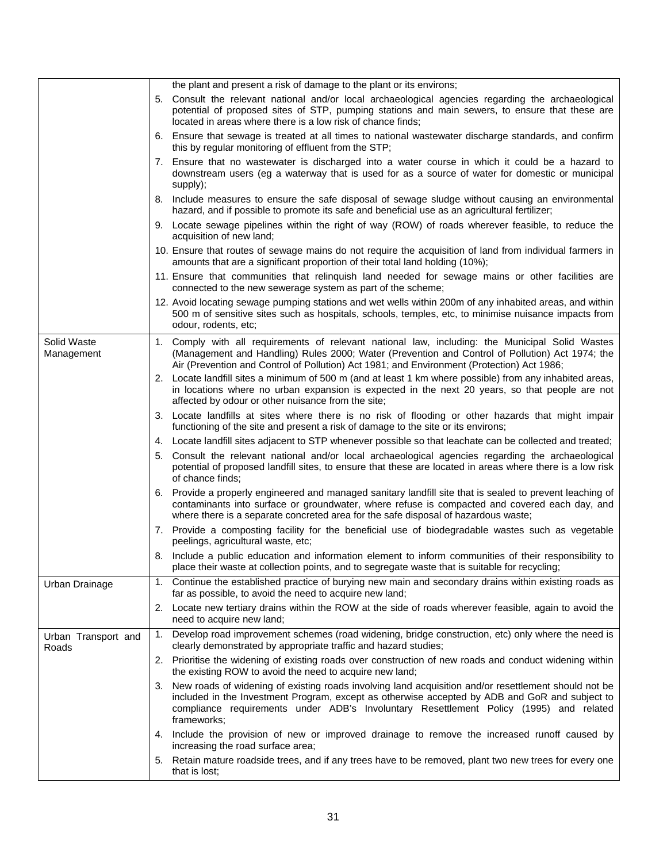|                              | the plant and present a risk of damage to the plant or its environs;                                                                                                                                                                                                                                               |
|------------------------------|--------------------------------------------------------------------------------------------------------------------------------------------------------------------------------------------------------------------------------------------------------------------------------------------------------------------|
|                              | 5. Consult the relevant national and/or local archaeological agencies regarding the archaeological<br>potential of proposed sites of STP, pumping stations and main sewers, to ensure that these are<br>located in areas where there is a low risk of chance finds;                                                |
|                              | 6. Ensure that sewage is treated at all times to national wastewater discharge standards, and confirm<br>this by regular monitoring of effluent from the STP;                                                                                                                                                      |
|                              | 7. Ensure that no wastewater is discharged into a water course in which it could be a hazard to<br>downstream users (eg a waterway that is used for as a source of water for domestic or municipal<br>supply);                                                                                                     |
|                              | 8. Include measures to ensure the safe disposal of sewage sludge without causing an environmental<br>hazard, and if possible to promote its safe and beneficial use as an agricultural fertilizer;                                                                                                                 |
|                              | 9. Locate sewage pipelines within the right of way (ROW) of roads wherever feasible, to reduce the<br>acquisition of new land;                                                                                                                                                                                     |
|                              | 10. Ensure that routes of sewage mains do not require the acquisition of land from individual farmers in<br>amounts that are a significant proportion of their total land holding (10%);                                                                                                                           |
|                              | 11. Ensure that communities that relinquish land needed for sewage mains or other facilities are<br>connected to the new sewerage system as part of the scheme;                                                                                                                                                    |
|                              | 12. Avoid locating sewage pumping stations and wet wells within 200m of any inhabited areas, and within<br>500 m of sensitive sites such as hospitals, schools, temples, etc, to minimise nuisance impacts from<br>odour, rodents, etc;                                                                            |
| Solid Waste<br>Management    | 1. Comply with all requirements of relevant national law, including: the Municipal Solid Wastes<br>(Management and Handling) Rules 2000; Water (Prevention and Control of Pollution) Act 1974; the<br>Air (Prevention and Control of Pollution) Act 1981; and Environment (Protection) Act 1986;                   |
|                              | 2. Locate landfill sites a minimum of 500 m (and at least 1 km where possible) from any inhabited areas,<br>in locations where no urban expansion is expected in the next 20 years, so that people are not<br>affected by odour or other nuisance from the site;                                                   |
|                              | 3. Locate landfills at sites where there is no risk of flooding or other hazards that might impair<br>functioning of the site and present a risk of damage to the site or its environs;                                                                                                                            |
|                              | 4. Locate landfill sites adjacent to STP whenever possible so that leachate can be collected and treated;                                                                                                                                                                                                          |
|                              | 5. Consult the relevant national and/or local archaeological agencies regarding the archaeological<br>potential of proposed landfill sites, to ensure that these are located in areas where there is a low risk<br>of chance finds;                                                                                |
|                              | 6. Provide a properly engineered and managed sanitary landfill site that is sealed to prevent leaching of<br>contaminants into surface or groundwater, where refuse is compacted and covered each day, and<br>where there is a separate concreted area for the safe disposal of hazardous waste;                   |
|                              | 7. Provide a composting facility for the beneficial use of biodegradable wastes such as vegetable<br>peelings, agricultural waste, etc;                                                                                                                                                                            |
|                              | 8. Include a public education and information element to inform communities of their responsibility to<br>place their waste at collection points, and to segregate waste that is suitable for recycling;                                                                                                           |
| Urban Drainage               | Continue the established practice of burying new main and secondary drains within existing roads as<br>1.<br>far as possible, to avoid the need to acquire new land;                                                                                                                                               |
|                              | 2. Locate new tertiary drains within the ROW at the side of roads wherever feasible, again to avoid the<br>need to acquire new land;                                                                                                                                                                               |
| Urban Transport and<br>Roads | Develop road improvement schemes (road widening, bridge construction, etc) only where the need is<br>1.<br>clearly demonstrated by appropriate traffic and hazard studies;                                                                                                                                         |
|                              | 2. Prioritise the widening of existing roads over construction of new roads and conduct widening within<br>the existing ROW to avoid the need to acquire new land;                                                                                                                                                 |
|                              | 3. New roads of widening of existing roads involving land acquisition and/or resettlement should not be<br>included in the Investment Program, except as otherwise accepted by ADB and GoR and subject to<br>compliance requirements under ADB's Involuntary Resettlement Policy (1995) and related<br>frameworks; |
|                              | 4. Include the provision of new or improved drainage to remove the increased runoff caused by<br>increasing the road surface area;                                                                                                                                                                                 |
|                              | 5. Retain mature roadside trees, and if any trees have to be removed, plant two new trees for every one<br>that is lost;                                                                                                                                                                                           |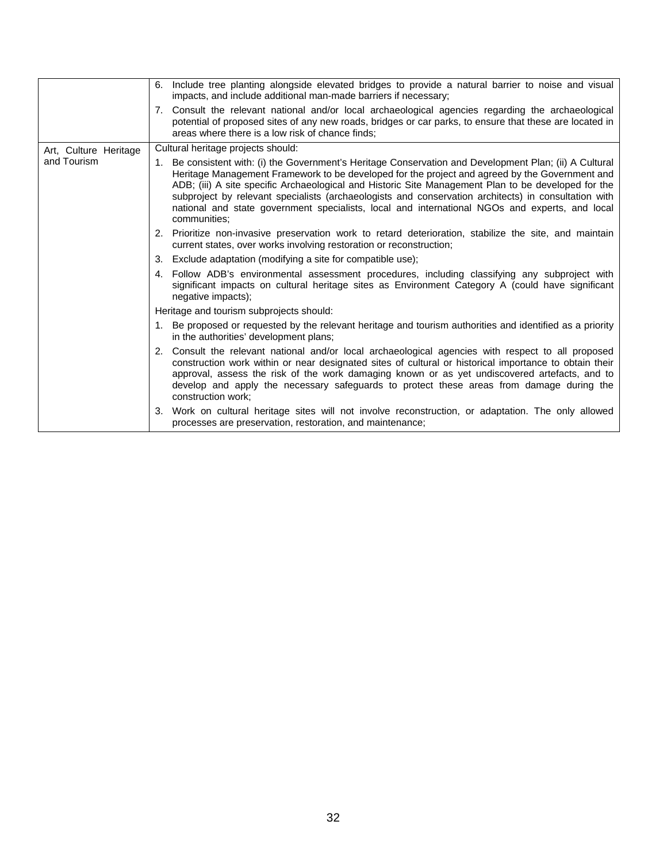|                       | 6. Include tree planting alongside elevated bridges to provide a natural barrier to noise and visual<br>impacts, and include additional man-made barriers if necessary;                                                                                                                                                                                                                                                                                                                                                                    |
|-----------------------|--------------------------------------------------------------------------------------------------------------------------------------------------------------------------------------------------------------------------------------------------------------------------------------------------------------------------------------------------------------------------------------------------------------------------------------------------------------------------------------------------------------------------------------------|
|                       | 7. Consult the relevant national and/or local archaeological agencies regarding the archaeological<br>potential of proposed sites of any new roads, bridges or car parks, to ensure that these are located in<br>areas where there is a low risk of chance finds:                                                                                                                                                                                                                                                                          |
| Art, Culture Heritage | Cultural heritage projects should:                                                                                                                                                                                                                                                                                                                                                                                                                                                                                                         |
| and Tourism           | 1. Be consistent with: (i) the Government's Heritage Conservation and Development Plan; (ii) A Cultural<br>Heritage Management Framework to be developed for the project and agreed by the Government and<br>ADB; (iii) A site specific Archaeological and Historic Site Management Plan to be developed for the<br>subproject by relevant specialists (archaeologists and conservation architects) in consultation with<br>national and state government specialists, local and international NGOs and experts, and local<br>communities: |
|                       | 2. Prioritize non-invasive preservation work to retard deterioration, stabilize the site, and maintain<br>current states, over works involving restoration or reconstruction;                                                                                                                                                                                                                                                                                                                                                              |
|                       | 3. Exclude adaptation (modifying a site for compatible use);                                                                                                                                                                                                                                                                                                                                                                                                                                                                               |
|                       | 4. Follow ADB's environmental assessment procedures, including classifying any subproject with<br>significant impacts on cultural heritage sites as Environment Category A (could have significant<br>negative impacts);                                                                                                                                                                                                                                                                                                                   |
|                       | Heritage and tourism subprojects should:                                                                                                                                                                                                                                                                                                                                                                                                                                                                                                   |
|                       | 1. Be proposed or requested by the relevant heritage and tourism authorities and identified as a priority<br>in the authorities' development plans;                                                                                                                                                                                                                                                                                                                                                                                        |
|                       | 2. Consult the relevant national and/or local archaeological agencies with respect to all proposed<br>construction work within or near designated sites of cultural or historical importance to obtain their<br>approval, assess the risk of the work damaging known or as yet undiscovered artefacts, and to<br>develop and apply the necessary safeguards to protect these areas from damage during the<br>construction work;                                                                                                            |
|                       | 3. Work on cultural heritage sites will not involve reconstruction, or adaptation. The only allowed<br>processes are preservation, restoration, and maintenance;                                                                                                                                                                                                                                                                                                                                                                           |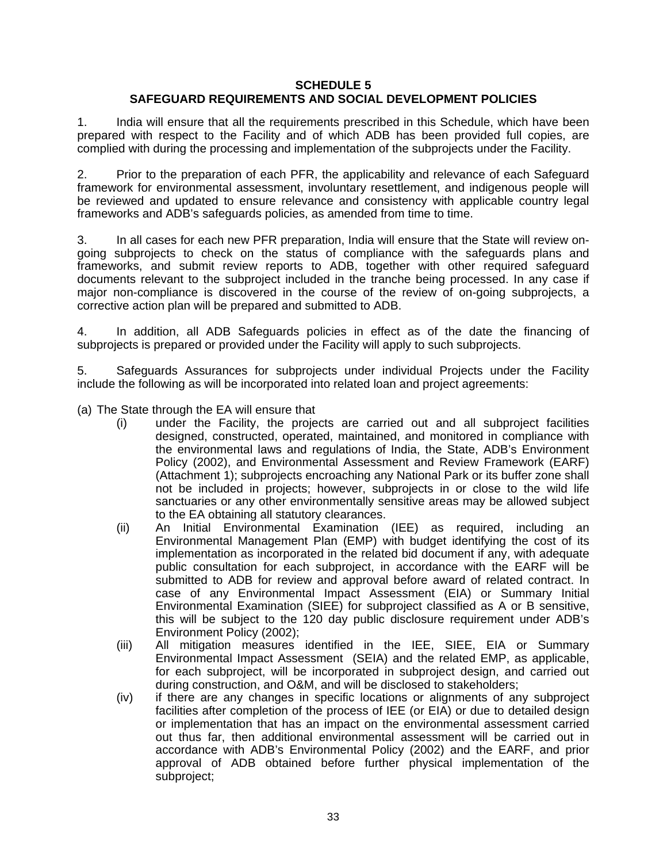#### **SCHEDULE 5 SAFEGUARD REQUIREMENTS AND SOCIAL DEVELOPMENT POLICIES**

1. India will ensure that all the requirements prescribed in this Schedule, which have been prepared with respect to the Facility and of which ADB has been provided full copies, are complied with during the processing and implementation of the subprojects under the Facility.

2. Prior to the preparation of each PFR, the applicability and relevance of each Safeguard framework for environmental assessment, involuntary resettlement, and indigenous people will be reviewed and updated to ensure relevance and consistency with applicable country legal frameworks and ADB's safeguards policies, as amended from time to time.

3. In all cases for each new PFR preparation, India will ensure that the State will review ongoing subprojects to check on the status of compliance with the safeguards plans and frameworks, and submit review reports to ADB, together with other required safeguard documents relevant to the subproject included in the tranche being processed. In any case if major non-compliance is discovered in the course of the review of on-going subprojects, a corrective action plan will be prepared and submitted to ADB.

4. In addition, all ADB Safeguards policies in effect as of the date the financing of subprojects is prepared or provided under the Facility will apply to such subprojects.

5. Safeguards Assurances for subprojects under individual Projects under the Facility include the following as will be incorporated into related loan and project agreements:

- (a) The State through the EA will ensure that
	- (i) under the Facility, the projects are carried out and all subproject facilities designed, constructed, operated, maintained, and monitored in compliance with the environmental laws and regulations of India, the State, ADB's Environment Policy (2002), and Environmental Assessment and Review Framework (EARF) (Attachment 1); subprojects encroaching any National Park or its buffer zone shall not be included in projects; however, subprojects in or close to the wild life sanctuaries or any other environmentally sensitive areas may be allowed subject to the EA obtaining all statutory clearances.
	- (ii) An Initial Environmental Examination (IEE) as required, including an Environmental Management Plan (EMP) with budget identifying the cost of its implementation as incorporated in the related bid document if any, with adequate public consultation for each subproject, in accordance with the EARF will be submitted to ADB for review and approval before award of related contract. In case of any Environmental Impact Assessment (EIA) or Summary Initial Environmental Examination (SIEE) for subproject classified as A or B sensitive, this will be subject to the 120 day public disclosure requirement under ADB's Environment Policy (2002);
	- (iii) All mitigation measures identified in the IEE, SIEE, EIA or Summary Environmental Impact Assessment (SEIA) and the related EMP, as applicable, for each subproject, will be incorporated in subproject design, and carried out during construction, and O&M, and will be disclosed to stakeholders;
	- (iv) if there are any changes in specific locations or alignments of any subproject facilities after completion of the process of IEE (or EIA) or due to detailed design or implementation that has an impact on the environmental assessment carried out thus far, then additional environmental assessment will be carried out in accordance with ADB's Environmental Policy (2002) and the EARF, and prior approval of ADB obtained before further physical implementation of the subproject;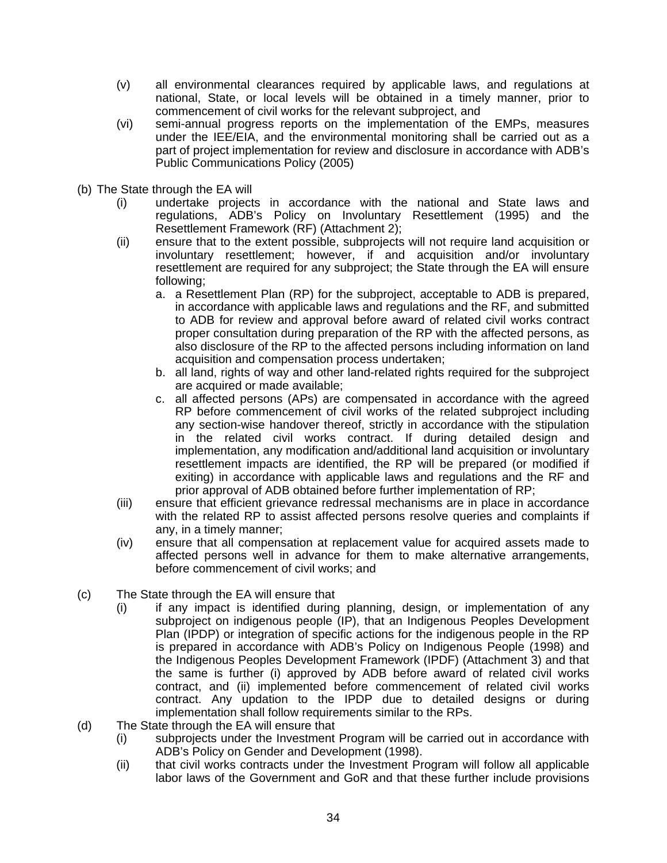- (v) all environmental clearances required by applicable laws, and regulations at national, State, or local levels will be obtained in a timely manner, prior to commencement of civil works for the relevant subproject, and
- (vi) semi-annual progress reports on the implementation of the EMPs, measures under the IEE/EIA, and the environmental monitoring shall be carried out as a part of project implementation for review and disclosure in accordance with ADB's Public Communications Policy (2005)
- (b) The State through the EA will
	- (i) undertake projects in accordance with the national and State laws and regulations, ADB's Policy on Involuntary Resettlement (1995) and the Resettlement Framework (RF) (Attachment 2);
	- (ii) ensure that to the extent possible, subprojects will not require land acquisition or involuntary resettlement; however, if and acquisition and/or involuntary resettlement are required for any subproject; the State through the EA will ensure following;
		- a. a Resettlement Plan (RP) for the subproject, acceptable to ADB is prepared, in accordance with applicable laws and regulations and the RF, and submitted to ADB for review and approval before award of related civil works contract proper consultation during preparation of the RP with the affected persons, as also disclosure of the RP to the affected persons including information on land acquisition and compensation process undertaken;
		- b. all land, rights of way and other land-related rights required for the subproject are acquired or made available;
		- c. all affected persons (APs) are compensated in accordance with the agreed RP before commencement of civil works of the related subproject including any section-wise handover thereof, strictly in accordance with the stipulation in the related civil works contract. If during detailed design and implementation, any modification and/additional land acquisition or involuntary resettlement impacts are identified, the RP will be prepared (or modified if exiting) in accordance with applicable laws and regulations and the RF and prior approval of ADB obtained before further implementation of RP;
	- (iii) ensure that efficient grievance redressal mechanisms are in place in accordance with the related RP to assist affected persons resolve queries and complaints if any, in a timely manner;
	- (iv) ensure that all compensation at replacement value for acquired assets made to affected persons well in advance for them to make alternative arrangements, before commencement of civil works; and
- (c) The State through the EA will ensure that
	- (i) if any impact is identified during planning, design, or implementation of any subproject on indigenous people (IP), that an Indigenous Peoples Development Plan (IPDP) or integration of specific actions for the indigenous people in the RP is prepared in accordance with ADB's Policy on Indigenous People (1998) and the Indigenous Peoples Development Framework (IPDF) (Attachment 3) and that the same is further (i) approved by ADB before award of related civil works contract, and (ii) implemented before commencement of related civil works contract. Any updation to the IPDP due to detailed designs or during implementation shall follow requirements similar to the RPs.
- (d) The State through the EA will ensure that
	- (i) subprojects under the Investment Program will be carried out in accordance with ADB's Policy on Gender and Development (1998).
	- (ii) that civil works contracts under the Investment Program will follow all applicable labor laws of the Government and GoR and that these further include provisions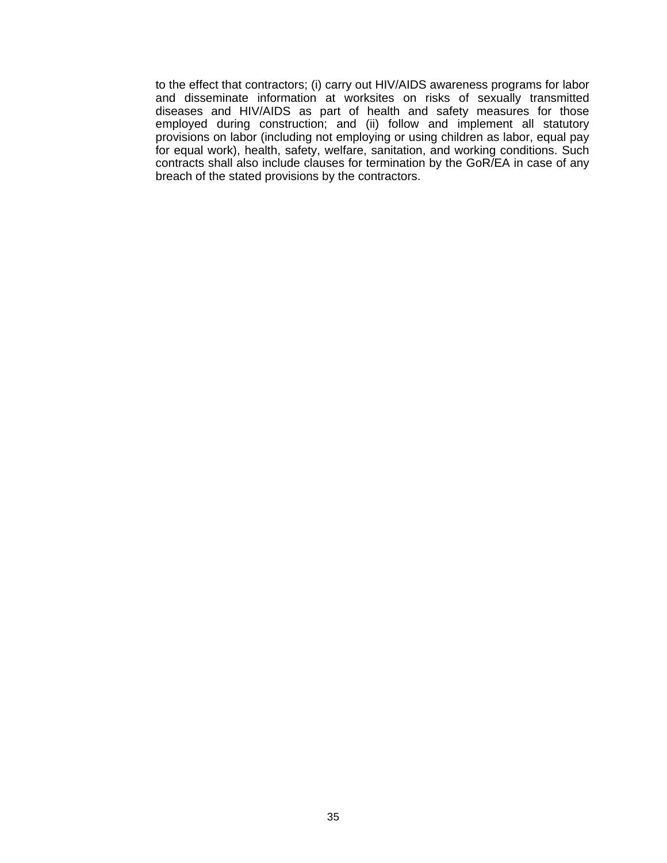to the effect that contractors; (i) carry out HIV/AIDS awareness programs for labor and disseminate information at worksites on risks of sexually transmitted diseases and HIV/AIDS as part of health and safety measures for those employed during construction; and (ii) follow and implement all statutory provisions on labor (including not employing or using children as labor, equal pay for equal work), health, safety, welfare, sanitation, and working conditions. Such contracts shall also include clauses for termination by the GoR/EA in case of any breach of the stated provisions by the contractors.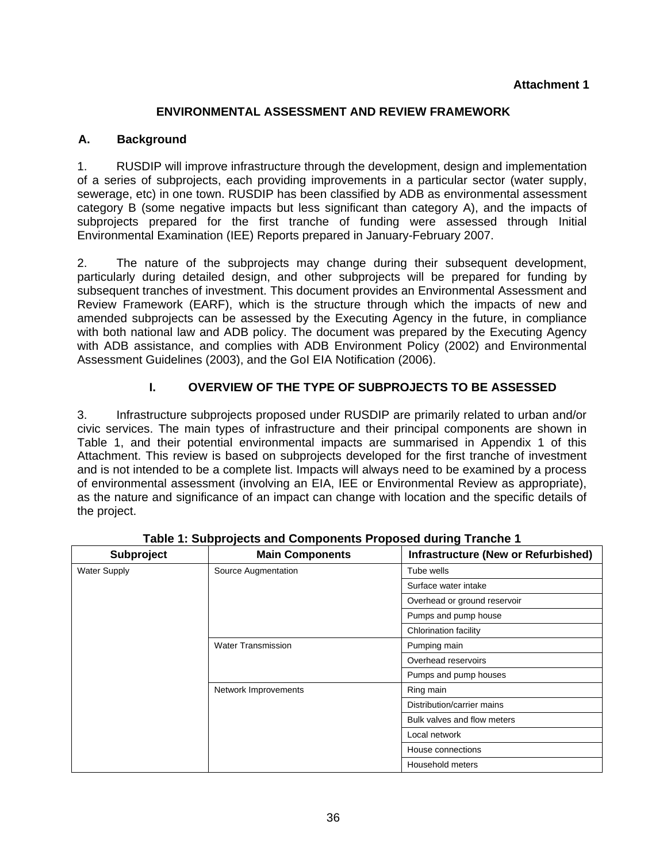# **Attachment 1**

# **ENVIRONMENTAL ASSESSMENT AND REVIEW FRAMEWORK**

# **A. Background**

1. RUSDIP will improve infrastructure through the development, design and implementation of a series of subprojects, each providing improvements in a particular sector (water supply, sewerage, etc) in one town. RUSDIP has been classified by ADB as environmental assessment category B (some negative impacts but less significant than category A), and the impacts of subprojects prepared for the first tranche of funding were assessed through Initial Environmental Examination (IEE) Reports prepared in January-February 2007.

2. The nature of the subprojects may change during their subsequent development, particularly during detailed design, and other subprojects will be prepared for funding by subsequent tranches of investment. This document provides an Environmental Assessment and Review Framework (EARF), which is the structure through which the impacts of new and amended subprojects can be assessed by the Executing Agency in the future, in compliance with both national law and ADB policy. The document was prepared by the Executing Agency with ADB assistance, and complies with ADB Environment Policy (2002) and Environmental Assessment Guidelines (2003), and the GoI EIA Notification (2006).

# **I. OVERVIEW OF THE TYPE OF SUBPROJECTS TO BE ASSESSED**

3. Infrastructure subprojects proposed under RUSDIP are primarily related to urban and/or civic services. The main types of infrastructure and their principal components are shown in Table 1, and their potential environmental impacts are summarised in Appendix 1 of this Attachment. This review is based on subprojects developed for the first tranche of investment and is not intended to be a complete list. Impacts will always need to be examined by a process of environmental assessment (involving an EIA, IEE or Environmental Review as appropriate), as the nature and significance of an impact can change with location and the specific details of the project.

| Subproject          | <b>Main Components</b>    | <b>Infrastructure (New or Refurbished)</b> |
|---------------------|---------------------------|--------------------------------------------|
| <b>Water Supply</b> | Source Augmentation       | Tube wells                                 |
|                     |                           | Surface water intake                       |
|                     |                           | Overhead or ground reservoir               |
|                     |                           | Pumps and pump house                       |
|                     |                           | <b>Chlorination facility</b>               |
|                     | <b>Water Transmission</b> | Pumping main                               |
|                     |                           | Overhead reservoirs                        |
|                     |                           | Pumps and pump houses                      |
|                     | Network Improvements      | Ring main                                  |
|                     |                           | Distribution/carrier mains                 |
|                     |                           | Bulk valves and flow meters                |
|                     |                           | Local network                              |
|                     |                           | House connections                          |
|                     |                           | Household meters                           |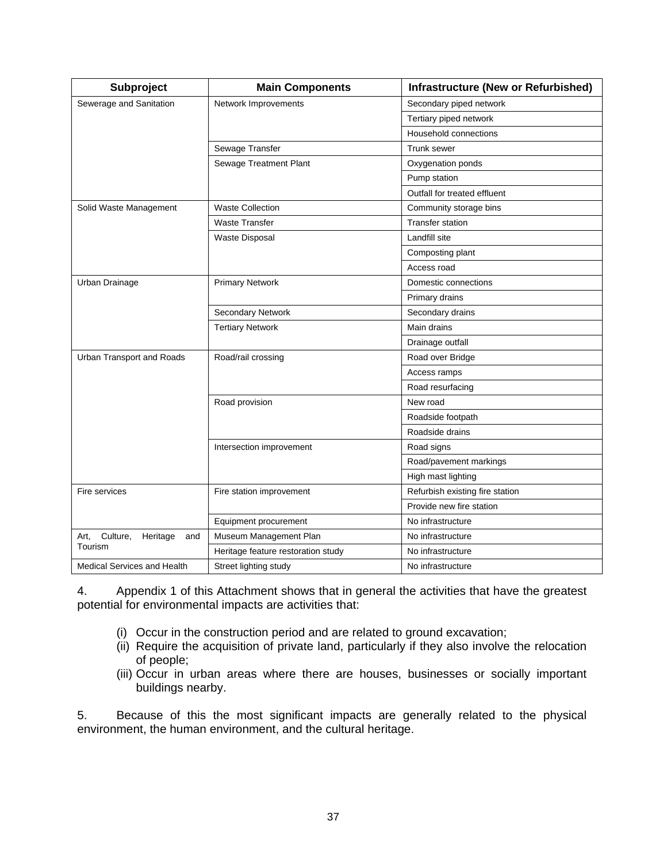| Subproject                          | <b>Main Components</b>             | <b>Infrastructure (New or Refurbished)</b> |
|-------------------------------------|------------------------------------|--------------------------------------------|
| Sewerage and Sanitation             | Network Improvements               | Secondary piped network                    |
|                                     |                                    | Tertiary piped network                     |
|                                     |                                    | Household connections                      |
|                                     | Sewage Transfer                    | Trunk sewer                                |
|                                     | Sewage Treatment Plant             | Oxygenation ponds                          |
|                                     |                                    | Pump station                               |
|                                     |                                    | Outfall for treated effluent               |
| Solid Waste Management              | <b>Waste Collection</b>            | Community storage bins                     |
|                                     | <b>Waste Transfer</b>              | <b>Transfer station</b>                    |
|                                     | <b>Waste Disposal</b>              | Landfill site                              |
|                                     |                                    | Composting plant                           |
|                                     |                                    | Access road                                |
| Urban Drainage                      | <b>Primary Network</b>             | Domestic connections                       |
|                                     |                                    | Primary drains                             |
|                                     | Secondary Network                  | Secondary drains                           |
|                                     | <b>Tertiary Network</b>            | Main drains                                |
|                                     |                                    | Drainage outfall                           |
| Urban Transport and Roads           | Road/rail crossing                 | Road over Bridge                           |
|                                     |                                    | Access ramps                               |
|                                     |                                    | Road resurfacing                           |
|                                     | Road provision                     | New road                                   |
|                                     |                                    | Roadside footpath                          |
|                                     |                                    | Roadside drains                            |
|                                     | Intersection improvement           | Road signs                                 |
|                                     |                                    | Road/pavement markings                     |
|                                     |                                    | High mast lighting                         |
| Fire services                       | Fire station improvement           | Refurbish existing fire station            |
|                                     |                                    | Provide new fire station                   |
|                                     | Equipment procurement              | No infrastructure                          |
| Culture,<br>Heritage<br>Art.<br>and | Museum Management Plan             | No infrastructure                          |
| Tourism                             | Heritage feature restoration study | No infrastructure                          |
| <b>Medical Services and Health</b>  | Street lighting study              | No infrastructure                          |

4. Appendix 1 of this Attachment shows that in general the activities that have the greatest potential for environmental impacts are activities that:

- (i) Occur in the construction period and are related to ground excavation;
- (ii) Require the acquisition of private land, particularly if they also involve the relocation of people;
- (iii) Occur in urban areas where there are houses, businesses or socially important buildings nearby.

5. Because of this the most significant impacts are generally related to the physical environment, the human environment, and the cultural heritage.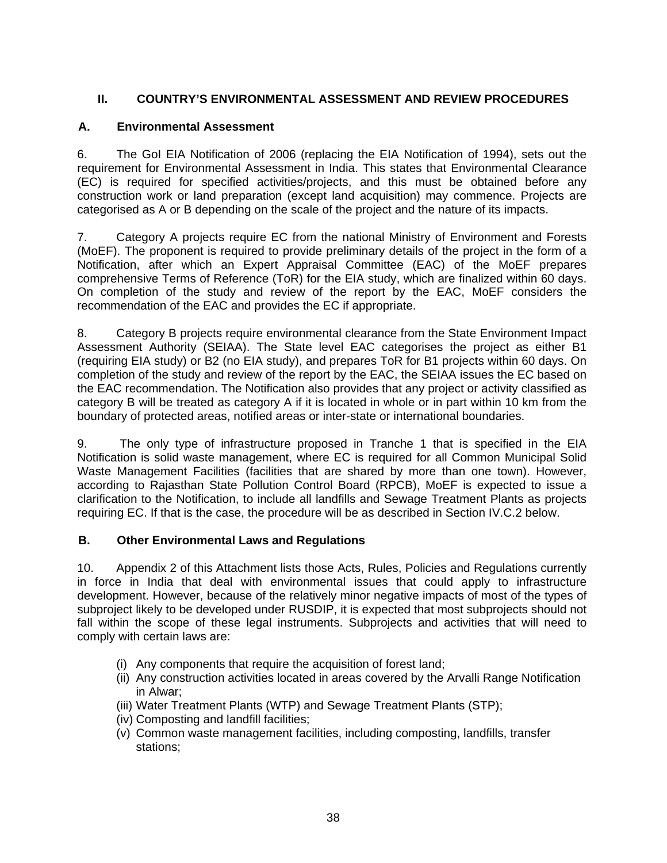# **II. COUNTRY'S ENVIRONMENTAL ASSESSMENT AND REVIEW PROCEDURES**

### **A. Environmental Assessment**

6. The GoI EIA Notification of 2006 (replacing the EIA Notification of 1994), sets out the requirement for Environmental Assessment in India. This states that Environmental Clearance (EC) is required for specified activities/projects, and this must be obtained before any construction work or land preparation (except land acquisition) may commence. Projects are categorised as A or B depending on the scale of the project and the nature of its impacts.

7. Category A projects require EC from the national Ministry of Environment and Forests (MoEF). The proponent is required to provide preliminary details of the project in the form of a Notification, after which an Expert Appraisal Committee (EAC) of the MoEF prepares comprehensive Terms of Reference (ToR) for the EIA study, which are finalized within 60 days. On completion of the study and review of the report by the EAC, MoEF considers the recommendation of the EAC and provides the EC if appropriate.

8. Category B projects require environmental clearance from the State Environment Impact Assessment Authority (SEIAA). The State level EAC categorises the project as either B1 (requiring EIA study) or B2 (no EIA study), and prepares ToR for B1 projects within 60 days. On completion of the study and review of the report by the EAC, the SEIAA issues the EC based on the EAC recommendation. The Notification also provides that any project or activity classified as category B will be treated as category A if it is located in whole or in part within 10 km from the boundary of protected areas, notified areas or inter-state or international boundaries.

9. The only type of infrastructure proposed in Tranche 1 that is specified in the EIA Notification is solid waste management, where EC is required for all Common Municipal Solid Waste Management Facilities (facilities that are shared by more than one town). However, according to Rajasthan State Pollution Control Board (RPCB), MoEF is expected to issue a clarification to the Notification, to include all landfills and Sewage Treatment Plants as projects requiring EC. If that is the case, the procedure will be as described in Section IV.C.2 below.

# **B. Other Environmental Laws and Regulations**

10. Appendix 2 of this Attachment lists those Acts, Rules, Policies and Regulations currently in force in India that deal with environmental issues that could apply to infrastructure development. However, because of the relatively minor negative impacts of most of the types of subproject likely to be developed under RUSDIP, it is expected that most subprojects should not fall within the scope of these legal instruments. Subprojects and activities that will need to comply with certain laws are:

- (i) Any components that require the acquisition of forest land;
- (ii) Any construction activities located in areas covered by the Arvalli Range Notification in Alwar;
- (iii) Water Treatment Plants (WTP) and Sewage Treatment Plants (STP);
- (iv) Composting and landfill facilities;
- (v) Common waste management facilities, including composting, landfills, transfer stations;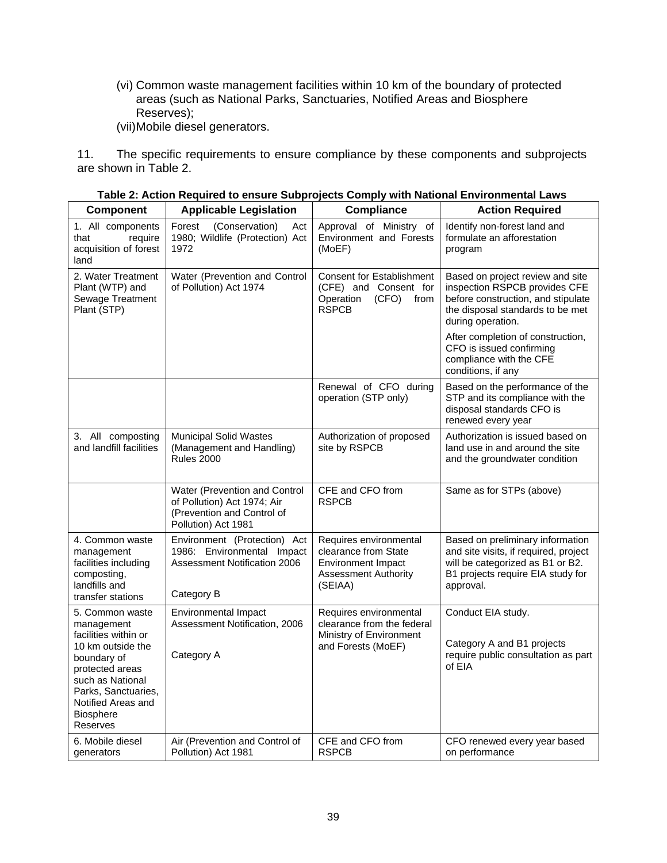(vi) Common waste management facilities within 10 km of the boundary of protected areas (such as National Parks, Sanctuaries, Notified Areas and Biosphere Reserves);

(vii) Mobile diesel generators.

11. The specific requirements to ensure compliance by these components and subprojects are shown in Table 2.

| Component                                                                                                                                                                           | <b>Applicable Legislation</b>                                                                                     | <b>Compliance</b>                                                                                       | <b>Action Required</b>                                                                                                                                                                                |  |  |
|-------------------------------------------------------------------------------------------------------------------------------------------------------------------------------------|-------------------------------------------------------------------------------------------------------------------|---------------------------------------------------------------------------------------------------------|-------------------------------------------------------------------------------------------------------------------------------------------------------------------------------------------------------|--|--|
| 1. All components<br>require<br>that<br>acquisition of forest<br>land                                                                                                               | Forest<br>(Conservation)<br>Act<br>1980; Wildlife (Protection) Act<br>1972                                        | Approval of Ministry of<br>Environment and Forests<br>(MoEF)                                            | Identify non-forest land and<br>formulate an afforestation<br>program                                                                                                                                 |  |  |
| 2. Water Treatment<br>Plant (WTP) and<br>Sewage Treatment<br>Plant (STP)                                                                                                            | Water (Prevention and Control<br>of Pollution) Act 1974                                                           | <b>Consent for Establishment</b><br>(CFE) and Consent for<br>Operation<br>(CFO)<br>from<br><b>RSPCB</b> | Based on project review and site<br>inspection RSPCB provides CFE<br>before construction, and stipulate<br>the disposal standards to be met<br>during operation.<br>After completion of construction, |  |  |
|                                                                                                                                                                                     |                                                                                                                   |                                                                                                         | CFO is issued confirming<br>compliance with the CFE<br>conditions, if any                                                                                                                             |  |  |
|                                                                                                                                                                                     |                                                                                                                   | Renewal of CFO during<br>operation (STP only)                                                           | Based on the performance of the<br>STP and its compliance with the<br>disposal standards CFO is<br>renewed every year                                                                                 |  |  |
| 3. All composting<br>and landfill facilities                                                                                                                                        | <b>Municipal Solid Wastes</b><br>(Management and Handling)<br><b>Rules 2000</b>                                   | Authorization of proposed<br>site by RSPCB                                                              | Authorization is issued based on<br>land use in and around the site<br>and the groundwater condition                                                                                                  |  |  |
|                                                                                                                                                                                     | Water (Prevention and Control<br>of Pollution) Act 1974; Air<br>(Prevention and Control of<br>Pollution) Act 1981 | CFE and CFO from<br><b>RSPCB</b>                                                                        | Same as for STPs (above)                                                                                                                                                                              |  |  |
| 4. Common waste<br>management<br>facilities including<br>composting,<br>landfills and                                                                                               | Environment (Protection) Act<br>1986: Environmental Impact<br><b>Assessment Notification 2006</b>                 |                                                                                                         | Based on preliminary information<br>and site visits, if required, project<br>will be categorized as B1 or B2.<br>B1 projects require EIA study for<br>approval.                                       |  |  |
| transfer stations<br>5. Common waste                                                                                                                                                | Category B<br>Environmental Impact                                                                                | Requires environmental                                                                                  | Conduct EIA study.                                                                                                                                                                                    |  |  |
| management<br>facilities within or<br>10 km outside the<br>boundary of<br>protected areas<br>such as National<br>Parks, Sanctuaries,<br>Notified Areas and<br>Biosphere<br>Reserves | Assessment Notification, 2006<br>Category A                                                                       | clearance from the federal<br>Ministry of Environment<br>and Forests (MoEF)                             | Category A and B1 projects<br>require public consultation as part<br>of EIA                                                                                                                           |  |  |
| 6. Mobile diesel<br>generators                                                                                                                                                      | Air (Prevention and Control of<br>Pollution) Act 1981                                                             | CFE and CFO from<br><b>RSPCB</b>                                                                        | CFO renewed every year based<br>on performance                                                                                                                                                        |  |  |

**Table 2: Action Required to ensure Subprojects Comply with National Environmental Laws**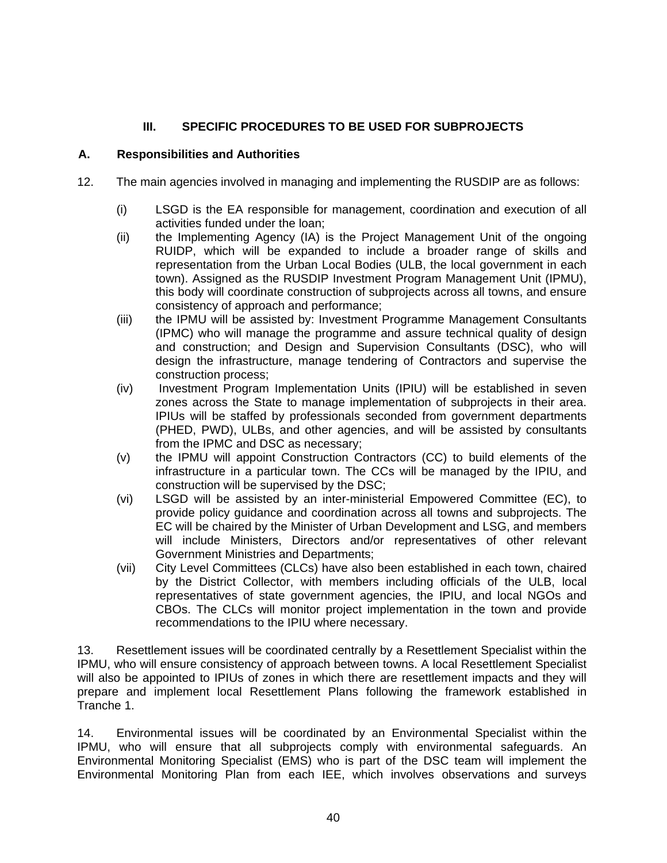# **III. SPECIFIC PROCEDURES TO BE USED FOR SUBPROJECTS**

### **A. Responsibilities and Authorities**

- 12. The main agencies involved in managing and implementing the RUSDIP are as follows:
	- (i) LSGD is the EA responsible for management, coordination and execution of all activities funded under the loan;
	- (ii) the Implementing Agency (IA) is the Project Management Unit of the ongoing RUIDP, which will be expanded to include a broader range of skills and representation from the Urban Local Bodies (ULB, the local government in each town). Assigned as the RUSDIP Investment Program Management Unit (IPMU), this body will coordinate construction of subprojects across all towns, and ensure consistency of approach and performance;
	- (iii) the IPMU will be assisted by: Investment Programme Management Consultants (IPMC) who will manage the programme and assure technical quality of design and construction; and Design and Supervision Consultants (DSC), who will design the infrastructure, manage tendering of Contractors and supervise the construction process;
	- (iv) Investment Program Implementation Units (IPIU) will be established in seven zones across the State to manage implementation of subprojects in their area. IPIUs will be staffed by professionals seconded from government departments (PHED, PWD), ULBs, and other agencies, and will be assisted by consultants from the IPMC and DSC as necessary;
	- (v) the IPMU will appoint Construction Contractors (CC) to build elements of the infrastructure in a particular town. The CCs will be managed by the IPIU, and construction will be supervised by the DSC;
	- (vi) LSGD will be assisted by an inter-ministerial Empowered Committee (EC), to provide policy guidance and coordination across all towns and subprojects. The EC will be chaired by the Minister of Urban Development and LSG, and members will include Ministers, Directors and/or representatives of other relevant Government Ministries and Departments;
	- (vii) City Level Committees (CLCs) have also been established in each town, chaired by the District Collector, with members including officials of the ULB, local representatives of state government agencies, the IPIU, and local NGOs and CBOs. The CLCs will monitor project implementation in the town and provide recommendations to the IPIU where necessary.

13. Resettlement issues will be coordinated centrally by a Resettlement Specialist within the IPMU, who will ensure consistency of approach between towns. A local Resettlement Specialist will also be appointed to IPIUs of zones in which there are resettlement impacts and they will prepare and implement local Resettlement Plans following the framework established in Tranche 1.

14. Environmental issues will be coordinated by an Environmental Specialist within the IPMU, who will ensure that all subprojects comply with environmental safeguards. An Environmental Monitoring Specialist (EMS) who is part of the DSC team will implement the Environmental Monitoring Plan from each IEE, which involves observations and surveys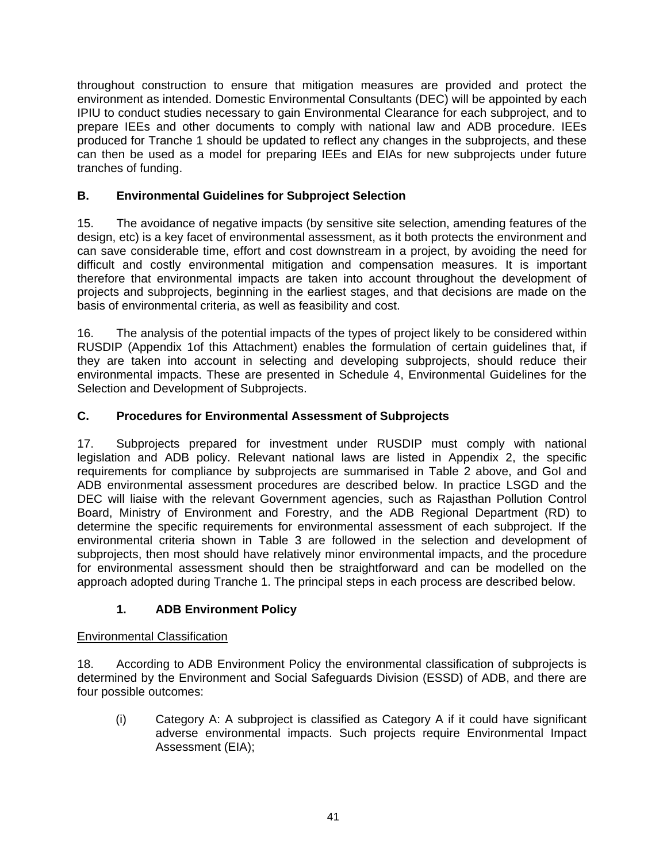throughout construction to ensure that mitigation measures are provided and protect the environment as intended. Domestic Environmental Consultants (DEC) will be appointed by each IPIU to conduct studies necessary to gain Environmental Clearance for each subproject, and to prepare IEEs and other documents to comply with national law and ADB procedure. IEEs produced for Tranche 1 should be updated to reflect any changes in the subprojects, and these can then be used as a model for preparing IEEs and EIAs for new subprojects under future tranches of funding.

# **B. Environmental Guidelines for Subproject Selection**

15. The avoidance of negative impacts (by sensitive site selection, amending features of the design, etc) is a key facet of environmental assessment, as it both protects the environment and can save considerable time, effort and cost downstream in a project, by avoiding the need for difficult and costly environmental mitigation and compensation measures. It is important therefore that environmental impacts are taken into account throughout the development of projects and subprojects, beginning in the earliest stages, and that decisions are made on the basis of environmental criteria, as well as feasibility and cost.

16. The analysis of the potential impacts of the types of project likely to be considered within RUSDIP (Appendix 1of this Attachment) enables the formulation of certain guidelines that, if they are taken into account in selecting and developing subprojects, should reduce their environmental impacts. These are presented in Schedule 4, Environmental Guidelines for the Selection and Development of Subprojects.

# **C. Procedures for Environmental Assessment of Subprojects**

17. Subprojects prepared for investment under RUSDIP must comply with national legislation and ADB policy. Relevant national laws are listed in Appendix 2, the specific requirements for compliance by subprojects are summarised in Table 2 above, and GoI and ADB environmental assessment procedures are described below. In practice LSGD and the DEC will liaise with the relevant Government agencies, such as Rajasthan Pollution Control Board, Ministry of Environment and Forestry, and the ADB Regional Department (RD) to determine the specific requirements for environmental assessment of each subproject. If the environmental criteria shown in Table 3 are followed in the selection and development of subprojects, then most should have relatively minor environmental impacts, and the procedure for environmental assessment should then be straightforward and can be modelled on the approach adopted during Tranche 1. The principal steps in each process are described below.

# **1. ADB Environment Policy**

# Environmental Classification

18. According to ADB Environment Policy the environmental classification of subprojects is determined by the Environment and Social Safeguards Division (ESSD) of ADB, and there are four possible outcomes:

(i) Category A: A subproject is classified as Category A if it could have significant adverse environmental impacts. Such projects require Environmental Impact Assessment (EIA);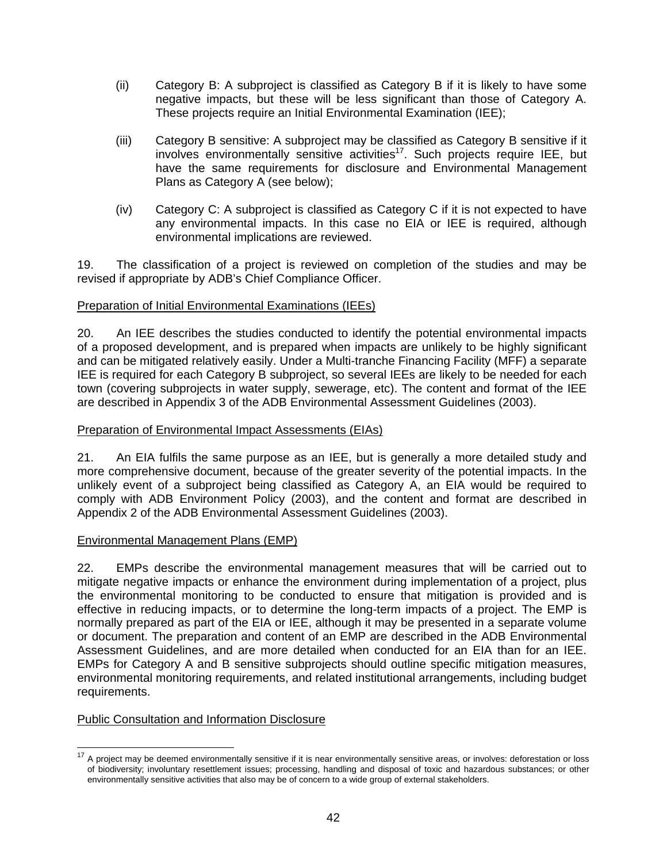- (ii) Category B: A subproject is classified as Category B if it is likely to have some negative impacts, but these will be less significant than those of Category A. These projects require an Initial Environmental Examination (IEE);
- (iii) Category B sensitive: A subproject may be classified as Category B sensitive if it involves environmentally sensitive activities<sup>17</sup>. Such projects require IEE, but have the same requirements for disclosure and Environmental Management Plans as Category A (see below);
- (iv) Category C: A subproject is classified as Category C if it is not expected to have any environmental impacts. In this case no EIA or IEE is required, although environmental implications are reviewed.

19. The classification of a project is reviewed on completion of the studies and may be revised if appropriate by ADB's Chief Compliance Officer.

### Preparation of Initial Environmental Examinations (IEEs)

20. An IEE describes the studies conducted to identify the potential environmental impacts of a proposed development, and is prepared when impacts are unlikely to be highly significant and can be mitigated relatively easily. Under a Multi-tranche Financing Facility (MFF) a separate IEE is required for each Category B subproject, so several IEEs are likely to be needed for each town (covering subprojects in water supply, sewerage, etc). The content and format of the IEE are described in Appendix 3 of the ADB Environmental Assessment Guidelines (2003).

### Preparation of Environmental Impact Assessments (EIAs)

21. An EIA fulfils the same purpose as an IEE, but is generally a more detailed study and more comprehensive document, because of the greater severity of the potential impacts. In the unlikely event of a subproject being classified as Category A, an EIA would be required to comply with ADB Environment Policy (2003), and the content and format are described in Appendix 2 of the ADB Environmental Assessment Guidelines (2003).

### Environmental Management Plans (EMP)

22. EMPs describe the environmental management measures that will be carried out to mitigate negative impacts or enhance the environment during implementation of a project, plus the environmental monitoring to be conducted to ensure that mitigation is provided and is effective in reducing impacts, or to determine the long-term impacts of a project. The EMP is normally prepared as part of the EIA or IEE, although it may be presented in a separate volume or document. The preparation and content of an EMP are described in the ADB Environmental Assessment Guidelines, and are more detailed when conducted for an EIA than for an IEE. EMPs for Category A and B sensitive subprojects should outline specific mitigation measures, environmental monitoring requirements, and related institutional arrangements, including budget requirements.

### Public Consultation and Information Disclosure

<sup>&</sup>lt;sup>17</sup> A project may be deemed environmentally sensitive if it is near environmentally sensitive areas, or involves: deforestation or loss of biodiversity; involuntary resettlement issues; processing, handling and disposal of toxic and hazardous substances; or other environmentally sensitive activities that also may be of concern to a wide group of external stakeholders.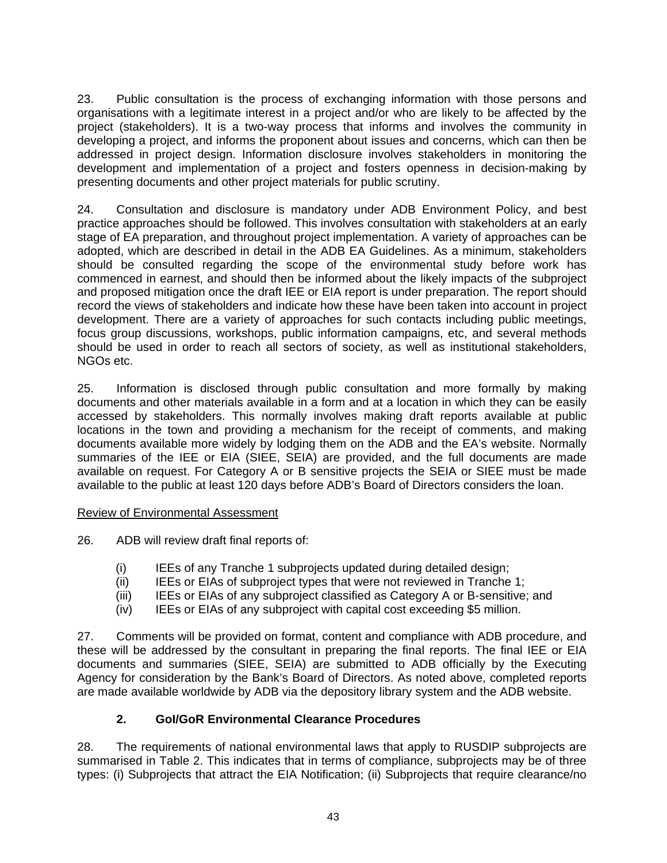23. Public consultation is the process of exchanging information with those persons and organisations with a legitimate interest in a project and/or who are likely to be affected by the project (stakeholders). It is a two-way process that informs and involves the community in developing a project, and informs the proponent about issues and concerns, which can then be addressed in project design. Information disclosure involves stakeholders in monitoring the development and implementation of a project and fosters openness in decision-making by presenting documents and other project materials for public scrutiny.

24. Consultation and disclosure is mandatory under ADB Environment Policy, and best practice approaches should be followed. This involves consultation with stakeholders at an early stage of EA preparation, and throughout project implementation. A variety of approaches can be adopted, which are described in detail in the ADB EA Guidelines. As a minimum, stakeholders should be consulted regarding the scope of the environmental study before work has commenced in earnest, and should then be informed about the likely impacts of the subproject and proposed mitigation once the draft IEE or EIA report is under preparation. The report should record the views of stakeholders and indicate how these have been taken into account in project development. There are a variety of approaches for such contacts including public meetings, focus group discussions, workshops, public information campaigns, etc, and several methods should be used in order to reach all sectors of society, as well as institutional stakeholders, NGOs etc.

25. Information is disclosed through public consultation and more formally by making documents and other materials available in a form and at a location in which they can be easily accessed by stakeholders. This normally involves making draft reports available at public locations in the town and providing a mechanism for the receipt of comments, and making documents available more widely by lodging them on the ADB and the EA's website. Normally summaries of the IEE or EIA (SIEE, SEIA) are provided, and the full documents are made available on request. For Category A or B sensitive projects the SEIA or SIEE must be made available to the public at least 120 days before ADB's Board of Directors considers the loan.

### Review of Environmental Assessment

- 26. ADB will review draft final reports of:
	- (i) IEEs of any Tranche 1 subprojects updated during detailed design;
	- (ii) IEEs or EIAs of subproject types that were not reviewed in Tranche 1;
	- (iii) IEEs or EIAs of any subproject classified as Category A or B-sensitive; and
	- (iv) IEEs or EIAs of any subproject with capital cost exceeding \$5 million.

27. Comments will be provided on format, content and compliance with ADB procedure, and these will be addressed by the consultant in preparing the final reports. The final IEE or EIA documents and summaries (SIEE, SEIA) are submitted to ADB officially by the Executing Agency for consideration by the Bank's Board of Directors. As noted above, completed reports are made available worldwide by ADB via the depository library system and the ADB website.

### **2. GoI/GoR Environmental Clearance Procedures**

28. The requirements of national environmental laws that apply to RUSDIP subprojects are summarised in Table 2. This indicates that in terms of compliance, subprojects may be of three types: (i) Subprojects that attract the EIA Notification; (ii) Subprojects that require clearance/no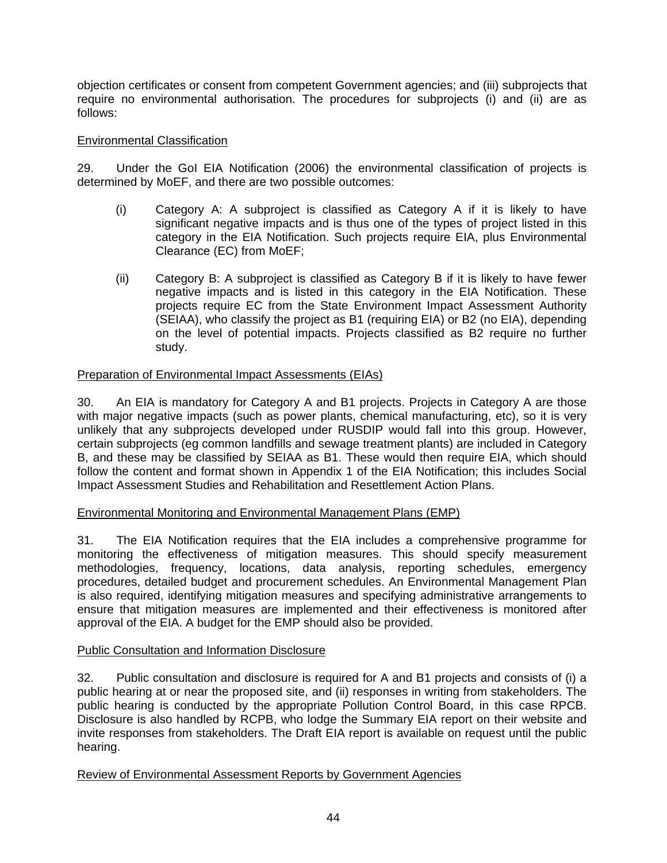objection certificates or consent from competent Government agencies; and (iii) subprojects that require no environmental authorisation. The procedures for subprojects (i) and (ii) are as follows:

### Environmental Classification

29. Under the GoI EIA Notification (2006) the environmental classification of projects is determined by MoEF, and there are two possible outcomes:

- (i) Category A: A subproject is classified as Category A if it is likely to have significant negative impacts and is thus one of the types of project listed in this category in the EIA Notification. Such projects require EIA, plus Environmental Clearance (EC) from MoEF;
- (ii) Category B: A subproject is classified as Category B if it is likely to have fewer negative impacts and is listed in this category in the EIA Notification. These projects require EC from the State Environment Impact Assessment Authority (SEIAA), who classify the project as B1 (requiring EIA) or B2 (no EIA), depending on the level of potential impacts. Projects classified as B2 require no further study.

### Preparation of Environmental Impact Assessments (EIAs)

30. An EIA is mandatory for Category A and B1 projects. Projects in Category A are those with major negative impacts (such as power plants, chemical manufacturing, etc), so it is very unlikely that any subprojects developed under RUSDIP would fall into this group. However, certain subprojects (eg common landfills and sewage treatment plants) are included in Category B, and these may be classified by SEIAA as B1. These would then require EIA, which should follow the content and format shown in Appendix 1 of the EIA Notification; this includes Social Impact Assessment Studies and Rehabilitation and Resettlement Action Plans.

### Environmental Monitoring and Environmental Management Plans (EMP)

31. The EIA Notification requires that the EIA includes a comprehensive programme for monitoring the effectiveness of mitigation measures. This should specify measurement methodologies, frequency, locations, data analysis, reporting schedules, emergency procedures, detailed budget and procurement schedules. An Environmental Management Plan is also required, identifying mitigation measures and specifying administrative arrangements to ensure that mitigation measures are implemented and their effectiveness is monitored after approval of the EIA. A budget for the EMP should also be provided.

### Public Consultation and Information Disclosure

32. Public consultation and disclosure is required for A and B1 projects and consists of (i) a public hearing at or near the proposed site, and (ii) responses in writing from stakeholders. The public hearing is conducted by the appropriate Pollution Control Board, in this case RPCB. Disclosure is also handled by RCPB, who lodge the Summary EIA report on their website and invite responses from stakeholders. The Draft EIA report is available on request until the public hearing.

### Review of Environmental Assessment Reports by Government Agencies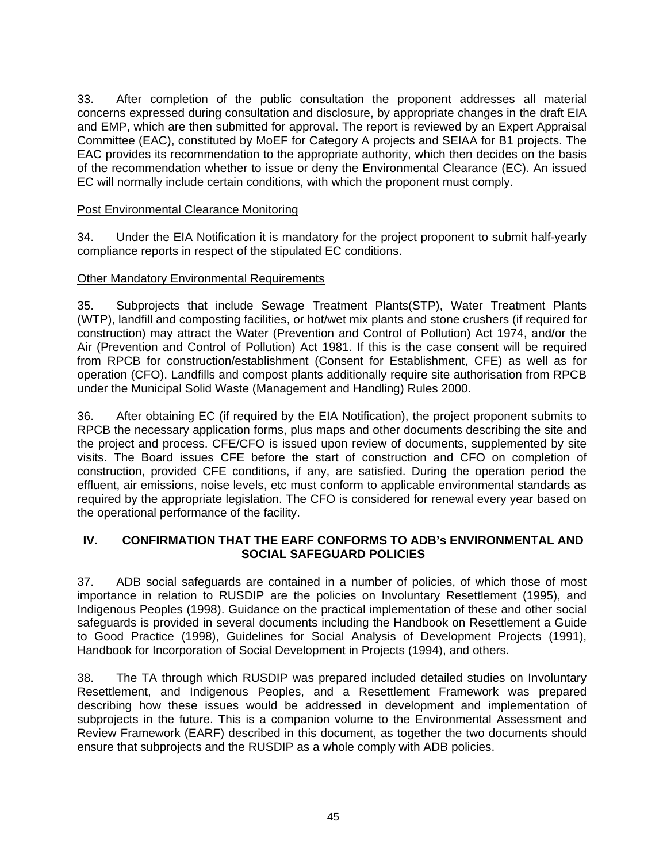33. After completion of the public consultation the proponent addresses all material concerns expressed during consultation and disclosure, by appropriate changes in the draft EIA and EMP, which are then submitted for approval. The report is reviewed by an Expert Appraisal Committee (EAC), constituted by MoEF for Category A projects and SEIAA for B1 projects. The EAC provides its recommendation to the appropriate authority, which then decides on the basis of the recommendation whether to issue or deny the Environmental Clearance (EC). An issued EC will normally include certain conditions, with which the proponent must comply.

### Post Environmental Clearance Monitoring

34. Under the EIA Notification it is mandatory for the project proponent to submit half-yearly compliance reports in respect of the stipulated EC conditions.

### Other Mandatory Environmental Requirements

35. Subprojects that include Sewage Treatment Plants(STP), Water Treatment Plants (WTP), landfill and composting facilities, or hot/wet mix plants and stone crushers (if required for construction) may attract the Water (Prevention and Control of Pollution) Act 1974, and/or the Air (Prevention and Control of Pollution) Act 1981. If this is the case consent will be required from RPCB for construction/establishment (Consent for Establishment, CFE) as well as for operation (CFO). Landfills and compost plants additionally require site authorisation from RPCB under the Municipal Solid Waste (Management and Handling) Rules 2000.

36. After obtaining EC (if required by the EIA Notification), the project proponent submits to RPCB the necessary application forms, plus maps and other documents describing the site and the project and process. CFE/CFO is issued upon review of documents, supplemented by site visits. The Board issues CFE before the start of construction and CFO on completion of construction, provided CFE conditions, if any, are satisfied. During the operation period the effluent, air emissions, noise levels, etc must conform to applicable environmental standards as required by the appropriate legislation. The CFO is considered for renewal every year based on the operational performance of the facility.

### **IV. CONFIRMATION THAT THE EARF CONFORMS TO ADB's ENVIRONMENTAL AND SOCIAL SAFEGUARD POLICIES**

37. ADB social safeguards are contained in a number of policies, of which those of most importance in relation to RUSDIP are the policies on Involuntary Resettlement (1995), and Indigenous Peoples (1998). Guidance on the practical implementation of these and other social safeguards is provided in several documents including the Handbook on Resettlement a Guide to Good Practice (1998), Guidelines for Social Analysis of Development Projects (1991), Handbook for Incorporation of Social Development in Projects (1994), and others.

38. The TA through which RUSDIP was prepared included detailed studies on Involuntary Resettlement, and Indigenous Peoples, and a Resettlement Framework was prepared describing how these issues would be addressed in development and implementation of subprojects in the future. This is a companion volume to the Environmental Assessment and Review Framework (EARF) described in this document, as together the two documents should ensure that subprojects and the RUSDIP as a whole comply with ADB policies.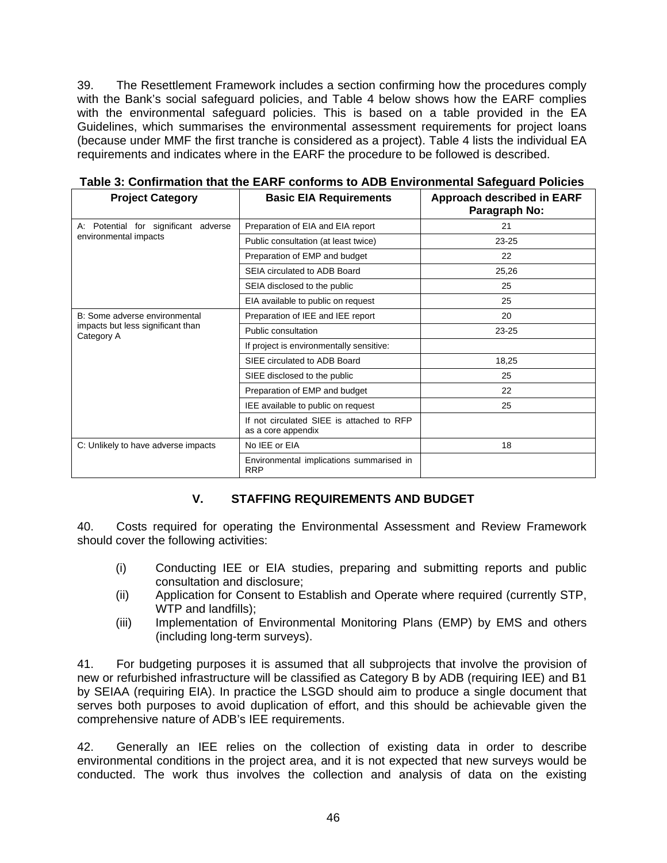39. The Resettlement Framework includes a section confirming how the procedures comply with the Bank's social safeguard policies, and Table 4 below shows how the EARF complies with the environmental safeguard policies. This is based on a table provided in the EA Guidelines, which summarises the environmental assessment requirements for project loans (because under MMF the first tranche is considered as a project). Table 4 lists the individual EA requirements and indicates where in the EARF the procedure to be followed is described.

| <b>Project Category</b>                         | <b>Basic EIA Requirements</b>                                   | <b>Approach described in EARF</b><br>Paragraph No: |
|-------------------------------------------------|-----------------------------------------------------------------|----------------------------------------------------|
| for significant adverse<br>A: Potential         | Preparation of EIA and EIA report                               | 21                                                 |
| environmental impacts                           | Public consultation (at least twice)                            | $23 - 25$                                          |
|                                                 | Preparation of EMP and budget                                   | 22                                                 |
|                                                 | SEIA circulated to ADB Board                                    | 25,26                                              |
|                                                 | SEIA disclosed to the public                                    | 25                                                 |
|                                                 | EIA available to public on request                              | 25                                                 |
| B: Some adverse environmental                   | Preparation of IEE and IEE report                               | 20                                                 |
| impacts but less significant than<br>Category A | Public consultation                                             | $23 - 25$                                          |
|                                                 | If project is environmentally sensitive:                        |                                                    |
|                                                 | SIEE circulated to ADB Board                                    | 18,25                                              |
|                                                 | SIEE disclosed to the public                                    | 25                                                 |
|                                                 | Preparation of EMP and budget                                   | 22                                                 |
|                                                 | IEE available to public on request                              | 25                                                 |
|                                                 | If not circulated SIEE is attached to RFP<br>as a core appendix |                                                    |
| C: Unlikely to have adverse impacts             | No IEE or EIA                                                   | 18                                                 |
|                                                 | Environmental implications summarised in<br><b>RRP</b>          |                                                    |

**Table 3: Confirmation that the EARF conforms to ADB Environmental Safeguard Policies** 

### **V. STAFFING REQUIREMENTS AND BUDGET**

40. Costs required for operating the Environmental Assessment and Review Framework should cover the following activities:

- (i) Conducting IEE or EIA studies, preparing and submitting reports and public consultation and disclosure;
- (ii) Application for Consent to Establish and Operate where required (currently STP, WTP and landfills);
- (iii) Implementation of Environmental Monitoring Plans (EMP) by EMS and others (including long-term surveys).

41. For budgeting purposes it is assumed that all subprojects that involve the provision of new or refurbished infrastructure will be classified as Category B by ADB (requiring IEE) and B1 by SEIAA (requiring EIA). In practice the LSGD should aim to produce a single document that serves both purposes to avoid duplication of effort, and this should be achievable given the comprehensive nature of ADB's IEE requirements.

42. Generally an IEE relies on the collection of existing data in order to describe environmental conditions in the project area, and it is not expected that new surveys would be conducted. The work thus involves the collection and analysis of data on the existing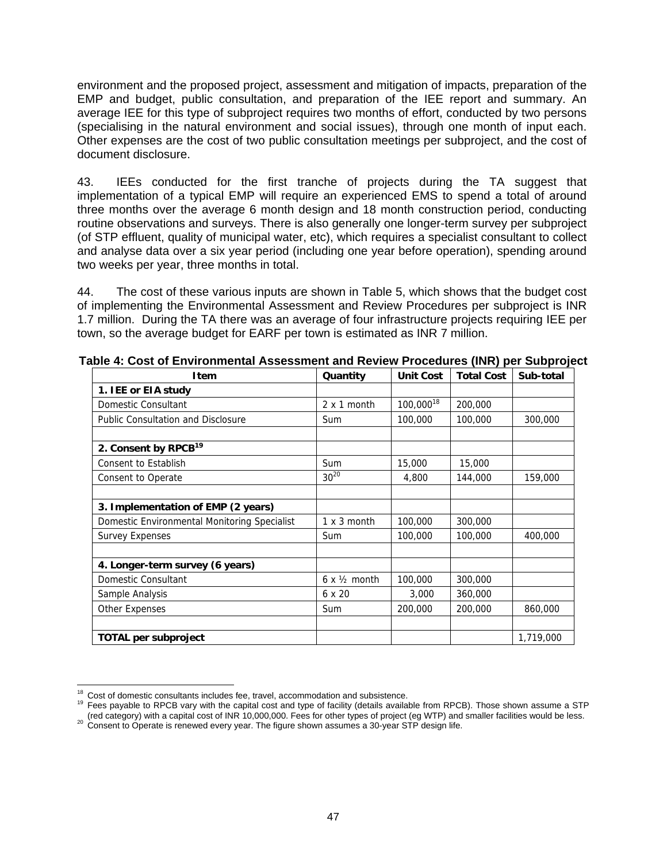environment and the proposed project, assessment and mitigation of impacts, preparation of the EMP and budget, public consultation, and preparation of the IEE report and summary. An average IEE for this type of subproject requires two months of effort, conducted by two persons (specialising in the natural environment and social issues), through one month of input each. Other expenses are the cost of two public consultation meetings per subproject, and the cost of document disclosure.

43. IEEs conducted for the first tranche of projects during the TA suggest that implementation of a typical EMP will require an experienced EMS to spend a total of around three months over the average 6 month design and 18 month construction period, conducting routine observations and surveys. There is also generally one longer-term survey per subproject (of STP effluent, quality of municipal water, etc), which requires a specialist consultant to collect and analyse data over a six year period (including one year before operation), spending around two weeks per year, three months in total.

44. The cost of these various inputs are shown in Table 5, which shows that the budget cost of implementing the Environmental Assessment and Review Procedures per subproject is INR 1.7 million. During the TA there was an average of four infrastructure projects requiring IEE per town, so the average budget for EARF per town is estimated as INR 7 million.

| Item                                         | Quantity                     | <b>Unit Cost</b>      | <b>Total Cost</b> | Sub-total |
|----------------------------------------------|------------------------------|-----------------------|-------------------|-----------|
| 1. IEE or EIA study                          |                              |                       |                   |           |
| Domestic Consultant                          | 2 x 1 month                  | 100,000 <sup>18</sup> | 200,000           |           |
| <b>Public Consultation and Disclosure</b>    | <b>Sum</b>                   | 100,000               | 100,000           | 300,000   |
|                                              |                              |                       |                   |           |
| 2. Consent by RPCB <sup>19</sup>             |                              |                       |                   |           |
| Consent to Establish                         | Sum                          | 15,000                | 15,000            |           |
| Consent to Operate                           | $30^{20}$                    | 4,800                 | 144,000           | 159,000   |
|                                              |                              |                       |                   |           |
| 3. Implementation of EMP (2 years)           |                              |                       |                   |           |
| Domestic Environmental Monitoring Specialist | 1 x 3 month                  | 100,000               | 300,000           |           |
| <b>Survey Expenses</b>                       | <b>Sum</b>                   | 100,000               | 100,000           | 400,000   |
|                                              |                              |                       |                   |           |
| 4. Longer-term survey (6 years)              |                              |                       |                   |           |
| Domestic Consultant                          | $6 \times \frac{1}{2}$ month | 100,000               | 300,000           |           |
| Sample Analysis                              | 6 x 20                       | 3,000                 | 360,000           |           |
| <b>Other Expenses</b>                        | <b>Sum</b>                   | 200,000               | 200,000           | 860,000   |
|                                              |                              |                       |                   |           |
| <b>TOTAL per subproject</b>                  |                              |                       |                   | 1,719,000 |

**Table 4: Cost of Environmental Assessment and Review Procedures (INR) per Subproject** 

<sup>&</sup>lt;sup>18</sup> Cost of domestic consultants includes fee, travel, accommodation and subsistence.

Frees payable to RPCB vary with the capital cost and type of facility (details available from RPCB). Those shown assume a STP<br>(red category) with a capital cost of INR 10,000,000. Fees for other types of project (eq WTP) a 20 Consent to Operate is renewed every year. The figure shown assumes a 30-year STP design life.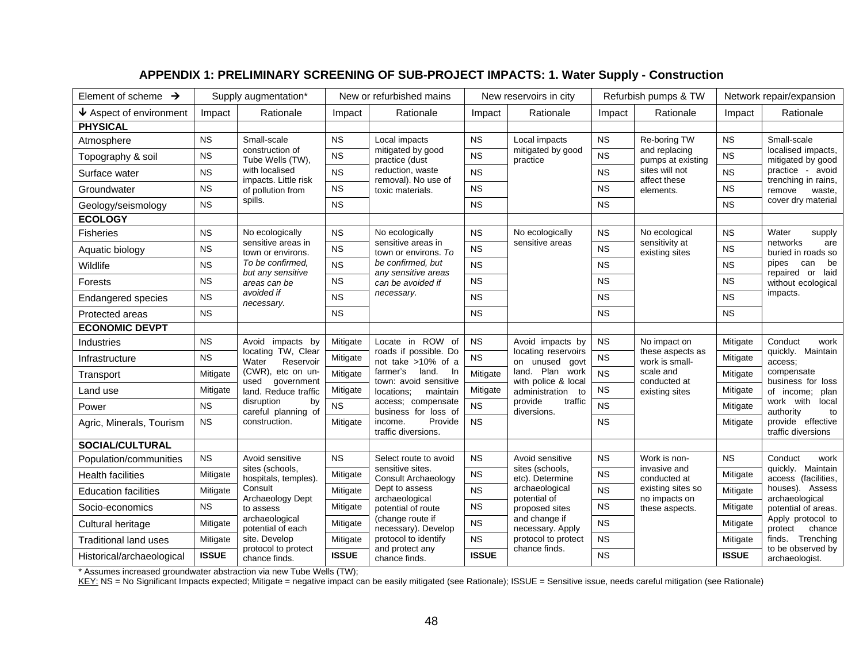# **APPENDIX 1: PRELIMINARY SCREENING OF SUB-PROJECT IMPACTS: 1. Water Supply - Construction**

| Element of scheme $\rightarrow$ |              | Supply augmentation*                     |                                                      | New or refurbished mains                           |              | New reservoirs in city                                    |                                | Refurbish pumps & TW                                                            |                                         | Network repair/expansion                                                           |
|---------------------------------|--------------|------------------------------------------|------------------------------------------------------|----------------------------------------------------|--------------|-----------------------------------------------------------|--------------------------------|---------------------------------------------------------------------------------|-----------------------------------------|------------------------------------------------------------------------------------|
| $\bigvee$ Aspect of environment | Impact       | Rationale                                | Impact                                               | Rationale                                          | Impact       | Rationale                                                 | Impact                         | Rationale                                                                       | Impact                                  | Rationale                                                                          |
| <b>PHYSICAL</b>                 |              |                                          |                                                      |                                                    |              |                                                           |                                |                                                                                 |                                         |                                                                                    |
| Atmosphere                      | <b>NS</b>    | Small-scale                              | <b>NS</b>                                            | Local impacts                                      | <b>NS</b>    | Local impacts                                             | NS                             | Re-boring TW                                                                    | <b>NS</b>                               | Small-scale<br>localised impacts,<br>mitigated by good                             |
| Topography & soil               | <b>NS</b>    | construction of<br>Tube Wells (TW),      | <b>NS</b>                                            | mitigated by good<br>practice (dust                | <b>NS</b>    | mitigated by good<br>practice                             | <b>NS</b>                      | and replacing<br>pumps at existing                                              | <b>NS</b>                               |                                                                                    |
| Surface water                   | <b>NS</b>    | with localised<br>impacts. Little risk   | reduction, waste<br><b>NS</b><br>removal). No use of | <b>NS</b>                                          |              | <b>NS</b>                                                 | sites will not<br>affect these | <b>NS</b>                                                                       | practice - avoid<br>trenching in rains, |                                                                                    |
| Groundwater                     | <b>NS</b>    | of pollution from                        | <b>NS</b>                                            | toxic materials.                                   | <b>NS</b>    |                                                           | <b>NS</b>                      | elements.                                                                       | <b>NS</b>                               | remove<br>waste,                                                                   |
| Geology/seismology              | <b>NS</b>    | spills.                                  | <b>NS</b>                                            |                                                    | <b>NS</b>    |                                                           | <b>NS</b>                      |                                                                                 | <b>NS</b>                               | cover dry material                                                                 |
| <b>ECOLOGY</b>                  |              |                                          |                                                      |                                                    |              |                                                           |                                |                                                                                 |                                         |                                                                                    |
| <b>Fisheries</b>                | <b>NS</b>    | No ecologically                          | <b>NS</b>                                            | No ecologically                                    | <b>NS</b>    | No ecologically                                           | <b>NS</b>                      | No ecological                                                                   | <b>NS</b>                               | Water<br>supply                                                                    |
| Aquatic biology                 | <b>NS</b>    | sensitive areas in<br>town or environs.  | <b>NS</b>                                            | sensitive areas in<br>town or environs. To         | <b>NS</b>    | sensitive areas                                           | <b>NS</b>                      | sensitivity at<br>existing sites                                                | <b>NS</b>                               | networks<br>are<br>buried in roads so                                              |
| Wildlife                        | <b>NS</b>    | To be confirmed.<br>but any sensitive    | <b>NS</b>                                            | be confirmed, but<br>any sensitive areas           | <b>NS</b>    |                                                           | <b>NS</b>                      |                                                                                 | <b>NS</b>                               | pipes<br>can<br>be<br>repaired<br>laid<br>or                                       |
| Forests                         | <b>NS</b>    | areas can be                             | <b>NS</b>                                            | can be avoided if                                  | <b>NS</b>    |                                                           | <b>NS</b>                      |                                                                                 | <b>NS</b>                               | without ecological                                                                 |
| <b>Endangered species</b>       | <b>NS</b>    | avoided if<br>necessary.                 | <b>NS</b>                                            | necessary.                                         | <b>NS</b>    |                                                           | <b>NS</b>                      |                                                                                 | <b>NS</b>                               | impacts.                                                                           |
| Protected areas                 | <b>NS</b>    |                                          | <b>NS</b>                                            |                                                    | <b>NS</b>    |                                                           | <b>NS</b>                      |                                                                                 | <b>NS</b>                               |                                                                                    |
| <b>ECONOMIC DEVPT</b>           |              |                                          |                                                      |                                                    |              |                                                           |                                |                                                                                 |                                         |                                                                                    |
| <b>Industries</b>               | <b>NS</b>    | Avoid impacts by                         | Mitigate                                             | Locate in ROW of                                   | <b>NS</b>    | Avoid impacts by<br>locating reservoirs<br>on unused govt | NS                             | No impact on<br>these aspects as<br>work is small-<br>scale and<br>conducted at | Mitigate                                | Conduct<br>work<br>quickly. Maintain<br>access:<br>compensate<br>business for loss |
| Infrastructure                  | <b>NS</b>    | locating TW, Clear<br>Reservoir<br>Water | Mitigate                                             | roads if possible. Do<br>not take >10% of a        | <b>NS</b>    |                                                           | <b>NS</b>                      |                                                                                 | Mitigate                                |                                                                                    |
| Transport                       | Mitigate     | (CWR), etc on un-<br>used<br>government  | Mitigate                                             | farmer's<br>land.<br>- In<br>town: avoid sensitive | Mitigate     | land. Plan work<br>with police & local                    | <b>NS</b>                      |                                                                                 | Mitigate                                |                                                                                    |
| Land use                        | Mitigate     | land. Reduce traffic                     | Mitigate                                             | locations:<br>maintain                             | Mitigate     | administration<br>to                                      | <b>NS</b>                      | existing sites                                                                  | Mitigate                                | of income:<br>plan                                                                 |
| Power                           | <b>NS</b>    | disruption<br>by<br>careful planning of  | <b>NS</b>                                            | access; compensate<br>business for loss of         | <b>NS</b>    | traffic<br>provide<br>diversions.                         | <b>NS</b>                      |                                                                                 | Mitigate                                | work with<br>local<br>authority<br>to                                              |
| Agric, Minerals, Tourism        | <b>NS</b>    | construction.                            | Mitigate                                             | Provide<br>income.<br>traffic diversions.          | <b>NS</b>    |                                                           | <b>NS</b>                      |                                                                                 | Mitigate                                | provide effective<br>traffic diversions                                            |
| <b>SOCIAL/CULTURAL</b>          |              |                                          |                                                      |                                                    |              |                                                           |                                |                                                                                 |                                         |                                                                                    |
| Population/communities          | <b>NS</b>    | Avoid sensitive                          | <b>NS</b>                                            | Select route to avoid                              | <b>NS</b>    | Avoid sensitive                                           | <b>NS</b>                      | Work is non-                                                                    | <b>NS</b>                               | Conduct<br>work                                                                    |
| <b>Health facilities</b>        | Mitigate     | sites (schools,<br>hospitals, temples).  | Mitigate                                             | sensitive sites.<br>Consult Archaeology            | <b>NS</b>    | sites (schools,<br>etc). Determine                        | <b>NS</b>                      | invasive and<br>conducted at                                                    | Mitigate                                | quickly. Maintain<br>access (facilities,                                           |
| <b>Education facilities</b>     | Mitigate     | Consult                                  | Mitigate                                             | Dept to assess<br>archaeological                   | <b>NS</b>    | archaeological<br>potential of                            | <b>NS</b>                      | existing sites so<br>no impacts on                                              | Mitigate                                | houses). Assess<br>archaeological                                                  |
| Socio-economics                 | <b>NS</b>    | to assess                                | Archaeology Dept<br>Mitigate                         | potential of route                                 | <b>NS</b>    | proposed sites                                            | <b>NS</b>                      | these aspects.                                                                  | Mitigate                                | potential of areas.                                                                |
| Cultural heritage               | Mitigate     | archaeological<br>potential of each      | Mitigate                                             | (change route if<br>necessary). Develop            | <b>NS</b>    | and change if<br>necessary. Apply                         | <b>NS</b>                      |                                                                                 | Mitigate                                | Apply protocol to<br>chance<br>protect<br>finds. Trenching                         |
| <b>Traditional land uses</b>    | Mitigate     | site. Develop                            | Mitigate                                             | protocol to identify                               | <b>NS</b>    | protocol to protect                                       | <b>NS</b>                      |                                                                                 | Mitigate                                |                                                                                    |
| Historical/archaeological       | <b>ISSUE</b> | protocol to protect<br>chance finds.     | <b>ISSUE</b>                                         | and protect any<br>chance finds.                   | <b>ISSUE</b> | chance finds.                                             | <b>NS</b>                      |                                                                                 | <b>ISSUE</b>                            | to be observed by<br>archaeologist.                                                |

\* Assumes increased groundwater abstraction via new Tube Wells (TW);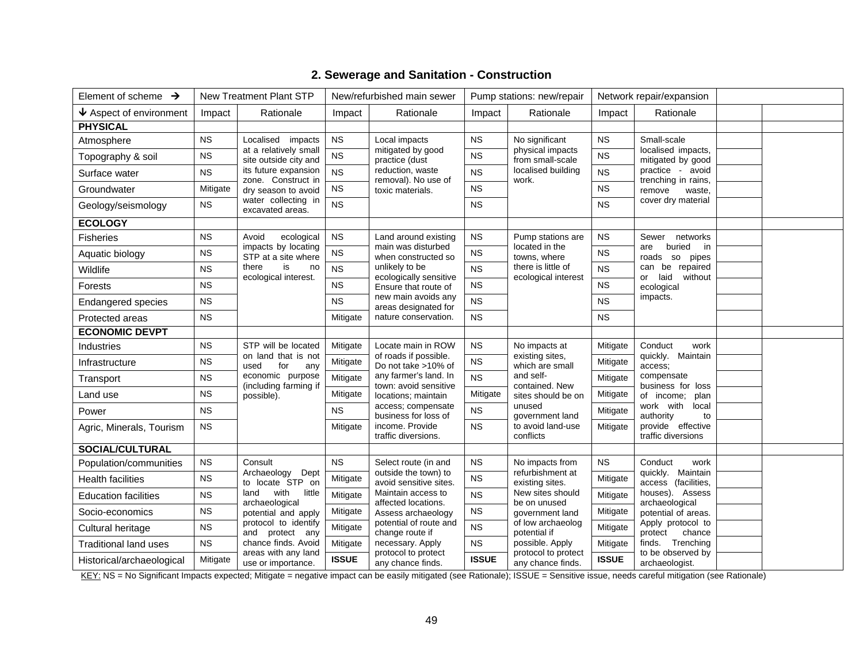| Element of scheme $\rightarrow$       |           | <b>New Treatment Plant STP</b>                 |                  | New/refurbished main sewer                     |              | Pump stations: new/repair                 |                    | Network repair/expansion                        |  |  |
|---------------------------------------|-----------|------------------------------------------------|------------------|------------------------------------------------|--------------|-------------------------------------------|--------------------|-------------------------------------------------|--|--|
| $\blacklozenge$ Aspect of environment | Impact    | Rationale                                      | Impact           | Rationale                                      | Impact       | Rationale                                 | Impact             | Rationale                                       |  |  |
| <b>PHYSICAL</b>                       |           |                                                |                  |                                                |              |                                           |                    |                                                 |  |  |
| Atmosphere                            | <b>NS</b> | Localised<br>impacts                           | <b>NS</b>        | Local impacts                                  | <b>NS</b>    | No significant                            | <b>NS</b>          | Small-scale                                     |  |  |
| Topography & soil                     | NS        | at a relatively small<br>site outside city and | NS               | mitigated by good<br>practice (dust            | <b>NS</b>    | physical impacts<br>from small-scale      | NS                 | localised impacts,<br>mitigated by good         |  |  |
| Surface water                         | <b>NS</b> | its future expansion<br>zone. Construct in     | <b>NS</b>        | reduction, waste<br>removal). No use of        | <b>NS</b>    | localised building                        | <b>NS</b>          | practice - avoid<br>trenching in rains,         |  |  |
| Groundwater                           | Mitigate  | ${\sf NS}$<br>dry season to avoid              | toxic materials. | <b>NS</b>                                      | work.        | <b>NS</b>                                 | remove<br>waste,   |                                                 |  |  |
| Geology/seismology                    | <b>NS</b> | water collecting in<br>excavated areas.        | <b>NS</b>        | <b>NS</b>                                      |              | <b>NS</b>                                 | cover dry material |                                                 |  |  |
| <b>ECOLOGY</b>                        |           |                                                |                  |                                                |              |                                           |                    |                                                 |  |  |
| <b>Fisheries</b>                      | <b>NS</b> | ecological<br>Avoid                            | NS               | Land around existing                           | <b>NS</b>    | Pump stations are                         | <b>NS</b>          | networks<br>Sewer                               |  |  |
| Aquatic biology                       | <b>NS</b> | impacts by locating<br>STP at a site where     | <b>NS</b>        | main was disturbed<br>when constructed so      | <b>NS</b>    | located in the<br>towns, where            | <b>NS</b>          | buried<br>in<br>are<br>roads<br>so<br>pipes     |  |  |
| Wildlife                              | <b>NS</b> | is<br>there<br>no<br>ecological interest.      | NS               | unlikely to be<br>ecologically sensitive       | <b>NS</b>    | there is little of<br>ecological interest | <b>NS</b>          | can be repaired<br>laid<br>without<br><b>or</b> |  |  |
| Forests                               | <b>NS</b> |                                                | <b>NS</b>        | Ensure that route of                           | <b>NS</b>    |                                           | <b>NS</b>          | ecological                                      |  |  |
| <b>Endangered species</b>             | <b>NS</b> | <b>NS</b>                                      |                  | new main avoids any<br>areas designated for    | <b>NS</b>    |                                           | <b>NS</b>          | impacts.                                        |  |  |
| Protected areas                       | <b>NS</b> |                                                | Mitigate         | nature conservation.                           | <b>NS</b>    |                                           | <b>NS</b>          |                                                 |  |  |
| <b>ECONOMIC DEVPT</b>                 |           |                                                |                  |                                                |              |                                           |                    |                                                 |  |  |
| Industries                            | <b>NS</b> | STP will be located                            | Mitigate         | Locate main in ROW                             | <b>NS</b>    | No impacts at                             | Mitigate           | Conduct<br>work                                 |  |  |
| Infrastructure                        | <b>NS</b> | on land that is not<br>used<br>for<br>any      | Mitigate         | of roads if possible.<br>Do not take >10% of   | <b>NS</b>    | existing sites,<br>which are small        | Mitigate           | quickly. Maintain<br>access:                    |  |  |
| Transport                             | <b>NS</b> | economic purpose<br>(including farming if      | Mitigate         | any farmer's land. In<br>town: avoid sensitive | <b>NS</b>    | and self-<br>contained. New               | Mitigate           | compensate<br>business for loss                 |  |  |
| Land use                              | <b>NS</b> | possible).                                     | Mitigate         | locations; maintain                            | Mitigate     | sites should be on                        | Mitigate           | of income;<br>plan                              |  |  |
| Power                                 | <b>NS</b> |                                                | <b>NS</b>        | access; compensate<br>business for loss of     | <b>NS</b>    | unused<br>government land                 | Mitigate           | work with<br>local<br>authority<br>to           |  |  |
| Agric, Minerals, Tourism              | <b>NS</b> |                                                | Mitigate         | income. Provide<br>traffic diversions.         | <b>NS</b>    | to avoid land-use<br>conflicts            | Mitigate           | provide effective<br>traffic diversions         |  |  |
| <b>SOCIAL/CULTURAL</b>                |           |                                                |                  |                                                |              |                                           |                    |                                                 |  |  |
| Population/communities                | <b>NS</b> | Consult                                        | <b>NS</b>        | Select route (in and                           | <b>NS</b>    | No impacts from                           | <b>NS</b>          | Conduct<br>work                                 |  |  |
| Health facilities                     | <b>NS</b> | Archaeology Dept<br>to locate STP on           | Mitigate         | outside the town) to<br>avoid sensitive sites. | <b>NS</b>    | refurbishment at<br>existing sites.       | Mitigate           | quickly. Maintain<br>access (facilities,        |  |  |
| <b>Education facilities</b>           | <b>NS</b> | land<br>with<br>little<br>archaeological       | Mitigate         | Maintain access to<br>affected locations.      | <b>NS</b>    | New sites should<br>be on unused          | Mitigate           | houses). Assess<br>archaeological               |  |  |
| Socio-economics                       | NS        | potential and apply                            | Mitigate         | Assess archaeology                             | <b>NS</b>    | government land                           | Mitigate           | potential of areas.                             |  |  |
| Cultural heritage                     | <b>NS</b> | protocol to identify<br>and protect any        | Mitigate         | potential of route and<br>change route if      | <b>NS</b>    | of low archaeolog<br>potential if         | Mitigate           | Apply protocol to<br>protect<br>chance          |  |  |
| <b>Traditional land uses</b>          | <b>NS</b> | chance finds. Avoid<br>areas with any land     | Mitigate         | necessary. Apply<br>protocol to protect        | <b>NS</b>    | possible. Apply<br>protocol to protect    | Mitigate           | finds. Trenching<br>to be observed by           |  |  |
| Historical/archaeological             | Mitigate  | use or importance.                             | <b>ISSUE</b>     | any chance finds.                              | <b>ISSUE</b> | any chance finds.                         | <b>ISSUE</b>       | archaeologist.                                  |  |  |

# **2. Sewerage and Sanitation - Construction**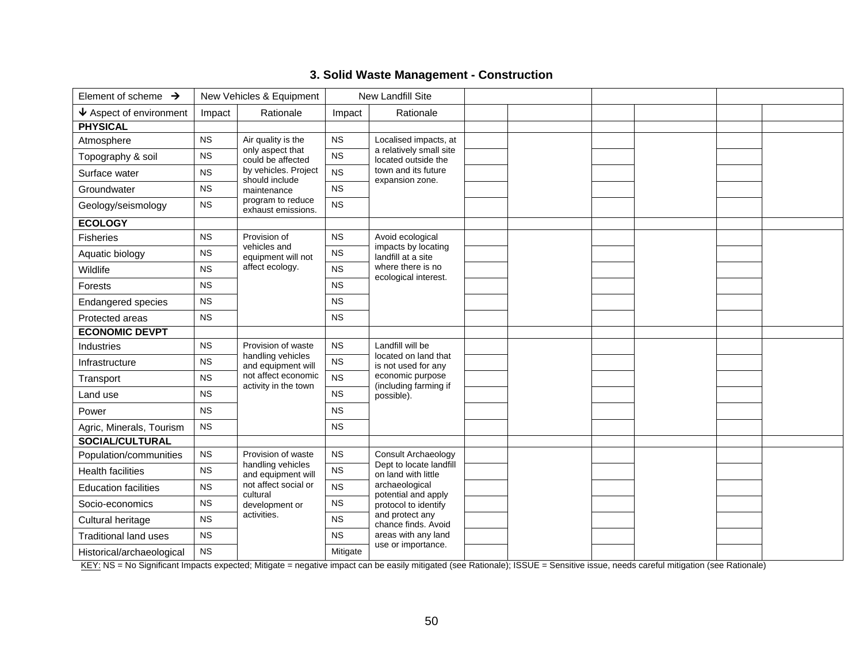| 3. Solid Waste Management - Construction |
|------------------------------------------|
|------------------------------------------|

| Element of scheme $\rightarrow$       |             | New Vehicles & Equipment                               |             | New Landfill Site                              |  |  |  |
|---------------------------------------|-------------|--------------------------------------------------------|-------------|------------------------------------------------|--|--|--|
|                                       |             |                                                        |             |                                                |  |  |  |
| $\blacklozenge$ Aspect of environment | Impact      | Rationale                                              | Impact      | Rationale                                      |  |  |  |
| <b>PHYSICAL</b>                       |             |                                                        |             |                                                |  |  |  |
| Atmosphere                            | <b>NS</b>   | Air quality is the                                     | NS          | Localised impacts, at                          |  |  |  |
| Topography & soil                     | NS          | only aspect that<br>could be affected                  | NS          | a relatively small site<br>located outside the |  |  |  |
| Surface water                         | <b>NS</b>   | by vehicles. Project<br>should include                 | <b>NS</b>   | town and its future<br>expansion zone.         |  |  |  |
| Groundwater                           | <b>NS</b>   | maintenance<br>program to reduce<br>exhaust emissions. | <b>NS</b>   |                                                |  |  |  |
| Geology/seismology                    | <b>NS</b>   |                                                        | <b>NS</b>   |                                                |  |  |  |
| <b>ECOLOGY</b>                        |             |                                                        |             |                                                |  |  |  |
| Fisheries                             | <b>NS</b>   | Provision of                                           | <b>NS</b>   | Avoid ecological                               |  |  |  |
| Aquatic biology                       | <b>NS</b>   | vehicles and<br>equipment will not<br>affect ecology.  | <b>NS</b>   | impacts by locating<br>landfill at a site      |  |  |  |
| Wildlife                              | <b>NS</b>   |                                                        | <b>NS</b>   | where there is no<br>ecological interest.      |  |  |  |
| Forests                               | <b>NS</b>   |                                                        | <b>NS</b>   |                                                |  |  |  |
| <b>Endangered species</b>             | NS          |                                                        | <b>NS</b>   |                                                |  |  |  |
| Protected areas                       | <b>NS</b>   |                                                        | <b>NS</b>   |                                                |  |  |  |
| <b>ECONOMIC DEVPT</b>                 |             |                                                        |             |                                                |  |  |  |
| <b>Industries</b>                     | <b>NS</b>   | Provision of waste                                     | <b>NS</b>   | Landfill will be                               |  |  |  |
| Infrastructure                        | <b>NS</b>   | handling vehicles<br>and equipment will                | NS          | located on land that<br>is not used for any    |  |  |  |
| Transport                             | <b>NS</b>   | not affect economic<br>activity in the town            | <b>NS</b>   | economic purpose<br>(including farming if      |  |  |  |
| Land use                              | <b>NS</b>   |                                                        | NS          | possible).                                     |  |  |  |
| Power                                 | <b>NS</b>   |                                                        | <b>NS</b>   |                                                |  |  |  |
| Agric, Minerals, Tourism              | <b>NS</b>   |                                                        | <b>NS</b>   |                                                |  |  |  |
| <b>SOCIAL/CULTURAL</b>                |             |                                                        |             |                                                |  |  |  |
| Population/communities                | NS          | Provision of waste                                     | NS          | Consult Archaeology                            |  |  |  |
| <b>Health facilities</b>              | $_{\rm NS}$ | handling vehicles<br>and equipment will                | $_{\rm NS}$ | Dept to locate landfill<br>on land with little |  |  |  |
| <b>Education facilities</b>           | <b>NS</b>   | not affect social or<br>cultural                       | <b>NS</b>   | archaeological<br>potential and apply          |  |  |  |
| Socio-economics                       | <b>NS</b>   | development or                                         | <b>NS</b>   | protocol to identify                           |  |  |  |
| Cultural heritage                     | <b>NS</b>   | activities.                                            | <b>NS</b>   | and protect any<br>chance finds. Avoid         |  |  |  |
| <b>Traditional land uses</b>          | <b>NS</b>   |                                                        | <b>NS</b>   | areas with any land                            |  |  |  |
| Historical/archaeological             | <b>NS</b>   |                                                        | Mitigate    | use or importance.                             |  |  |  |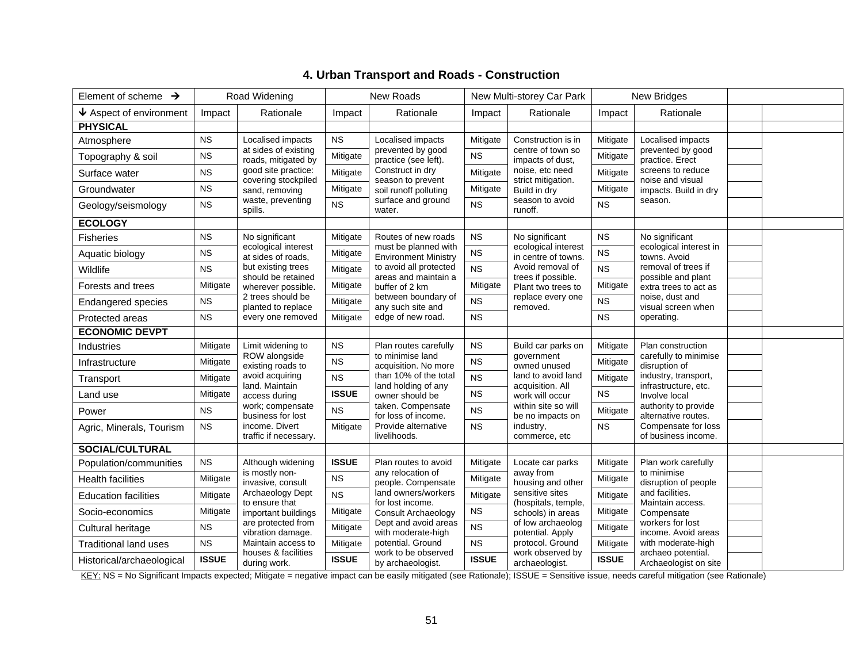| Element of scheme $\rightarrow$         |              | Road Widening                               |              | New Roads                                           | New Multi-storey Car Park |                                            | New Bridges  |                                              |  |
|-----------------------------------------|--------------|---------------------------------------------|--------------|-----------------------------------------------------|---------------------------|--------------------------------------------|--------------|----------------------------------------------|--|
| $\bm{\downarrow}$ Aspect of environment | Impact       | Rationale                                   | Impact       | Rationale                                           | Impact                    | Rationale                                  | Impact       | Rationale                                    |  |
| <b>PHYSICAL</b>                         |              |                                             |              |                                                     |                           |                                            |              |                                              |  |
| Atmosphere                              | <b>NS</b>    | Localised impacts                           | <b>NS</b>    | Localised impacts                                   | Mitigate                  | Construction is in                         | Mitigate     | Localised impacts                            |  |
| Topography & soil                       | <b>NS</b>    | at sides of existing<br>roads, mitigated by | Mitigate     | prevented by good<br>practice (see left).           | <b>NS</b>                 | centre of town so<br>impacts of dust,      | Mitigate     | prevented by good<br>practice. Erect         |  |
| Surface water                           | <b>NS</b>    | good site practice:<br>covering stockpiled  | Mitigate     | Construct in dry<br>season to prevent               | Mitigate                  | noise, etc need<br>strict mitigation.      | Mitigate     | screens to reduce<br>noise and visual        |  |
| Groundwater                             | <b>NS</b>    | sand, removing                              | Mitigate     | soil runoff polluting                               | Mitigate                  | Build in dry                               | Mitigate     | impacts. Build in dry                        |  |
| Geology/seismology                      | <b>NS</b>    | waste, preventing<br>spills.                | <b>NS</b>    | surface and ground<br>water.                        | <b>NS</b>                 | season to avoid<br>runoff.                 | <b>NS</b>    | season.                                      |  |
| <b>ECOLOGY</b>                          |              |                                             |              |                                                     |                           |                                            |              |                                              |  |
| <b>Fisheries</b>                        | <b>NS</b>    | No significant                              | Mitigate     | Routes of new roads                                 | <b>NS</b>                 | No significant                             | <b>NS</b>    | No significant                               |  |
| Aquatic biology                         | <b>NS</b>    | ecological interest<br>at sides of roads,   | Mitigate     | must be planned with<br><b>Environment Ministry</b> | NS                        | ecological interest<br>in centre of towns. | <b>NS</b>    | ecological interest in<br>towns. Avoid       |  |
| Wildlife                                | <b>NS</b>    | but existing trees<br>should be retained    | Mitigate     | to avoid all protected<br>areas and maintain a      | <b>NS</b>                 | Avoid removal of<br>trees if possible.     | <b>NS</b>    | removal of trees if<br>possible and plant    |  |
| Forests and trees                       | Mitigate     | wherever possible.                          | Mitigate     | buffer of 2 km                                      | Mitigate                  | Plant two trees to                         | Mitigate     | extra trees to act as                        |  |
| Endangered species                      | <b>NS</b>    | 2 trees should be<br>planted to replace     | Mitigate     | between boundary of<br>any such site and            | <b>NS</b>                 | replace every one<br>removed.              | <b>NS</b>    | noise, dust and<br>visual screen when        |  |
| Protected areas                         | <b>NS</b>    | every one removed                           | Mitigate     | edge of new road.                                   | <b>NS</b>                 |                                            | <b>NS</b>    | operating.                                   |  |
| <b>ECONOMIC DEVPT</b>                   |              |                                             |              |                                                     |                           |                                            |              |                                              |  |
| Industries                              | Mitigate     | Limit widening to                           | <b>NS</b>    | Plan routes carefully                               | <b>NS</b>                 | Build car parks on                         | Mitigate     | Plan construction                            |  |
| Infrastructure                          | Mitigate     | ROW alongside<br>existing roads to          | <b>NS</b>    | to minimise land<br>acquisition. No more            | <b>NS</b>                 | government<br>owned unused                 | Mitigate     | carefully to minimise<br>disruption of       |  |
| Transport                               | Mitigate     | avoid acquiring<br>land. Maintain           | <b>NS</b>    | than 10% of the total<br>land holding of any        | <b>NS</b>                 | land to avoid land<br>acquisition. All     | Mitigate     | industry, transport,<br>infrastructure, etc. |  |
| Land use                                | Mitigate     | access during                               | <b>ISSUE</b> | owner should be                                     | <b>NS</b>                 | work will occur                            | <b>NS</b>    | Involve local                                |  |
| Power                                   | <b>NS</b>    | work; compensate<br>business for lost       | <b>NS</b>    | taken. Compensate<br>for loss of income.            | <b>NS</b>                 | within site so will<br>be no impacts on    | Mitigate     | authority to provide<br>alternative routes.  |  |
| Agric, Minerals, Tourism                | <b>NS</b>    | income. Divert<br>traffic if necessary.     | Mitigate     | Provide alternative<br>livelihoods.                 | <b>NS</b>                 | industry,<br>commerce, etc                 | <b>NS</b>    | Compensate for loss<br>of business income.   |  |
| <b>SOCIAL/CULTURAL</b>                  |              |                                             |              |                                                     |                           |                                            |              |                                              |  |
| Population/communities                  | <b>NS</b>    | Although widening                           | <b>ISSUE</b> | Plan routes to avoid                                | Mitigate                  | Locate car parks                           | Mitigate     | Plan work carefully                          |  |
| <b>Health facilities</b>                | Mitigate     | is mostly non-<br>invasive, consult         | NS           | any relocation of<br>people. Compensate             | Mitigate                  | away from<br>housing and other             | Mitigate     | to minimise<br>disruption of people          |  |
| <b>Education facilities</b>             | Mitigate     | Archaeology Dept<br>to ensure that          | <b>NS</b>    | land owners/workers<br>for lost income.             | Mitigate                  | sensitive sites<br>(hospitals, temple,     | Mitigate     | and facilities.<br>Maintain access.          |  |
| Socio-economics                         | Mitigate     | important buildings                         | Mitigate     | <b>Consult Archaeology</b>                          | <b>NS</b>                 | schools) in areas                          | Mitigate     | Compensate                                   |  |
| Cultural heritage                       | <b>NS</b>    | are protected from<br>vibration damage.     | Mitigate     | Dept and avoid areas<br>with moderate-high          | <b>NS</b>                 | of low archaeolog<br>potential. Apply      | Mitigate     | workers for lost<br>income. Avoid areas      |  |
| <b>Traditional land uses</b>            | <b>NS</b>    | Maintain access to<br>houses & facilities   | Mitigate     | potential. Ground<br>work to be observed            | <b>NS</b>                 | protocol. Ground<br>work observed by       | Mitigate     | with moderate-high<br>archaeo potential.     |  |
| Historical/archaeological               | <b>ISSUE</b> | during work.                                | <b>ISSUE</b> | by archaeologist.                                   | <b>ISSUE</b>              | archaeologist.                             | <b>ISSUE</b> | Archaeologist on site                        |  |

# **4. Urban Transport and Roads - Construction**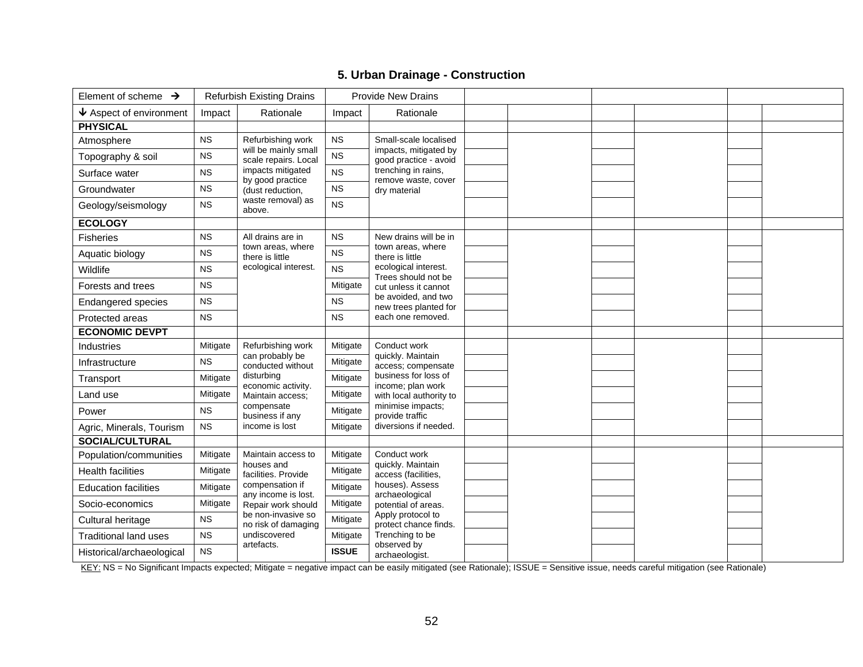# **5. Urban Drainage - Construction**

| Element of scheme $\rightarrow$       |           | <b>Refurbish Existing Drains</b>             |              | <b>Provide New Drains</b>                                                                 |  |  |  |
|---------------------------------------|-----------|----------------------------------------------|--------------|-------------------------------------------------------------------------------------------|--|--|--|
| $\blacklozenge$ Aspect of environment | Impact    | Rationale                                    | Impact       | Rationale                                                                                 |  |  |  |
| <b>PHYSICAL</b>                       |           |                                              |              |                                                                                           |  |  |  |
| Atmosphere                            | <b>NS</b> | Refurbishing work                            | $_{\rm NS}$  | Small-scale localised                                                                     |  |  |  |
| Topography & soil                     | <b>NS</b> | will be mainly small<br>scale repairs. Local | <b>NS</b>    | impacts, mitigated by<br>good practice - avoid                                            |  |  |  |
| Surface water                         | <b>NS</b> | impacts mitigated<br>by good practice        | <b>NS</b>    | trenching in rains,<br>remove waste, cover                                                |  |  |  |
| Groundwater                           | <b>NS</b> | (dust reduction,                             | $_{\rm NS}$  | dry material                                                                              |  |  |  |
| Geology/seismology                    | <b>NS</b> | waste removal) as<br>above.                  | <b>NS</b>    |                                                                                           |  |  |  |
| <b>ECOLOGY</b>                        |           |                                              |              |                                                                                           |  |  |  |
| <b>Fisheries</b>                      | <b>NS</b> | All drains are in                            | <b>NS</b>    | New drains will be in                                                                     |  |  |  |
| Aquatic biology                       | NS        | town areas, where<br>there is little         | <b>NS</b>    | town areas, where<br>there is little                                                      |  |  |  |
| Wildlife                              | <b>NS</b> | ecological interest.                         | <b>NS</b>    | ecological interest.<br>Trees should not be                                               |  |  |  |
| Forests and trees                     | <b>NS</b> |                                              | Mitigate     | cut unless it cannot<br>be avoided, and two<br>new trees planted for<br>each one removed. |  |  |  |
| <b>Endangered species</b>             | <b>NS</b> |                                              | <b>NS</b>    |                                                                                           |  |  |  |
| Protected areas                       | <b>NS</b> |                                              | <b>NS</b>    |                                                                                           |  |  |  |
| <b>ECONOMIC DEVPT</b>                 |           |                                              |              |                                                                                           |  |  |  |
| Industries                            | Mitigate  | Refurbishing work                            | Mitigate     | Conduct work<br>quickly. Maintain                                                         |  |  |  |
| Infrastructure                        | <b>NS</b> | can probably be<br>conducted without         | Mitigate     | access; compensate                                                                        |  |  |  |
| Transport                             | Mitigate  | disturbing<br>economic activity.             | Mitigate     | business for loss of<br>income; plan work                                                 |  |  |  |
| Land use                              | Mitigate  | Maintain access;                             | Mitigate     | with local authority to                                                                   |  |  |  |
| Power                                 | <b>NS</b> | compensate<br>business if any                | Mitigate     | minimise impacts;<br>provide traffic                                                      |  |  |  |
| Agric, Minerals, Tourism              | <b>NS</b> | income is lost                               | Mitigate     | diversions if needed.                                                                     |  |  |  |
| <b>SOCIAL/CULTURAL</b>                |           |                                              |              |                                                                                           |  |  |  |
| Population/communities                | Mitigate  | Maintain access to                           | Mitigate     | Conduct work                                                                              |  |  |  |
| <b>Health facilities</b>              | Mitigate  | houses and<br>facilities. Provide            | Mitigate     | quickly. Maintain<br>access (facilities,                                                  |  |  |  |
| <b>Education facilities</b>           | Mitigate  | compensation if<br>any income is lost.       | Mitigate     | houses). Assess<br>archaeological                                                         |  |  |  |
| Socio-economics                       | Mitigate  | Repair work should                           | Mitigate     | potential of areas.                                                                       |  |  |  |
| Cultural heritage                     | <b>NS</b> | be non-invasive so<br>no risk of damaging    | Mitigate     | Apply protocol to<br>protect chance finds.                                                |  |  |  |
| <b>Traditional land uses</b>          | <b>NS</b> | undiscovered                                 | Mitigate     | Trenching to be                                                                           |  |  |  |
| Historical/archaeological             | <b>NS</b> | artefacts.                                   | <b>ISSUE</b> | observed by<br>archaeologist.                                                             |  |  |  |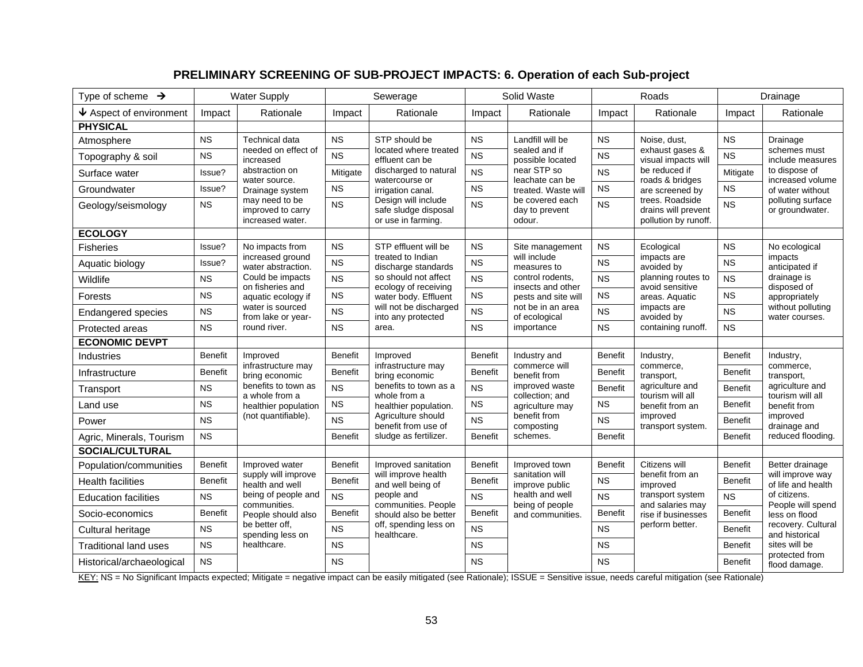# **PRELIMINARY SCREENING OF SUB-PROJECT IMPACTS: 6. Operation of each Sub-project**

| Type of scheme $\rightarrow$    |                | <b>Water Supply</b>                                     |                                                                                | Sewerage                                     |                                             | Solid Waste                                   | Roads                                                          |                                        | Drainage                             |                                                                             |
|---------------------------------|----------------|---------------------------------------------------------|--------------------------------------------------------------------------------|----------------------------------------------|---------------------------------------------|-----------------------------------------------|----------------------------------------------------------------|----------------------------------------|--------------------------------------|-----------------------------------------------------------------------------|
| $\bigvee$ Aspect of environment | Impact         | Rationale                                               | Impact                                                                         | Rationale                                    | Impact                                      | Rationale                                     | Impact                                                         | Rationale                              | Impact                               | Rationale                                                                   |
| <b>PHYSICAL</b>                 |                |                                                         |                                                                                |                                              |                                             |                                               |                                                                |                                        |                                      |                                                                             |
| Atmosphere                      | <b>NS</b>      | Technical data<br>needed on effect of                   | <b>NS</b>                                                                      | STP should be<br>located where treated       | <b>NS</b>                                   | Landfill will be<br>sealed and if             | <b>NS</b>                                                      | Noise, dust,                           | <b>NS</b>                            | Drainage<br>schemes must                                                    |
| Topography & soil               | <b>NS</b>      | increased                                               | <b>NS</b>                                                                      | effluent can be                              | <b>NS</b>                                   | possible located                              | <b>NS</b>                                                      | exhaust gases &<br>visual impacts will | <b>NS</b>                            | include measures                                                            |
| Surface water                   | Issue?         | abstraction on<br>water source.                         | Mitigate                                                                       | discharged to natural<br>watercourse or      | <b>NS</b>                                   | near STP so<br>leachate can be                | <b>NS</b>                                                      | be reduced if<br>roads & bridges       | Mitigate                             | to dispose of<br>increased volume                                           |
| Groundwater                     | Issue?         | Drainage system                                         | <b>NS</b>                                                                      | irrigation canal.                            | <b>NS</b>                                   | treated. Waste will                           | <b>NS</b>                                                      | are screened by                        | <b>NS</b>                            | of water without                                                            |
| Geology/seismology              | <b>NS</b>      | may need to be<br>improved to carry<br>increased water. | Design will include<br><b>NS</b><br>safe sludge disposal<br>or use in farming. | <b>NS</b>                                    | be covered each<br>day to prevent<br>odour. | <b>NS</b>                                     | trees. Roadside<br>drains will prevent<br>pollution by runoff. | <b>NS</b>                              | polluting surface<br>or groundwater. |                                                                             |
| <b>ECOLOGY</b>                  |                |                                                         |                                                                                |                                              |                                             |                                               |                                                                |                                        |                                      |                                                                             |
| <b>Fisheries</b>                | Issue?         | No impacts from                                         | <b>NS</b>                                                                      | STP effluent will be                         | <b>NS</b>                                   | Site management                               | <b>NS</b>                                                      | Ecological                             | <b>NS</b>                            | No ecological                                                               |
| Aquatic biology                 | Issue?         | increased ground<br>water abstraction.                  | <b>NS</b>                                                                      | treated to Indian<br>discharge standards     | <b>NS</b>                                   | will include<br>measures to                   | <b>NS</b>                                                      | impacts are<br>avoided by              | <b>NS</b>                            | impacts<br>anticipated if                                                   |
| Wildlife                        | <b>NS</b>      | Could be impacts<br>on fisheries and                    | <b>NS</b>                                                                      | so should not affect<br>ecology of receiving | <b>NS</b>                                   | control rodents,<br>insects and other         | <b>NS</b>                                                      | planning routes to<br>avoid sensitive  | <b>NS</b>                            | drainage is<br>disposed of                                                  |
| Forests                         | <b>NS</b>      | aquatic ecology if                                      | <b>NS</b>                                                                      | water body. Effluent                         | <b>NS</b>                                   | pests and site will                           | <b>NS</b>                                                      | areas. Aquatic                         | <b>NS</b>                            | appropriately                                                               |
| <b>Endangered species</b>       | <b>NS</b>      | water is sourced<br><b>NS</b><br>from lake or year-     |                                                                                | will not be discharged<br>into any protected | <b>NS</b>                                   | not be in an area<br>of ecological            | <b>NS</b>                                                      | impacts are<br>avoided by              | <b>NS</b>                            | without polluting<br>water courses.                                         |
| Protected areas                 | <b>NS</b>      | round river.                                            | <b>NS</b>                                                                      | area.                                        | <b>NS</b>                                   | importance                                    | <b>NS</b>                                                      | containing runoff.                     | <b>NS</b>                            |                                                                             |
| <b>ECONOMIC DEVPT</b>           |                |                                                         |                                                                                |                                              |                                             |                                               |                                                                |                                        |                                      |                                                                             |
| <b>Industries</b>               | <b>Benefit</b> | Improved<br>infrastructure may                          | <b>Benefit</b>                                                                 | Improved                                     | <b>Benefit</b>                              | Industry and<br>commerce will<br>benefit from | <b>Benefit</b>                                                 | Industry,<br>commerce,<br>transport,   | <b>Benefit</b>                       | Industry,<br>commerce,<br>transport,<br>agriculture and<br>tourism will all |
| Infrastructure                  | <b>Benefit</b> | bring economic                                          | <b>Benefit</b>                                                                 | infrastructure may<br>bring economic         | <b>Benefit</b>                              |                                               | <b>Benefit</b>                                                 |                                        | <b>Benefit</b>                       |                                                                             |
| Transport                       | <b>NS</b>      | benefits to town as<br>a whole from a                   | <b>NS</b>                                                                      | benefits to town as a<br>whole from a        | <b>NS</b>                                   | improved waste<br>collection; and             | <b>Benefit</b>                                                 | agriculture and<br>tourism will all    | <b>Benefit</b>                       |                                                                             |
| Land use                        | <b>NS</b>      | healthier population                                    | <b>NS</b>                                                                      | healthier population.                        | <b>NS</b>                                   | agriculture may                               | <b>NS</b>                                                      | benefit from an                        | <b>Benefit</b>                       | benefit from                                                                |
| Power                           | <b>NS</b>      | (not quantifiable).                                     | <b>NS</b>                                                                      | Agriculture should<br>benefit from use of    | <b>NS</b>                                   | benefit from<br>composting                    | <b>NS</b>                                                      | improved<br>transport system.          | <b>Benefit</b>                       | improved<br>drainage and                                                    |
| Agric, Minerals, Tourism        | <b>NS</b>      |                                                         | <b>Benefit</b>                                                                 | sludge as fertilizer.                        | <b>Benefit</b>                              | schemes.                                      | <b>Benefit</b>                                                 |                                        | <b>Benefit</b>                       | reduced flooding.                                                           |
| <b>SOCIAL/CULTURAL</b>          |                |                                                         |                                                                                |                                              |                                             |                                               |                                                                |                                        |                                      |                                                                             |
| Population/communities          | <b>Benefit</b> | Improved water<br>supply will improve                   | <b>Benefit</b>                                                                 | Improved sanitation<br>will improve health   | <b>Benefit</b>                              | Improved town<br>sanitation will              | <b>Benefit</b>                                                 | Citizens will<br>benefit from an       | <b>Benefit</b>                       | Better drainage<br>will improve way                                         |
| <b>Health facilities</b>        | <b>Benefit</b> | health and well                                         | <b>Benefit</b>                                                                 | and well being of                            | <b>Benefit</b>                              | improve public                                | <b>NS</b>                                                      | improved                               | Benefit                              | of life and health                                                          |
| <b>Education facilities</b>     | <b>NS</b>      | being of people and<br>communities.                     | <b>NS</b>                                                                      | people and<br>communities. People            | <b>NS</b>                                   | health and well<br>being of people            | <b>NS</b>                                                      | transport system<br>and salaries may   | <b>NS</b>                            | of citizens.<br>People will spend                                           |
| Socio-economics                 | <b>Benefit</b> | People should also                                      | <b>Benefit</b>                                                                 | should also be better                        | <b>Benefit</b>                              | and communities.                              | <b>Benefit</b>                                                 | rise if businesses                     | <b>Benefit</b>                       | less on flood                                                               |
| Cultural heritage               | <b>NS</b>      | be better off.<br>spending less on                      | <b>NS</b>                                                                      | off, spending less on<br>healthcare.         | <b>NS</b>                                   |                                               | <b>NS</b>                                                      | perform better.                        | <b>Benefit</b>                       | recovery. Cultural<br>and historical<br>sites will be                       |
| <b>Traditional land uses</b>    | <b>NS</b>      | healthcare.                                             | <b>NS</b>                                                                      |                                              | <b>NS</b>                                   |                                               | <b>NS</b>                                                      |                                        | <b>Benefit</b>                       |                                                                             |
| Historical/archaeological       | <b>NS</b>      |                                                         | <b>NS</b>                                                                      |                                              | <b>NS</b>                                   |                                               | <b>NS</b>                                                      |                                        | <b>Benefit</b>                       | protected from<br>flood damage.                                             |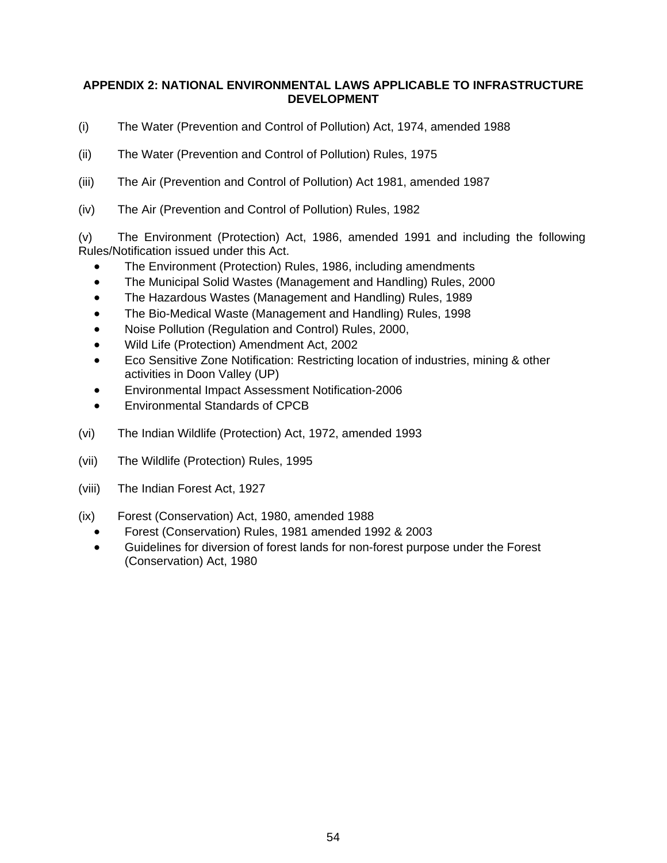### **APPENDIX 2: NATIONAL ENVIRONMENTAL LAWS APPLICABLE TO INFRASTRUCTURE DEVELOPMENT**

- (i) The Water (Prevention and Control of Pollution) Act, 1974, amended 1988
- (ii) The Water (Prevention and Control of Pollution) Rules, 1975
- (iii) The Air (Prevention and Control of Pollution) Act 1981, amended 1987
- (iv) The Air (Prevention and Control of Pollution) Rules, 1982

(v) The Environment (Protection) Act, 1986, amended 1991 and including the following Rules/Notification issued under this Act.

- The Environment (Protection) Rules, 1986, including amendments
- The Municipal Solid Wastes (Management and Handling) Rules, 2000
- The Hazardous Wastes (Management and Handling) Rules, 1989
- The Bio-Medical Waste (Management and Handling) Rules, 1998
- Noise Pollution (Regulation and Control) Rules, 2000,
- Wild Life (Protection) Amendment Act, 2002
- Eco Sensitive Zone Notification: Restricting location of industries, mining & other activities in Doon Valley (UP)
- Environmental Impact Assessment Notification-2006
- Environmental Standards of CPCB
- (vi) The Indian Wildlife (Protection) Act, 1972, amended 1993
- (vii) The Wildlife (Protection) Rules, 1995
- (viii) The Indian Forest Act, 1927
- (ix) Forest (Conservation) Act, 1980, amended 1988
	- Forest (Conservation) Rules, 1981 amended 1992 & 2003
	- Guidelines for diversion of forest lands for non-forest purpose under the Forest (Conservation) Act, 1980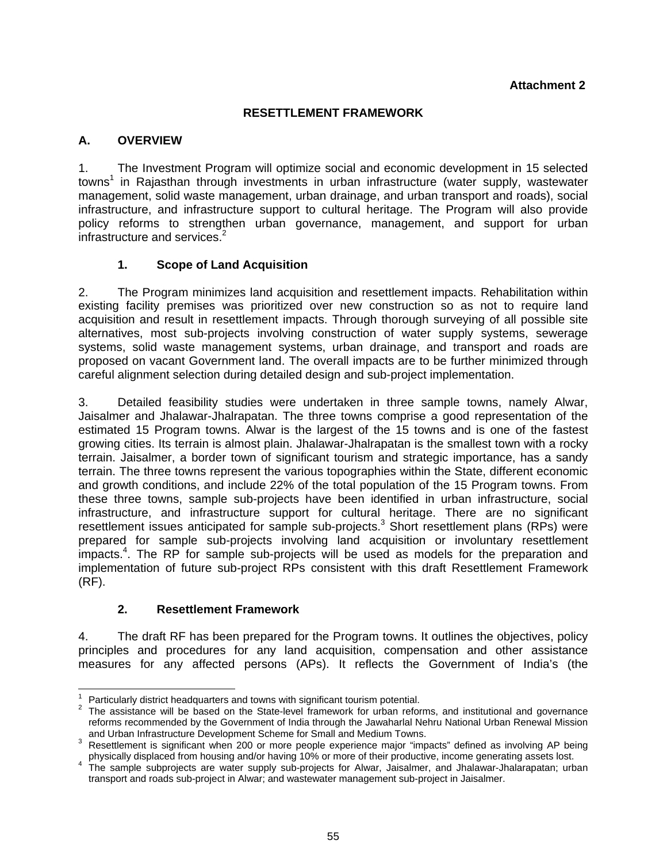### **RESETTLEMENT FRAMEWORK**

### **A. OVERVIEW**

1. The Investment Program will optimize social and economic development in 15 selected towns<sup>1</sup> in Rajasthan through investments in urban infrastructure (water supply, wastewater management, solid waste management, urban drainage, and urban transport and roads), social infrastructure, and infrastructure support to cultural heritage. The Program will also provide policy reforms to strengthen urban governance, management, and support for urban infrastructure and services. $2$ 

### **1. Scope of Land Acquisition**

2. The Program minimizes land acquisition and resettlement impacts. Rehabilitation within existing facility premises was prioritized over new construction so as not to require land acquisition and result in resettlement impacts. Through thorough surveying of all possible site alternatives, most sub-projects involving construction of water supply systems, sewerage systems, solid waste management systems, urban drainage, and transport and roads are proposed on vacant Government land. The overall impacts are to be further minimized through careful alignment selection during detailed design and sub-project implementation.

3. Detailed feasibility studies were undertaken in three sample towns, namely Alwar, Jaisalmer and Jhalawar-Jhalrapatan. The three towns comprise a good representation of the estimated 15 Program towns. Alwar is the largest of the 15 towns and is one of the fastest growing cities. Its terrain is almost plain. Jhalawar-Jhalrapatan is the smallest town with a rocky terrain. Jaisalmer, a border town of significant tourism and strategic importance, has a sandy terrain. The three towns represent the various topographies within the State, different economic and growth conditions, and include 22% of the total population of the 15 Program towns. From these three towns, sample sub-projects have been identified in urban infrastructure, social infrastructure, and infrastructure support for cultural heritage. There are no significant resettlement issues anticipated for sample sub-projects.<sup>3</sup> Short resettlement plans (RPs) were prepared for sample sub-projects involving land acquisition or involuntary resettlement impacts.<sup>4</sup>. The RP for sample sub-projects will be used as models for the preparation and implementation of future sub-project RPs consistent with this draft Resettlement Framework (RF).

### **2. Resettlement Framework**

4. The draft RF has been prepared for the Program towns. It outlines the objectives, policy principles and procedures for any land acquisition, compensation and other assistance measures for any affected persons (APs). It reflects the Government of India's (the

 $\overline{a}$ 1 Particularly district headquarters and towns with significant tourism potential. 2

 $2$  The assistance will be based on the State-level framework for urban reforms, and institutional and governance reforms recommended by the Government of India through the Jawaharlal Nehru National Urban Renewal Mission

and Urban Infrastructure Development Scheme for Small and Medium Towns.<br><sup>3</sup> Resettlement is significant when 200 or more people experience major "impacts" defined as involving AP being physically displaced from housing and/or having 10% or more of their productive, income generating assets lost<br>4 The sample subprojects are water supply sub-projects for Alwar, Jaisalmer, and Jhalawar-Jhalarapatan; urban

transport and roads sub-project in Alwar; and wastewater management sub-project in Jaisalmer.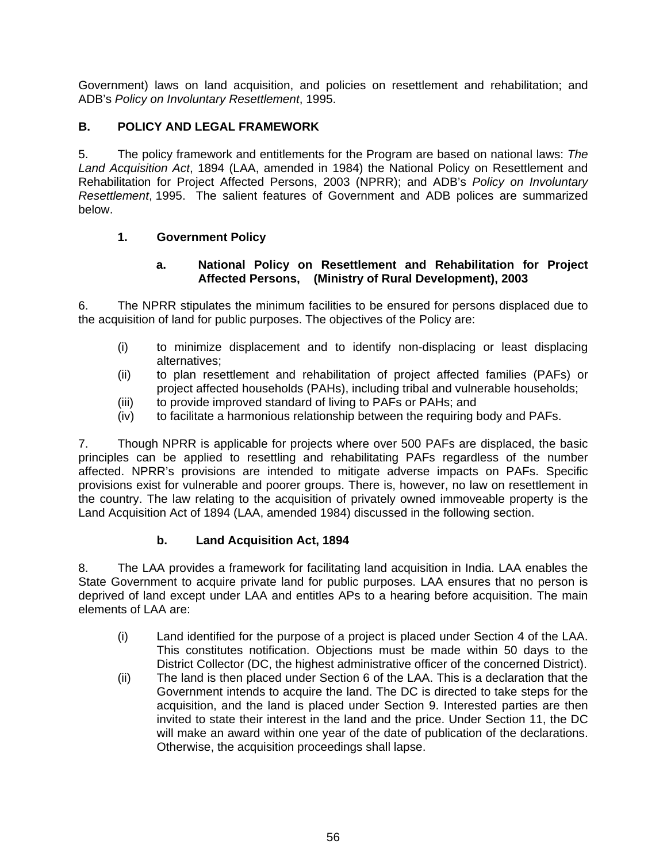Government) laws on land acquisition, and policies on resettlement and rehabilitation; and ADB's *Policy on Involuntary Resettlement*, 1995.

# **B. POLICY AND LEGAL FRAMEWORK**

5. The policy framework and entitlements for the Program are based on national laws: *The Land Acquisition Act*, 1894 (LAA, amended in 1984) the National Policy on Resettlement and Rehabilitation for Project Affected Persons, 2003 (NPRR); and ADB's *Policy on Involuntary Resettlement*, 1995. The salient features of Government and ADB polices are summarized below.

# **1. Government Policy**

### **a. National Policy on Resettlement and Rehabilitation for Project Affected Persons, (Ministry of Rural Development), 2003**

6. The NPRR stipulates the minimum facilities to be ensured for persons displaced due to the acquisition of land for public purposes. The objectives of the Policy are:

- (i) to minimize displacement and to identify non-displacing or least displacing alternatives;
- (ii) to plan resettlement and rehabilitation of project affected families (PAFs) or project affected households (PAHs), including tribal and vulnerable households;
- (iii) to provide improved standard of living to PAFs or PAHs; and
- (iv) to facilitate a harmonious relationship between the requiring body and PAFs.

7. Though NPRR is applicable for projects where over 500 PAFs are displaced, the basic principles can be applied to resettling and rehabilitating PAFs regardless of the number affected. NPRR's provisions are intended to mitigate adverse impacts on PAFs. Specific provisions exist for vulnerable and poorer groups. There is, however, no law on resettlement in the country. The law relating to the acquisition of privately owned immoveable property is the Land Acquisition Act of 1894 (LAA, amended 1984) discussed in the following section.

# **b. Land Acquisition Act, 1894**

8. The LAA provides a framework for facilitating land acquisition in India. LAA enables the State Government to acquire private land for public purposes. LAA ensures that no person is deprived of land except under LAA and entitles APs to a hearing before acquisition. The main elements of LAA are:

- (i) Land identified for the purpose of a project is placed under Section 4 of the LAA. This constitutes notification. Objections must be made within 50 days to the District Collector (DC, the highest administrative officer of the concerned District).
- (ii) The land is then placed under Section 6 of the LAA. This is a declaration that the Government intends to acquire the land. The DC is directed to take steps for the acquisition, and the land is placed under Section 9. Interested parties are then invited to state their interest in the land and the price. Under Section 11, the DC will make an award within one year of the date of publication of the declarations. Otherwise, the acquisition proceedings shall lapse.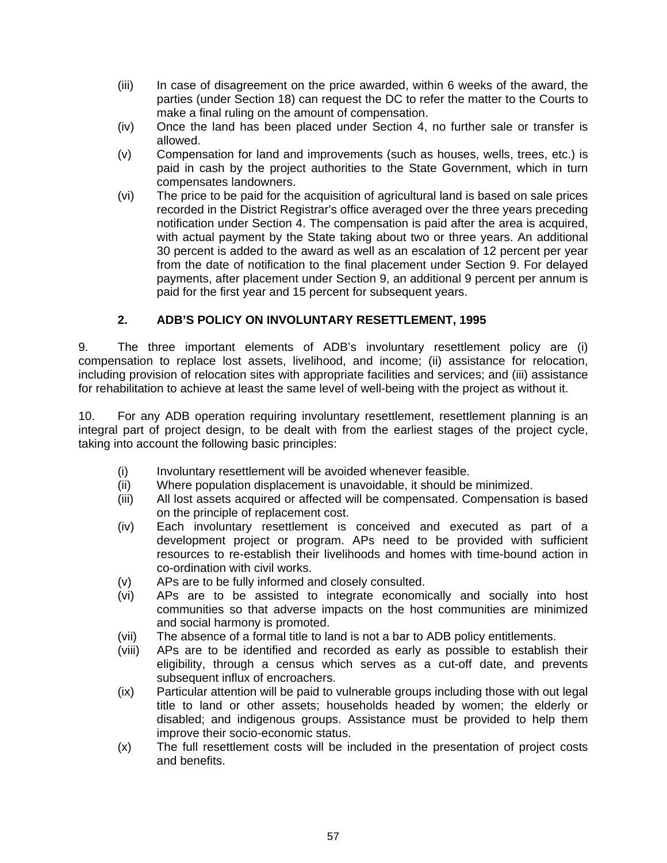- (iii) In case of disagreement on the price awarded, within 6 weeks of the award, the parties (under Section 18) can request the DC to refer the matter to the Courts to make a final ruling on the amount of compensation.
- (iv) Once the land has been placed under Section 4, no further sale or transfer is allowed.
- (v) Compensation for land and improvements (such as houses, wells, trees, etc.) is paid in cash by the project authorities to the State Government, which in turn compensates landowners.
- (vi) The price to be paid for the acquisition of agricultural land is based on sale prices recorded in the District Registrar's office averaged over the three years preceding notification under Section 4. The compensation is paid after the area is acquired, with actual payment by the State taking about two or three years. An additional 30 percent is added to the award as well as an escalation of 12 percent per year from the date of notification to the final placement under Section 9. For delayed payments, after placement under Section 9, an additional 9 percent per annum is paid for the first year and 15 percent for subsequent years.

# **2. ADB'S POLICY ON INVOLUNTARY RESETTLEMENT, 1995**

9. The three important elements of ADB's involuntary resettlement policy are (i) compensation to replace lost assets, livelihood, and income; (ii) assistance for relocation, including provision of relocation sites with appropriate facilities and services; and (iii) assistance for rehabilitation to achieve at least the same level of well-being with the project as without it.

10. For any ADB operation requiring involuntary resettlement, resettlement planning is an integral part of project design, to be dealt with from the earliest stages of the project cycle, taking into account the following basic principles:

- (i) Involuntary resettlement will be avoided whenever feasible.
- (ii) Where population displacement is unavoidable, it should be minimized.
- (iii) All lost assets acquired or affected will be compensated. Compensation is based on the principle of replacement cost.
- (iv) Each involuntary resettlement is conceived and executed as part of a development project or program. APs need to be provided with sufficient resources to re-establish their livelihoods and homes with time-bound action in co-ordination with civil works.
- (v) APs are to be fully informed and closely consulted.
- (vi) APs are to be assisted to integrate economically and socially into host communities so that adverse impacts on the host communities are minimized and social harmony is promoted.
- (vii) The absence of a formal title to land is not a bar to ADB policy entitlements.
- (viii) APs are to be identified and recorded as early as possible to establish their eligibility, through a census which serves as a cut-off date, and prevents subsequent influx of encroachers.
- (ix) Particular attention will be paid to vulnerable groups including those with out legal title to land or other assets; households headed by women; the elderly or disabled; and indigenous groups. Assistance must be provided to help them improve their socio-economic status.
- (x) The full resettlement costs will be included in the presentation of project costs and benefits.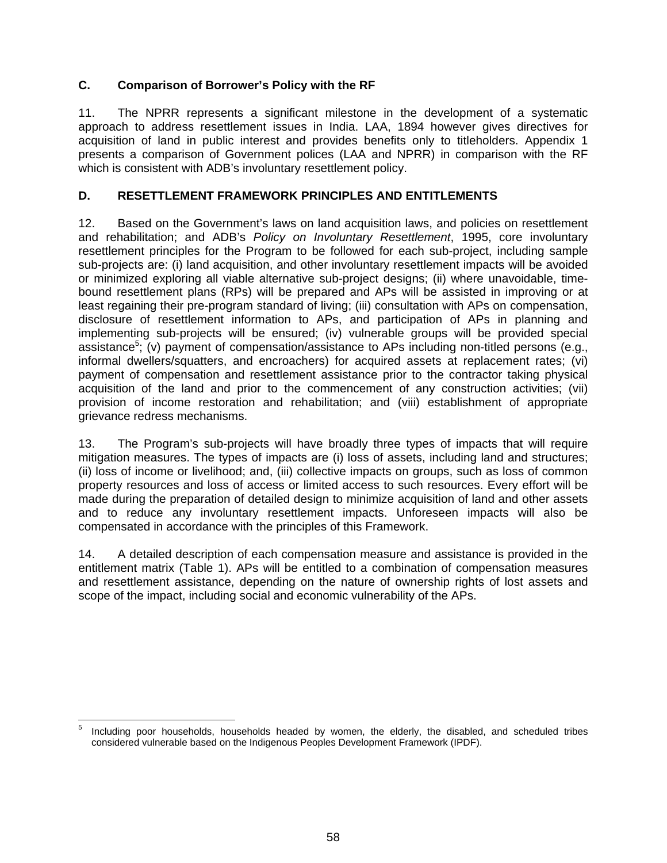### **C. Comparison of Borrower's Policy with the RF**

11. The NPRR represents a significant milestone in the development of a systematic approach to address resettlement issues in India. LAA, 1894 however gives directives for acquisition of land in public interest and provides benefits only to titleholders. Appendix 1 presents a comparison of Government polices (LAA and NPRR) in comparison with the RF which is consistent with ADB's involuntary resettlement policy.

### **D. RESETTLEMENT FRAMEWORK PRINCIPLES AND ENTITLEMENTS**

12. Based on the Government's laws on land acquisition laws, and policies on resettlement and rehabilitation; and ADB's *Policy on Involuntary Resettlement*, 1995, core involuntary resettlement principles for the Program to be followed for each sub-project, including sample sub-projects are: (i) land acquisition, and other involuntary resettlement impacts will be avoided or minimized exploring all viable alternative sub-project designs; (ii) where unavoidable, timebound resettlement plans (RPs) will be prepared and APs will be assisted in improving or at least regaining their pre-program standard of living; (iii) consultation with APs on compensation, disclosure of resettlement information to APs, and participation of APs in planning and implementing sub-projects will be ensured; (iv) vulnerable groups will be provided special assistance<sup>5</sup>; (v) payment of compensation/assistance to APs including non-titled persons (e.g., informal dwellers/squatters, and encroachers) for acquired assets at replacement rates; (vi) payment of compensation and resettlement assistance prior to the contractor taking physical acquisition of the land and prior to the commencement of any construction activities; (vii) provision of income restoration and rehabilitation; and (viii) establishment of appropriate grievance redress mechanisms.

13. The Program's sub-projects will have broadly three types of impacts that will require mitigation measures. The types of impacts are (i) loss of assets, including land and structures; (ii) loss of income or livelihood; and, (iii) collective impacts on groups, such as loss of common property resources and loss of access or limited access to such resources. Every effort will be made during the preparation of detailed design to minimize acquisition of land and other assets and to reduce any involuntary resettlement impacts. Unforeseen impacts will also be compensated in accordance with the principles of this Framework.

14. A detailed description of each compensation measure and assistance is provided in the entitlement matrix (Table 1). APs will be entitled to a combination of compensation measures and resettlement assistance, depending on the nature of ownership rights of lost assets and scope of the impact, including social and economic vulnerability of the APs.

 5 Including poor households, households headed by women, the elderly, the disabled, and scheduled tribes considered vulnerable based on the Indigenous Peoples Development Framework (IPDF).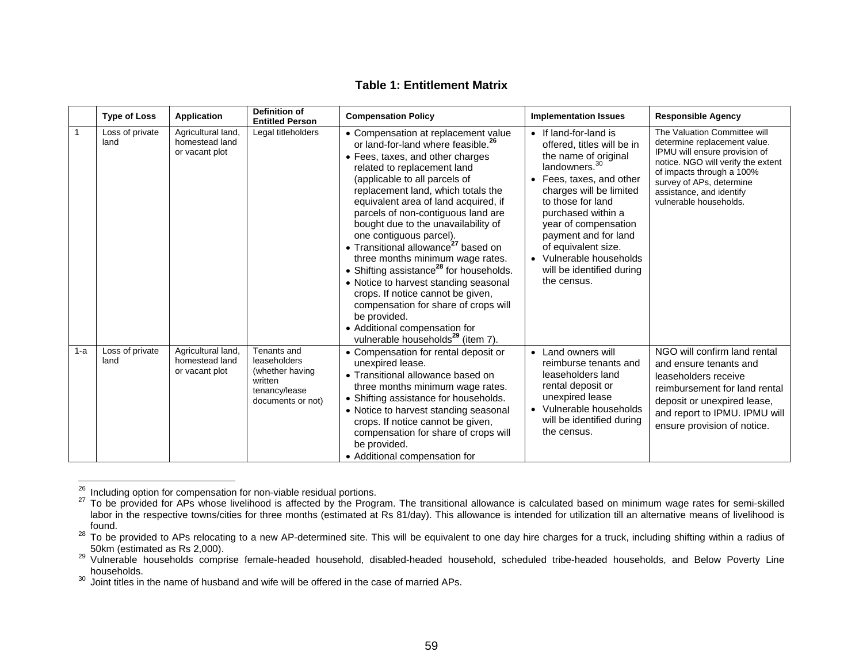#### **Table 1: Entitlement Matrix**

|       | <b>Type of Loss</b>     | <b>Application</b>                                     | <b>Definition of</b><br><b>Entitled Person</b>                                                  | <b>Compensation Policy</b>                                                                                                                                                                                                                                                                                                                                                                                                                                                                                                                                                                                                                                                                                                                            | <b>Implementation Issues</b>                                                                                                                                                                                                                                                                                                                             | <b>Responsible Agency</b>                                                                                                                                                                                                                          |
|-------|-------------------------|--------------------------------------------------------|-------------------------------------------------------------------------------------------------|-------------------------------------------------------------------------------------------------------------------------------------------------------------------------------------------------------------------------------------------------------------------------------------------------------------------------------------------------------------------------------------------------------------------------------------------------------------------------------------------------------------------------------------------------------------------------------------------------------------------------------------------------------------------------------------------------------------------------------------------------------|----------------------------------------------------------------------------------------------------------------------------------------------------------------------------------------------------------------------------------------------------------------------------------------------------------------------------------------------------------|----------------------------------------------------------------------------------------------------------------------------------------------------------------------------------------------------------------------------------------------------|
|       | Loss of private<br>land | Agricultural land,<br>homestead land<br>or vacant plot | Legal titleholders                                                                              | • Compensation at replacement value<br>or land-for-land where feasible. <sup>26</sup><br>• Fees, taxes, and other charges<br>related to replacement land<br>(applicable to all parcels of<br>replacement land, which totals the<br>equivalent area of land acquired, if<br>parcels of non-contiguous land are<br>bought due to the unavailability of<br>one contiguous parcel).<br>• Transitional allowance <sup>27</sup> based on<br>three months minimum wage rates.<br>• Shifting assistance <sup>28</sup> for households.<br>• Notice to harvest standing seasonal<br>crops. If notice cannot be given,<br>compensation for share of crops will<br>be provided.<br>• Additional compensation for<br>vulnerable households <sup>29</sup> (item 7). | • If land-for-land is<br>offered, titles will be in<br>the name of original<br>landowners. <sup>30</sup><br>• Fees, taxes, and other<br>charges will be limited<br>to those for land<br>purchased within a<br>year of compensation<br>payment and for land<br>of equivalent size.<br>• Vulnerable households<br>will be identified during<br>the census. | The Valuation Committee will<br>determine replacement value.<br>IPMU will ensure provision of<br>notice. NGO will verify the extent<br>of impacts through a 100%<br>survey of APs, determine<br>assistance, and identify<br>vulnerable households. |
| $1-a$ | Loss of private<br>land | Agricultural land,<br>homestead land<br>or vacant plot | Tenants and<br>leaseholders<br>(whether having<br>written<br>tenancy/lease<br>documents or not) | • Compensation for rental deposit or<br>unexpired lease.<br>• Transitional allowance based on<br>three months minimum wage rates.<br>• Shifting assistance for households.<br>• Notice to harvest standing seasonal<br>crops. If notice cannot be given,<br>compensation for share of crops will<br>be provided.<br>• Additional compensation for                                                                                                                                                                                                                                                                                                                                                                                                     | • Land owners will<br>reimburse tenants and<br>leaseholders land<br>rental deposit or<br>unexpired lease<br>• Vulnerable households<br>will be identified during<br>the census.                                                                                                                                                                          | NGO will confirm land rental<br>and ensure tenants and<br>leaseholders receive<br>reimbursement for land rental<br>deposit or unexpired lease,<br>and report to IPMU. IPMU will<br>ensure provision of notice.                                     |

<sup>&</sup>lt;sup>26</sup> Including option for compensation for non-viable residual portions.<br><sup>27</sup> To be provided for APs whose livelihood is affected by the Program. The transitional allowance is calculated based on minimum wage rates for sem labor in the respective towns/cities for three months (estimated at Rs 81/day). This allowance is intended for utilization till an alternative means of livelihood is found.

 $^{28}$  To be provided to APs relocating to a new AP-determined site. This will be equivalent to one day hire charges for a truck, including shifting within a radius of

<sup>50</sup>km (estimated as Rs 2,000).<br><sup>29</sup> Vulnerable households comprise female-headed household, disabled-headed household, scheduled tribe-headed households, and Below Poverty Line households.

 $30\,$  Joint titles in the name of husband and wife will be offered in the case of married APs.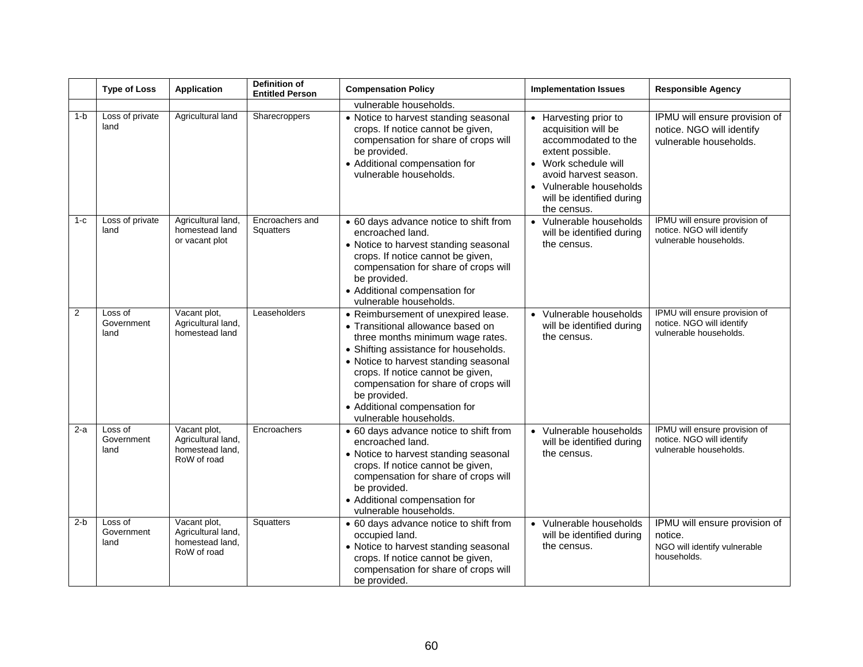|                | <b>Type of Loss</b>           | <b>Application</b>                                                   | <b>Definition of</b><br><b>Entitled Person</b> | <b>Compensation Policy</b>                                                                                                                                                                                                                                                                                                                             | <b>Implementation Issues</b>                                                                                                                                                                                | <b>Responsible Agency</b>                                                               |
|----------------|-------------------------------|----------------------------------------------------------------------|------------------------------------------------|--------------------------------------------------------------------------------------------------------------------------------------------------------------------------------------------------------------------------------------------------------------------------------------------------------------------------------------------------------|-------------------------------------------------------------------------------------------------------------------------------------------------------------------------------------------------------------|-----------------------------------------------------------------------------------------|
|                |                               |                                                                      |                                                | vulnerable households.                                                                                                                                                                                                                                                                                                                                 |                                                                                                                                                                                                             |                                                                                         |
| $1-b$          | Loss of private<br>land       | Agricultural land                                                    | Sharecroppers                                  | • Notice to harvest standing seasonal<br>crops. If notice cannot be given,<br>compensation for share of crops will<br>be provided.<br>• Additional compensation for<br>vulnerable households.                                                                                                                                                          | Harvesting prior to<br>acquisition will be<br>accommodated to the<br>extent possible.<br>• Work schedule will<br>avoid harvest season.<br>Vulnerable households<br>will be identified during<br>the census. | IPMU will ensure provision of<br>notice. NGO will identify<br>vulnerable households.    |
| $1 - c$        | Loss of private<br>land       | Agricultural land,<br>homestead land<br>or vacant plot               | Encroachers and<br>Squatters                   | • 60 days advance notice to shift from<br>encroached land.<br>• Notice to harvest standing seasonal<br>crops. If notice cannot be given,<br>compensation for share of crops will<br>be provided.<br>• Additional compensation for<br>vulnerable households.                                                                                            | • Vulnerable households<br>will be identified during<br>the census.                                                                                                                                         | IPMU will ensure provision of<br>notice. NGO will identify<br>vulnerable households.    |
| $\overline{2}$ | Loss of<br>Government<br>land | Vacant plot,<br>Agricultural land,<br>homestead land                 | Leaseholders                                   | • Reimbursement of unexpired lease.<br>• Transitional allowance based on<br>three months minimum wage rates.<br>• Shifting assistance for households.<br>• Notice to harvest standing seasonal<br>crops. If notice cannot be given,<br>compensation for share of crops will<br>be provided.<br>• Additional compensation for<br>vulnerable households. | Vulnerable households<br>will be identified during<br>the census.                                                                                                                                           | IPMU will ensure provision of<br>notice. NGO will identify<br>vulnerable households.    |
| $2-a$          | Loss of<br>Government<br>land | Vacant plot,<br>Agricultural land,<br>homestead land,<br>RoW of road | Encroachers                                    | • 60 days advance notice to shift from<br>encroached land.<br>• Notice to harvest standing seasonal<br>crops. If notice cannot be given,<br>compensation for share of crops will<br>be provided.<br>• Additional compensation for<br>vulnerable households.                                                                                            | Vulnerable households<br>$\bullet$<br>will be identified during<br>the census.                                                                                                                              | IPMU will ensure provision of<br>notice. NGO will identify<br>vulnerable households.    |
| $2-b$          | Loss of<br>Government<br>land | Vacant plot,<br>Agricultural land,<br>homestead land,<br>RoW of road | Squatters                                      | • 60 days advance notice to shift from<br>occupied land.<br>• Notice to harvest standing seasonal<br>crops. If notice cannot be given,<br>compensation for share of crops will<br>be provided.                                                                                                                                                         | • Vulnerable households<br>will be identified during<br>the census.                                                                                                                                         | IPMU will ensure provision of<br>notice.<br>NGO will identify vulnerable<br>households. |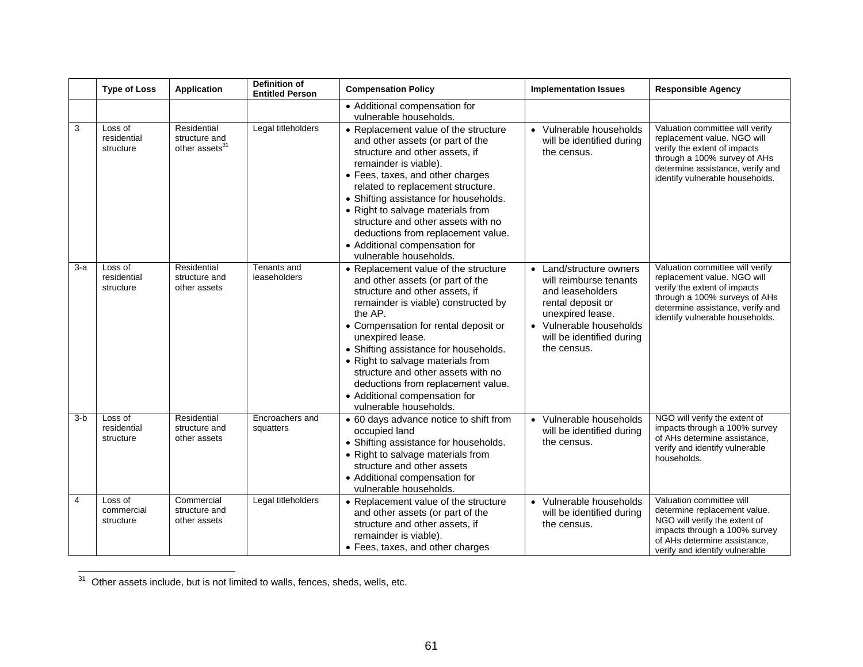|                | <b>Type of Loss</b>                 | <b>Application</b>                                         | <b>Definition of</b><br><b>Entitled Person</b> | <b>Compensation Policy</b>                                                                                                                                                                                                                                                                                                                                                                                                                    | <b>Implementation Issues</b>                                                                                                                                                          | <b>Responsible Agency</b>                                                                                                                                                                              |
|----------------|-------------------------------------|------------------------------------------------------------|------------------------------------------------|-----------------------------------------------------------------------------------------------------------------------------------------------------------------------------------------------------------------------------------------------------------------------------------------------------------------------------------------------------------------------------------------------------------------------------------------------|---------------------------------------------------------------------------------------------------------------------------------------------------------------------------------------|--------------------------------------------------------------------------------------------------------------------------------------------------------------------------------------------------------|
|                |                                     |                                                            |                                                | • Additional compensation for<br>vulnerable households.                                                                                                                                                                                                                                                                                                                                                                                       |                                                                                                                                                                                       |                                                                                                                                                                                                        |
| 3              | Loss of<br>residential<br>structure | Residential<br>structure and<br>other assets <sup>31</sup> | Legal titleholders                             | • Replacement value of the structure<br>and other assets (or part of the<br>structure and other assets, if<br>remainder is viable).<br>• Fees, taxes, and other charges<br>related to replacement structure.<br>• Shifting assistance for households.<br>• Right to salvage materials from<br>structure and other assets with no<br>deductions from replacement value.<br>• Additional compensation for<br>vulnerable households.             | • Vulnerable households<br>will be identified during<br>the census.                                                                                                                   | Valuation committee will verify<br>replacement value. NGO will<br>verify the extent of impacts<br>through a 100% survey of AHs<br>determine assistance, verify and<br>identify vulnerable households.  |
| $3-a$          | Loss of<br>residential<br>structure | Residential<br>structure and<br>other assets               | Tenants and<br>leaseholders                    | • Replacement value of the structure<br>and other assets (or part of the<br>structure and other assets, if<br>remainder is viable) constructed by<br>the AP.<br>• Compensation for rental deposit or<br>unexpired lease.<br>• Shifting assistance for households.<br>• Right to salvage materials from<br>structure and other assets with no<br>deductions from replacement value.<br>• Additional compensation for<br>vulnerable households. | • Land/structure owners<br>will reimburse tenants<br>and leaseholders<br>rental deposit or<br>unexpired lease.<br>• Vulnerable households<br>will be identified during<br>the census. | Valuation committee will verify<br>replacement value. NGO will<br>verify the extent of impacts<br>through a 100% surveys of AHs<br>determine assistance, verify and<br>identify vulnerable households. |
| $3-b$          | Loss of<br>residential<br>structure | Residential<br>structure and<br>other assets               | Encroachers and<br>squatters                   | • 60 days advance notice to shift from<br>occupied land<br>• Shifting assistance for households.<br>• Right to salvage materials from<br>structure and other assets<br>• Additional compensation for<br>vulnerable households.                                                                                                                                                                                                                | • Vulnerable households<br>will be identified during<br>the census.                                                                                                                   | NGO will verify the extent of<br>impacts through a 100% survey<br>of AHs determine assistance,<br>verify and identify vulnerable<br>households.                                                        |
| $\overline{4}$ | Loss of<br>commercial<br>structure  | Commercial<br>structure and<br>other assets                | Legal titleholders                             | • Replacement value of the structure<br>and other assets (or part of the<br>structure and other assets, if<br>remainder is viable).<br>• Fees, taxes, and other charges                                                                                                                                                                                                                                                                       | • Vulnerable households<br>will be identified during<br>the census.                                                                                                                   | Valuation committee will<br>determine replacement value.<br>NGO will verify the extent of<br>impacts through a 100% survey<br>of AHs determine assistance,<br>verify and identify vulnerable           |

 $\overline{31}$  Other assets include, but is not limited to walls, fences, sheds, wells, etc.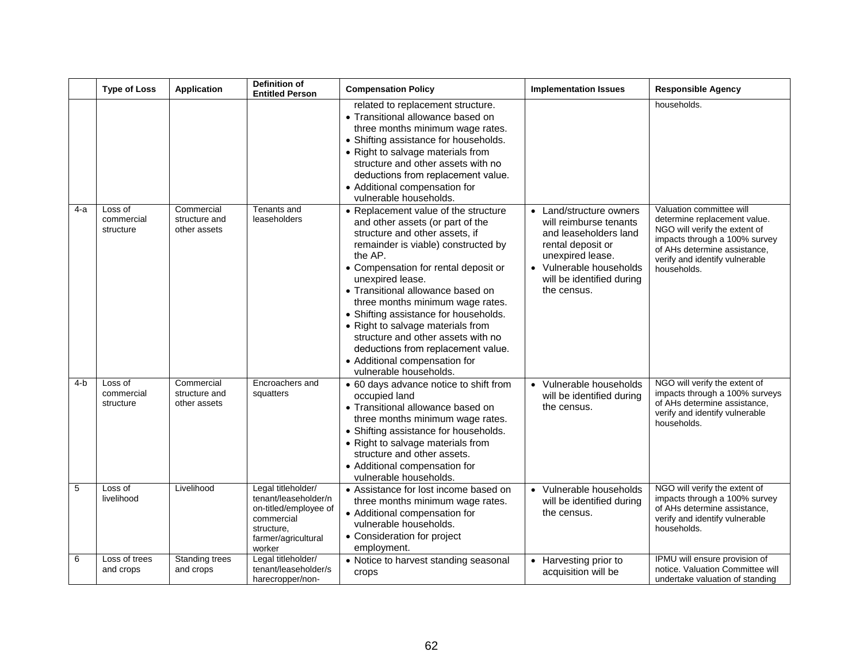|     | <b>Type of Loss</b>                | <b>Application</b>                          | <b>Definition of</b><br><b>Entitled Person</b>                                                                                   | <b>Compensation Policy</b>                                                                                                                                                                                                                                                                                                                                                                                                                                                                                             | <b>Implementation Issues</b>                                                                                                                                                                          | <b>Responsible Agency</b>                                                                                                                                                                                   |
|-----|------------------------------------|---------------------------------------------|----------------------------------------------------------------------------------------------------------------------------------|------------------------------------------------------------------------------------------------------------------------------------------------------------------------------------------------------------------------------------------------------------------------------------------------------------------------------------------------------------------------------------------------------------------------------------------------------------------------------------------------------------------------|-------------------------------------------------------------------------------------------------------------------------------------------------------------------------------------------------------|-------------------------------------------------------------------------------------------------------------------------------------------------------------------------------------------------------------|
|     |                                    |                                             |                                                                                                                                  | related to replacement structure.<br>• Transitional allowance based on<br>three months minimum wage rates.<br>• Shifting assistance for households.<br>• Right to salvage materials from<br>structure and other assets with no<br>deductions from replacement value.<br>• Additional compensation for<br>vulnerable households.                                                                                                                                                                                        |                                                                                                                                                                                                       | households.                                                                                                                                                                                                 |
| 4-a | Loss of<br>commercial<br>structure | Commercial<br>structure and<br>other assets | Tenants and<br>leaseholders                                                                                                      | • Replacement value of the structure<br>and other assets (or part of the<br>structure and other assets, if<br>remainder is viable) constructed by<br>the AP.<br>• Compensation for rental deposit or<br>unexpired lease.<br>• Transitional allowance based on<br>three months minimum wage rates.<br>• Shifting assistance for households.<br>• Right to salvage materials from<br>structure and other assets with no<br>deductions from replacement value.<br>• Additional compensation for<br>vulnerable households. | Land/structure owners<br>$\bullet$<br>will reimburse tenants<br>and leaseholders land<br>rental deposit or<br>unexpired lease.<br>• Vulnerable households<br>will be identified during<br>the census. | Valuation committee will<br>determine replacement value.<br>NGO will verify the extent of<br>impacts through a 100% survey<br>of AHs determine assistance,<br>verify and identify vulnerable<br>households. |
| 4-b | Loss of<br>commercial<br>structure | Commercial<br>structure and<br>other assets | Encroachers and<br>squatters                                                                                                     | • 60 days advance notice to shift from<br>occupied land<br>• Transitional allowance based on<br>three months minimum wage rates.<br>• Shifting assistance for households.<br>• Right to salvage materials from<br>structure and other assets.<br>• Additional compensation for<br>vulnerable households.                                                                                                                                                                                                               | • Vulnerable households<br>will be identified during<br>the census.                                                                                                                                   | NGO will verify the extent of<br>impacts through a 100% surveys<br>of AHs determine assistance,<br>verify and identify vulnerable<br>households.                                                            |
| 5   | Loss of<br>livelihood              | Livelihood                                  | Legal titleholder/<br>tenant/leaseholder/n<br>on-titled/employee of<br>commercial<br>structure,<br>farmer/agricultural<br>worker | • Assistance for lost income based on<br>three months minimum wage rates.<br>• Additional compensation for<br>vulnerable households.<br>• Consideration for project<br>employment.                                                                                                                                                                                                                                                                                                                                     | • Vulnerable households<br>will be identified during<br>the census.                                                                                                                                   | NGO will verify the extent of<br>impacts through a 100% survey<br>of AHs determine assistance,<br>verify and identify vulnerable<br>households.                                                             |
| 6   | Loss of trees<br>and crops         | Standing trees<br>and crops                 | Legal titleholder/<br>tenant/leaseholder/s<br>harecropper/non-                                                                   | • Notice to harvest standing seasonal<br>crops                                                                                                                                                                                                                                                                                                                                                                                                                                                                         | • Harvesting prior to<br>acquisition will be                                                                                                                                                          | IPMU will ensure provision of<br>notice. Valuation Committee will<br>undertake valuation of standing                                                                                                        |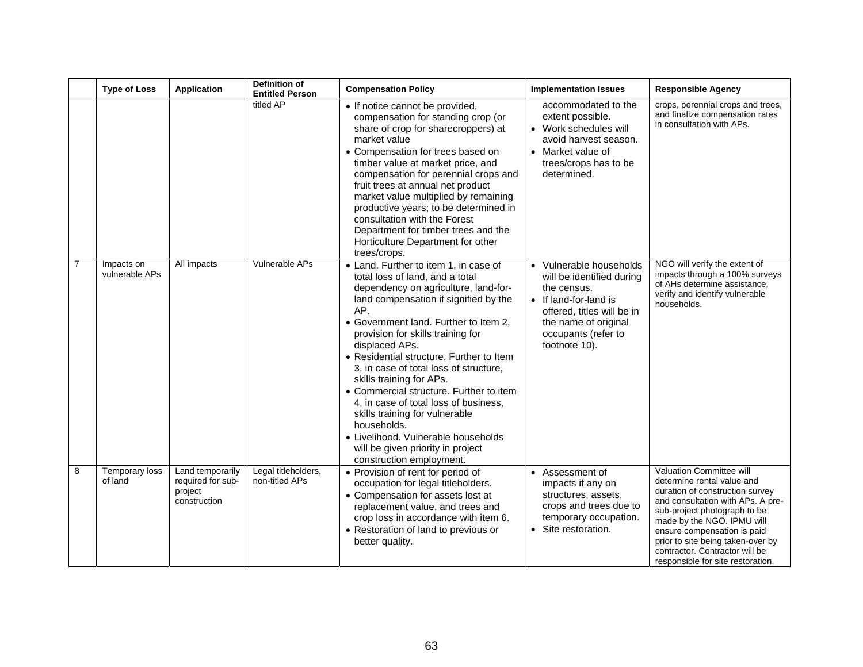|                | <b>Type of Loss</b>          | <b>Application</b>                                               | <b>Definition of</b><br><b>Entitled Person</b> | <b>Compensation Policy</b>                                                                                                                                                                                                                                                                                                                                                                                                                                                                                                                                                                                                      | <b>Implementation Issues</b>                                                                                                                                                               | <b>Responsible Agency</b>                                                                                                                                                                                                                                                                                                               |
|----------------|------------------------------|------------------------------------------------------------------|------------------------------------------------|---------------------------------------------------------------------------------------------------------------------------------------------------------------------------------------------------------------------------------------------------------------------------------------------------------------------------------------------------------------------------------------------------------------------------------------------------------------------------------------------------------------------------------------------------------------------------------------------------------------------------------|--------------------------------------------------------------------------------------------------------------------------------------------------------------------------------------------|-----------------------------------------------------------------------------------------------------------------------------------------------------------------------------------------------------------------------------------------------------------------------------------------------------------------------------------------|
|                |                              |                                                                  | titled AP                                      | • If notice cannot be provided,<br>compensation for standing crop (or<br>share of crop for sharecroppers) at<br>market value<br>• Compensation for trees based on<br>timber value at market price, and<br>compensation for perennial crops and<br>fruit trees at annual net product<br>market value multiplied by remaining<br>productive years; to be determined in<br>consultation with the Forest<br>Department for timber trees and the<br>Horticulture Department for other<br>trees/crops.                                                                                                                                | accommodated to the<br>extent possible.<br>• Work schedules will<br>avoid harvest season.<br>• Market value of<br>trees/crops has to be<br>determined.                                     | crops, perennial crops and trees,<br>and finalize compensation rates<br>in consultation with APs.                                                                                                                                                                                                                                       |
| $\overline{7}$ | Impacts on<br>vulnerable APs | All impacts                                                      | Vulnerable APs                                 | • Land. Further to item 1, in case of<br>total loss of land, and a total<br>dependency on agriculture, land-for-<br>land compensation if signified by the<br>AP.<br>• Government land. Further to Item 2,<br>provision for skills training for<br>displaced APs.<br>• Residential structure. Further to Item<br>3, in case of total loss of structure,<br>skills training for APs.<br>• Commercial structure. Further to item<br>4, in case of total loss of business,<br>skills training for vulnerable<br>households.<br>• Livelihood. Vulnerable households<br>will be given priority in project<br>construction employment. | • Vulnerable households<br>will be identified during<br>the census.<br>• If land-for-land is<br>offered, titles will be in<br>the name of original<br>occupants (refer to<br>footnote 10). | NGO will verify the extent of<br>impacts through a 100% surveys<br>of AHs determine assistance,<br>verify and identify vulnerable<br>households.                                                                                                                                                                                        |
| 8              | Temporary loss<br>of land    | Land temporarily<br>required for sub-<br>project<br>construction | Legal titleholders,<br>non-titled APs          | • Provision of rent for period of<br>occupation for legal titleholders.<br>• Compensation for assets lost at<br>replacement value, and trees and<br>crop loss in accordance with item 6.<br>• Restoration of land to previous or<br>better quality.                                                                                                                                                                                                                                                                                                                                                                             | • Assessment of<br>impacts if any on<br>structures, assets,<br>crops and trees due to<br>temporary occupation.<br>• Site restoration.                                                      | Valuation Committee will<br>determine rental value and<br>duration of construction survey<br>and consultation with APs. A pre-<br>sub-project photograph to be<br>made by the NGO. IPMU will<br>ensure compensation is paid<br>prior to site being taken-over by<br>contractor. Contractor will be<br>responsible for site restoration. |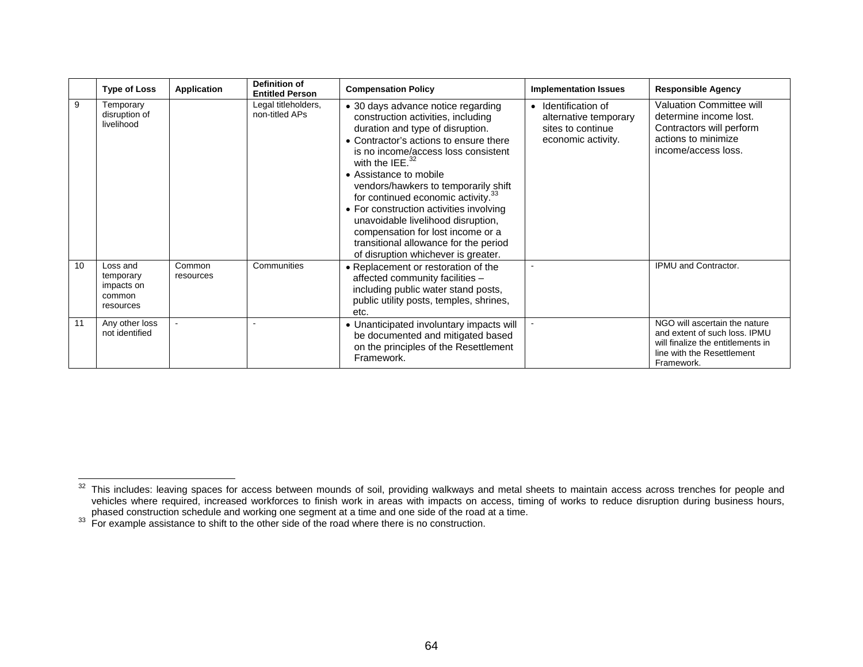|    | <b>Type of Loss</b>                                        | <b>Application</b>  | <b>Definition of</b><br><b>Entitled Person</b> | <b>Compensation Policy</b>                                                                                                                                                                                                                                                                                                                                                                                                                                                                                                                    | <b>Implementation Issues</b>                                                          | <b>Responsible Agency</b>                                                                                                                       |
|----|------------------------------------------------------------|---------------------|------------------------------------------------|-----------------------------------------------------------------------------------------------------------------------------------------------------------------------------------------------------------------------------------------------------------------------------------------------------------------------------------------------------------------------------------------------------------------------------------------------------------------------------------------------------------------------------------------------|---------------------------------------------------------------------------------------|-------------------------------------------------------------------------------------------------------------------------------------------------|
| 9  | Temporary<br>disruption of<br>livelihood                   |                     | Legal titleholders,<br>non-titled APs          | • 30 days advance notice regarding<br>construction activities, including<br>duration and type of disruption.<br>• Contractor's actions to ensure there<br>is no income/access loss consistent<br>with the IEE. $32$<br>• Assistance to mobile<br>vendors/hawkers to temporarily shift<br>for continued economic activity. <sup>33</sup><br>• For construction activities involving<br>unavoidable livelihood disruption,<br>compensation for lost income or a<br>transitional allowance for the period<br>of disruption whichever is greater. | Identification of<br>alternative temporary<br>sites to continue<br>economic activity. | <b>Valuation Committee will</b><br>determine income lost.<br>Contractors will perform<br>actions to minimize<br>income/access loss.             |
| 10 | Loss and<br>temporary<br>impacts on<br>common<br>resources | Common<br>resources | Communities                                    | • Replacement or restoration of the<br>affected community facilities -<br>including public water stand posts,<br>public utility posts, temples, shrines,<br>etc.                                                                                                                                                                                                                                                                                                                                                                              |                                                                                       | IPMU and Contractor.                                                                                                                            |
| 11 | Any other loss<br>not identified                           |                     |                                                | • Unanticipated involuntary impacts will<br>be documented and mitigated based<br>on the principles of the Resettlement<br>Framework.                                                                                                                                                                                                                                                                                                                                                                                                          |                                                                                       | NGO will ascertain the nature<br>and extent of such loss. IPMU<br>will finalize the entitlements in<br>line with the Resettlement<br>Framework. |

 $32$  This includes: leaving spaces for access between mounds of soil, providing walkways and metal sheets to maintain access across trenches for people and vehicles where required, increased workforces to finish work in areas with impacts on access, timing of works to reduce disruption during business hours,

phased construction schedule and working one segment at a time and one side of the road at a time.<br><sup>33</sup> For example assistance to shift to the other side of the road where there is no construction.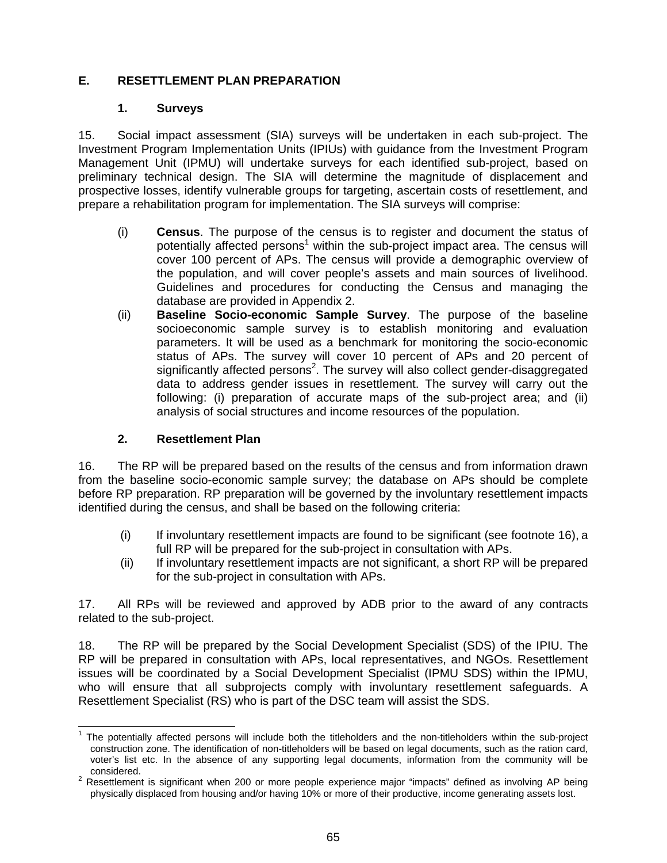# **E. RESETTLEMENT PLAN PREPARATION**

### **1. Surveys**

15. Social impact assessment (SIA) surveys will be undertaken in each sub-project. The Investment Program Implementation Units (IPIUs) with guidance from the Investment Program Management Unit (IPMU) will undertake surveys for each identified sub-project, based on preliminary technical design. The SIA will determine the magnitude of displacement and prospective losses, identify vulnerable groups for targeting, ascertain costs of resettlement, and prepare a rehabilitation program for implementation. The SIA surveys will comprise:

- (i) **Census**. The purpose of the census is to register and document the status of potentially affected persons<sup>1</sup> within the sub-project impact area. The census will cover 100 percent of APs. The census will provide a demographic overview of the population, and will cover people's assets and main sources of livelihood. Guidelines and procedures for conducting the Census and managing the database are provided in Appendix 2.
- (ii) **Baseline Socio-economic Sample Survey**. The purpose of the baseline socioeconomic sample survey is to establish monitoring and evaluation parameters. It will be used as a benchmark for monitoring the socio-economic status of APs. The survey will cover 10 percent of APs and 20 percent of significantly affected persons<sup>2</sup>. The survey will also collect gender-disaggregated data to address gender issues in resettlement. The survey will carry out the following: (i) preparation of accurate maps of the sub-project area; and (ii) analysis of social structures and income resources of the population.

# **2. Resettlement Plan**

16. The RP will be prepared based on the results of the census and from information drawn from the baseline socio-economic sample survey; the database on APs should be complete before RP preparation. RP preparation will be governed by the involuntary resettlement impacts identified during the census, and shall be based on the following criteria:

- (i) If involuntary resettlement impacts are found to be significant (see footnote 16), a full RP will be prepared for the sub-project in consultation with APs.
- (ii) If involuntary resettlement impacts are not significant, a short RP will be prepared for the sub-project in consultation with APs.

17. All RPs will be reviewed and approved by ADB prior to the award of any contracts related to the sub-project.

18. The RP will be prepared by the Social Development Specialist (SDS) of the IPIU. The RP will be prepared in consultation with APs, local representatives, and NGOs. Resettlement issues will be coordinated by a Social Development Specialist (IPMU SDS) within the IPMU, who will ensure that all subprojects comply with involuntary resettlement safeguards. A Resettlement Specialist (RS) who is part of the DSC team will assist the SDS.

 1 The potentially affected persons will include both the titleholders and the non-titleholders within the sub-project construction zone. The identification of non-titleholders will be based on legal documents, such as the ration card, voter's list etc. In the absence of any supporting legal documents, information from the community will be

considered.<br><sup>2</sup> Resettlement is significant when 200 or more people experience major "impacts" defined as involving AP being physically displaced from housing and/or having 10% or more of their productive, income generating assets lost.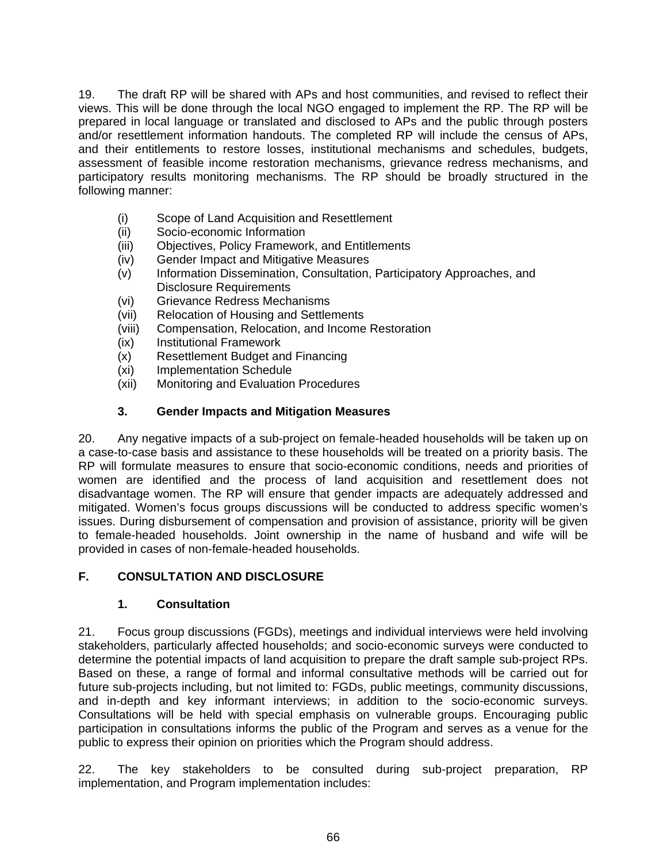19. The draft RP will be shared with APs and host communities, and revised to reflect their views. This will be done through the local NGO engaged to implement the RP. The RP will be prepared in local language or translated and disclosed to APs and the public through posters and/or resettlement information handouts. The completed RP will include the census of APs, and their entitlements to restore losses, institutional mechanisms and schedules, budgets, assessment of feasible income restoration mechanisms, grievance redress mechanisms, and participatory results monitoring mechanisms. The RP should be broadly structured in the following manner:

- (i) Scope of Land Acquisition and Resettlement
- (ii) Socio-economic Information
- (iii) Objectives, Policy Framework, and Entitlements
- (iv) Gender Impact and Mitigative Measures
- (v) Information Dissemination, Consultation, Participatory Approaches, and Disclosure Requirements
- (vi) Grievance Redress Mechanisms
- (vii) Relocation of Housing and Settlements
- (viii) Compensation, Relocation, and Income Restoration
- (ix) Institutional Framework
- (x) Resettlement Budget and Financing
- (xi) Implementation Schedule
- (xii) Monitoring and Evaluation Procedures

### **3. Gender Impacts and Mitigation Measures**

20. Any negative impacts of a sub-project on female-headed households will be taken up on a case-to-case basis and assistance to these households will be treated on a priority basis. The RP will formulate measures to ensure that socio-economic conditions, needs and priorities of women are identified and the process of land acquisition and resettlement does not disadvantage women. The RP will ensure that gender impacts are adequately addressed and mitigated. Women's focus groups discussions will be conducted to address specific women's issues. During disbursement of compensation and provision of assistance, priority will be given to female-headed households. Joint ownership in the name of husband and wife will be provided in cases of non-female-headed households.

### **F. CONSULTATION AND DISCLOSURE**

### **1. Consultation**

21. Focus group discussions (FGDs), meetings and individual interviews were held involving stakeholders, particularly affected households; and socio-economic surveys were conducted to determine the potential impacts of land acquisition to prepare the draft sample sub-project RPs. Based on these, a range of formal and informal consultative methods will be carried out for future sub-projects including, but not limited to: FGDs, public meetings, community discussions, and in-depth and key informant interviews; in addition to the socio-economic surveys. Consultations will be held with special emphasis on vulnerable groups. Encouraging public participation in consultations informs the public of the Program and serves as a venue for the public to express their opinion on priorities which the Program should address.

22. The key stakeholders to be consulted during sub-project preparation, RP implementation, and Program implementation includes: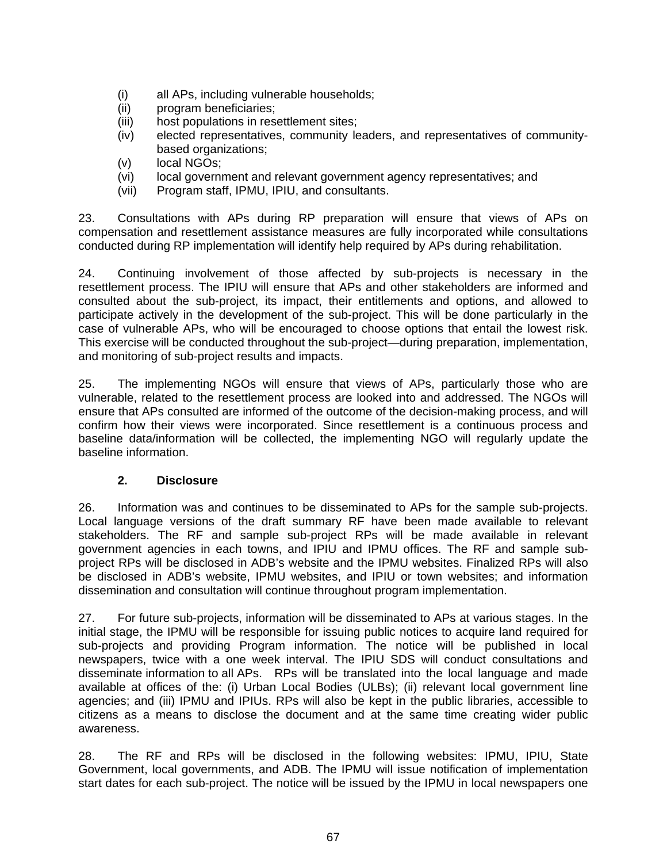- (i) all APs, including vulnerable households;
- (ii) program beneficiaries;
- (iii) host populations in resettlement sites;
- (iv) elected representatives, community leaders, and representatives of communitybased organizations;
- (v) local NGOs;
- (vi) local government and relevant government agency representatives; and
- (vii) Program staff, IPMU, IPIU, and consultants.

23. Consultations with APs during RP preparation will ensure that views of APs on compensation and resettlement assistance measures are fully incorporated while consultations conducted during RP implementation will identify help required by APs during rehabilitation.

24. Continuing involvement of those affected by sub-projects is necessary in the resettlement process. The IPIU will ensure that APs and other stakeholders are informed and consulted about the sub-project, its impact, their entitlements and options, and allowed to participate actively in the development of the sub-project. This will be done particularly in the case of vulnerable APs, who will be encouraged to choose options that entail the lowest risk. This exercise will be conducted throughout the sub-project—during preparation, implementation, and monitoring of sub-project results and impacts.

25. The implementing NGOs will ensure that views of APs, particularly those who are vulnerable, related to the resettlement process are looked into and addressed. The NGOs will ensure that APs consulted are informed of the outcome of the decision-making process, and will confirm how their views were incorporated. Since resettlement is a continuous process and baseline data/information will be collected, the implementing NGO will regularly update the baseline information.

### **2. Disclosure**

26. Information was and continues to be disseminated to APs for the sample sub-projects. Local language versions of the draft summary RF have been made available to relevant stakeholders. The RF and sample sub-project RPs will be made available in relevant government agencies in each towns, and IPIU and IPMU offices. The RF and sample subproject RPs will be disclosed in ADB's website and the IPMU websites. Finalized RPs will also be disclosed in ADB's website, IPMU websites, and IPIU or town websites; and information dissemination and consultation will continue throughout program implementation.

27. For future sub-projects, information will be disseminated to APs at various stages. In the initial stage, the IPMU will be responsible for issuing public notices to acquire land required for sub-projects and providing Program information. The notice will be published in local newspapers, twice with a one week interval. The IPIU SDS will conduct consultations and disseminate information to all APs. RPs will be translated into the local language and made available at offices of the: (i) Urban Local Bodies (ULBs); (ii) relevant local government line agencies; and (iii) IPMU and IPIUs. RPs will also be kept in the public libraries, accessible to citizens as a means to disclose the document and at the same time creating wider public awareness.

28. The RF and RPs will be disclosed in the following websites: IPMU, IPIU, State Government, local governments, and ADB. The IPMU will issue notification of implementation start dates for each sub-project. The notice will be issued by the IPMU in local newspapers one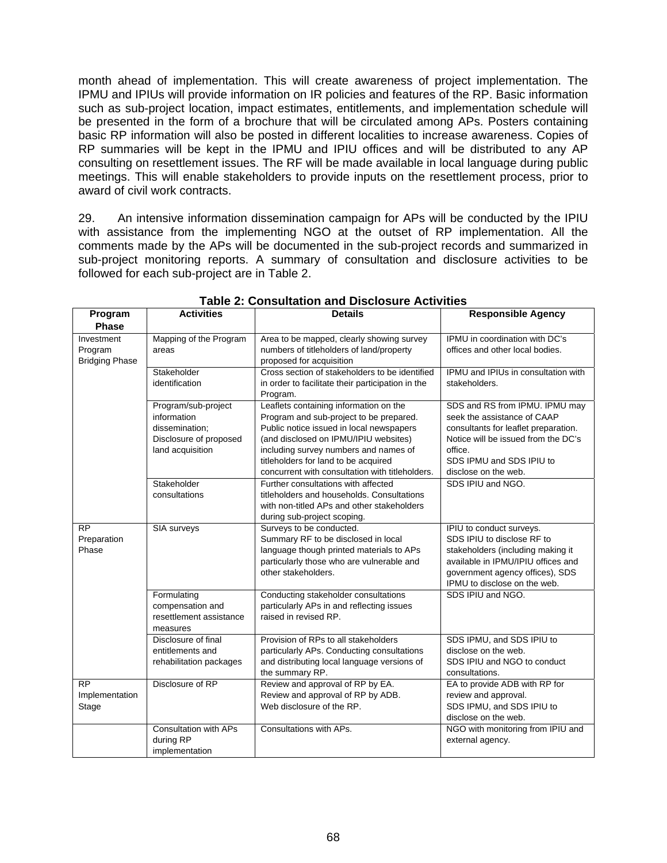month ahead of implementation. This will create awareness of project implementation. The IPMU and IPIUs will provide information on IR policies and features of the RP. Basic information such as sub-project location, impact estimates, entitlements, and implementation schedule will be presented in the form of a brochure that will be circulated among APs. Posters containing basic RP information will also be posted in different localities to increase awareness. Copies of RP summaries will be kept in the IPMU and IPIU offices and will be distributed to any AP consulting on resettlement issues. The RF will be made available in local language during public meetings. This will enable stakeholders to provide inputs on the resettlement process, prior to award of civil work contracts.

29. An intensive information dissemination campaign for APs will be conducted by the IPIU with assistance from the implementing NGO at the outset of RP implementation. All the comments made by the APs will be documented in the sub-project records and summarized in sub-project monitoring reports. A summary of consultation and disclosure activities to be followed for each sub-project are in Table 2.

| Program<br><b>Phase</b>                        | <b>Activities</b>                                                                                  | <b>Details</b>                                                                                                                                                                                                                                                                                             | <b>Responsible Agency</b>                                                                                                                                                                                   |
|------------------------------------------------|----------------------------------------------------------------------------------------------------|------------------------------------------------------------------------------------------------------------------------------------------------------------------------------------------------------------------------------------------------------------------------------------------------------------|-------------------------------------------------------------------------------------------------------------------------------------------------------------------------------------------------------------|
| Investment<br>Program<br><b>Bridging Phase</b> | Mapping of the Program<br>areas                                                                    | Area to be mapped, clearly showing survey<br>numbers of titleholders of land/property<br>proposed for acquisition                                                                                                                                                                                          | IPMU in coordination with DC's<br>offices and other local bodies.                                                                                                                                           |
|                                                | Stakeholder<br>identification                                                                      | Cross section of stakeholders to be identified<br>in order to facilitate their participation in the<br>Program.                                                                                                                                                                                            | IPMU and IPIUs in consultation with<br>stakeholders.                                                                                                                                                        |
|                                                | Program/sub-project<br>information<br>dissemination;<br>Disclosure of proposed<br>land acquisition | Leaflets containing information on the<br>Program and sub-project to be prepared.<br>Public notice issued in local newspapers<br>(and disclosed on IPMU/IPIU websites)<br>including survey numbers and names of<br>titleholders for land to be acquired<br>concurrent with consultation with titleholders. | SDS and RS from IPMU. IPMU may<br>seek the assistance of CAAP<br>consultants for leaflet preparation.<br>Notice will be issued from the DC's<br>office.<br>SDS IPMU and SDS IPIU to<br>disclose on the web. |
|                                                | Stakeholder<br>consultations                                                                       | Further consultations with affected<br>titleholders and households. Consultations<br>with non-titled APs and other stakeholders<br>during sub-project scoping.                                                                                                                                             | SDS IPIU and NGO.                                                                                                                                                                                           |
| <b>RP</b><br>Preparation<br>Phase              | SIA surveys                                                                                        | Surveys to be conducted.<br>Summary RF to be disclosed in local<br>language though printed materials to APs<br>particularly those who are vulnerable and<br>other stakeholders.                                                                                                                            | IPIU to conduct surveys.<br>SDS IPIU to disclose RF to<br>stakeholders (including making it<br>available in IPMU/IPIU offices and<br>government agency offices), SDS<br>IPMU to disclose on the web.        |
|                                                | Formulating<br>compensation and<br>resettlement assistance<br>measures                             | Conducting stakeholder consultations<br>particularly APs in and reflecting issues<br>raised in revised RP.                                                                                                                                                                                                 | SDS IPIU and NGO.                                                                                                                                                                                           |
|                                                | Disclosure of final<br>entitlements and<br>rehabilitation packages                                 | Provision of RPs to all stakeholders<br>particularly APs. Conducting consultations<br>and distributing local language versions of<br>the summary RP.                                                                                                                                                       | SDS IPMU, and SDS IPIU to<br>disclose on the web.<br>SDS IPIU and NGO to conduct<br>consultations.                                                                                                          |
| <b>RP</b><br>Implementation<br>Stage           | Disclosure of RP                                                                                   | Review and approval of RP by EA.<br>Review and approval of RP by ADB.<br>Web disclosure of the RP.                                                                                                                                                                                                         | EA to provide ADB with RP for<br>review and approval.<br>SDS IPMU, and SDS IPIU to<br>disclose on the web.                                                                                                  |
|                                                | Consultation with APs<br>during RP<br>implementation                                               | Consultations with APs.                                                                                                                                                                                                                                                                                    | NGO with monitoring from IPIU and<br>external agency.                                                                                                                                                       |

#### **Table 2: Consultation and Disclosure Activities**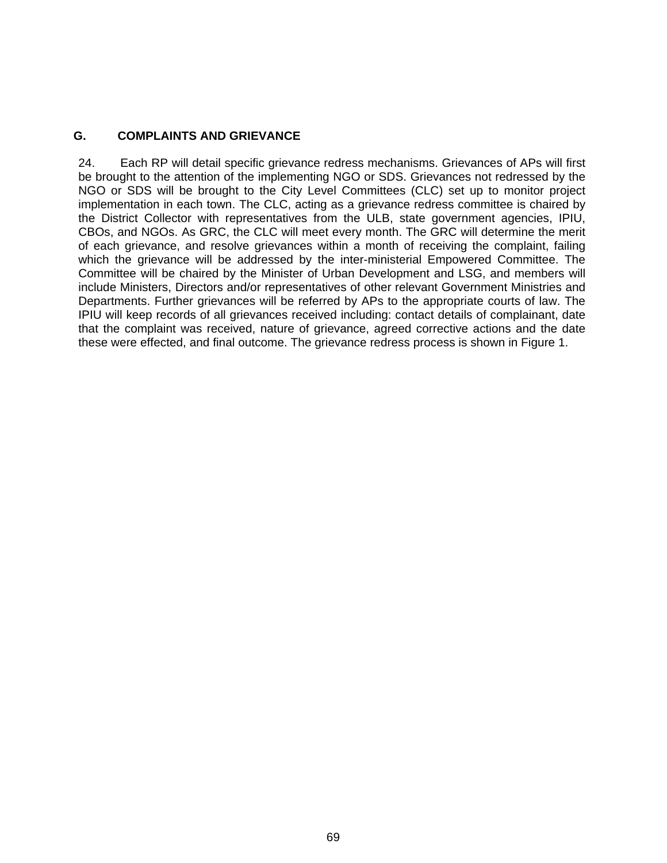### **G. COMPLAINTS AND GRIEVANCE**

24. Each RP will detail specific grievance redress mechanisms. Grievances of APs will first be brought to the attention of the implementing NGO or SDS. Grievances not redressed by the NGO or SDS will be brought to the City Level Committees (CLC) set up to monitor project implementation in each town. The CLC, acting as a grievance redress committee is chaired by the District Collector with representatives from the ULB, state government agencies, IPIU, CBOs, and NGOs. As GRC, the CLC will meet every month. The GRC will determine the merit of each grievance, and resolve grievances within a month of receiving the complaint, failing which the grievance will be addressed by the inter-ministerial Empowered Committee. The Committee will be chaired by the Minister of Urban Development and LSG, and members will include Ministers, Directors and/or representatives of other relevant Government Ministries and Departments. Further grievances will be referred by APs to the appropriate courts of law. The IPIU will keep records of all grievances received including: contact details of complainant, date that the complaint was received, nature of grievance, agreed corrective actions and the date these were effected, and final outcome. The grievance redress process is shown in Figure 1.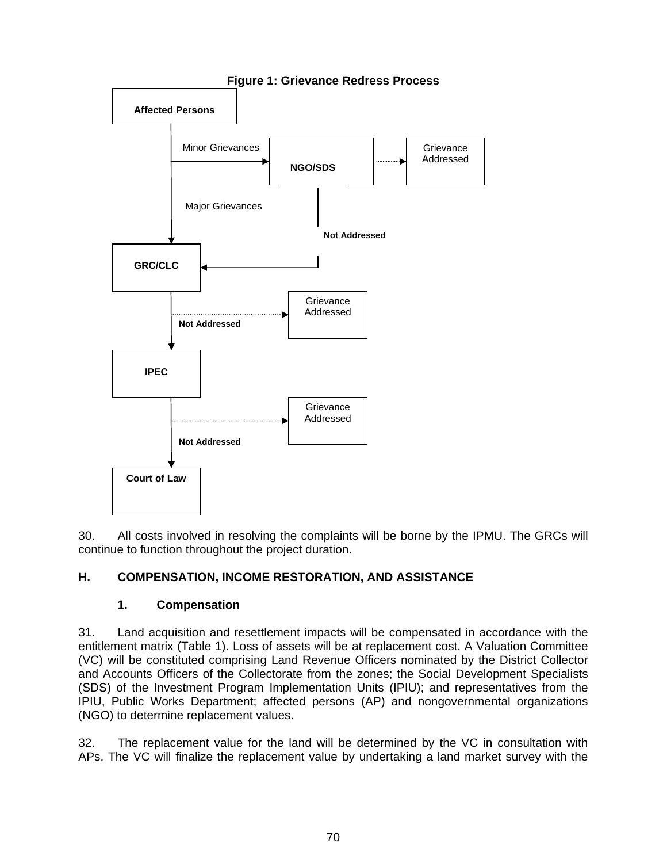

**Figure 1: Grievance Redress Process** 

30. All costs involved in resolving the complaints will be borne by the IPMU. The GRCs will continue to function throughout the project duration.

# **H. COMPENSATION, INCOME RESTORATION, AND ASSISTANCE**

# **1. Compensation**

31. Land acquisition and resettlement impacts will be compensated in accordance with the entitlement matrix (Table 1). Loss of assets will be at replacement cost. A Valuation Committee (VC) will be constituted comprising Land Revenue Officers nominated by the District Collector and Accounts Officers of the Collectorate from the zones; the Social Development Specialists (SDS) of the Investment Program Implementation Units (IPIU); and representatives from the IPIU, Public Works Department; affected persons (AP) and nongovernmental organizations (NGO) to determine replacement values.

32. The replacement value for the land will be determined by the VC in consultation with APs. The VC will finalize the replacement value by undertaking a land market survey with the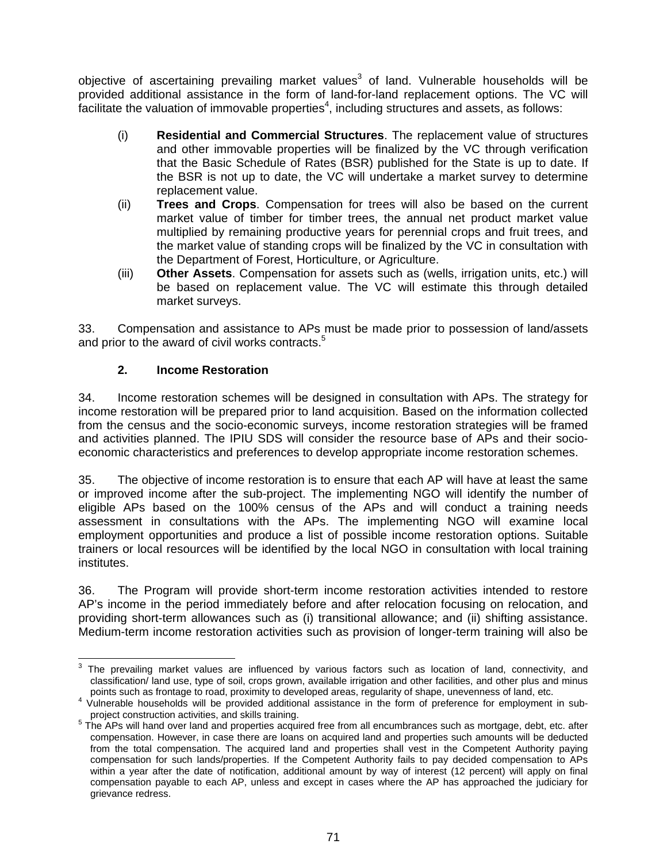objective of ascertaining prevailing market values<sup>3</sup> of land. Vulnerable households will be provided additional assistance in the form of land-for-land replacement options. The VC will facilitate the valuation of immovable properties<sup>4</sup>, including structures and assets, as follows:

- (i) **Residential and Commercial Structures**. The replacement value of structures and other immovable properties will be finalized by the VC through verification that the Basic Schedule of Rates (BSR) published for the State is up to date. If the BSR is not up to date, the VC will undertake a market survey to determine replacement value.
- (ii) **Trees and Crops**. Compensation for trees will also be based on the current market value of timber for timber trees, the annual net product market value multiplied by remaining productive years for perennial crops and fruit trees, and the market value of standing crops will be finalized by the VC in consultation with the Department of Forest, Horticulture, or Agriculture.
- (iii) **Other Assets**. Compensation for assets such as (wells, irrigation units, etc.) will be based on replacement value. The VC will estimate this through detailed market surveys.

33. Compensation and assistance to APs must be made prior to possession of land/assets and prior to the award of civil works contracts.<sup>5</sup>

### **2. Income Restoration**

34. Income restoration schemes will be designed in consultation with APs. The strategy for income restoration will be prepared prior to land acquisition. Based on the information collected from the census and the socio-economic surveys, income restoration strategies will be framed and activities planned. The IPIU SDS will consider the resource base of APs and their socioeconomic characteristics and preferences to develop appropriate income restoration schemes.

35. The objective of income restoration is to ensure that each AP will have at least the same or improved income after the sub-project. The implementing NGO will identify the number of eligible APs based on the 100% census of the APs and will conduct a training needs assessment in consultations with the APs. The implementing NGO will examine local employment opportunities and produce a list of possible income restoration options. Suitable trainers or local resources will be identified by the local NGO in consultation with local training institutes.

36. The Program will provide short-term income restoration activities intended to restore AP's income in the period immediately before and after relocation focusing on relocation, and providing short-term allowances such as (i) transitional allowance; and (ii) shifting assistance. Medium-term income restoration activities such as provision of longer-term training will also be

 3 The prevailing market values are influenced by various factors such as location of land, connectivity, and classification/ land use, type of soil, crops grown, available irrigation and other facilities, and other plus and minus points such as frontage to road, proximity to developed areas, regularity of shape, unevenness of land, etc. 4

Vulnerable households will be provided additional assistance in the form of preference for employment in sub-<br>project construction activities, and skills training.

project construction activities, and skills training.<br><sup>5</sup> The APs will hand over land and properties acquired free from all encumbrances such as mortgage, debt, etc. after compensation. However, in case there are loans on acquired land and properties such amounts will be deducted from the total compensation. The acquired land and properties shall vest in the Competent Authority paying compensation for such lands/properties. If the Competent Authority fails to pay decided compensation to APs within a year after the date of notification, additional amount by way of interest (12 percent) will apply on final compensation payable to each AP, unless and except in cases where the AP has approached the judiciary for grievance redress.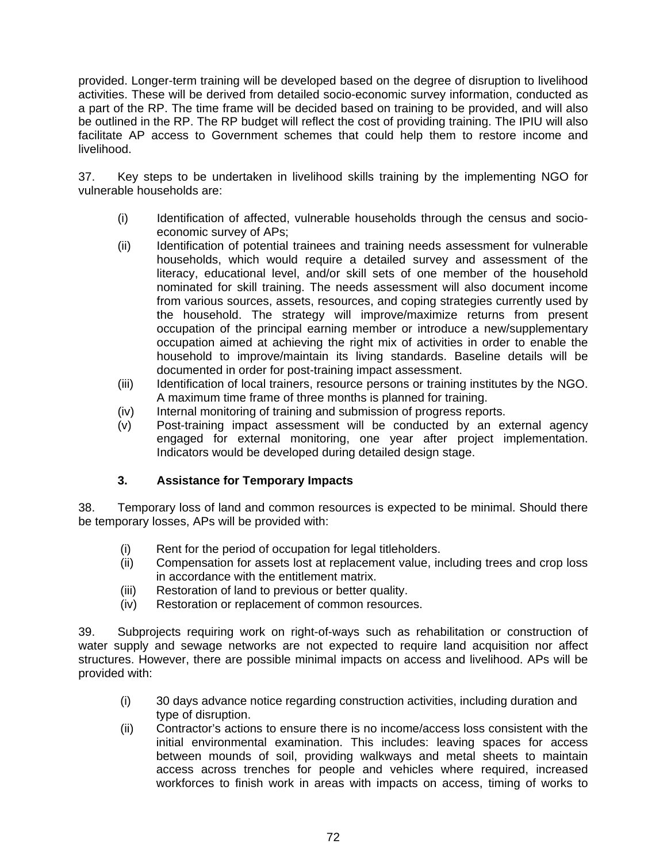provided. Longer-term training will be developed based on the degree of disruption to livelihood activities. These will be derived from detailed socio-economic survey information, conducted as a part of the RP. The time frame will be decided based on training to be provided, and will also be outlined in the RP. The RP budget will reflect the cost of providing training. The IPIU will also facilitate AP access to Government schemes that could help them to restore income and livelihood.

37. Key steps to be undertaken in livelihood skills training by the implementing NGO for vulnerable households are:

- (i) Identification of affected, vulnerable households through the census and socioeconomic survey of APs;
- (ii) Identification of potential trainees and training needs assessment for vulnerable households, which would require a detailed survey and assessment of the literacy, educational level, and/or skill sets of one member of the household nominated for skill training. The needs assessment will also document income from various sources, assets, resources, and coping strategies currently used by the household. The strategy will improve/maximize returns from present occupation of the principal earning member or introduce a new/supplementary occupation aimed at achieving the right mix of activities in order to enable the household to improve/maintain its living standards. Baseline details will be documented in order for post-training impact assessment.
- (iii) Identification of local trainers, resource persons or training institutes by the NGO. A maximum time frame of three months is planned for training.
- (iv) Internal monitoring of training and submission of progress reports.
- (v) Post-training impact assessment will be conducted by an external agency engaged for external monitoring, one year after project implementation. Indicators would be developed during detailed design stage.

# **3. Assistance for Temporary Impacts**

38. Temporary loss of land and common resources is expected to be minimal. Should there be temporary losses, APs will be provided with:

- (i) Rent for the period of occupation for legal titleholders.
- (ii) Compensation for assets lost at replacement value, including trees and crop loss in accordance with the entitlement matrix.
- (iii) Restoration of land to previous or better quality.
- (iv) Restoration or replacement of common resources.

39. Subprojects requiring work on right-of-ways such as rehabilitation or construction of water supply and sewage networks are not expected to require land acquisition nor affect structures. However, there are possible minimal impacts on access and livelihood. APs will be provided with:

- (i) 30 days advance notice regarding construction activities, including duration and type of disruption.
- (ii) Contractor's actions to ensure there is no income/access loss consistent with the initial environmental examination. This includes: leaving spaces for access between mounds of soil, providing walkways and metal sheets to maintain access across trenches for people and vehicles where required, increased workforces to finish work in areas with impacts on access, timing of works to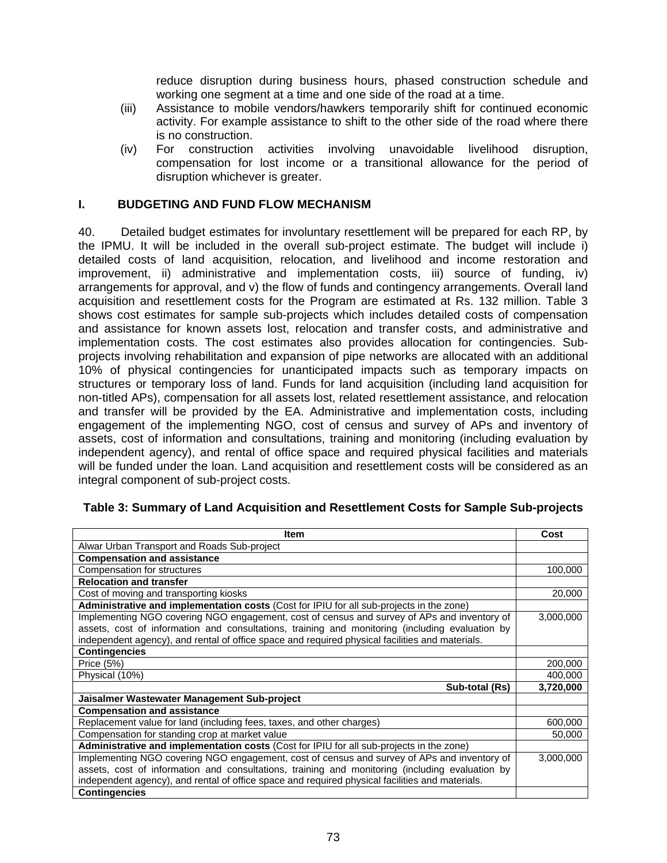reduce disruption during business hours, phased construction schedule and working one segment at a time and one side of the road at a time.

- (iii) Assistance to mobile vendors/hawkers temporarily shift for continued economic activity. For example assistance to shift to the other side of the road where there is no construction.
- (iv) For construction activities involving unavoidable livelihood disruption, compensation for lost income or a transitional allowance for the period of disruption whichever is greater.

### **I. BUDGETING AND FUND FLOW MECHANISM**

40. Detailed budget estimates for involuntary resettlement will be prepared for each RP, by the IPMU. It will be included in the overall sub-project estimate. The budget will include i) detailed costs of land acquisition, relocation, and livelihood and income restoration and improvement, ii) administrative and implementation costs, iii) source of funding, iv) arrangements for approval, and v) the flow of funds and contingency arrangements. Overall land acquisition and resettlement costs for the Program are estimated at Rs. 132 million. Table 3 shows cost estimates for sample sub-projects which includes detailed costs of compensation and assistance for known assets lost, relocation and transfer costs, and administrative and implementation costs. The cost estimates also provides allocation for contingencies. Subprojects involving rehabilitation and expansion of pipe networks are allocated with an additional 10% of physical contingencies for unanticipated impacts such as temporary impacts on structures or temporary loss of land. Funds for land acquisition (including land acquisition for non-titled APs), compensation for all assets lost, related resettlement assistance, and relocation and transfer will be provided by the EA. Administrative and implementation costs, including engagement of the implementing NGO, cost of census and survey of APs and inventory of assets, cost of information and consultations, training and monitoring (including evaluation by independent agency), and rental of office space and required physical facilities and materials will be funded under the loan. Land acquisition and resettlement costs will be considered as an integral component of sub-project costs.

| Item                                                                                            | Cost      |
|-------------------------------------------------------------------------------------------------|-----------|
| Alwar Urban Transport and Roads Sub-project                                                     |           |
| <b>Compensation and assistance</b>                                                              |           |
| Compensation for structures                                                                     | 100,000   |
| <b>Relocation and transfer</b>                                                                  |           |
| Cost of moving and transporting kiosks                                                          | 20,000    |
| Administrative and implementation costs (Cost for IPIU for all sub-projects in the zone)        |           |
| Implementing NGO covering NGO engagement, cost of census and survey of APs and inventory of     | 3,000,000 |
| assets, cost of information and consultations, training and monitoring (including evaluation by |           |
| independent agency), and rental of office space and required physical facilities and materials. |           |
| <b>Contingencies</b>                                                                            |           |
| Price (5%)                                                                                      | 200,000   |
| Physical (10%)                                                                                  | 400,000   |
| Sub-total (Rs)                                                                                  | 3,720,000 |
| Jaisalmer Wastewater Management Sub-project                                                     |           |
| <b>Compensation and assistance</b>                                                              |           |
| Replacement value for land (including fees, taxes, and other charges)                           | 600,000   |
| Compensation for standing crop at market value                                                  | 50,000    |
| Administrative and implementation costs (Cost for IPIU for all sub-projects in the zone)        |           |
| Implementing NGO covering NGO engagement, cost of census and survey of APs and inventory of     | 3,000,000 |
| assets, cost of information and consultations, training and monitoring (including evaluation by |           |
| independent agency), and rental of office space and required physical facilities and materials. |           |
| <b>Contingencies</b>                                                                            |           |

#### **Table 3: Summary of Land Acquisition and Resettlement Costs for Sample Sub-projects**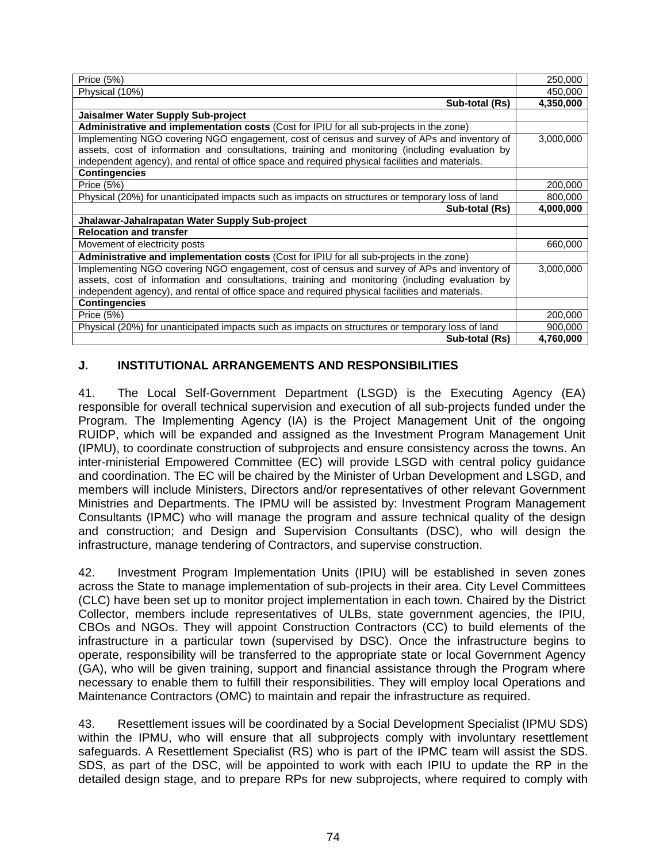| Price (5%)                                                                                       | 250,000   |
|--------------------------------------------------------------------------------------------------|-----------|
| Physical (10%)                                                                                   | 450,000   |
| Sub-total (Rs)                                                                                   | 4,350,000 |
| Jaisalmer Water Supply Sub-project                                                               |           |
| Administrative and implementation costs (Cost for IPIU for all sub-projects in the zone)         |           |
| Implementing NGO covering NGO engagement, cost of census and survey of APs and inventory of      | 3,000,000 |
| assets, cost of information and consultations, training and monitoring (including evaluation by  |           |
| independent agency), and rental of office space and required physical facilities and materials.  |           |
| <b>Contingencies</b>                                                                             |           |
| Price (5%)                                                                                       | 200,000   |
| Physical (20%) for unanticipated impacts such as impacts on structures or temporary loss of land | 800,000   |
| Sub-total (Rs)                                                                                   | 4,000,000 |
| Jhalawar-Jahalrapatan Water Supply Sub-project                                                   |           |
| <b>Relocation and transfer</b>                                                                   |           |
| Movement of electricity posts                                                                    | 660,000   |
| Administrative and implementation costs (Cost for IPIU for all sub-projects in the zone)         |           |
| Implementing NGO covering NGO engagement, cost of census and survey of APs and inventory of      | 3,000,000 |
| assets, cost of information and consultations, training and monitoring (including evaluation by  |           |
| independent agency), and rental of office space and required physical facilities and materials.  |           |
| <b>Contingencies</b>                                                                             |           |
| Price (5%)                                                                                       | 200,000   |
| Physical (20%) for unanticipated impacts such as impacts on structures or temporary loss of land | 900,000   |
| Sub-total (Rs)                                                                                   | 4,760,000 |

#### **J. INSTITUTIONAL ARRANGEMENTS AND RESPONSIBILITIES**

41. The Local Self-Government Department (LSGD) is the Executing Agency (EA) responsible for overall technical supervision and execution of all sub-projects funded under the Program. The Implementing Agency (IA) is the Project Management Unit of the ongoing RUIDP, which will be expanded and assigned as the Investment Program Management Unit (IPMU), to coordinate construction of subprojects and ensure consistency across the towns. An inter-ministerial Empowered Committee (EC) will provide LSGD with central policy guidance and coordination. The EC will be chaired by the Minister of Urban Development and LSGD, and members will include Ministers, Directors and/or representatives of other relevant Government Ministries and Departments. The IPMU will be assisted by: Investment Program Management Consultants (IPMC) who will manage the program and assure technical quality of the design and construction; and Design and Supervision Consultants (DSC), who will design the infrastructure, manage tendering of Contractors, and supervise construction.

42. Investment Program Implementation Units (IPIU) will be established in seven zones across the State to manage implementation of sub-projects in their area. City Level Committees (CLC) have been set up to monitor project implementation in each town. Chaired by the District Collector, members include representatives of ULBs, state government agencies, the IPIU, CBOs and NGOs. They will appoint Construction Contractors (CC) to build elements of the infrastructure in a particular town (supervised by DSC). Once the infrastructure begins to operate, responsibility will be transferred to the appropriate state or local Government Agency (GA), who will be given training, support and financial assistance through the Program where necessary to enable them to fulfill their responsibilities. They will employ local Operations and Maintenance Contractors (OMC) to maintain and repair the infrastructure as required.

43. Resettlement issues will be coordinated by a Social Development Specialist (IPMU SDS) within the IPMU, who will ensure that all subprojects comply with involuntary resettlement safeguards. A Resettlement Specialist (RS) who is part of the IPMC team will assist the SDS. SDS, as part of the DSC, will be appointed to work with each IPIU to update the RP in the detailed design stage, and to prepare RPs for new subprojects, where required to comply with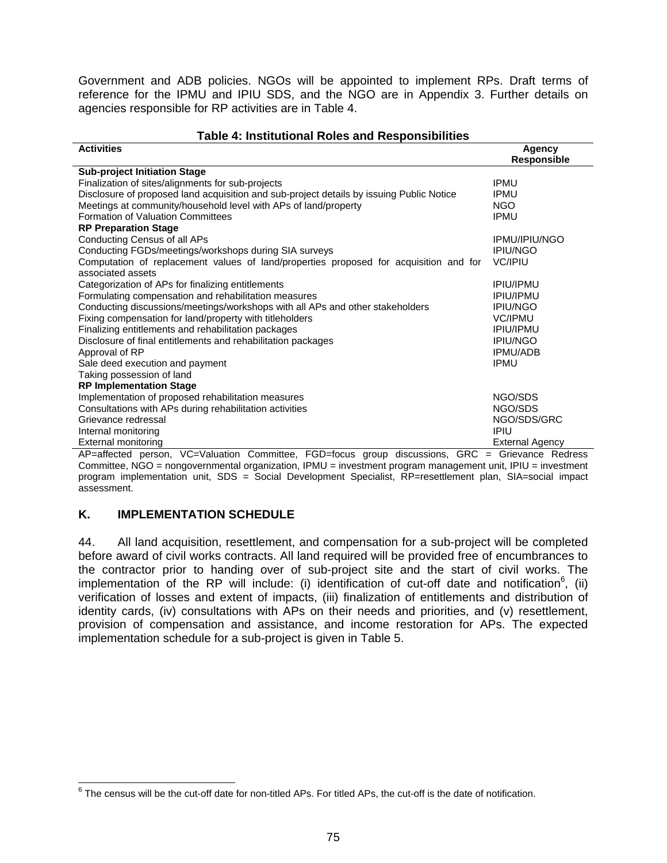Government and ADB policies. NGOs will be appointed to implement RPs. Draft terms of reference for the IPMU and IPIU SDS, and the NGO are in Appendix 3. Further details on agencies responsible for RP activities are in Table 4.

#### **Table 4: Institutional Roles and Responsibilities**

| <b>Activities</b>                                                                                          | <b>Agency</b><br><b>Responsible</b> |
|------------------------------------------------------------------------------------------------------------|-------------------------------------|
| <b>Sub-project Initiation Stage</b>                                                                        |                                     |
| Finalization of sites/alignments for sub-projects                                                          | <b>IPMU</b>                         |
| Disclosure of proposed land acquisition and sub-project details by issuing Public Notice                   | <b>IPMU</b>                         |
| Meetings at community/household level with APs of land/property                                            | <b>NGO</b>                          |
| <b>Formation of Valuation Committees</b>                                                                   | <b>IPMU</b>                         |
|                                                                                                            |                                     |
| <b>RP Preparation Stage</b><br>Conducting Census of all APs                                                | <b>IPMU/IPIU/NGO</b>                |
|                                                                                                            | <b>IPIU/NGO</b>                     |
| Conducting FGDs/meetings/workshops during SIA surveys                                                      | VC/IPIU                             |
| Computation of replacement values of land/properties proposed for acquisition and for<br>associated assets |                                     |
|                                                                                                            | <b>IPIU/IPMU</b>                    |
| Categorization of APs for finalizing entitlements                                                          | <b>IPIU/IPMU</b>                    |
| Formulating compensation and rehabilitation measures                                                       |                                     |
| Conducting discussions/meetings/workshops with all APs and other stakeholders                              | <b>IPIU/NGO</b>                     |
| Fixing compensation for land/property with titleholders                                                    | VC/IPMU                             |
| Finalizing entitlements and rehabilitation packages                                                        | <b>IPIU/IPMU</b>                    |
| Disclosure of final entitlements and rehabilitation packages                                               | <b>IPIU/NGO</b>                     |
| Approval of RP                                                                                             | <b>IPMU/ADB</b>                     |
| Sale deed execution and payment                                                                            | <b>IPMU</b>                         |
| Taking possession of land                                                                                  |                                     |
| <b>RP Implementation Stage</b>                                                                             |                                     |
| Implementation of proposed rehabilitation measures                                                         | NGO/SDS                             |
| Consultations with APs during rehabilitation activities                                                    | NGO/SDS                             |
| Grievance redressal                                                                                        | NGO/SDS/GRC                         |
| Internal monitoring                                                                                        | <b>IPIU</b>                         |
| External monitoring                                                                                        | <b>External Agency</b>              |
| VC=Valuation Committee<br><b>EGD</b> -focus aroup discussions<br>AP=affected nerson                        | $GRC =$ Grievance Redress           |

on, VC=Valuation Committee, FGD=focus group discussion Committee, NGO = nongovernmental organization, IPMU = investment program management unit, IPIU = investment program implementation unit, SDS = Social Development Specialist, RP=resettlement plan, SIA=social impact assessment.

### **K. IMPLEMENTATION SCHEDULE**

44. All land acquisition, resettlement, and compensation for a sub-project will be completed before award of civil works contracts. All land required will be provided free of encumbrances to the contractor prior to handing over of sub-project site and the start of civil works. The implementation of the RP will include: (i) identification of cut-off date and notification<sup>6</sup>, (ii) verification of losses and extent of impacts, (iii) finalization of entitlements and distribution of identity cards, (iv) consultations with APs on their needs and priorities, and (v) resettlement, provision of compensation and assistance, and income restoration for APs. The expected implementation schedule for a sub-project is given in Table 5.

<sup>&</sup>lt;u>Endone consus will be the cut-off date for non-titled APs. For titled APs, the cut-off is the date of notification.</u><br><sup>6</sup> The census will be the cut-off date for non-titled APs. For titled APs, the cut-off is the date of n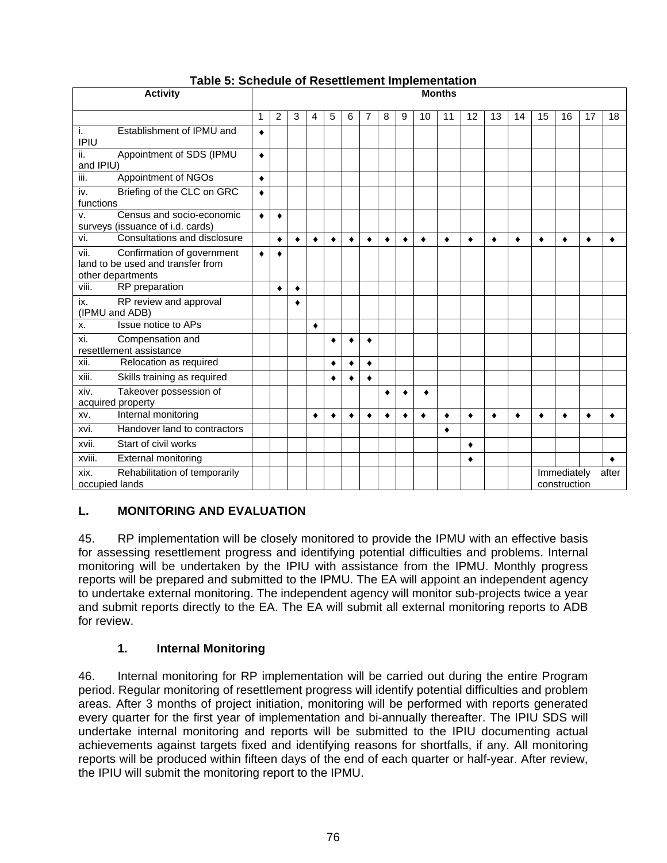| <b>Activity</b>                                                                              |           |             |   |   |   |   |   |           |   |    | <b>Months</b> |    |    |    |    |                             |           |       |
|----------------------------------------------------------------------------------------------|-----------|-------------|---|---|---|---|---|-----------|---|----|---------------|----|----|----|----|-----------------------------|-----------|-------|
|                                                                                              | 1         | 2           | 3 | 4 | 5 | 6 | 7 | 8         | 9 | 10 | 11            | 12 | 13 | 14 | 15 | 16                          | 17        | 18    |
| Establishment of IPMU and<br>i.<br><b>IPIU</b>                                               | ٠         |             |   |   |   |   |   |           |   |    |               |    |    |    |    |                             |           |       |
| ii.<br>Appointment of SDS (IPMU<br>and IPIU)                                                 | $\bullet$ |             |   |   |   |   |   |           |   |    |               |    |    |    |    |                             |           |       |
| iii.<br>Appointment of NGOs                                                                  | $\bullet$ |             |   |   |   |   |   |           |   |    |               |    |    |    |    |                             |           |       |
| Briefing of the CLC on GRC<br>iv.<br>functions                                               | ٠         |             |   |   |   |   |   |           |   |    |               |    |    |    |    |                             |           |       |
| Census and socio-economic<br>v.<br>surveys (issuance of i.d. cards)                          | $\bullet$ | $\bullet$   |   |   |   |   |   |           |   |    |               |    |    |    |    |                             |           |       |
| vi.<br>Consultations and disclosure                                                          |           | ٠           | ٠ | ٠ | ٠ |   | ٠ | ٠         | ٠ | ٠  | ٠             |    | ٠  | ٠  | ٠  | ٠                           | ٠         |       |
| vii.<br>Confirmation of government<br>land to be used and transfer from<br>other departments |           | $\triangle$ |   |   |   |   |   |           |   |    |               |    |    |    |    |                             |           |       |
| viii.<br>RP preparation                                                                      |           |             | ٠ |   |   |   |   |           |   |    |               |    |    |    |    |                             |           |       |
| RP review and approval<br>ix.<br>(IPMU and ADB)                                              |           |             | ٠ |   |   |   |   |           |   |    |               |    |    |    |    |                             |           |       |
| Issue notice to APs<br>х.                                                                    |           |             |   | ٠ |   |   |   |           |   |    |               |    |    |    |    |                             |           |       |
| xi.<br>Compensation and<br>resettlement assistance                                           |           |             |   |   |   |   | ۵ |           |   |    |               |    |    |    |    |                             |           |       |
| xii.<br>Relocation as required                                                               |           |             |   |   |   |   | ٠ |           |   |    |               |    |    |    |    |                             |           |       |
| xiii.<br>Skills training as required                                                         |           |             |   |   | ٠ | ٠ | ٠ |           |   |    |               |    |    |    |    |                             |           |       |
| Takeover possession of<br>xiv.<br>acquired property                                          |           |             |   |   |   |   |   |           |   |    |               |    |    |    |    |                             |           |       |
| Internal monitoring<br>XV.                                                                   |           |             |   |   | ٠ | ٠ | ٠ | $\bullet$ |   |    | $\bullet$     | ٠  | ٠  | ٠  |    | $\bullet$                   | $\bullet$ |       |
| Handover land to contractors<br>xvi.                                                         |           |             |   |   |   |   |   |           |   |    | ٠             |    |    |    |    |                             |           |       |
| xvii.<br>Start of civil works                                                                |           |             |   |   |   |   |   |           |   |    |               |    |    |    |    |                             |           |       |
| <b>External monitoring</b><br>xviii.                                                         | ٠         |             |   |   |   |   |   |           |   |    |               |    |    |    |    |                             |           |       |
| Rehabilitation of temporarily<br>xix.<br>occupied lands                                      |           |             |   |   |   |   |   |           |   |    |               |    |    |    |    | Immediately<br>construction |           | after |

## **Table 5: Schedule of Resettlement Implementation**

## **L. MONITORING AND EVALUATION**

45. RP implementation will be closely monitored to provide the IPMU with an effective basis for assessing resettlement progress and identifying potential difficulties and problems. Internal monitoring will be undertaken by the IPIU with assistance from the IPMU. Monthly progress reports will be prepared and submitted to the IPMU. The EA will appoint an independent agency to undertake external monitoring. The independent agency will monitor sub-projects twice a year and submit reports directly to the EA. The EA will submit all external monitoring reports to ADB for review.

## **1. Internal Monitoring**

46. Internal monitoring for RP implementation will be carried out during the entire Program period. Regular monitoring of resettlement progress will identify potential difficulties and problem areas. After 3 months of project initiation, monitoring will be performed with reports generated every quarter for the first year of implementation and bi-annually thereafter. The IPIU SDS will undertake internal monitoring and reports will be submitted to the IPIU documenting actual achievements against targets fixed and identifying reasons for shortfalls, if any. All monitoring reports will be produced within fifteen days of the end of each quarter or half-year. After review, the IPIU will submit the monitoring report to the IPMU.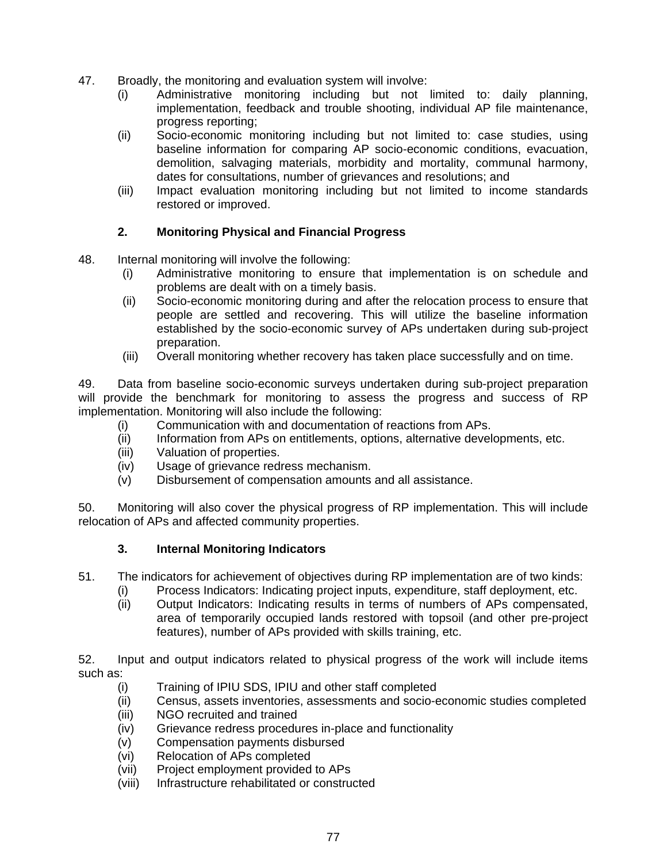- 47. Broadly, the monitoring and evaluation system will involve:
	- (i) Administrative monitoring including but not limited to: daily planning, implementation, feedback and trouble shooting, individual AP file maintenance, progress reporting;
	- (ii) Socio-economic monitoring including but not limited to: case studies, using baseline information for comparing AP socio-economic conditions, evacuation, demolition, salvaging materials, morbidity and mortality, communal harmony, dates for consultations, number of grievances and resolutions; and
	- (iii) Impact evaluation monitoring including but not limited to income standards restored or improved.

### **2. Monitoring Physical and Financial Progress**

- 48. Internal monitoring will involve the following:
	- (i) Administrative monitoring to ensure that implementation is on schedule and problems are dealt with on a timely basis.
	- (ii) Socio-economic monitoring during and after the relocation process to ensure that people are settled and recovering. This will utilize the baseline information established by the socio-economic survey of APs undertaken during sub-project preparation.
	- (iii) Overall monitoring whether recovery has taken place successfully and on time.

49. Data from baseline socio-economic surveys undertaken during sub-project preparation will provide the benchmark for monitoring to assess the progress and success of RP implementation. Monitoring will also include the following:

- (i) Communication with and documentation of reactions from APs.
- (ii) Information from APs on entitlements, options, alternative developments, etc.
- (iii) Valuation of properties.
- (iv) Usage of grievance redress mechanism.
- (v) Disbursement of compensation amounts and all assistance.

50. Monitoring will also cover the physical progress of RP implementation. This will include relocation of APs and affected community properties.

#### **3. Internal Monitoring Indicators**

- 51. The indicators for achievement of objectives during RP implementation are of two kinds:
	- (i) Process Indicators: Indicating project inputs, expenditure, staff deployment, etc.<br>(ii) Output Indicators: Indicating results in terms of numbers of APs compensated
	- Output Indicators: Indicating results in terms of numbers of APs compensated, area of temporarily occupied lands restored with topsoil (and other pre-project features), number of APs provided with skills training, etc.

52. Input and output indicators related to physical progress of the work will include items such as:

- (i) Training of IPIU SDS, IPIU and other staff completed
- (ii) Census, assets inventories, assessments and socio-economic studies completed
- (iii) NGO recruited and trained
- (iv) Grievance redress procedures in-place and functionality
- (v) Compensation payments disbursed
- (vi) Relocation of APs completed
- (vii) Project employment provided to APs
- (viii) Infrastructure rehabilitated or constructed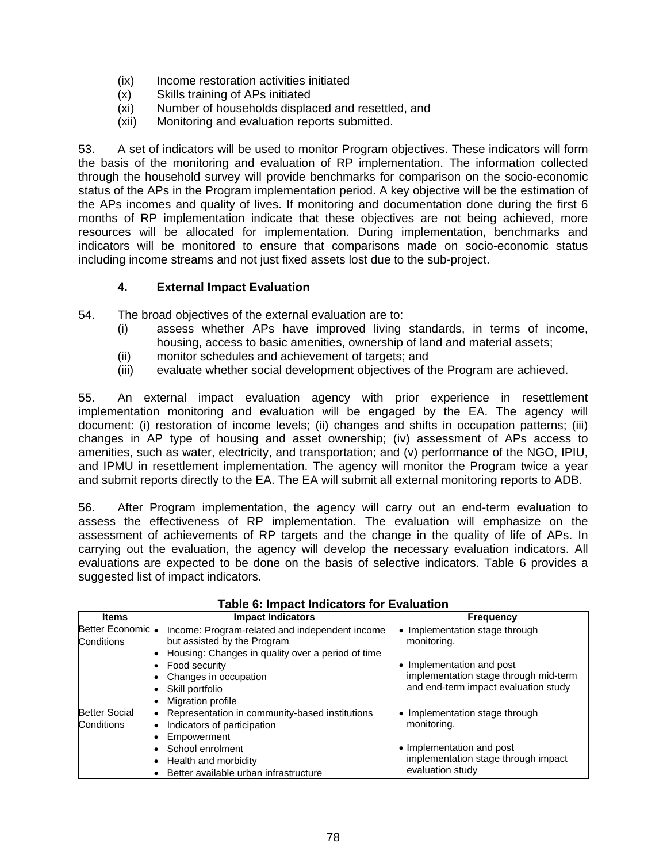- (ix) Income restoration activities initiated
- (x) Skills training of APs initiated
- (xi) Number of households displaced and resettled, and
- (xii) Monitoring and evaluation reports submitted.

53. A set of indicators will be used to monitor Program objectives. These indicators will form the basis of the monitoring and evaluation of RP implementation. The information collected through the household survey will provide benchmarks for comparison on the socio-economic status of the APs in the Program implementation period. A key objective will be the estimation of the APs incomes and quality of lives. If monitoring and documentation done during the first 6 months of RP implementation indicate that these objectives are not being achieved, more resources will be allocated for implementation. During implementation, benchmarks and indicators will be monitored to ensure that comparisons made on socio-economic status including income streams and not just fixed assets lost due to the sub-project.

### **4. External Impact Evaluation**

54. The broad objectives of the external evaluation are to:

- (i) assess whether APs have improved living standards, in terms of income, housing, access to basic amenities, ownership of land and material assets;
- (ii) monitor schedules and achievement of targets; and
- (iii) evaluate whether social development objectives of the Program are achieved.

55. An external impact evaluation agency with prior experience in resettlement implementation monitoring and evaluation will be engaged by the EA. The agency will document: (i) restoration of income levels; (ii) changes and shifts in occupation patterns; (iii) changes in AP type of housing and asset ownership; (iv) assessment of APs access to amenities, such as water, electricity, and transportation; and (v) performance of the NGO, IPIU, and IPMU in resettlement implementation. The agency will monitor the Program twice a year and submit reports directly to the EA. The EA will submit all external monitoring reports to ADB.

56. After Program implementation, the agency will carry out an end-term evaluation to assess the effectiveness of RP implementation. The evaluation will emphasize on the assessment of achievements of RP targets and the change in the quality of life of APs. In carrying out the evaluation, the agency will develop the necessary evaluation indicators. All evaluations are expected to be done on the basis of selective indicators. Table 6 provides a suggested list of impact indicators.

| <b>Items</b>         | <b>Impact Indicators</b>                                    | <b>Frequency</b>                      |
|----------------------|-------------------------------------------------------------|---------------------------------------|
| Better Economic •    | Income: Program-related and independent income              | Implementation stage through          |
| Conditions           | but assisted by the Program                                 | monitoring.                           |
|                      | Housing: Changes in quality over a period of time<br>٠      |                                       |
|                      | Food security<br>$\bullet$                                  | • Implementation and post             |
|                      | Changes in occupation<br>٠                                  | implementation stage through mid-term |
|                      | Skill portfolio<br>٠                                        | and end-term impact evaluation study  |
|                      | Migration profile<br>$\bullet$                              |                                       |
| <b>Better Social</b> | Representation in community-based institutions<br>$\bullet$ | • Implementation stage through        |
| Conditions           | Indicators of participation<br>$\bullet$                    | monitoring.                           |
|                      | Empowerment<br>٠                                            |                                       |
|                      | School enrolment<br>٠                                       | • Implementation and post             |
|                      | Health and morbidity<br>$\bullet$                           | implementation stage through impact   |
|                      | Better available urban infrastructure<br>$\bullet$          | evaluation study                      |

#### **Table 6: Impact Indicators for Evaluation**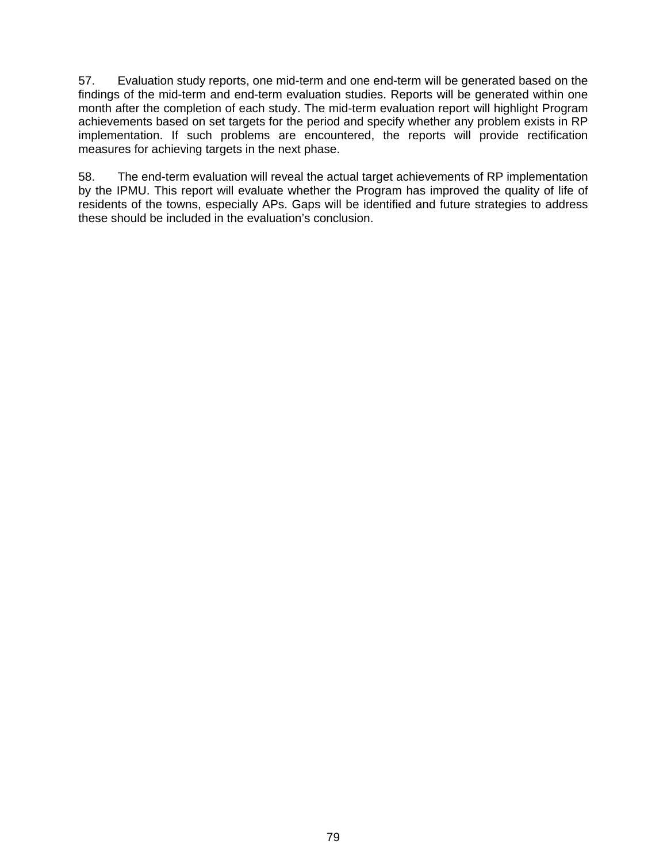57. Evaluation study reports, one mid-term and one end-term will be generated based on the findings of the mid-term and end-term evaluation studies. Reports will be generated within one month after the completion of each study. The mid-term evaluation report will highlight Program achievements based on set targets for the period and specify whether any problem exists in RP implementation. If such problems are encountered, the reports will provide rectification measures for achieving targets in the next phase.

58. The end-term evaluation will reveal the actual target achievements of RP implementation by the IPMU. This report will evaluate whether the Program has improved the quality of life of residents of the towns, especially APs. Gaps will be identified and future strategies to address these should be included in the evaluation's conclusion.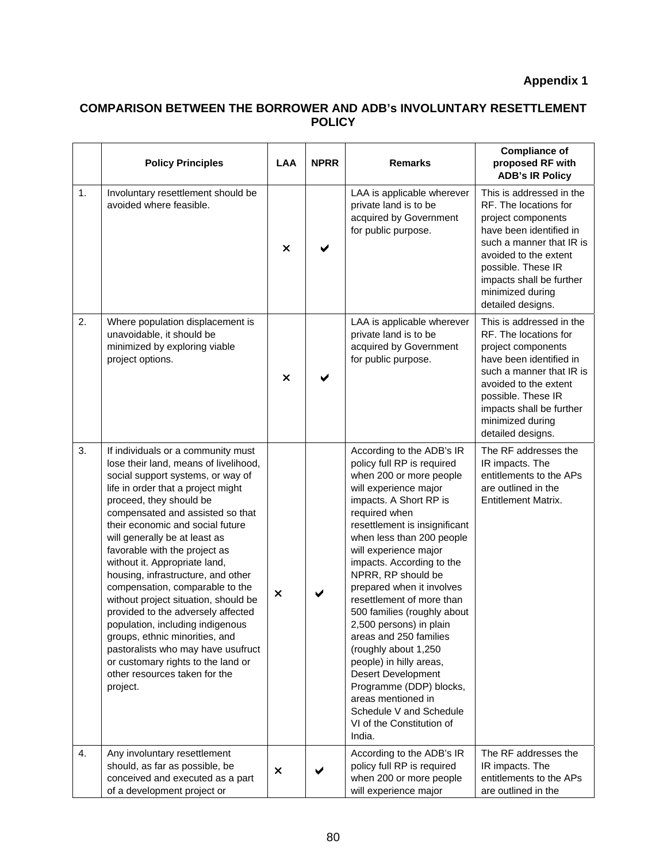# **Appendix 1**

## **COMPARISON BETWEEN THE BORROWER AND ADB's INVOLUNTARY RESETTLEMENT POLICY**

|    | <b>Policy Principles</b>                                                                                                                                                                                                                                                                                                                                                                                                                                                                                                                                                                                                                                                                                           | <b>LAA</b> | <b>NPRR</b> | <b>Remarks</b>                                                                                                                                                                                                                                                                                                                                                                                                                                                                                                                                                                                                                                    | <b>Compliance of</b><br>proposed RF with<br><b>ADB's IR Policy</b>                                                                                                                                                                                 |
|----|--------------------------------------------------------------------------------------------------------------------------------------------------------------------------------------------------------------------------------------------------------------------------------------------------------------------------------------------------------------------------------------------------------------------------------------------------------------------------------------------------------------------------------------------------------------------------------------------------------------------------------------------------------------------------------------------------------------------|------------|-------------|---------------------------------------------------------------------------------------------------------------------------------------------------------------------------------------------------------------------------------------------------------------------------------------------------------------------------------------------------------------------------------------------------------------------------------------------------------------------------------------------------------------------------------------------------------------------------------------------------------------------------------------------------|----------------------------------------------------------------------------------------------------------------------------------------------------------------------------------------------------------------------------------------------------|
| 1. | Involuntary resettlement should be<br>avoided where feasible.                                                                                                                                                                                                                                                                                                                                                                                                                                                                                                                                                                                                                                                      | ×          |             | LAA is applicable wherever<br>private land is to be<br>acquired by Government<br>for public purpose.                                                                                                                                                                                                                                                                                                                                                                                                                                                                                                                                              | This is addressed in the<br>RF. The locations for<br>project components<br>have been identified in<br>such a manner that IR is<br>avoided to the extent<br>possible. These IR<br>impacts shall be further<br>minimized during<br>detailed designs. |
| 2. | Where population displacement is<br>unavoidable, it should be<br>minimized by exploring viable<br>project options.                                                                                                                                                                                                                                                                                                                                                                                                                                                                                                                                                                                                 | ×          |             | LAA is applicable wherever<br>private land is to be<br>acquired by Government<br>for public purpose.                                                                                                                                                                                                                                                                                                                                                                                                                                                                                                                                              | This is addressed in the<br>RF. The locations for<br>project components<br>have been identified in<br>such a manner that IR is<br>avoided to the extent<br>possible. These IR<br>impacts shall be further<br>minimized during<br>detailed designs. |
| 3. | If individuals or a community must<br>lose their land, means of livelihood,<br>social support systems, or way of<br>life in order that a project might<br>proceed, they should be<br>compensated and assisted so that<br>their economic and social future<br>will generally be at least as<br>favorable with the project as<br>without it. Appropriate land,<br>housing, infrastructure, and other<br>compensation, comparable to the<br>without project situation, should be<br>provided to the adversely affected<br>population, including indigenous<br>groups, ethnic minorities, and<br>pastoralists who may have usufruct<br>or customary rights to the land or<br>other resources taken for the<br>project. | ×          |             | According to the ADB's IR<br>policy full RP is required<br>when 200 or more people<br>will experience major<br>impacts. A Short RP is<br>required when<br>resettlement is insignificant<br>when less than 200 people<br>will experience major<br>impacts. According to the<br>NPRR, RP should be<br>prepared when it involves<br>resettlement of more than<br>500 families (roughly about<br>2,500 persons) in plain<br>areas and 250 families<br>(roughly about 1,250<br>people) in hilly areas,<br><b>Desert Development</b><br>Programme (DDP) blocks,<br>areas mentioned in<br>Schedule V and Schedule<br>VI of the Constitution of<br>India. | The RF addresses the<br>IR impacts. The<br>entitlements to the APs<br>are outlined in the<br><b>Entitlement Matrix.</b>                                                                                                                            |
| 4. | Any involuntary resettlement<br>should, as far as possible, be<br>conceived and executed as a part<br>of a development project or                                                                                                                                                                                                                                                                                                                                                                                                                                                                                                                                                                                  | ×          |             | According to the ADB's IR<br>policy full RP is required<br>when 200 or more people<br>will experience major                                                                                                                                                                                                                                                                                                                                                                                                                                                                                                                                       | The RF addresses the<br>IR impacts. The<br>entitlements to the APs<br>are outlined in the                                                                                                                                                          |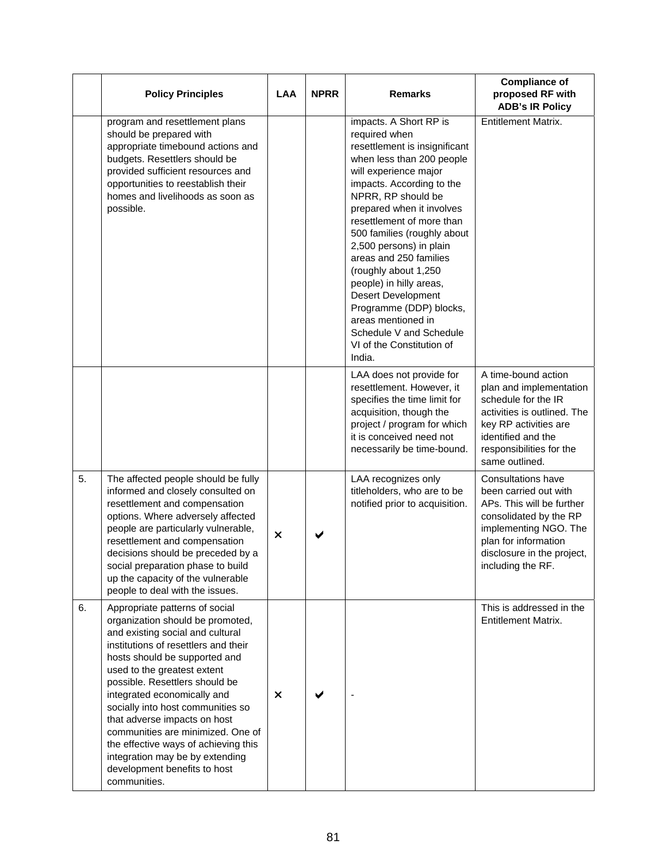|    | <b>Policy Principles</b>                                                                                                                                                                                                                                                                                                                                                                                                                                                                                             | <b>LAA</b> | <b>NPRR</b><br><b>Remarks</b> |                                                                                                                                                                                                                                                                                                                                                                                                                                                                                                                                    | <b>Compliance of</b><br>proposed RF with<br><b>ADB's IR Policy</b>                                                                                                                                     |
|----|----------------------------------------------------------------------------------------------------------------------------------------------------------------------------------------------------------------------------------------------------------------------------------------------------------------------------------------------------------------------------------------------------------------------------------------------------------------------------------------------------------------------|------------|-------------------------------|------------------------------------------------------------------------------------------------------------------------------------------------------------------------------------------------------------------------------------------------------------------------------------------------------------------------------------------------------------------------------------------------------------------------------------------------------------------------------------------------------------------------------------|--------------------------------------------------------------------------------------------------------------------------------------------------------------------------------------------------------|
|    | program and resettlement plans<br>should be prepared with<br>appropriate timebound actions and<br>budgets. Resettlers should be<br>provided sufficient resources and<br>opportunities to reestablish their<br>homes and livelihoods as soon as<br>possible.                                                                                                                                                                                                                                                          |            |                               | impacts. A Short RP is<br>required when<br>resettlement is insignificant<br>when less than 200 people<br>will experience major<br>impacts. According to the<br>NPRR, RP should be<br>prepared when it involves<br>resettlement of more than<br>500 families (roughly about<br>2,500 persons) in plain<br>areas and 250 families<br>(roughly about 1,250<br>people) in hilly areas,<br><b>Desert Development</b><br>Programme (DDP) blocks,<br>areas mentioned in<br>Schedule V and Schedule<br>VI of the Constitution of<br>India. | <b>Entitlement Matrix.</b>                                                                                                                                                                             |
|    |                                                                                                                                                                                                                                                                                                                                                                                                                                                                                                                      |            |                               | LAA does not provide for<br>resettlement. However, it<br>specifies the time limit for<br>acquisition, though the<br>project / program for which<br>it is conceived need not<br>necessarily be time-bound.                                                                                                                                                                                                                                                                                                                          | A time-bound action<br>plan and implementation<br>schedule for the IR<br>activities is outlined. The<br>key RP activities are<br>identified and the<br>responsibilities for the<br>same outlined.      |
| 5. | The affected people should be fully<br>informed and closely consulted on<br>resettlement and compensation<br>options. Where adversely affected<br>people are particularly vulnerable,<br>resettlement and compensation<br>decisions should be preceded by a<br>social preparation phase to build<br>up the capacity of the vulnerable<br>people to deal with the issues.                                                                                                                                             | ×          |                               | LAA recognizes only<br>titleholders, who are to be<br>notified prior to acquisition.                                                                                                                                                                                                                                                                                                                                                                                                                                               | Consultations have<br>been carried out with<br>APs. This will be further<br>consolidated by the RP<br>implementing NGO. The<br>plan for information<br>disclosure in the project,<br>including the RF. |
| 6. | Appropriate patterns of social<br>organization should be promoted,<br>and existing social and cultural<br>institutions of resettlers and their<br>hosts should be supported and<br>used to the greatest extent<br>possible. Resettlers should be<br>integrated economically and<br>socially into host communities so<br>that adverse impacts on host<br>communities are minimized. One of<br>the effective ways of achieving this<br>integration may be by extending<br>development benefits to host<br>communities. | ×          |                               |                                                                                                                                                                                                                                                                                                                                                                                                                                                                                                                                    | This is addressed in the<br><b>Entitlement Matrix.</b>                                                                                                                                                 |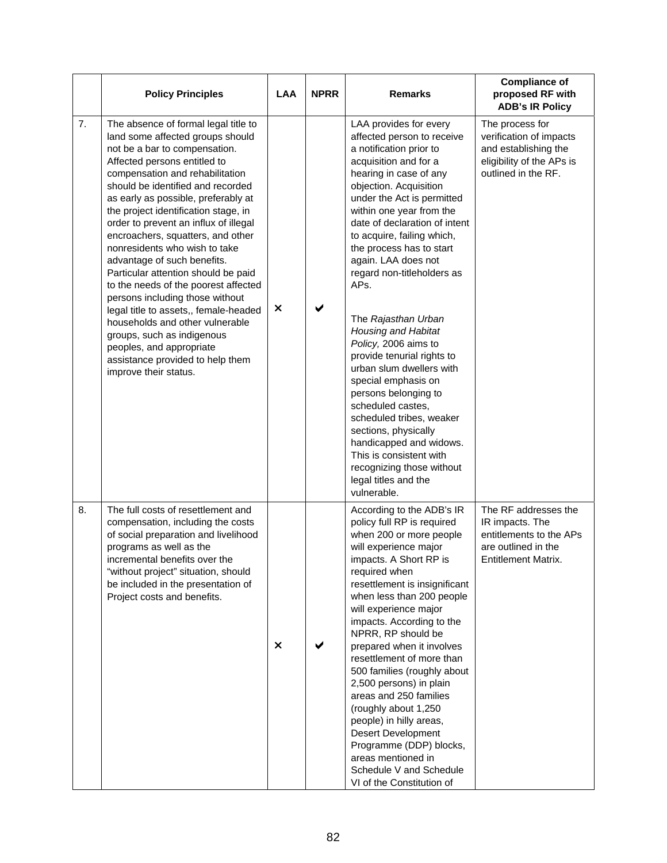|    | <b>Policy Principles</b>                                                                                                                                                                                                                                                                                                                                                                                                                                                                                                                                                                                                                                                                                                                                                 | <b>LAA</b> | <b>NPRR</b> | <b>Remarks</b>                                                                                                                                                                                                                                                                                                                                                                                                                                                                                                                                                                                                                                                                                                                                                          | <b>Compliance of</b><br>proposed RF with<br><b>ADB's IR Policy</b>                                                     |
|----|--------------------------------------------------------------------------------------------------------------------------------------------------------------------------------------------------------------------------------------------------------------------------------------------------------------------------------------------------------------------------------------------------------------------------------------------------------------------------------------------------------------------------------------------------------------------------------------------------------------------------------------------------------------------------------------------------------------------------------------------------------------------------|------------|-------------|-------------------------------------------------------------------------------------------------------------------------------------------------------------------------------------------------------------------------------------------------------------------------------------------------------------------------------------------------------------------------------------------------------------------------------------------------------------------------------------------------------------------------------------------------------------------------------------------------------------------------------------------------------------------------------------------------------------------------------------------------------------------------|------------------------------------------------------------------------------------------------------------------------|
| 7. | The absence of formal legal title to<br>land some affected groups should<br>not be a bar to compensation.<br>Affected persons entitled to<br>compensation and rehabilitation<br>should be identified and recorded<br>as early as possible, preferably at<br>the project identification stage, in<br>order to prevent an influx of illegal<br>encroachers, squatters, and other<br>nonresidents who wish to take<br>advantage of such benefits.<br>Particular attention should be paid<br>to the needs of the poorest affected<br>persons including those without<br>×<br>legal title to assets,, female-headed<br>households and other vulnerable<br>groups, such as indigenous<br>peoples, and appropriate<br>assistance provided to help them<br>improve their status. |            |             | LAA provides for every<br>affected person to receive<br>a notification prior to<br>acquisition and for a<br>hearing in case of any<br>objection. Acquisition<br>under the Act is permitted<br>within one year from the<br>date of declaration of intent<br>to acquire, failing which,<br>the process has to start<br>again. LAA does not<br>regard non-titleholders as<br>APs.<br>The Rajasthan Urban<br><b>Housing and Habitat</b><br>Policy, 2006 aims to<br>provide tenurial rights to<br>urban slum dwellers with<br>special emphasis on<br>persons belonging to<br>scheduled castes,<br>scheduled tribes, weaker<br>sections, physically<br>handicapped and widows.<br>This is consistent with<br>recognizing those without<br>legal titles and the<br>vulnerable. | The process for<br>verification of impacts<br>and establishing the<br>eligibility of the APs is<br>outlined in the RF. |
| 8. | The full costs of resettlement and<br>compensation, including the costs<br>of social preparation and livelihood<br>programs as well as the<br>incremental benefits over the<br>"without project" situation, should<br>be included in the presentation of<br>Project costs and benefits.                                                                                                                                                                                                                                                                                                                                                                                                                                                                                  | $\times$   |             | According to the ADB's IR<br>policy full RP is required<br>when 200 or more people<br>will experience major<br>impacts. A Short RP is<br>required when<br>resettlement is insignificant<br>when less than 200 people<br>will experience major<br>impacts. According to the<br>NPRR, RP should be<br>prepared when it involves<br>resettlement of more than<br>500 families (roughly about<br>2,500 persons) in plain<br>areas and 250 families<br>(roughly about 1,250<br>people) in hilly areas,<br><b>Desert Development</b><br>Programme (DDP) blocks,<br>areas mentioned in<br>Schedule V and Schedule<br>VI of the Constitution of                                                                                                                                 | The RF addresses the<br>IR impacts. The<br>entitlements to the APs<br>are outlined in the<br>Entitlement Matrix.       |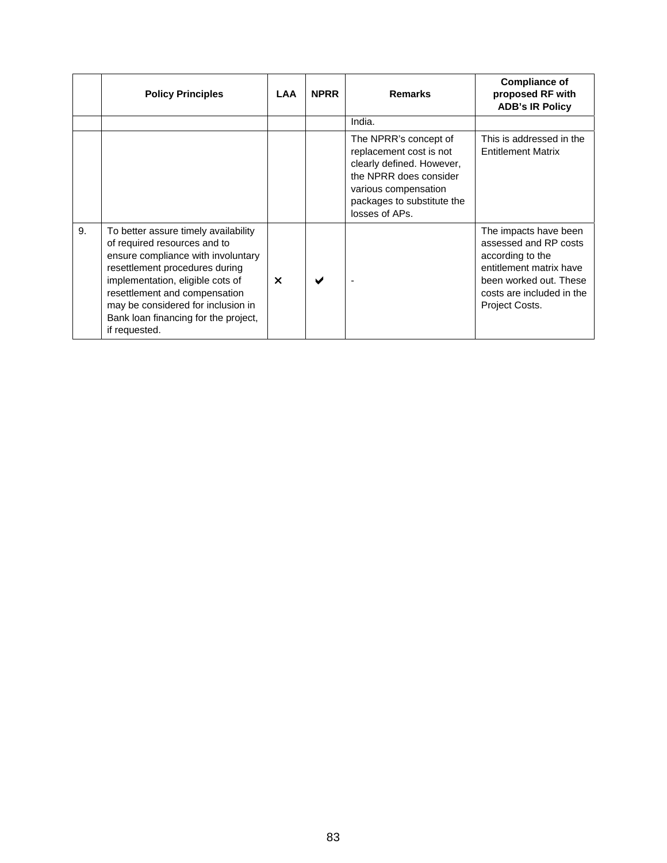|    | <b>Policy Principles</b>                                                                                                                                                                                                                                                                                         | <b>LAA</b>            | <b>NPRR</b> | <b>Remarks</b>                                                                                                                                                                  | <b>Compliance of</b><br>proposed RF with<br><b>ADB's IR Policy</b>                                                                                                     |
|----|------------------------------------------------------------------------------------------------------------------------------------------------------------------------------------------------------------------------------------------------------------------------------------------------------------------|-----------------------|-------------|---------------------------------------------------------------------------------------------------------------------------------------------------------------------------------|------------------------------------------------------------------------------------------------------------------------------------------------------------------------|
|    |                                                                                                                                                                                                                                                                                                                  |                       |             | India.                                                                                                                                                                          |                                                                                                                                                                        |
|    |                                                                                                                                                                                                                                                                                                                  |                       |             | The NPRR's concept of<br>replacement cost is not<br>clearly defined. However,<br>the NPRR does consider<br>various compensation<br>packages to substitute the<br>losses of APs. | This is addressed in the<br><b>Entitlement Matrix</b>                                                                                                                  |
| 9. | To better assure timely availability<br>of required resources and to<br>ensure compliance with involuntary<br>resettlement procedures during<br>implementation, eligible cots of<br>resettlement and compensation<br>may be considered for inclusion in<br>Bank loan financing for the project,<br>if requested. | $\boldsymbol{\times}$ |             |                                                                                                                                                                                 | The impacts have been<br>assessed and RP costs<br>according to the<br>entitlement matrix have<br>been worked out. These<br>costs are included in the<br>Project Costs. |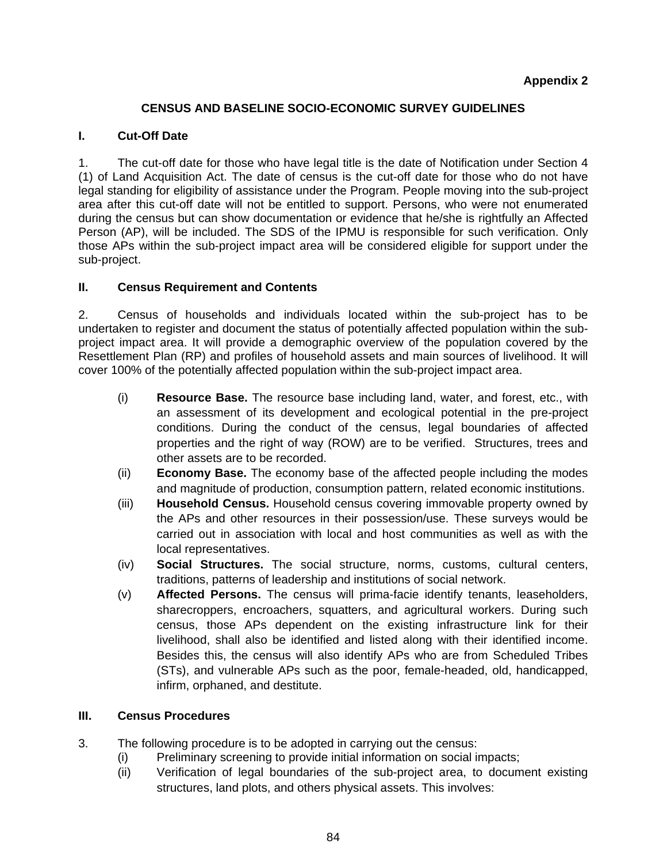### **CENSUS AND BASELINE SOCIO-ECONOMIC SURVEY GUIDELINES**

### **I. Cut-Off Date**

1. The cut-off date for those who have legal title is the date of Notification under Section 4 (1) of Land Acquisition Act. The date of census is the cut-off date for those who do not have legal standing for eligibility of assistance under the Program. People moving into the sub-project area after this cut-off date will not be entitled to support. Persons, who were not enumerated during the census but can show documentation or evidence that he/she is rightfully an Affected Person (AP), will be included. The SDS of the IPMU is responsible for such verification. Only those APs within the sub-project impact area will be considered eligible for support under the sub-project.

#### **II. Census Requirement and Contents**

2. Census of households and individuals located within the sub-project has to be undertaken to register and document the status of potentially affected population within the subproject impact area. It will provide a demographic overview of the population covered by the Resettlement Plan (RP) and profiles of household assets and main sources of livelihood. It will cover 100% of the potentially affected population within the sub-project impact area.

- (i) **Resource Base.** The resource base including land, water, and forest, etc., with an assessment of its development and ecological potential in the pre-project conditions. During the conduct of the census, legal boundaries of affected properties and the right of way (ROW) are to be verified. Structures, trees and other assets are to be recorded.
- (ii) **Economy Base.** The economy base of the affected people including the modes and magnitude of production, consumption pattern, related economic institutions.
- (iii) **Household Census.** Household census covering immovable property owned by the APs and other resources in their possession/use. These surveys would be carried out in association with local and host communities as well as with the local representatives.
- (iv) **Social Structures.** The social structure, norms, customs, cultural centers, traditions, patterns of leadership and institutions of social network.
- (v) **Affected Persons.** The census will prima-facie identify tenants, leaseholders, sharecroppers, encroachers, squatters, and agricultural workers. During such census, those APs dependent on the existing infrastructure link for their livelihood, shall also be identified and listed along with their identified income. Besides this, the census will also identify APs who are from Scheduled Tribes (STs), and vulnerable APs such as the poor, female-headed, old, handicapped, infirm, orphaned, and destitute.

### **III. Census Procedures**

- 3. The following procedure is to be adopted in carrying out the census:
	- (i) Preliminary screening to provide initial information on social impacts;
	- (ii) Verification of legal boundaries of the sub-project area, to document existing structures, land plots, and others physical assets. This involves: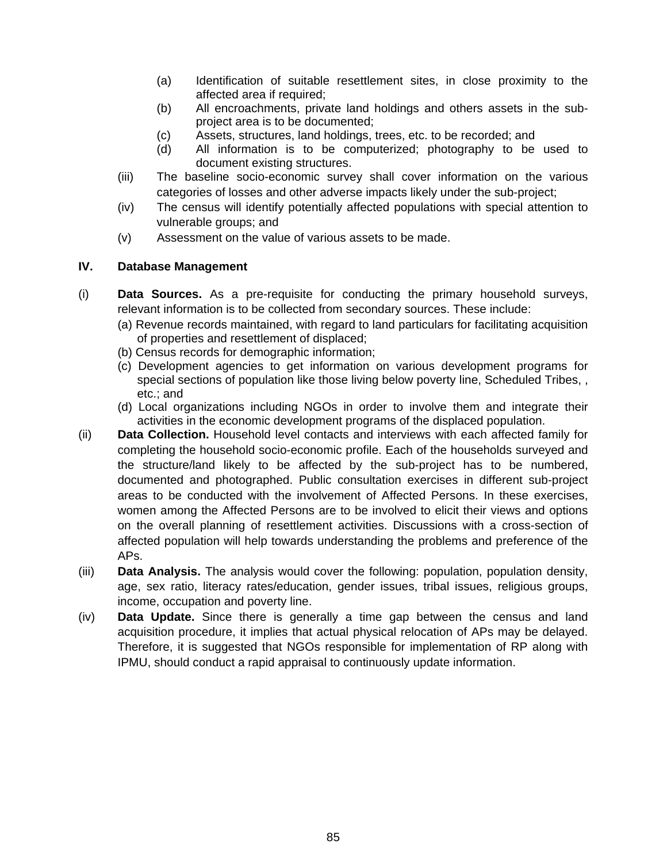- (a) Identification of suitable resettlement sites, in close proximity to the affected area if required;
- (b) All encroachments, private land holdings and others assets in the subproject area is to be documented;
- (c) Assets, structures, land holdings, trees, etc. to be recorded; and
- (d) All information is to be computerized; photography to be used to document existing structures.
- (iii) The baseline socio-economic survey shall cover information on the various categories of losses and other adverse impacts likely under the sub-project;
- (iv) The census will identify potentially affected populations with special attention to vulnerable groups; and
- (v) Assessment on the value of various assets to be made.

### **IV. Database Management**

- (i) **Data Sources.** As a pre-requisite for conducting the primary household surveys, relevant information is to be collected from secondary sources. These include:
	- (a) Revenue records maintained, with regard to land particulars for facilitating acquisition of properties and resettlement of displaced;
	- (b) Census records for demographic information;
	- (c) Development agencies to get information on various development programs for special sections of population like those living below poverty line, Scheduled Tribes, , etc.; and
	- (d) Local organizations including NGOs in order to involve them and integrate their activities in the economic development programs of the displaced population.
- (ii) **Data Collection.** Household level contacts and interviews with each affected family for completing the household socio-economic profile. Each of the households surveyed and the structure/land likely to be affected by the sub-project has to be numbered, documented and photographed. Public consultation exercises in different sub-project areas to be conducted with the involvement of Affected Persons. In these exercises, women among the Affected Persons are to be involved to elicit their views and options on the overall planning of resettlement activities. Discussions with a cross-section of affected population will help towards understanding the problems and preference of the APs.
- (iii) **Data Analysis.** The analysis would cover the following: population, population density, age, sex ratio, literacy rates/education, gender issues, tribal issues, religious groups, income, occupation and poverty line.
- (iv) **Data Update.** Since there is generally a time gap between the census and land acquisition procedure, it implies that actual physical relocation of APs may be delayed. Therefore, it is suggested that NGOs responsible for implementation of RP along with IPMU, should conduct a rapid appraisal to continuously update information.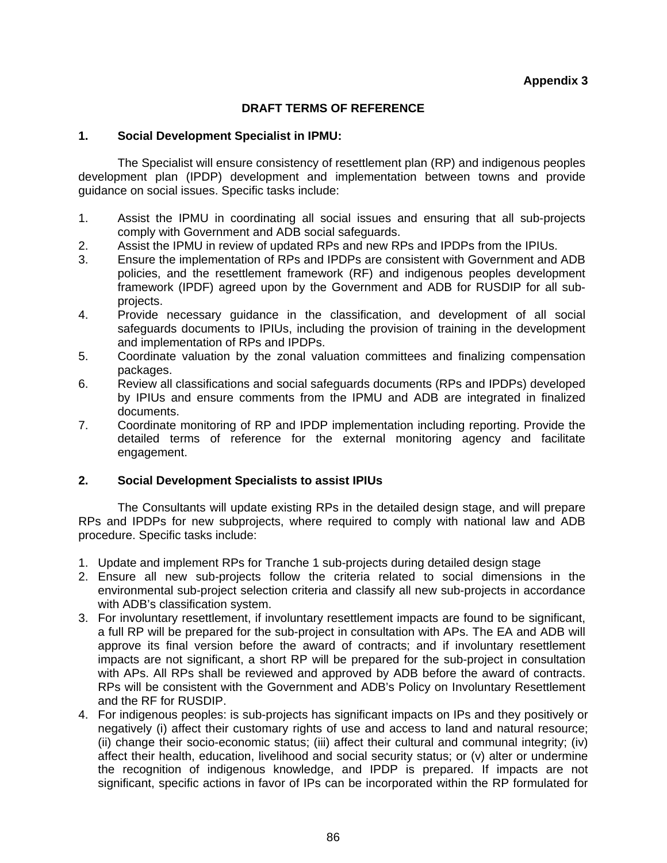### **DRAFT TERMS OF REFERENCE**

#### **1. Social Development Specialist in IPMU:**

 The Specialist will ensure consistency of resettlement plan (RP) and indigenous peoples development plan (IPDP) development and implementation between towns and provide guidance on social issues. Specific tasks include:

- 1. Assist the IPMU in coordinating all social issues and ensuring that all sub-projects comply with Government and ADB social safeguards.
- 2. Assist the IPMU in review of updated RPs and new RPs and IPDPs from the IPIUs.
- 3. Ensure the implementation of RPs and IPDPs are consistent with Government and ADB policies, and the resettlement framework (RF) and indigenous peoples development framework (IPDF) agreed upon by the Government and ADB for RUSDIP for all subprojects.
- 4. Provide necessary guidance in the classification, and development of all social safeguards documents to IPIUs, including the provision of training in the development and implementation of RPs and IPDPs.
- 5. Coordinate valuation by the zonal valuation committees and finalizing compensation packages.
- 6. Review all classifications and social safeguards documents (RPs and IPDPs) developed by IPIUs and ensure comments from the IPMU and ADB are integrated in finalized documents.
- 7. Coordinate monitoring of RP and IPDP implementation including reporting. Provide the detailed terms of reference for the external monitoring agency and facilitate engagement.

### **2. Social Development Specialists to assist IPIUs**

 The Consultants will update existing RPs in the detailed design stage, and will prepare RPs and IPDPs for new subprojects, where required to comply with national law and ADB procedure. Specific tasks include:

- 1. Update and implement RPs for Tranche 1 sub-projects during detailed design stage
- 2. Ensure all new sub-projects follow the criteria related to social dimensions in the environmental sub-project selection criteria and classify all new sub-projects in accordance with ADB's classification system.
- 3. For involuntary resettlement, if involuntary resettlement impacts are found to be significant, a full RP will be prepared for the sub-project in consultation with APs. The EA and ADB will approve its final version before the award of contracts; and if involuntary resettlement impacts are not significant, a short RP will be prepared for the sub-project in consultation with APs. All RPs shall be reviewed and approved by ADB before the award of contracts. RPs will be consistent with the Government and ADB's Policy on Involuntary Resettlement and the RF for RUSDIP.
- 4. For indigenous peoples: is sub-projects has significant impacts on IPs and they positively or negatively (i) affect their customary rights of use and access to land and natural resource; (ii) change their socio-economic status; (iii) affect their cultural and communal integrity; (iv) affect their health, education, livelihood and social security status; or (v) alter or undermine the recognition of indigenous knowledge, and IPDP is prepared. If impacts are not significant, specific actions in favor of IPs can be incorporated within the RP formulated for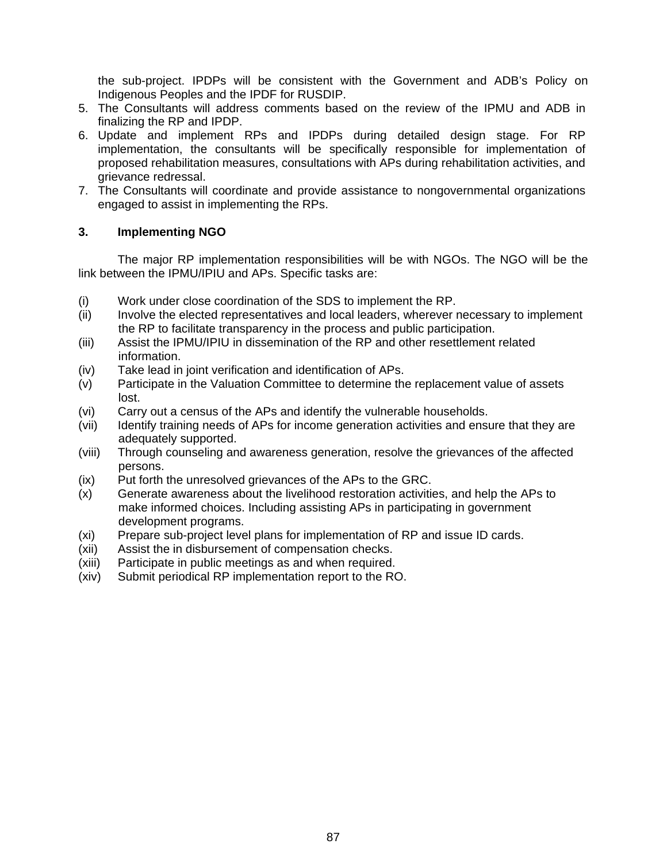the sub-project. IPDPs will be consistent with the Government and ADB's Policy on Indigenous Peoples and the IPDF for RUSDIP.

- 5. The Consultants will address comments based on the review of the IPMU and ADB in finalizing the RP and IPDP.
- 6. Update and implement RPs and IPDPs during detailed design stage. For RP implementation, the consultants will be specifically responsible for implementation of proposed rehabilitation measures, consultations with APs during rehabilitation activities, and grievance redressal.
- 7. The Consultants will coordinate and provide assistance to nongovernmental organizations engaged to assist in implementing the RPs.

#### **3. Implementing NGO**

 The major RP implementation responsibilities will be with NGOs. The NGO will be the link between the IPMU/IPIU and APs. Specific tasks are:

- (i) Work under close coordination of the SDS to implement the RP.
- (ii) Involve the elected representatives and local leaders, wherever necessary to implement the RP to facilitate transparency in the process and public participation.
- (iii) Assist the IPMU/IPIU in dissemination of the RP and other resettlement related information.
- (iv) Take lead in joint verification and identification of APs.
- (v) Participate in the Valuation Committee to determine the replacement value of assets lost.
- (vi) Carry out a census of the APs and identify the vulnerable households.
- (vii) Identify training needs of APs for income generation activities and ensure that they are adequately supported.
- (viii) Through counseling and awareness generation, resolve the grievances of the affected persons.
- (ix) Put forth the unresolved grievances of the APs to the GRC.
- (x) Generate awareness about the livelihood restoration activities, and help the APs to make informed choices. Including assisting APs in participating in government development programs.
- (xi) Prepare sub-project level plans for implementation of RP and issue ID cards.
- (xii) Assist the in disbursement of compensation checks.
- (xiii) Participate in public meetings as and when required.
- (xiv) Submit periodical RP implementation report to the RO.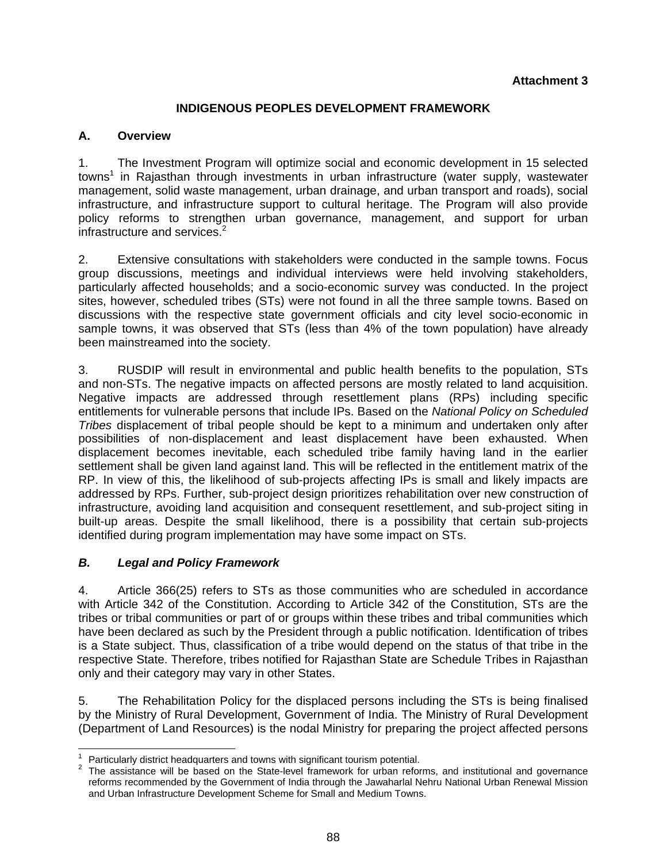### **INDIGENOUS PEOPLES DEVELOPMENT FRAMEWORK**

### **A. Overview**

1. The Investment Program will optimize social and economic development in 15 selected towns<sup>1</sup> in Rajasthan through investments in urban infrastructure (water supply, wastewater management, solid waste management, urban drainage, and urban transport and roads), social infrastructure, and infrastructure support to cultural heritage. The Program will also provide policy reforms to strengthen urban governance, management, and support for urban infrastructure and services. $2$ 

2. Extensive consultations with stakeholders were conducted in the sample towns. Focus group discussions, meetings and individual interviews were held involving stakeholders, particularly affected households; and a socio-economic survey was conducted. In the project sites, however, scheduled tribes (STs) were not found in all the three sample towns. Based on discussions with the respective state government officials and city level socio-economic in sample towns, it was observed that STs (less than 4% of the town population) have already been mainstreamed into the society.

3. RUSDIP will result in environmental and public health benefits to the population, STs and non-STs. The negative impacts on affected persons are mostly related to land acquisition. Negative impacts are addressed through resettlement plans (RPs) including specific entitlements for vulnerable persons that include IPs. Based on the *National Policy on Scheduled Tribes* displacement of tribal people should be kept to a minimum and undertaken only after possibilities of non-displacement and least displacement have been exhausted. When displacement becomes inevitable, each scheduled tribe family having land in the earlier settlement shall be given land against land. This will be reflected in the entitlement matrix of the RP. In view of this, the likelihood of sub-projects affecting IPs is small and likely impacts are addressed by RPs. Further, sub-project design prioritizes rehabilitation over new construction of infrastructure, avoiding land acquisition and consequent resettlement, and sub-project siting in built-up areas. Despite the small likelihood, there is a possibility that certain sub-projects identified during program implementation may have some impact on STs.

### *B. Legal and Policy Framework*

4. Article 366(25) refers to STs as those communities who are scheduled in accordance with Article 342 of the Constitution. According to Article 342 of the Constitution, STs are the tribes or tribal communities or part of or groups within these tribes and tribal communities which have been declared as such by the President through a public notification. Identification of tribes is a State subject. Thus, classification of a tribe would depend on the status of that tribe in the respective State. Therefore, tribes notified for Rajasthan State are Schedule Tribes in Rajasthan only and their category may vary in other States.

5. The Rehabilitation Policy for the displaced persons including the STs is being finalised by the Ministry of Rural Development, Government of India. The Ministry of Rural Development (Department of Land Resources) is the nodal Ministry for preparing the project affected persons

 1 Particularly district headquarters and towns with significant tourism potential. 2

<sup>&</sup>lt;sup>2</sup> The assistance will be based on the State-level framework for urban reforms, and institutional and governance reforms recommended by the Government of India through the Jawaharlal Nehru National Urban Renewal Mission and Urban Infrastructure Development Scheme for Small and Medium Towns.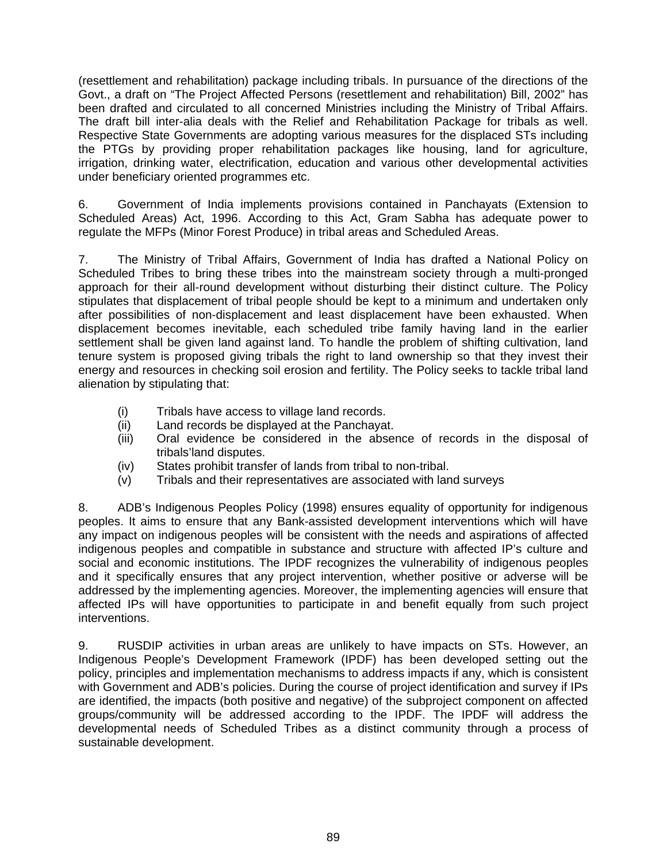(resettlement and rehabilitation) package including tribals. In pursuance of the directions of the Govt., a draft on "The Project Affected Persons (resettlement and rehabilitation) Bill, 2002" has been drafted and circulated to all concerned Ministries including the Ministry of Tribal Affairs. The draft bill inter-alia deals with the Relief and Rehabilitation Package for tribals as well. Respective State Governments are adopting various measures for the displaced STs including the PTGs by providing proper rehabilitation packages like housing, land for agriculture, irrigation, drinking water, electrification, education and various other developmental activities under beneficiary oriented programmes etc.

6. Government of India implements provisions contained in Panchayats (Extension to Scheduled Areas) Act, 1996. According to this Act, Gram Sabha has adequate power to regulate the MFPs (Minor Forest Produce) in tribal areas and Scheduled Areas.

7. The Ministry of Tribal Affairs, Government of India has drafted a National Policy on Scheduled Tribes to bring these tribes into the mainstream society through a multi-pronged approach for their all-round development without disturbing their distinct culture. The Policy stipulates that displacement of tribal people should be kept to a minimum and undertaken only after possibilities of non-displacement and least displacement have been exhausted. When displacement becomes inevitable, each scheduled tribe family having land in the earlier settlement shall be given land against land. To handle the problem of shifting cultivation, land tenure system is proposed giving tribals the right to land ownership so that they invest their energy and resources in checking soil erosion and fertility. The Policy seeks to tackle tribal land alienation by stipulating that:

- (i) Tribals have access to village land records.
- (ii) Land records be displayed at the Panchayat.
- (iii) Oral evidence be considered in the absence of records in the disposal of tribals'land disputes.
- (iv) States prohibit transfer of lands from tribal to non-tribal.
- (v) Tribals and their representatives are associated with land surveys

8. ADB's Indigenous Peoples Policy (1998) ensures equality of opportunity for indigenous peoples. It aims to ensure that any Bank-assisted development interventions which will have any impact on indigenous peoples will be consistent with the needs and aspirations of affected indigenous peoples and compatible in substance and structure with affected IP's culture and social and economic institutions. The IPDF recognizes the vulnerability of indigenous peoples and it specifically ensures that any project intervention, whether positive or adverse will be addressed by the implementing agencies. Moreover, the implementing agencies will ensure that affected IPs will have opportunities to participate in and benefit equally from such project interventions.

9. RUSDIP activities in urban areas are unlikely to have impacts on STs. However, an Indigenous People's Development Framework (IPDF) has been developed setting out the policy, principles and implementation mechanisms to address impacts if any, which is consistent with Government and ADB's policies. During the course of project identification and survey if IPs are identified, the impacts (both positive and negative) of the subproject component on affected groups/community will be addressed according to the IPDF. The IPDF will address the developmental needs of Scheduled Tribes as a distinct community through a process of sustainable development.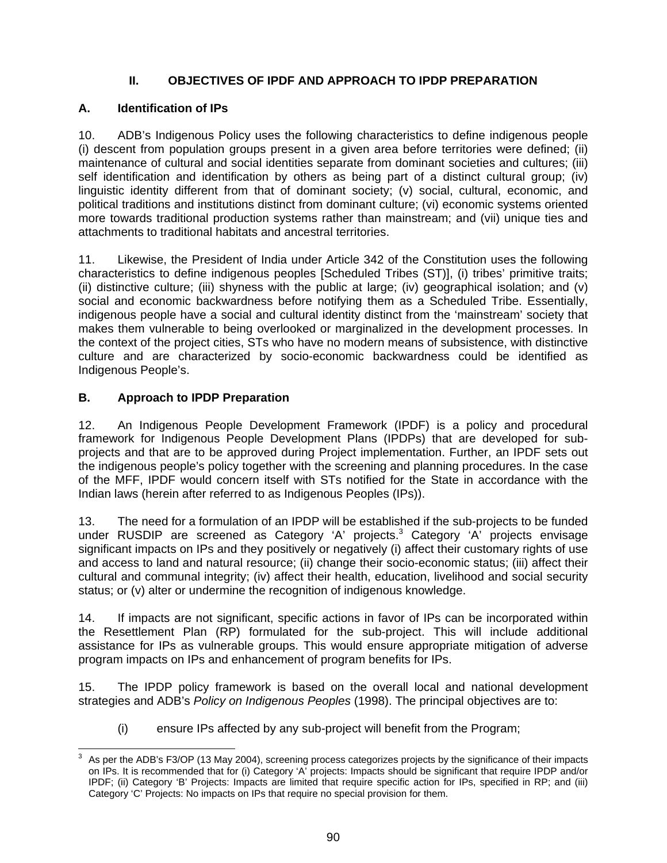## **II. OBJECTIVES OF IPDF AND APPROACH TO IPDP PREPARATION**

## **A. Identification of IPs**

10. ADB's Indigenous Policy uses the following characteristics to define indigenous people (i) descent from population groups present in a given area before territories were defined; (ii) maintenance of cultural and social identities separate from dominant societies and cultures; (iii) self identification and identification by others as being part of a distinct cultural group; (iv) linguistic identity different from that of dominant society; (v) social, cultural, economic, and political traditions and institutions distinct from dominant culture; (vi) economic systems oriented more towards traditional production systems rather than mainstream; and (vii) unique ties and attachments to traditional habitats and ancestral territories.

11. Likewise, the President of India under Article 342 of the Constitution uses the following characteristics to define indigenous peoples [Scheduled Tribes (ST)], (i) tribes' primitive traits; (ii) distinctive culture; (iii) shyness with the public at large; (iv) geographical isolation; and (v) social and economic backwardness before notifying them as a Scheduled Tribe. Essentially, indigenous people have a social and cultural identity distinct from the 'mainstream' society that makes them vulnerable to being overlooked or marginalized in the development processes. In the context of the project cities, STs who have no modern means of subsistence, with distinctive culture and are characterized by socio-economic backwardness could be identified as Indigenous People's.

## **B. Approach to IPDP Preparation**

12. An Indigenous People Development Framework (IPDF) is a policy and procedural framework for Indigenous People Development Plans (IPDPs) that are developed for subprojects and that are to be approved during Project implementation. Further, an IPDF sets out the indigenous people's policy together with the screening and planning procedures. In the case of the MFF, IPDF would concern itself with STs notified for the State in accordance with the Indian laws (herein after referred to as Indigenous Peoples (IPs)).

13. The need for a formulation of an IPDP will be established if the sub-projects to be funded under RUSDIP are screened as Category 'A' projects.<sup>3</sup> Category 'A' projects envisage significant impacts on IPs and they positively or negatively (i) affect their customary rights of use and access to land and natural resource; (ii) change their socio-economic status; (iii) affect their cultural and communal integrity; (iv) affect their health, education, livelihood and social security status; or (v) alter or undermine the recognition of indigenous knowledge.

14. If impacts are not significant, specific actions in favor of IPs can be incorporated within the Resettlement Plan (RP) formulated for the sub-project. This will include additional assistance for IPs as vulnerable groups. This would ensure appropriate mitigation of adverse program impacts on IPs and enhancement of program benefits for IPs.

15. The IPDP policy framework is based on the overall local and national development strategies and ADB's *Policy on Indigenous Peoples* (1998). The principal objectives are to:

(i) ensure IPs affected by any sub-project will benefit from the Program;

 3 As per the ADB's F3/OP (13 May 2004), screening process categorizes projects by the significance of their impacts on IPs. It is recommended that for (i) Category 'A' projects: Impacts should be significant that require IPDP and/or IPDF; (ii) Category 'B' Projects: Impacts are limited that require specific action for IPs, specified in RP; and (iii) Category 'C' Projects: No impacts on IPs that require no special provision for them.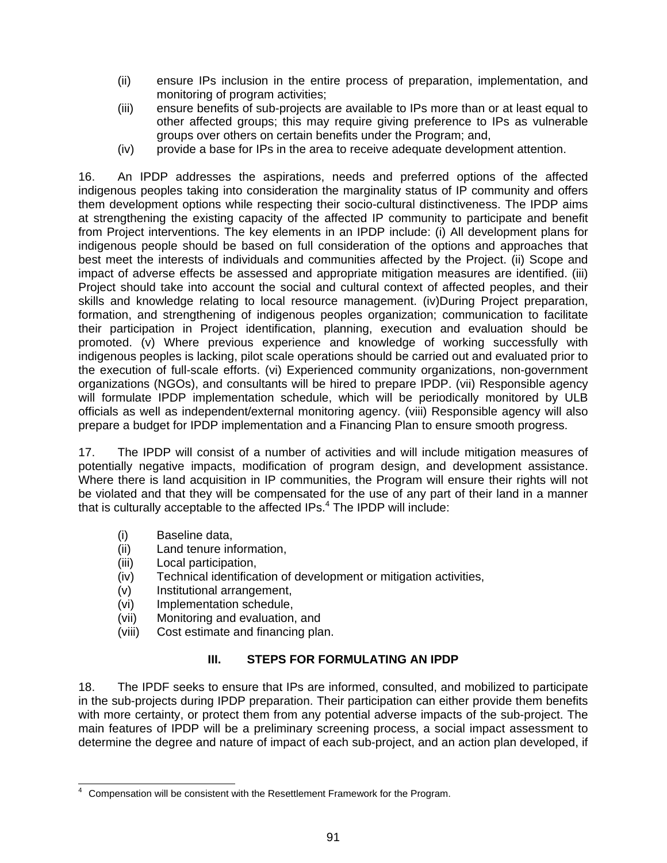- (ii) ensure IPs inclusion in the entire process of preparation, implementation, and monitoring of program activities;
- (iii) ensure benefits of sub-projects are available to IPs more than or at least equal to other affected groups; this may require giving preference to IPs as vulnerable groups over others on certain benefits under the Program; and,
- (iv) provide a base for IPs in the area to receive adequate development attention.

16. An IPDP addresses the aspirations, needs and preferred options of the affected indigenous peoples taking into consideration the marginality status of IP community and offers them development options while respecting their socio-cultural distinctiveness. The IPDP aims at strengthening the existing capacity of the affected IP community to participate and benefit from Project interventions. The key elements in an IPDP include: (i) All development plans for indigenous people should be based on full consideration of the options and approaches that best meet the interests of individuals and communities affected by the Project. (ii) Scope and impact of adverse effects be assessed and appropriate mitigation measures are identified. (iii) Project should take into account the social and cultural context of affected peoples, and their skills and knowledge relating to local resource management. (iv)During Project preparation, formation, and strengthening of indigenous peoples organization; communication to facilitate their participation in Project identification, planning, execution and evaluation should be promoted. (v) Where previous experience and knowledge of working successfully with indigenous peoples is lacking, pilot scale operations should be carried out and evaluated prior to the execution of full-scale efforts. (vi) Experienced community organizations, non-government organizations (NGOs), and consultants will be hired to prepare IPDP. (vii) Responsible agency will formulate IPDP implementation schedule, which will be periodically monitored by ULB officials as well as independent/external monitoring agency. (viii) Responsible agency will also prepare a budget for IPDP implementation and a Financing Plan to ensure smooth progress.

17. The IPDP will consist of a number of activities and will include mitigation measures of potentially negative impacts, modification of program design, and development assistance. Where there is land acquisition in IP communities, the Program will ensure their rights will not be violated and that they will be compensated for the use of any part of their land in a manner that is culturally acceptable to the affected IPs.<sup>4</sup> The IPDP will include:

- (i) Baseline data,
- (ii) Land tenure information,
- (iii) Local participation,
- (iv) Technical identification of development or mitigation activities,
- (v) Institutional arrangement,
- (vi) Implementation schedule,
- (vii) Monitoring and evaluation, and
- (viii) Cost estimate and financing plan.

## **III. STEPS FOR FORMULATING AN IPDP**

18. The IPDF seeks to ensure that IPs are informed, consulted, and mobilized to participate in the sub-projects during IPDP preparation. Their participation can either provide them benefits with more certainty, or protect them from any potential adverse impacts of the sub-project. The main features of IPDP will be a preliminary screening process, a social impact assessment to determine the degree and nature of impact of each sub-project, and an action plan developed, if

 4 Compensation will be consistent with the Resettlement Framework for the Program.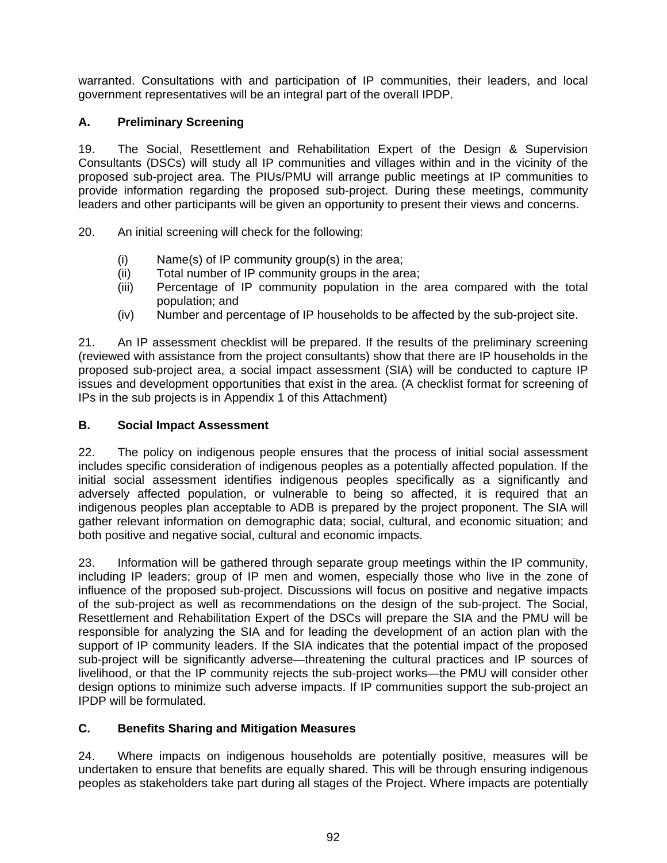warranted. Consultations with and participation of IP communities, their leaders, and local government representatives will be an integral part of the overall IPDP.

## **A. Preliminary Screening**

19. The Social, Resettlement and Rehabilitation Expert of the Design & Supervision Consultants (DSCs) will study all IP communities and villages within and in the vicinity of the proposed sub-project area. The PIUs/PMU will arrange public meetings at IP communities to provide information regarding the proposed sub-project. During these meetings, community leaders and other participants will be given an opportunity to present their views and concerns.

20. An initial screening will check for the following:

- (i) Name(s) of IP community group(s) in the area;
- (ii) Total number of IP community groups in the area;
- (iii) Percentage of IP community population in the area compared with the total population; and
- (iv) Number and percentage of IP households to be affected by the sub-project site.

21. An IP assessment checklist will be prepared. If the results of the preliminary screening (reviewed with assistance from the project consultants) show that there are IP households in the proposed sub-project area, a social impact assessment (SIA) will be conducted to capture IP issues and development opportunities that exist in the area. (A checklist format for screening of IPs in the sub projects is in Appendix 1 of this Attachment)

### **B. Social Impact Assessment**

22. The policy on indigenous people ensures that the process of initial social assessment includes specific consideration of indigenous peoples as a potentially affected population. If the initial social assessment identifies indigenous peoples specifically as a significantly and adversely affected population, or vulnerable to being so affected, it is required that an indigenous peoples plan acceptable to ADB is prepared by the project proponent. The SIA will gather relevant information on demographic data; social, cultural, and economic situation; and both positive and negative social, cultural and economic impacts.

23. Information will be gathered through separate group meetings within the IP community, including IP leaders; group of IP men and women, especially those who live in the zone of influence of the proposed sub-project. Discussions will focus on positive and negative impacts of the sub-project as well as recommendations on the design of the sub-project. The Social, Resettlement and Rehabilitation Expert of the DSCs will prepare the SIA and the PMU will be responsible for analyzing the SIA and for leading the development of an action plan with the support of IP community leaders. If the SIA indicates that the potential impact of the proposed sub-project will be significantly adverse—threatening the cultural practices and IP sources of livelihood, or that the IP community rejects the sub-project works—the PMU will consider other design options to minimize such adverse impacts. If IP communities support the sub-project an IPDP will be formulated.

## **C. Benefits Sharing and Mitigation Measures**

24. Where impacts on indigenous households are potentially positive, measures will be undertaken to ensure that benefits are equally shared. This will be through ensuring indigenous peoples as stakeholders take part during all stages of the Project. Where impacts are potentially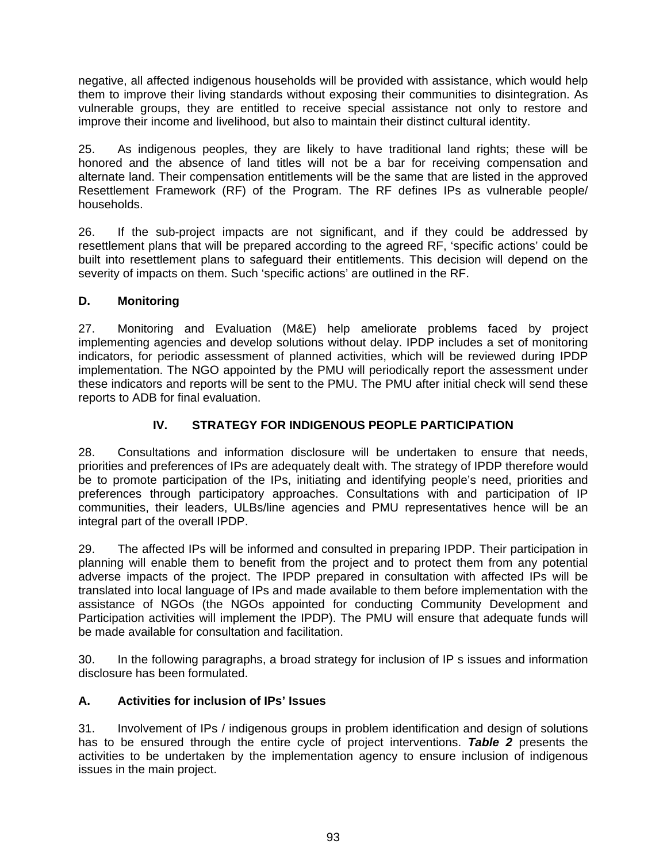negative, all affected indigenous households will be provided with assistance, which would help them to improve their living standards without exposing their communities to disintegration. As vulnerable groups, they are entitled to receive special assistance not only to restore and improve their income and livelihood, but also to maintain their distinct cultural identity.

25. As indigenous peoples, they are likely to have traditional land rights; these will be honored and the absence of land titles will not be a bar for receiving compensation and alternate land. Their compensation entitlements will be the same that are listed in the approved Resettlement Framework (RF) of the Program. The RF defines IPs as vulnerable people/ households.

26. If the sub-project impacts are not significant, and if they could be addressed by resettlement plans that will be prepared according to the agreed RF, 'specific actions' could be built into resettlement plans to safeguard their entitlements. This decision will depend on the severity of impacts on them. Such 'specific actions' are outlined in the RF.

## **D. Monitoring**

27. Monitoring and Evaluation (M&E) help ameliorate problems faced by project implementing agencies and develop solutions without delay. IPDP includes a set of monitoring indicators, for periodic assessment of planned activities, which will be reviewed during IPDP implementation. The NGO appointed by the PMU will periodically report the assessment under these indicators and reports will be sent to the PMU. The PMU after initial check will send these reports to ADB for final evaluation.

## **IV. STRATEGY FOR INDIGENOUS PEOPLE PARTICIPATION**

28. Consultations and information disclosure will be undertaken to ensure that needs, priorities and preferences of IPs are adequately dealt with. The strategy of IPDP therefore would be to promote participation of the IPs, initiating and identifying people's need, priorities and preferences through participatory approaches. Consultations with and participation of IP communities, their leaders, ULBs/line agencies and PMU representatives hence will be an integral part of the overall IPDP.

29. The affected IPs will be informed and consulted in preparing IPDP. Their participation in planning will enable them to benefit from the project and to protect them from any potential adverse impacts of the project. The IPDP prepared in consultation with affected IPs will be translated into local language of IPs and made available to them before implementation with the assistance of NGOs (the NGOs appointed for conducting Community Development and Participation activities will implement the IPDP). The PMU will ensure that adequate funds will be made available for consultation and facilitation.

30. In the following paragraphs, a broad strategy for inclusion of IP s issues and information disclosure has been formulated.

## **A. Activities for inclusion of IPs' Issues**

31. Involvement of IPs / indigenous groups in problem identification and design of solutions has to be ensured through the entire cycle of project interventions. *Table 2* presents the activities to be undertaken by the implementation agency to ensure inclusion of indigenous issues in the main project.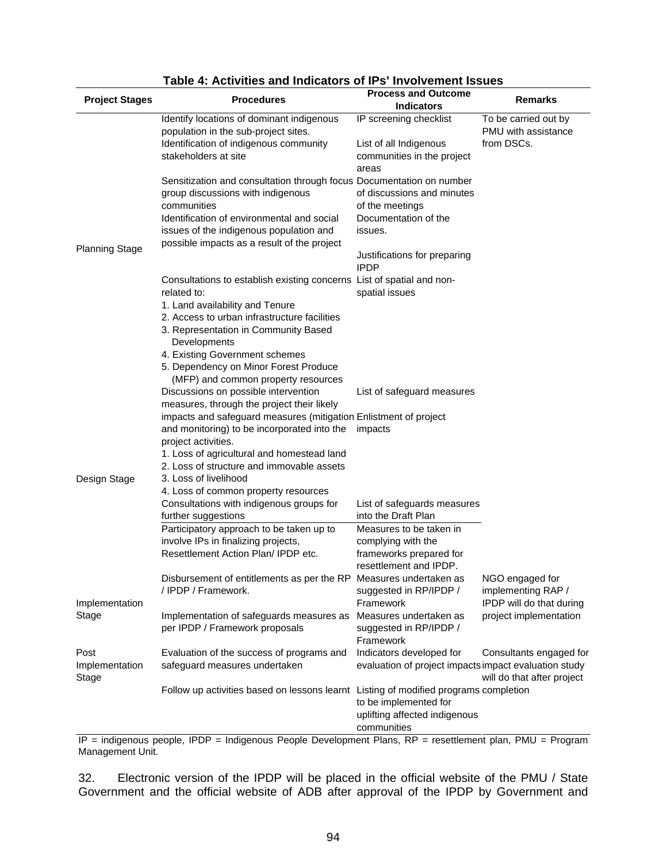| <b>Project Stages</b> | <b>Procedures</b>                                                                    | <b>Process and Outcome</b><br><b>Indicators</b>       | <b>Remarks</b>             |
|-----------------------|--------------------------------------------------------------------------------------|-------------------------------------------------------|----------------------------|
|                       | Identify locations of dominant indigenous                                            | IP screening checklist                                | To be carried out by       |
|                       | population in the sub-project sites.                                                 |                                                       | PMU with assistance        |
|                       | Identification of indigenous community                                               | List of all Indigenous                                | from DSCs.                 |
|                       | stakeholders at site                                                                 | communities in the project                            |                            |
|                       |                                                                                      | areas                                                 |                            |
|                       | Sensitization and consultation through focus Documentation on number                 |                                                       |                            |
|                       | group discussions with indigenous                                                    | of discussions and minutes                            |                            |
|                       | communities                                                                          | of the meetings                                       |                            |
|                       | Identification of environmental and social                                           | Documentation of the                                  |                            |
|                       | issues of the indigenous population and                                              | issues.                                               |                            |
| <b>Planning Stage</b> | possible impacts as a result of the project                                          |                                                       |                            |
|                       |                                                                                      | Justifications for preparing<br><b>IPDP</b>           |                            |
|                       | Consultations to establish existing concerns List of spatial and non-                |                                                       |                            |
|                       | related to:                                                                          | spatial issues                                        |                            |
|                       | 1. Land availability and Tenure                                                      |                                                       |                            |
|                       | 2. Access to urban infrastructure facilities                                         |                                                       |                            |
|                       | 3. Representation in Community Based                                                 |                                                       |                            |
|                       | Developments                                                                         |                                                       |                            |
|                       | 4. Existing Government schemes                                                       |                                                       |                            |
|                       | 5. Dependency on Minor Forest Produce                                                |                                                       |                            |
|                       | (MFP) and common property resources                                                  |                                                       |                            |
|                       | Discussions on possible intervention                                                 | List of safeguard measures                            |                            |
|                       | measures, through the project their likely                                           |                                                       |                            |
|                       | impacts and safeguard measures (mitigation Enlistment of project                     |                                                       |                            |
|                       | and monitoring) to be incorporated into the                                          | impacts                                               |                            |
|                       | project activities.<br>1. Loss of agricultural and homestead land                    |                                                       |                            |
|                       | 2. Loss of structure and immovable assets                                            |                                                       |                            |
| Design Stage          | 3. Loss of livelihood                                                                |                                                       |                            |
|                       | 4. Loss of common property resources                                                 |                                                       |                            |
|                       | Consultations with indigenous groups for                                             | List of safeguards measures                           |                            |
|                       | further suggestions                                                                  | into the Draft Plan                                   |                            |
|                       | Participatory approach to be taken up to                                             | Measures to be taken in                               |                            |
|                       | involve IPs in finalizing projects,                                                  | complying with the                                    |                            |
|                       | Resettlement Action Plan/ IPDP etc.                                                  | frameworks prepared for                               |                            |
|                       |                                                                                      | resettlement and IPDP.                                |                            |
|                       | Disbursement of entitlements as per the RP                                           | Measures undertaken as                                | NGO engaged for            |
|                       | / IPDP / Framework.                                                                  | suggested in RP/IPDP /                                | implementing RAP /         |
| Implementation        |                                                                                      | Framework                                             | IPDP will do that during   |
| Stage                 | Implementation of safeguards measures as                                             | Measures undertaken as<br>suggested in RP/IPDP /      | project implementation     |
|                       | per IPDP / Framework proposals                                                       | Framework                                             |                            |
| Post                  | Evaluation of the success of programs and                                            | Indicators developed for                              | Consultants engaged for    |
| Implementation        | safeguard measures undertaken                                                        | evaluation of project impacts impact evaluation study |                            |
| Stage                 |                                                                                      |                                                       | will do that after project |
|                       | Follow up activities based on lessons learnt Listing of modified programs completion |                                                       |                            |
|                       |                                                                                      | to be implemented for                                 |                            |
|                       |                                                                                      | uplifting affected indigenous                         |                            |
|                       |                                                                                      | communities                                           |                            |

#### **Table 4: Activities and Indicators of IPs' Involvement Issues**

IP = indigenous people, IPDP = Indigenous People Development Plans, RP = resettlement plan, PMU = Program Management Unit.

32. Electronic version of the IPDP will be placed in the official website of the PMU / State Government and the official website of ADB after approval of the IPDP by Government and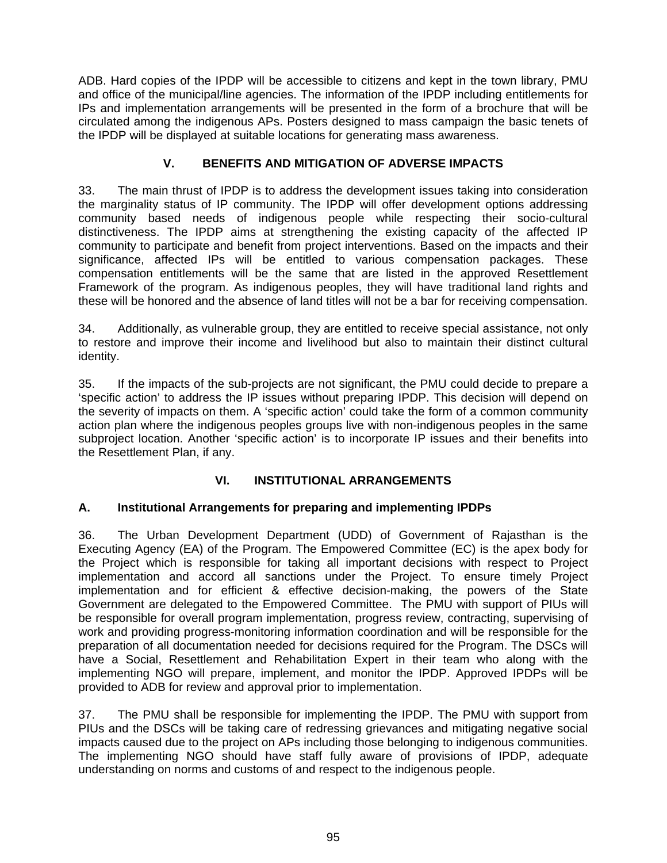ADB. Hard copies of the IPDP will be accessible to citizens and kept in the town library, PMU and office of the municipal/line agencies. The information of the IPDP including entitlements for IPs and implementation arrangements will be presented in the form of a brochure that will be circulated among the indigenous APs. Posters designed to mass campaign the basic tenets of the IPDP will be displayed at suitable locations for generating mass awareness.

## **V. BENEFITS AND MITIGATION OF ADVERSE IMPACTS**

33. The main thrust of IPDP is to address the development issues taking into consideration the marginality status of IP community. The IPDP will offer development options addressing community based needs of indigenous people while respecting their socio-cultural distinctiveness. The IPDP aims at strengthening the existing capacity of the affected IP community to participate and benefit from project interventions. Based on the impacts and their significance, affected IPs will be entitled to various compensation packages. These compensation entitlements will be the same that are listed in the approved Resettlement Framework of the program. As indigenous peoples, they will have traditional land rights and these will be honored and the absence of land titles will not be a bar for receiving compensation.

34. Additionally, as vulnerable group, they are entitled to receive special assistance, not only to restore and improve their income and livelihood but also to maintain their distinct cultural identity.

35. If the impacts of the sub-projects are not significant, the PMU could decide to prepare a 'specific action' to address the IP issues without preparing IPDP. This decision will depend on the severity of impacts on them. A 'specific action' could take the form of a common community action plan where the indigenous peoples groups live with non-indigenous peoples in the same subproject location. Another 'specific action' is to incorporate IP issues and their benefits into the Resettlement Plan, if any.

## **VI. INSTITUTIONAL ARRANGEMENTS**

## **A. Institutional Arrangements for preparing and implementing IPDPs**

36. The Urban Development Department (UDD) of Government of Rajasthan is the Executing Agency (EA) of the Program. The Empowered Committee (EC) is the apex body for the Project which is responsible for taking all important decisions with respect to Project implementation and accord all sanctions under the Project. To ensure timely Project implementation and for efficient & effective decision-making, the powers of the State Government are delegated to the Empowered Committee. The PMU with support of PIUs will be responsible for overall program implementation, progress review, contracting, supervising of work and providing progress-monitoring information coordination and will be responsible for the preparation of all documentation needed for decisions required for the Program. The DSCs will have a Social, Resettlement and Rehabilitation Expert in their team who along with the implementing NGO will prepare, implement, and monitor the IPDP. Approved IPDPs will be provided to ADB for review and approval prior to implementation.

37. The PMU shall be responsible for implementing the IPDP. The PMU with support from PIUs and the DSCs will be taking care of redressing grievances and mitigating negative social impacts caused due to the project on APs including those belonging to indigenous communities. The implementing NGO should have staff fully aware of provisions of IPDP, adequate understanding on norms and customs of and respect to the indigenous people.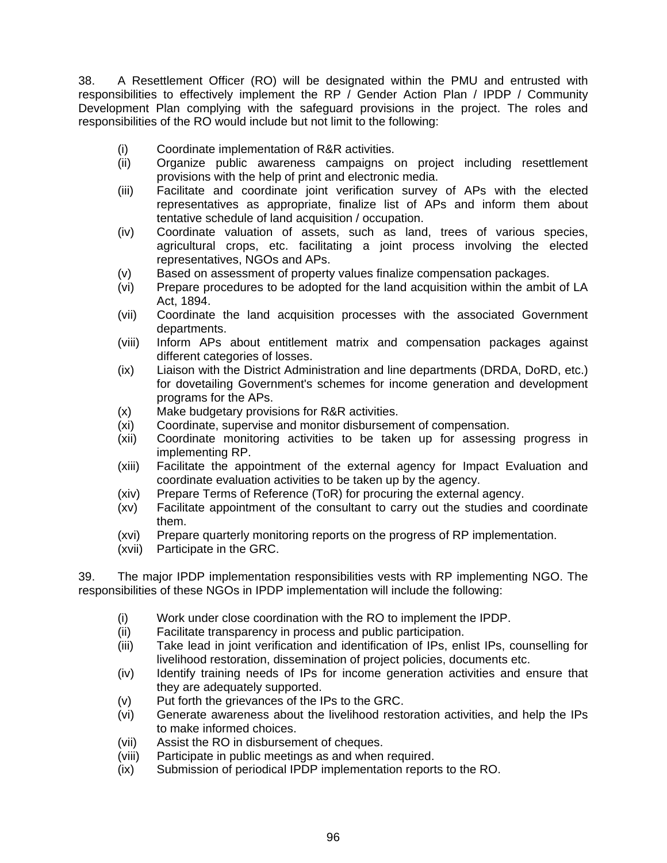38. A Resettlement Officer (RO) will be designated within the PMU and entrusted with responsibilities to effectively implement the RP / Gender Action Plan / IPDP / Community Development Plan complying with the safeguard provisions in the project. The roles and responsibilities of the RO would include but not limit to the following:

- (i) Coordinate implementation of R&R activities.
- (ii) Organize public awareness campaigns on project including resettlement provisions with the help of print and electronic media.
- (iii) Facilitate and coordinate joint verification survey of APs with the elected representatives as appropriate, finalize list of APs and inform them about tentative schedule of land acquisition / occupation.
- (iv) Coordinate valuation of assets, such as land, trees of various species, agricultural crops, etc. facilitating a joint process involving the elected representatives, NGOs and APs.
- (v) Based on assessment of property values finalize compensation packages.
- (vi) Prepare procedures to be adopted for the land acquisition within the ambit of LA Act, 1894.
- (vii) Coordinate the land acquisition processes with the associated Government departments.
- (viii) Inform APs about entitlement matrix and compensation packages against different categories of losses.
- (ix) Liaison with the District Administration and line departments (DRDA, DoRD, etc.) for dovetailing Government's schemes for income generation and development programs for the APs.
- (x) Make budgetary provisions for R&R activities.
- (xi) Coordinate, supervise and monitor disbursement of compensation.
- (xii) Coordinate monitoring activities to be taken up for assessing progress in implementing RP.
- (xiii) Facilitate the appointment of the external agency for Impact Evaluation and coordinate evaluation activities to be taken up by the agency.
- (xiv) Prepare Terms of Reference (ToR) for procuring the external agency.
- (xv) Facilitate appointment of the consultant to carry out the studies and coordinate them.
- (xvi) Prepare quarterly monitoring reports on the progress of RP implementation.
- (xvii) Participate in the GRC.

39. The major IPDP implementation responsibilities vests with RP implementing NGO. The responsibilities of these NGOs in IPDP implementation will include the following:

- (i) Work under close coordination with the RO to implement the IPDP.
- (ii) Facilitate transparency in process and public participation.
- (iii) Take lead in joint verification and identification of IPs, enlist IPs, counselling for livelihood restoration, dissemination of project policies, documents etc.
- (iv) Identify training needs of IPs for income generation activities and ensure that they are adequately supported.
- (v) Put forth the grievances of the IPs to the GRC.
- (vi) Generate awareness about the livelihood restoration activities, and help the IPs to make informed choices.
- (vii) Assist the RO in disbursement of cheques.
- (viii) Participate in public meetings as and when required.
- (ix) Submission of periodical IPDP implementation reports to the RO.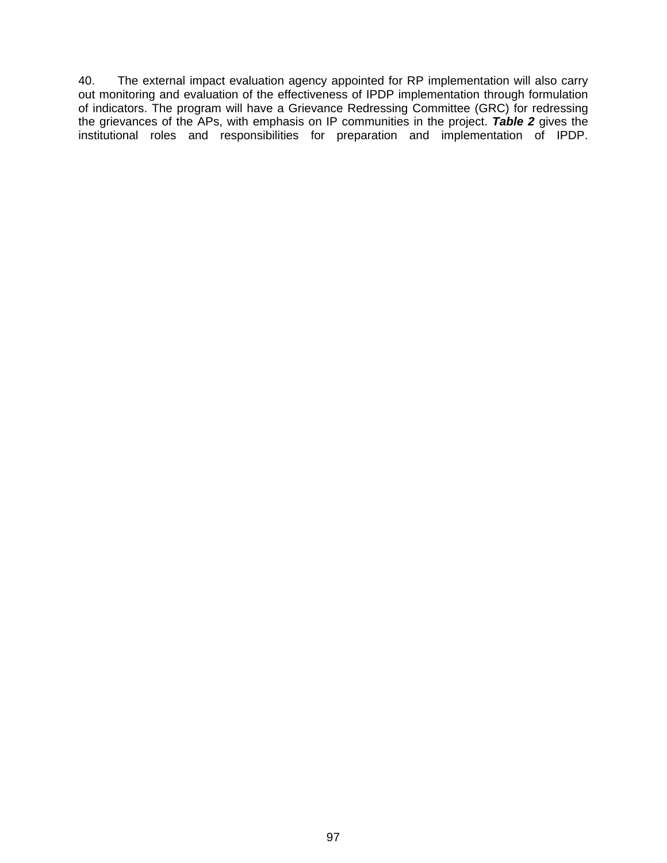40. The external impact evaluation agency appointed for RP implementation will also carry out monitoring and evaluation of the effectiveness of IPDP implementation through formulation of indicators. The program will have a Grievance Redressing Committee (GRC) for redressing the grievances of the APs, with emphasis on IP communities in the project. *Table 2* gives the institutional roles and responsibilities for preparation and implementation of IPDP.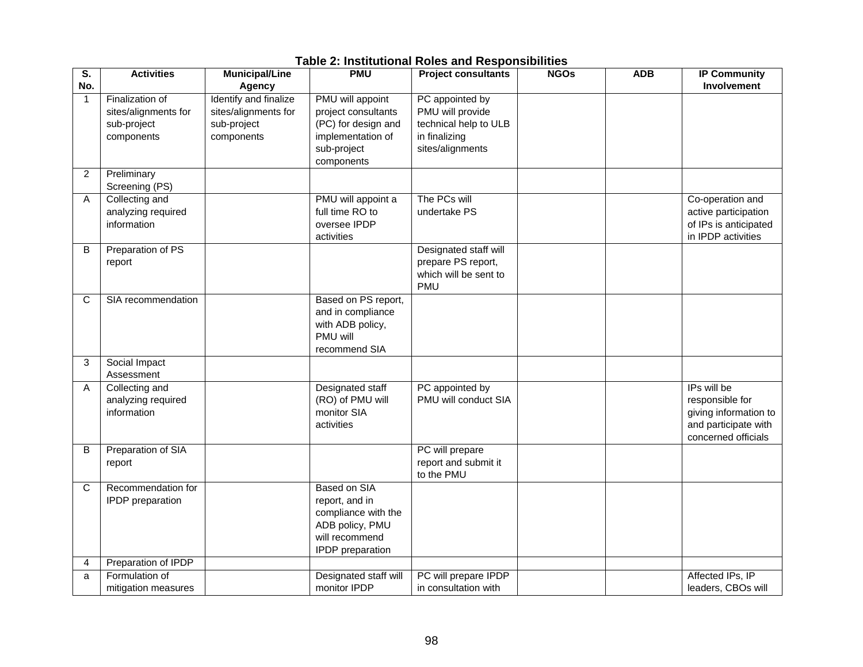| S.           | <b>Activities</b>                     | <b>Municipal/Line</b> | <b>PMU</b>            | <b>Project consultants</b> | <b>NGOs</b> | <b>ADB</b> | <b>IP Community</b>   |
|--------------|---------------------------------------|-----------------------|-----------------------|----------------------------|-------------|------------|-----------------------|
| No.          |                                       | Agency                |                       |                            |             |            | Involvement           |
| $\mathbf{1}$ | Finalization of                       | Identify and finalize | PMU will appoint      | PC appointed by            |             |            |                       |
|              | sites/alignments for                  | sites/alignments for  | project consultants   | PMU will provide           |             |            |                       |
|              | sub-project                           | sub-project           | (PC) for design and   | technical help to ULB      |             |            |                       |
|              | components                            | components            | implementation of     | in finalizing              |             |            |                       |
|              |                                       |                       | sub-project           | sites/alignments           |             |            |                       |
|              |                                       |                       | components            |                            |             |            |                       |
| 2            | Preliminary                           |                       |                       |                            |             |            |                       |
|              | Screening (PS)                        |                       |                       |                            |             |            |                       |
| A            | Collecting and                        |                       | PMU will appoint a    | The PCs will               |             |            | Co-operation and      |
|              | analyzing required                    |                       | full time RO to       | undertake PS               |             |            | active participation  |
|              | information                           |                       | oversee IPDP          |                            |             |            | of IPs is anticipated |
|              |                                       |                       | activities            | Designated staff will      |             |            | in IPDP activities    |
| B            | Preparation of PS                     |                       |                       | prepare PS report,         |             |            |                       |
|              | report                                |                       |                       | which will be sent to      |             |            |                       |
|              |                                       |                       |                       | <b>PMU</b>                 |             |            |                       |
| С            | SIA recommendation                    |                       | Based on PS report,   |                            |             |            |                       |
|              |                                       |                       | and in compliance     |                            |             |            |                       |
|              |                                       |                       | with ADB policy,      |                            |             |            |                       |
|              |                                       |                       | PMU will              |                            |             |            |                       |
|              |                                       |                       | recommend SIA         |                            |             |            |                       |
| 3            | Social Impact                         |                       |                       |                            |             |            |                       |
|              | Assessment                            |                       |                       |                            |             |            |                       |
| A            | Collecting and                        |                       | Designated staff      | PC appointed by            |             |            | IPs will be           |
|              | analyzing required                    |                       | (RO) of PMU will      | PMU will conduct SIA       |             |            | responsible for       |
|              | information                           |                       | monitor SIA           |                            |             |            | giving information to |
|              |                                       |                       | activities            |                            |             |            | and participate with  |
|              |                                       |                       |                       |                            |             |            | concerned officials   |
| B            | Preparation of SIA                    |                       |                       | PC will prepare            |             |            |                       |
|              | report                                |                       |                       | report and submit it       |             |            |                       |
|              |                                       |                       |                       | to the PMU                 |             |            |                       |
| C            | Recommendation for                    |                       | <b>Based on SIA</b>   |                            |             |            |                       |
|              | IPDP preparation                      |                       | report, and in        |                            |             |            |                       |
|              |                                       |                       | compliance with the   |                            |             |            |                       |
|              |                                       |                       | ADB policy, PMU       |                            |             |            |                       |
|              |                                       |                       | will recommend        |                            |             |            |                       |
|              |                                       |                       | IPDP preparation      |                            |             |            |                       |
| 4            | Preparation of IPDP<br>Formulation of |                       | Designated staff will | PC will prepare IPDP       |             |            | Affected IPs, IP      |
| a            |                                       |                       | monitor IPDP          | in consultation with       |             |            | leaders, CBOs will    |
|              | mitigation measures                   |                       |                       |                            |             |            |                       |

## **Table 2: Institutional Roles and Responsibilities**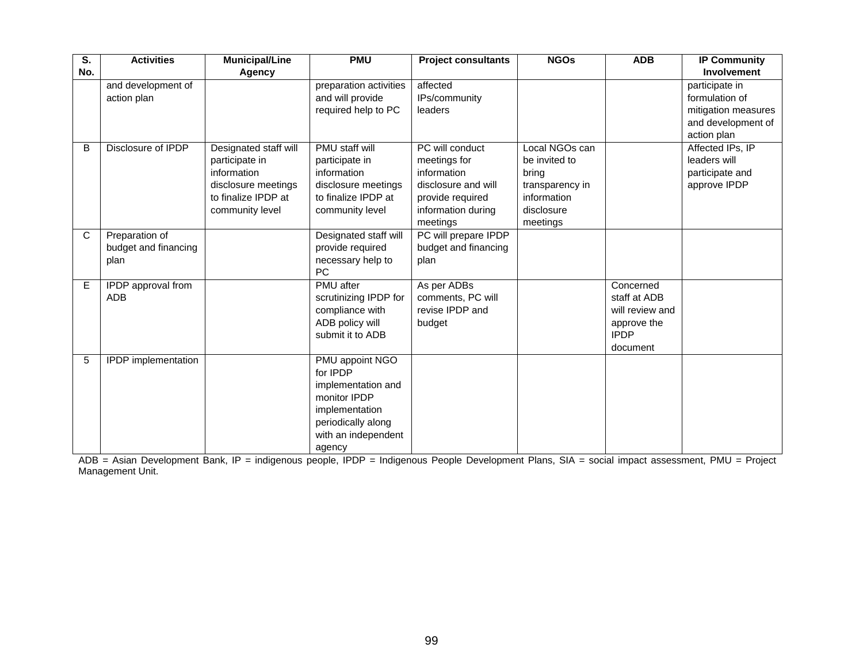| S.  | <b>Activities</b>    | <b>Municipal/Line</b> | <b>PMU</b>             | <b>Project consultants</b> | <b>NGOs</b>     | <b>ADB</b>      | <b>IP Community</b> |
|-----|----------------------|-----------------------|------------------------|----------------------------|-----------------|-----------------|---------------------|
| No. |                      | Agency                |                        |                            |                 |                 | Involvement         |
|     | and development of   |                       | preparation activities | affected                   |                 |                 | participate in      |
|     | action plan          |                       | and will provide       | IPs/community              |                 |                 | formulation of      |
|     |                      |                       | required help to PC    | leaders                    |                 |                 | mitigation measures |
|     |                      |                       |                        |                            |                 |                 | and development of  |
|     |                      |                       |                        |                            |                 |                 | action plan         |
| B   | Disclosure of IPDP   | Designated staff will | PMU staff will         | PC will conduct            | Local NGOs can  |                 | Affected IPs, IP    |
|     |                      | participate in        | participate in         | meetings for               | be invited to   |                 | leaders will        |
|     |                      | information           | information            | information                | bring           |                 | participate and     |
|     |                      | disclosure meetings   | disclosure meetings    | disclosure and will        | transparency in |                 | approve IPDP        |
|     |                      | to finalize IPDP at   | to finalize IPDP at    | provide required           | information     |                 |                     |
|     |                      | community level       | community level        | information during         | disclosure      |                 |                     |
|     |                      |                       |                        | meetings                   | meetings        |                 |                     |
| C   | Preparation of       |                       | Designated staff will  | PC will prepare IPDP       |                 |                 |                     |
|     | budget and financing |                       | provide required       | budget and financing       |                 |                 |                     |
|     | plan                 |                       | necessary help to      | plan                       |                 |                 |                     |
|     |                      |                       | PC                     |                            |                 |                 |                     |
| E   | IPDP approval from   |                       | PMU after              | As per ADBs                |                 | Concerned       |                     |
|     | <b>ADB</b>           |                       | scrutinizing IPDP for  | comments, PC will          |                 | staff at ADB    |                     |
|     |                      |                       | compliance with        | revise IPDP and            |                 | will review and |                     |
|     |                      |                       | ADB policy will        | budget                     |                 | approve the     |                     |
|     |                      |                       | submit it to ADB       |                            |                 | <b>IPDP</b>     |                     |
|     |                      |                       |                        |                            |                 | document        |                     |
| 5   | IPDP implementation  |                       | PMU appoint NGO        |                            |                 |                 |                     |
|     |                      |                       | for IPDP               |                            |                 |                 |                     |
|     |                      |                       | implementation and     |                            |                 |                 |                     |
|     |                      |                       | monitor IPDP           |                            |                 |                 |                     |
|     |                      |                       | implementation         |                            |                 |                 |                     |
|     |                      |                       | periodically along     |                            |                 |                 |                     |
|     |                      |                       | with an independent    |                            |                 |                 |                     |
|     |                      |                       | agency                 |                            |                 |                 |                     |

ADB = Asian Development Bank, IP = indigenous people, IPDP = Indigenous People Development Plans, SIA = social impact assessment, PMU = Project Management Unit.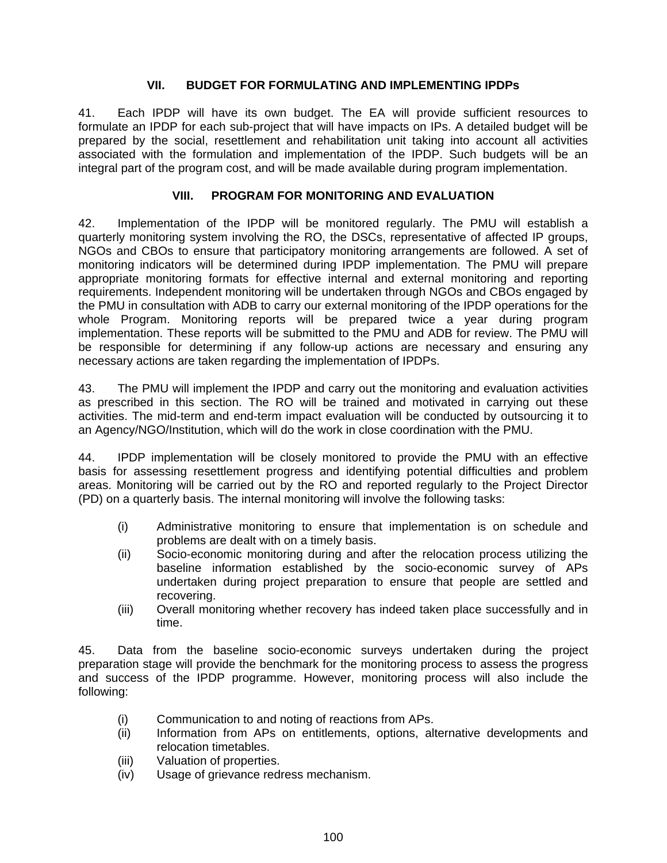### **VII. BUDGET FOR FORMULATING AND IMPLEMENTING IPDPs**

41. Each IPDP will have its own budget. The EA will provide sufficient resources to formulate an IPDP for each sub-project that will have impacts on IPs. A detailed budget will be prepared by the social, resettlement and rehabilitation unit taking into account all activities associated with the formulation and implementation of the IPDP. Such budgets will be an integral part of the program cost, and will be made available during program implementation.

### **VIII. PROGRAM FOR MONITORING AND EVALUATION**

42. Implementation of the IPDP will be monitored regularly. The PMU will establish a quarterly monitoring system involving the RO, the DSCs, representative of affected IP groups, NGOs and CBOs to ensure that participatory monitoring arrangements are followed. A set of monitoring indicators will be determined during IPDP implementation. The PMU will prepare appropriate monitoring formats for effective internal and external monitoring and reporting requirements. Independent monitoring will be undertaken through NGOs and CBOs engaged by the PMU in consultation with ADB to carry our external monitoring of the IPDP operations for the whole Program. Monitoring reports will be prepared twice a year during program implementation. These reports will be submitted to the PMU and ADB for review. The PMU will be responsible for determining if any follow-up actions are necessary and ensuring any necessary actions are taken regarding the implementation of IPDPs.

43. The PMU will implement the IPDP and carry out the monitoring and evaluation activities as prescribed in this section. The RO will be trained and motivated in carrying out these activities. The mid-term and end-term impact evaluation will be conducted by outsourcing it to an Agency/NGO/Institution, which will do the work in close coordination with the PMU.

44. IPDP implementation will be closely monitored to provide the PMU with an effective basis for assessing resettlement progress and identifying potential difficulties and problem areas. Monitoring will be carried out by the RO and reported regularly to the Project Director (PD) on a quarterly basis. The internal monitoring will involve the following tasks:

- (i) Administrative monitoring to ensure that implementation is on schedule and problems are dealt with on a timely basis.
- (ii) Socio-economic monitoring during and after the relocation process utilizing the baseline information established by the socio-economic survey of APs undertaken during project preparation to ensure that people are settled and recovering.
- (iii) Overall monitoring whether recovery has indeed taken place successfully and in time.

45. Data from the baseline socio-economic surveys undertaken during the project preparation stage will provide the benchmark for the monitoring process to assess the progress and success of the IPDP programme. However, monitoring process will also include the following:

- (i) Communication to and noting of reactions from APs.
- (ii) Information from APs on entitlements, options, alternative developments and relocation timetables.
- (iii) Valuation of properties.
- (iv) Usage of grievance redress mechanism.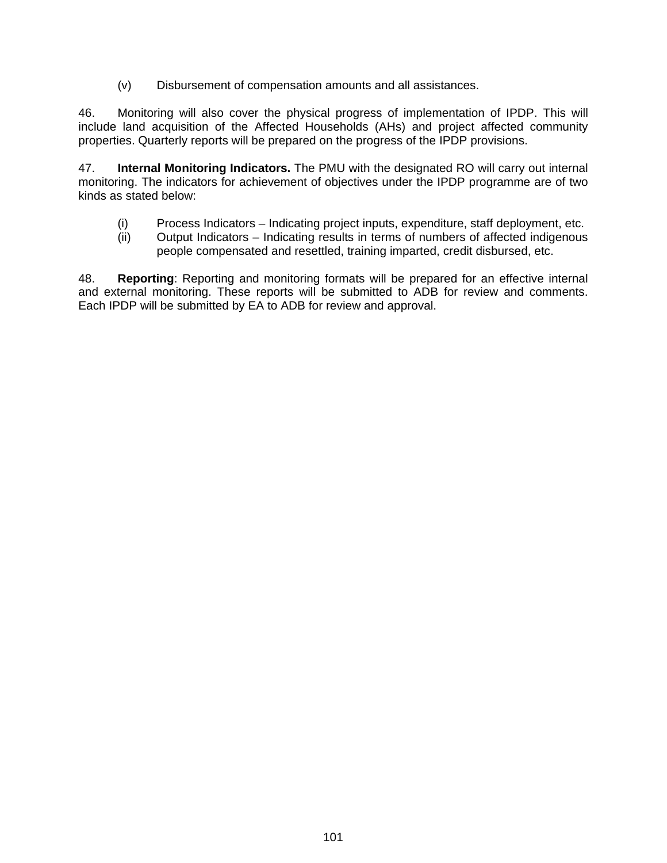(v) Disbursement of compensation amounts and all assistances.

46. Monitoring will also cover the physical progress of implementation of IPDP. This will include land acquisition of the Affected Households (AHs) and project affected community properties. Quarterly reports will be prepared on the progress of the IPDP provisions.

47. **Internal Monitoring Indicators.** The PMU with the designated RO will carry out internal monitoring. The indicators for achievement of objectives under the IPDP programme are of two kinds as stated below:

- (i) Process Indicators Indicating project inputs, expenditure, staff deployment, etc.
- (ii) Output Indicators Indicating results in terms of numbers of affected indigenous people compensated and resettled, training imparted, credit disbursed, etc.

48. **Reporting**: Reporting and monitoring formats will be prepared for an effective internal and external monitoring. These reports will be submitted to ADB for review and comments. Each IPDP will be submitted by EA to ADB for review and approval.